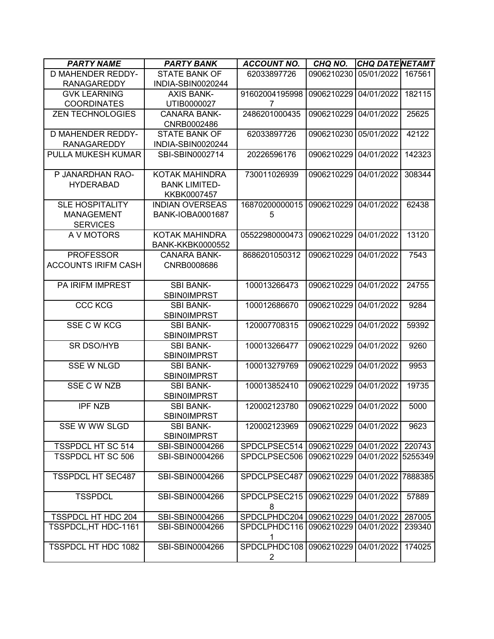| <b>PARTY NAME</b>          | <b>PARTY BANK</b>       | <b>ACCOUNT NO.</b>                              | CHQ NO.               | <b>CHQ DATENETAMT</b> |                  |
|----------------------------|-------------------------|-------------------------------------------------|-----------------------|-----------------------|------------------|
| <b>D MAHENDER REDDY-</b>   | <b>STATE BANK OF</b>    | 62033897726                                     | 0906210230            | 05/01/2022            | 167561           |
| <b>RANAGAREDDY</b>         | INDIA-SBIN0020244       |                                                 |                       |                       |                  |
| <b>GVK LEARNING</b>        | <b>AXIS BANK-</b>       | 91602004195998                                  | 0906210229            | 04/01/2022            | 182115           |
| <b>COORDINATES</b>         | UTIB0000027             | 7                                               |                       |                       |                  |
| <b>ZEN TECHNOLOGIES</b>    | <b>CANARA BANK-</b>     | 2486201000435                                   | 0906210229            | 04/01/2022            | 25625            |
|                            | CNRB0002486             |                                                 |                       |                       |                  |
| <b>D MAHENDER REDDY-</b>   | <b>STATE BANK OF</b>    | 62033897726                                     | 0906210230            | 05/01/2022            | 42122            |
| <b>RANAGAREDDY</b>         | INDIA-SBIN0020244       |                                                 |                       |                       |                  |
| PULLA MUKESH KUMAR         | SBI-SBIN0002714         | 20226596176                                     | 0906210229            | 04/01/2022            | 142323           |
| P JANARDHAN RAO-           | <b>KOTAK MAHINDRA</b>   | 730011026939                                    | 0906210229            | 04/01/2022            | 308344           |
| <b>HYDERABAD</b>           | <b>BANK LIMITED-</b>    |                                                 |                       |                       |                  |
|                            | KKBK0007457             |                                                 |                       |                       |                  |
| <b>SLE HOSPITALITY</b>     | <b>INDIAN OVERSEAS</b>  | 16870200000015                                  | 0906210229            | 04/01/2022            | 62438            |
| <b>MANAGEMENT</b>          | <b>BANK-IOBA0001687</b> | 5                                               |                       |                       |                  |
| <b>SERVICES</b>            |                         |                                                 |                       |                       |                  |
| A V MOTORS                 | <b>KOTAK MAHINDRA</b>   | 05522980000473                                  | 0906210229            | 04/01/2022            | 13120            |
|                            | <b>BANK-KKBK0000552</b> |                                                 |                       |                       |                  |
| <b>PROFESSOR</b>           | <b>CANARA BANK-</b>     | 8686201050312                                   | 0906210229            | 04/01/2022            | 7543             |
| <b>ACCOUNTS IRIFM CASH</b> | CNRB0008686             |                                                 |                       |                       |                  |
|                            |                         |                                                 |                       |                       |                  |
| PA IRIFM IMPREST           | <b>SBI BANK-</b>        | 100013266473                                    | 0906210229            | 04/01/2022            | 24755            |
|                            | <b>SBIN0IMPRST</b>      |                                                 |                       |                       |                  |
| <b>CCC KCG</b>             | <b>SBI BANK-</b>        | 100012686670                                    | 0906210229            | 04/01/2022            | 9284             |
|                            | <b>SBIN0IMPRST</b>      |                                                 |                       |                       |                  |
| SSE C W KCG                | <b>SBI BANK-</b>        | 120007708315                                    | 0906210229            | 04/01/2022            | 59392            |
|                            | <b>SBIN0IMPRST</b>      |                                                 |                       |                       |                  |
| <b>SR DSO/HYB</b>          | <b>SBI BANK-</b>        | 100013266477                                    | 0906210229            | 04/01/2022            | 9260             |
|                            | <b>SBIN0IMPRST</b>      |                                                 |                       |                       |                  |
| <b>SSE W NLGD</b>          | <b>SBI BANK-</b>        | 100013279769                                    | 0906210229            | 04/01/2022            | 9953             |
|                            | <b>SBINOIMPRST</b>      |                                                 |                       |                       |                  |
| SSE C W NZB                | <b>SBI BANK-</b>        | 100013852410                                    | 0906210229            | 04/01/2022            | 19735            |
|                            | <b>SBINOIMPRST</b>      |                                                 |                       |                       |                  |
| <b>IPF NZB</b>             | <b>SBI BANK-</b>        | 120002123780                                    | 0906210229            | 04/01/2022            | 5000             |
|                            | <b>SBIN0IMPRST</b>      |                                                 |                       |                       |                  |
| SSE W WW SLGD              | <b>SBI BANK-</b>        | 120002123969                                    | 0906210229 04/01/2022 |                       | 9623             |
|                            | <b>SBIN0IMPRST</b>      |                                                 |                       |                       |                  |
| <b>TSSPDCL HT SC 514</b>   | SBI-SBIN0004266         | SPDCLPSEC514   0906210229   04/01/2022   220743 |                       |                       |                  |
| <b>TSSPDCL HT SC 506</b>   | SBI-SBIN0004266         | SPDCLPSEC506                                    | 0906210229            | 04/01/2022 5255349    |                  |
|                            |                         |                                                 |                       |                       |                  |
| <b>TSSPDCL HT SEC487</b>   | SBI-SBIN0004266         | SPDCLPSEC487                                    | 0906210229            | 04/01/2022 7888385    |                  |
| <b>TSSPDCL</b>             | SBI-SBIN0004266         | SPDCLPSEC215                                    | 0906210229            | 04/01/2022            | 57889            |
|                            |                         | 8                                               |                       |                       |                  |
| <b>TSSPDCL HT HDC 204</b>  | SBI-SBIN0004266         | SPDCLPHDC204 0906210229                         |                       | 04/01/2022            |                  |
| TSSPDCL, HT HDC-1161       | SBI-SBIN0004266         | SPDCLPHDC116                                    | 0906210229            | 04/01/2022            | 287005<br>239340 |
|                            |                         | 1                                               |                       |                       |                  |
| TSSPDCL HT HDC 1082        | SBI-SBIN0004266         | SPDCLPHDC108                                    | 0906210229            | 04/01/2022            | 174025           |
|                            |                         | 2                                               |                       |                       |                  |
|                            |                         |                                                 |                       |                       |                  |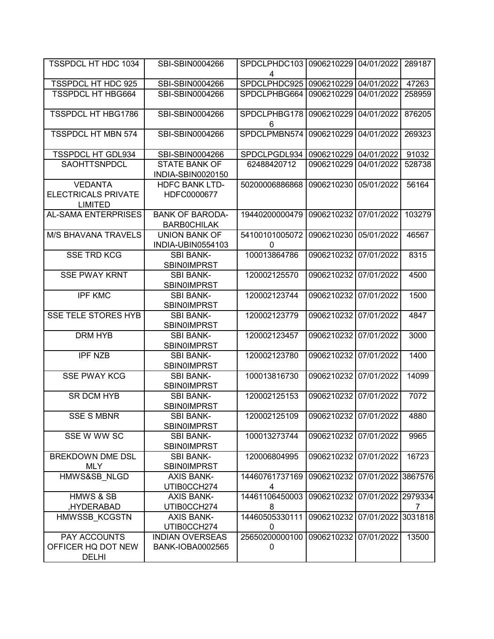| TSSPDCL HT HDC 1034                                            | SBI-SBIN0004266                              | SPDCLPHDC103<br>4          | 0906210229            | 04/01/2022         | 289187  |
|----------------------------------------------------------------|----------------------------------------------|----------------------------|-----------------------|--------------------|---------|
| TSSPDCL HT HDC 925                                             | SBI-SBIN0004266                              | SPDCLPHDC925               | 0906210229            | 04/01/2022         | 47263   |
| <b>TSSPDCL HT HBG664</b>                                       | SBI-SBIN0004266                              | SPDCLPHBG664               | 0906210229            | 04/01/2022         | 258959  |
| <b>TSSPDCL HT HBG1786</b>                                      | SBI-SBIN0004266                              | SPDCLPHBG178<br>6          | 0906210229            | 04/01/2022         | 876205  |
| <b>TSSPDCL HT MBN 574</b>                                      | SBI-SBIN0004266                              | SPDCLPMBN574               | 0906210229            | 04/01/2022         | 269323  |
| <b>TSSPDCL HT GDL934</b>                                       | SBI-SBIN0004266                              | SPDCLPGDL934               | 0906210229            | 04/01/2022         | 91032   |
| SAOHTTSNPDCL                                                   | <b>STATE BANK OF</b><br>INDIA-SBIN0020150    | 62488420712                | 0906210229            | 04/01/2022         | 528738  |
| <b>VEDANTA</b><br><b>ELECTRICALS PRIVATE</b><br><b>LIMITED</b> | <b>HDFC BANK LTD-</b><br>HDFC0000677         | 50200006886868             | 0906210230            | 05/01/2022         | 56164   |
| <b>AL-SAMA ENTERPRISES</b>                                     | <b>BANK OF BARODA-</b><br><b>BARBOCHILAK</b> | 19440200000479             | 0906210232            | 07/01/2022         | 103279  |
| <b>M/S BHAVANA TRAVELS</b>                                     | <b>UNION BANK OF</b><br>INDIA-UBIN0554103    | 54100101005072<br>$\Omega$ | 0906210230            | 05/01/2022         | 46567   |
| <b>SSE TRD KCG</b>                                             | <b>SBI BANK-</b><br><b>SBIN0IMPRST</b>       | 100013864786               | 0906210232            | 07/01/2022         | 8315    |
| <b>SSE PWAY KRNT</b>                                           | <b>SBI BANK-</b><br><b>SBIN0IMPRST</b>       | 120002125570               | 0906210232            | 07/01/2022         | 4500    |
| <b>IPF KMC</b>                                                 | <b>SBI BANK-</b><br><b>SBIN0IMPRST</b>       | 120002123744               | 0906210232            | 07/01/2022         | 1500    |
| <b>SSE TELE STORES HYB</b>                                     | <b>SBI BANK-</b><br><b>SBIN0IMPRST</b>       | 120002123779               | 0906210232            | 07/01/2022         | 4847    |
| <b>DRM HYB</b>                                                 | <b>SBI BANK-</b><br><b>SBIN0IMPRST</b>       | 120002123457               | 0906210232            | 07/01/2022         | 3000    |
| <b>IPF NZB</b>                                                 | <b>SBI BANK-</b><br><b>SBIN0IMPRST</b>       | 120002123780               | 0906210232            | 07/01/2022         | 1400    |
| <b>SSE PWAY KCG</b>                                            | <b>SBI BANK-</b><br>SBIN0IMPRST              | 100013816730               | 0906210232            | 07/01/2022         | 14099   |
| <b>SR DCM HYB</b>                                              | <b>SBI BANK-</b><br><b>SBIN0IMPRST</b>       | 120002125153               | 0906210232            | 07/01/2022         | 7072    |
| <b>SSE S MBNR</b>                                              | SBI BANK-<br><b>SBINOIMPRST</b>              | 120002125109               | 0906210232 07/01/2022 |                    | 4880    |
| SSE W WW SC                                                    | <b>SBI BANK-</b><br><b>SBINOIMPRST</b>       | 100013273744               | 0906210232 07/01/2022 |                    | 9965    |
| <b>BREKDOWN DME DSL</b><br><b>MLY</b>                          | <b>SBI BANK-</b><br><b>SBINOIMPRST</b>       | 120006804995               | 0906210232 07/01/2022 |                    | 16723   |
| HMWS&SB NLGD                                                   | <b>AXIS BANK-</b><br>UTIB0CCH274             | 14460761737169<br>4        | 0906210232            | 07/01/2022         | 3867576 |
| <b>HMWS &amp; SB</b>                                           | <b>AXIS BANK-</b>                            | 14461106450003             | 0906210232            | 07/01/2022 2979334 |         |
| HYDERABAD,                                                     | UTIB0CCH274                                  | 8                          |                       |                    | 7       |
| HMWSSB KCGSTN                                                  | <b>AXIS BANK-</b>                            | 14460505330111             | 0906210232            | 07/01/2022         | 3031818 |
|                                                                | UTIB0CCH274                                  | 0                          |                       |                    |         |
| PAY ACCOUNTS                                                   | <b>INDIAN OVERSEAS</b>                       | 25650200000100             | 0906210232            | 07/01/2022         | 13500   |
| OFFICER HQ DOT NEW<br><b>DELHI</b>                             | BANK-IOBA0002565                             | 0                          |                       |                    |         |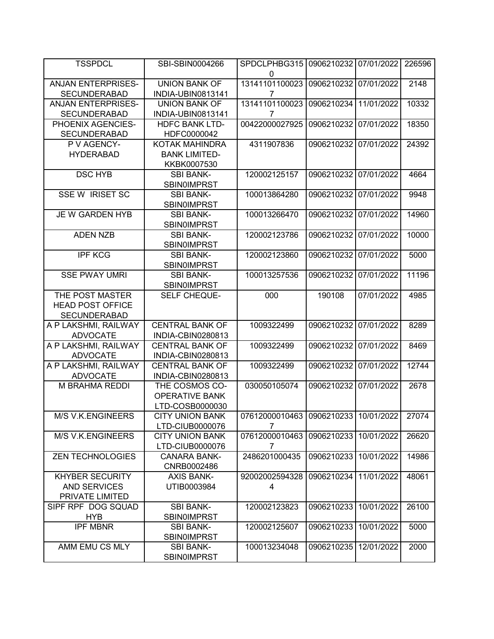| <b>TSSPDCL</b>                                                    | SBI-SBIN0004266                                            | SPDCLPHBG315<br>0                                      | 0906210232 | 07/01/2022 | 226596 |
|-------------------------------------------------------------------|------------------------------------------------------------|--------------------------------------------------------|------------|------------|--------|
| <b>ANJAN ENTERPRISES-</b><br><b>SECUNDERABAD</b>                  | <b>UNION BANK OF</b><br>INDIA-UBIN0813141                  | 13141101100023<br>7                                    | 0906210232 | 07/01/2022 | 2148   |
| <b>ANJAN ENTERPRISES-</b><br><b>SECUNDERABAD</b>                  | <b>UNION BANK OF</b><br>INDIA-UBIN0813141                  | 13141101100023<br>7                                    | 0906210234 | 11/01/2022 | 10332  |
| PHOENIX AGENCIES-<br><b>SECUNDERABAD</b>                          | <b>HDFC BANK LTD-</b><br>HDFC0000042                       | 00422000027925                                         | 0906210232 | 07/01/2022 | 18350  |
| P V AGENCY-<br><b>HYDERABAD</b>                                   | KOTAK MAHINDRA<br><b>BANK LIMITED-</b><br>KKBK0007530      | 4311907836                                             | 0906210232 | 07/01/2022 | 24392  |
| <b>DSC HYB</b>                                                    | <b>SBI BANK-</b><br>SBIN0IMPRST                            | 120002125157                                           | 0906210232 | 07/01/2022 | 4664   |
| <b>SSE W IRISET SC</b>                                            | <b>SBI BANK-</b><br><b>SBIN0IMPRST</b>                     | 100013864280                                           | 0906210232 | 07/01/2022 | 9948   |
| JE W GARDEN HYB                                                   | <b>SBI BANK-</b><br><b>SBIN0IMPRST</b>                     | 100013266470                                           | 0906210232 | 07/01/2022 | 14960  |
| <b>ADEN NZB</b>                                                   | <b>SBI BANK-</b><br><b>SBIN0IMPRST</b>                     | 120002123786                                           | 0906210232 | 07/01/2022 | 10000  |
| <b>IPF KCG</b>                                                    | <b>SBI BANK-</b><br><b>SBIN0IMPRST</b>                     | 120002123860                                           | 0906210232 | 07/01/2022 | 5000   |
| <b>SSE PWAY UMRI</b>                                              | <b>SBI BANK-</b><br><b>SBIN0IMPRST</b>                     | 100013257536                                           | 0906210232 | 07/01/2022 | 11196  |
| THE POST MASTER<br><b>HEAD POST OFFICE</b><br><b>SECUNDERABAD</b> | <b>SELF CHEQUE-</b>                                        | 000                                                    | 190108     | 07/01/2022 | 4985   |
| A P LAKSHMI, RAILWAY<br><b>ADVOCATE</b>                           | <b>CENTRAL BANK OF</b><br>INDIA-CBIN0280813                | 1009322499                                             | 0906210232 | 07/01/2022 | 8289   |
| A P LAKSHMI, RAILWAY<br><b>ADVOCATE</b>                           | <b>CENTRAL BANK OF</b><br>INDIA-CBIN0280813                | 1009322499                                             | 0906210232 | 07/01/2022 | 8469   |
| A P LAKSHMI, RAILWAY<br><b>ADVOCATE</b>                           | <b>CENTRAL BANK OF</b><br>INDIA-CBIN0280813                | 1009322499                                             | 0906210232 | 07/01/2022 | 12744  |
| M BRAHMA REDDI                                                    | THE COSMOS CO-<br><b>OPERATIVE BANK</b><br>LTD-COSB0000030 | 030050105074                                           | 0906210232 | 07/01/2022 | 2678   |
| M/S V.K.ENGINEERS                                                 | <b>CITY UNION BANK</b><br>LTD-CIUB0000076                  | 07612000010463 0906210233 10/01/2022<br>$\overline{7}$ |            |            | 27074  |
| M/S V.K.ENGINEERS                                                 | <b>CITY UNION BANK</b><br>LTD-CIUB0000076                  | 07612000010463<br>7                                    | 0906210233 | 10/01/2022 | 26620  |
| <b>ZEN TECHNOLOGIES</b>                                           | <b>CANARA BANK-</b><br>CNRB0002486                         | 2486201000435                                          | 0906210233 | 10/01/2022 | 14986  |
| <b>KHYBER SECURITY</b><br><b>AND SERVICES</b><br>PRIVATE LIMITED  | <b>AXIS BANK-</b><br>UTIB0003984                           | 92002002594328<br>4                                    | 0906210234 | 11/01/2022 | 48061  |
| SIPF RPF DOG SQUAD<br><b>HYB</b>                                  | <b>SBI BANK-</b><br><b>SBINOIMPRST</b>                     | 120002123823                                           | 0906210233 | 10/01/2022 | 26100  |
| <b>IPF MBNR</b>                                                   | <b>SBI BANK-</b><br><b>SBINOIMPRST</b>                     | 120002125607                                           | 0906210233 | 10/01/2022 | 5000   |
| AMM EMU CS MLY                                                    | <b>SBI BANK-</b><br><b>SBINOIMPRST</b>                     | 100013234048                                           | 0906210235 | 12/01/2022 | 2000   |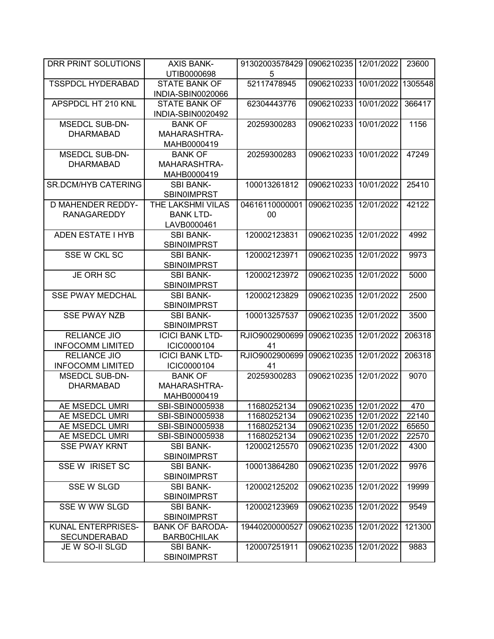| DRR PRINT SOLUTIONS        | <b>AXIS BANK-</b>      | 91302003578429 | 0906210235            | 12/01/2022 | 23600   |
|----------------------------|------------------------|----------------|-----------------------|------------|---------|
|                            | UTIB0000698            | 5              |                       |            |         |
| <b>TSSPDCL HYDERABAD</b>   | <b>STATE BANK OF</b>   | 52117478945    | 0906210233            | 10/01/2022 | 1305548 |
|                            | INDIA-SBIN0020066      |                |                       |            |         |
| APSPDCL HT 210 KNL         | <b>STATE BANK OF</b>   | 62304443776    | 0906210233            | 10/01/2022 | 366417  |
|                            | INDIA-SBIN0020492      |                |                       |            |         |
| <b>MSEDCL SUB-DN-</b>      | <b>BANK OF</b>         | 20259300283    | 0906210233            | 10/01/2022 | 1156    |
| <b>DHARMABAD</b>           | MAHARASHTRA-           |                |                       |            |         |
|                            | MAHB0000419            |                |                       |            |         |
| <b>MSEDCL SUB-DN-</b>      | <b>BANK OF</b>         | 20259300283    | 0906210233            | 10/01/2022 | 47249   |
| <b>DHARMABAD</b>           | MAHARASHTRA-           |                |                       |            |         |
|                            | MAHB0000419            |                |                       |            |         |
| <b>SR.DCM/HYB CATERING</b> | <b>SBI BANK-</b>       | 100013261812   | 0906210233            | 10/01/2022 | 25410   |
|                            | <b>SBIN0IMPRST</b>     |                |                       |            |         |
| <b>D MAHENDER REDDY-</b>   | THE LAKSHMI VILAS      | 04616110000001 | 0906210235            | 12/01/2022 | 42122   |
| <b>RANAGAREDDY</b>         | <b>BANK LTD-</b>       | 00             |                       |            |         |
|                            | LAVB0000461            |                |                       |            |         |
| <b>ADEN ESTATE I HYB</b>   | <b>SBI BANK-</b>       | 120002123831   | 0906210235            | 12/01/2022 | 4992    |
|                            | <b>SBIN0IMPRST</b>     |                |                       |            |         |
| SSE W CKL SC               | <b>SBI BANK-</b>       | 120002123971   | 0906210235            | 12/01/2022 | 9973    |
|                            | <b>SBIN0IMPRST</b>     |                |                       |            |         |
| <b>JE ORH SC</b>           | <b>SBI BANK-</b>       | 120002123972   | 0906210235            | 12/01/2022 | 5000    |
|                            | <b>SBIN0IMPRST</b>     |                |                       |            |         |
| <b>SSE PWAY MEDCHAL</b>    | <b>SBI BANK-</b>       | 120002123829   | 0906210235            | 12/01/2022 | 2500    |
|                            | <b>SBIN0IMPRST</b>     |                |                       |            |         |
| <b>SSE PWAY NZB</b>        | <b>SBI BANK-</b>       | 100013257537   | 0906210235            | 12/01/2022 | 3500    |
|                            | <b>SBIN0IMPRST</b>     |                |                       |            |         |
| <b>RELIANCE JIO</b>        | <b>ICICI BANK LTD-</b> | RJIO9002900699 | 0906210235            | 12/01/2022 | 206318  |
| <b>INFOCOMM LIMITED</b>    | ICIC0000104            | 41             |                       |            |         |
| <b>RELIANCE JIO</b>        | <b>ICICI BANK LTD-</b> | RJIO9002900699 | 0906210235            | 12/01/2022 | 206318  |
| <b>INFOCOMM LIMITED</b>    | ICIC0000104            | 41             |                       |            |         |
| <b>MSEDCL SUB-DN-</b>      | <b>BANK OF</b>         | 20259300283    | 0906210235            | 12/01/2022 | 9070    |
| <b>DHARMABAD</b>           | MAHARASHTRA-           |                |                       |            |         |
|                            | MAHB0000419            |                |                       |            |         |
| AE MSEDCL UMRI             | SBI-SBIN0005938        | 11680252134    | 0906210235 12/01/2022 |            | 470     |
| AE MSEDCL UMRI             | SBI-SBIN0005938        | 11680252134    | 0906210235 12/01/2022 |            | 22140   |
| AE MSEDCL UMRI             | SBI-SBIN0005938        | 11680252134    | 0906210235 12/01/2022 |            | 65650   |
| AE MSEDCL UMRI             | SBI-SBIN0005938        | 11680252134    | 0906210235 12/01/2022 |            | 22570   |
| <b>SSE PWAY KRNT</b>       | <b>SBI BANK-</b>       | 120002125570   | 0906210235            | 12/01/2022 | 4300    |
|                            | <b>SBINOIMPRST</b>     |                |                       |            |         |
| SSE W IRISET SC            | <b>SBI BANK-</b>       | 100013864280   | 0906210235            | 12/01/2022 | 9976    |
|                            | <b>SBIN0IMPRST</b>     |                |                       |            |         |
| <b>SSE W SLGD</b>          | <b>SBI BANK-</b>       | 120002125202   | 0906210235            | 12/01/2022 | 19999   |
|                            | <b>SBIN0IMPRST</b>     |                |                       |            |         |
| SSE W WW SLGD              | <b>SBI BANK-</b>       | 120002123969   | 0906210235            | 12/01/2022 | 9549    |
|                            | SBIN0IMPRST            |                |                       |            |         |
| KUNAL ENTERPRISES-         | <b>BANK OF BARODA-</b> | 19440200000527 | 0906210235            | 12/01/2022 | 121300  |
| <b>SECUNDERABAD</b>        | <b>BARBOCHILAK</b>     |                |                       |            |         |
| JE W SO-II SLGD            | <b>SBI BANK-</b>       | 120007251911   | 0906210235            | 12/01/2022 | 9883    |
|                            | <b>SBINOIMPRST</b>     |                |                       |            |         |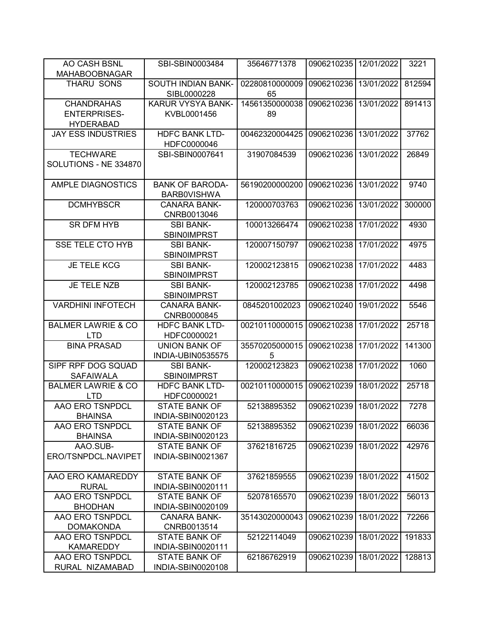| AO CASH BSNL<br><b>MAHABOOBNAGAR</b>                         | SBI-SBIN0003484                              | 35646771378          | 0906210235 | 12/01/2022 | 3221   |
|--------------------------------------------------------------|----------------------------------------------|----------------------|------------|------------|--------|
| <b>THARU SONS</b>                                            | <b>SOUTH INDIAN BANK-</b><br>SIBL0000228     | 02280810000009<br>65 | 0906210236 | 13/01/2022 | 812594 |
| <b>CHANDRAHAS</b><br><b>ENTERPRISES-</b><br><b>HYDERABAD</b> | KARUR VYSYA BANK-<br>KVBL0001456             | 14561350000038<br>89 | 0906210236 | 13/01/2022 | 891413 |
| <b>JAY ESS INDUSTRIES</b>                                    | <b>HDFC BANK LTD-</b><br>HDFC0000046         | 00462320004425       | 0906210236 | 13/01/2022 | 37762  |
| <b>TECHWARE</b><br>SOLUTIONS - NE 334870                     | SBI-SBIN0007641                              | 31907084539          | 0906210236 | 13/01/2022 | 26849  |
| <b>AMPLE DIAGNOSTICS</b>                                     | <b>BANK OF BARODA-</b><br><b>BARBOVISHWA</b> | 56190200000200       | 0906210236 | 13/01/2022 | 9740   |
| <b>DCMHYBSCR</b>                                             | <b>CANARA BANK-</b><br>CNRB0013046           | 120000703763         | 0906210236 | 13/01/2022 | 300000 |
| <b>SR DFM HYB</b>                                            | <b>SBI BANK-</b><br><b>SBIN0IMPRST</b>       | 100013266474         | 0906210238 | 17/01/2022 | 4930   |
| <b>SSE TELE CTO HYB</b>                                      | <b>SBI BANK-</b><br><b>SBINOIMPRST</b>       | 120007150797         | 0906210238 | 17/01/2022 | 4975   |
| <b>JE TELE KCG</b>                                           | <b>SBI BANK-</b><br><b>SBIN0IMPRST</b>       | 120002123815         | 0906210238 | 17/01/2022 | 4483   |
| JE TELE NZB                                                  | <b>SBI BANK-</b><br><b>SBINOIMPRST</b>       | 120002123785         | 0906210238 | 17/01/2022 | 4498   |
| <b>VARDHINI INFOTECH</b>                                     | <b>CANARA BANK-</b><br>CNRB0000845           | 0845201002023        | 0906210240 | 19/01/2022 | 5546   |
| <b>BALMER LAWRIE &amp; CO</b><br><b>LTD</b>                  | <b>HDFC BANK LTD-</b><br>HDFC0000021         | 00210110000015       | 0906210238 | 17/01/2022 | 25718  |
| <b>BINA PRASAD</b>                                           | <b>UNION BANK OF</b><br>INDIA-UBIN0535575    | 35570205000015<br>5  | 0906210238 | 17/01/2022 | 141300 |
| SIPF RPF DOG SQUAD<br><b>SAFAIWALA</b>                       | <b>SBI BANK-</b><br><b>SBIN0IMPRST</b>       | 120002123823         | 0906210238 | 17/01/2022 | 1060   |
| <b>BALMER LAWRIE &amp; CO</b><br><b>LTD</b>                  | <b>HDFC BANK LTD-</b><br>HDFC0000021         | 00210110000015       | 0906210239 | 18/01/2022 | 25718  |
| AAO ERO TSNPDCL<br><b>BHAINSA</b>                            | <b>STATE BANK OF</b><br>INDIA-SBIN0020123    | 52138895352          | 0906210239 | 18/01/2022 | 7278   |
| AAO ERO TSNPDCL<br><b>BHAINSA</b>                            | <b>STATE BANK OF</b><br>INDIA-SBIN0020123    | 52138895352          | 0906210239 | 18/01/2022 | 66036  |
| AAO.SUB-<br>ERO/TSNPDCL.NAVIPET                              | STATE BANK OF<br>INDIA-SBIN0021367           | 37621816725          | 0906210239 | 18/01/2022 | 42976  |
| AAO ERO KAMAREDDY<br><b>RURAL</b>                            | <b>STATE BANK OF</b><br>INDIA-SBIN0020111    | 37621859555          | 0906210239 | 18/01/2022 | 41502  |
| AAO ERO TSNPDCL<br><b>BHODHAN</b>                            | <b>STATE BANK OF</b><br>INDIA-SBIN0020109    | 52078165570          | 0906210239 | 18/01/2022 | 56013  |
| AAO ERO TSNPDCL<br><b>DOMAKONDA</b>                          | <b>CANARA BANK-</b><br>CNRB0013514           | 35143020000043       | 0906210239 | 18/01/2022 | 72266  |
| AAO ERO TSNPDCL<br><b>KAMAREDDY</b>                          | <b>STATE BANK OF</b><br>INDIA-SBIN0020111    | 52122114049          | 0906210239 | 18/01/2022 | 191833 |
| AAO ERO TSNPDCL<br>RURAL NIZAMABAD                           | <b>STATE BANK OF</b><br>INDIA-SBIN0020108    | 62186762919          | 0906210239 | 18/01/2022 | 128813 |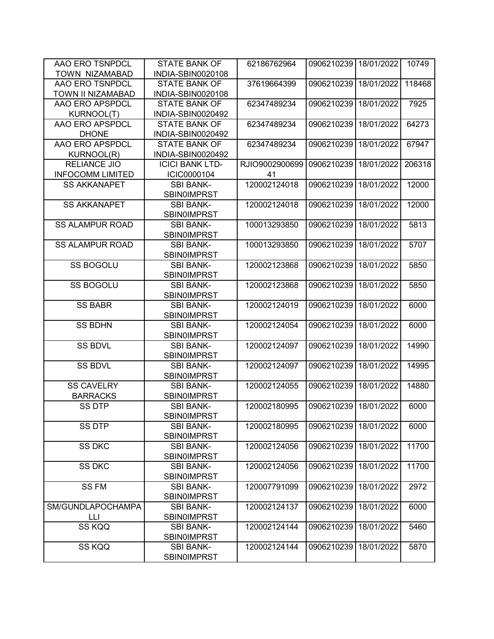| AAO ERO TSNPDCL         | <b>STATE BANK OF</b>   | 62186762964    | 0906210239 | 18/01/2022 | 10749  |
|-------------------------|------------------------|----------------|------------|------------|--------|
| TOWN NIZAMABAD          | INDIA-SBIN0020108      |                |            |            |        |
| AAO ERO TSNPDCL         | <b>STATE BANK OF</b>   | 37619664399    | 0906210239 | 18/01/2022 | 118468 |
| TOWN II NIZAMABAD       | INDIA-SBIN0020108      |                |            |            |        |
| AAO ERO APSPDCL         | <b>STATE BANK OF</b>   | 62347489234    | 0906210239 | 18/01/2022 | 7925   |
| <b>KURNOOL(T)</b>       | INDIA-SBIN0020492      |                |            |            |        |
| AAO ERO APSPDCL         | <b>STATE BANK OF</b>   | 62347489234    | 0906210239 | 18/01/2022 | 64273  |
| <b>DHONE</b>            | INDIA-SBIN0020492      |                |            |            |        |
| AAO ERO APSPDCL         | <b>STATE BANK OF</b>   | 62347489234    | 0906210239 | 18/01/2022 | 67947  |
| <b>KURNOOL(R)</b>       | INDIA-SBIN0020492      |                |            |            |        |
| <b>RELIANCE JIO</b>     | <b>ICICI BANK LTD-</b> | RJIO9002900699 | 0906210239 | 18/01/2022 | 206318 |
| <b>INFOCOMM LIMITED</b> | ICIC0000104            | 41             |            |            |        |
| <b>SS AKKANAPET</b>     | <b>SBI BANK-</b>       | 120002124018   | 0906210239 | 18/01/2022 | 12000  |
|                         | <b>SBIN0IMPRST</b>     |                |            |            |        |
| <b>SS AKKANAPET</b>     | <b>SBI BANK-</b>       | 120002124018   | 0906210239 | 18/01/2022 | 12000  |
|                         | <b>SBIN0IMPRST</b>     |                |            |            |        |
| <b>SS ALAMPUR ROAD</b>  | <b>SBI BANK-</b>       | 100013293850   | 0906210239 | 18/01/2022 | 5813   |
|                         | <b>SBIN0IMPRST</b>     |                |            |            |        |
| <b>SS ALAMPUR ROAD</b>  | <b>SBI BANK-</b>       | 100013293850   | 0906210239 | 18/01/2022 | 5707   |
|                         | <b>SBIN0IMPRST</b>     |                |            |            |        |
| <b>SS BOGOLU</b>        | <b>SBI BANK-</b>       | 120002123868   | 0906210239 | 18/01/2022 | 5850   |
|                         | <b>SBIN0IMPRST</b>     |                |            |            |        |
| <b>SS BOGOLU</b>        | <b>SBI BANK-</b>       | 120002123868   | 0906210239 | 18/01/2022 | 5850   |
|                         | <b>SBIN0IMPRST</b>     |                |            |            |        |
| <b>SS BABR</b>          | <b>SBI BANK-</b>       | 120002124019   | 0906210239 | 18/01/2022 | 6000   |
|                         | <b>SBIN0IMPRST</b>     |                |            |            |        |
| <b>SS BDHN</b>          | <b>SBI BANK-</b>       | 120002124054   | 0906210239 | 18/01/2022 | 6000   |
|                         |                        |                |            |            |        |
|                         | <b>SBINOIMPRST</b>     |                |            |            |        |
| <b>SS BDVL</b>          | <b>SBI BANK-</b>       | 120002124097   | 0906210239 | 18/01/2022 | 14990  |
|                         | <b>SBIN0IMPRST</b>     |                |            |            |        |
| <b>SS BDVL</b>          | <b>SBI BANK-</b>       | 120002124097   | 0906210239 | 18/01/2022 | 14995  |
|                         | <b>SBIN0IMPRST</b>     |                |            |            |        |
| <b>SS CAVELRY</b>       | <b>SBI BANK-</b>       | 120002124055   | 0906210239 | 18/01/2022 | 14880  |
| <b>BARRACKS</b>         | <b>SBIN0IMPRST</b>     |                |            |            |        |
| <b>SS DTP</b>           | <b>SBI BANK-</b>       | 120002180995   | 0906210239 | 18/01/2022 | 6000   |
|                         | <b>SBIN0IMPRST</b>     |                |            |            |        |
| SS DTP                  | <b>SBI BANK-</b>       | 120002180995   | 0906210239 | 18/01/2022 | 6000   |
|                         | <b>SBIN0IMPRST</b>     |                |            |            |        |
| SS DKC                  | <b>SBI BANK-</b>       | 120002124056   | 0906210239 | 18/01/2022 | 11700  |
|                         | <b>SBIN0IMPRST</b>     |                |            |            |        |
| <b>SS DKC</b>           | <b>SBI BANK-</b>       | 120002124056   | 0906210239 | 18/01/2022 | 11700  |
|                         | <b>SBIN0IMPRST</b>     |                |            |            |        |
| <b>SSFM</b>             | <b>SBI BANK-</b>       | 120007791099   | 0906210239 | 18/01/2022 | 2972   |
|                         | <b>SBIN0IMPRST</b>     |                |            |            |        |
| SM/GUNDLAPOCHAMPA       | <b>SBI BANK-</b>       | 120002124137   | 0906210239 | 18/01/2022 | 6000   |
| LЦ                      | <b>SBIN0IMPRST</b>     |                |            |            |        |
| SS KQQ                  | <b>SBI BANK-</b>       | 120002124144   | 0906210239 | 18/01/2022 | 5460   |
|                         | <b>SBINOIMPRST</b>     |                |            |            |        |
| SS KQQ                  | <b>SBI BANK-</b>       | 120002124144   | 0906210239 | 18/01/2022 | 5870   |
|                         | <b>SBINOIMPRST</b>     |                |            |            |        |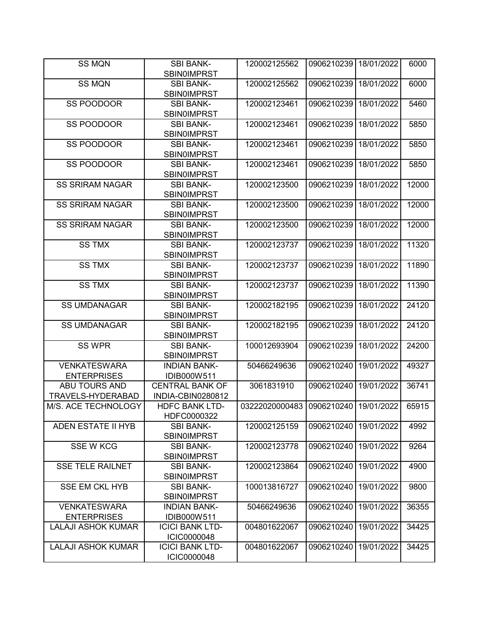| <b>SS MQN</b>             | <b>SBI BANK-</b>       | 120002125562   | 0906210239 | 18/01/2022 | 6000  |
|---------------------------|------------------------|----------------|------------|------------|-------|
|                           | <b>SBIN0IMPRST</b>     |                |            |            |       |
| <b>SS MQN</b>             | <b>SBI BANK-</b>       | 120002125562   | 0906210239 | 18/01/2022 | 6000  |
|                           | <b>SBIN0IMPRST</b>     |                |            |            |       |
| SS POODOOR                | <b>SBI BANK-</b>       | 120002123461   | 0906210239 | 18/01/2022 | 5460  |
|                           | <b>SBIN0IMPRST</b>     |                |            |            |       |
| SS POODOOR                | <b>SBI BANK-</b>       | 120002123461   | 0906210239 | 18/01/2022 | 5850  |
|                           | <b>SBINOIMPRST</b>     |                |            |            |       |
| SS POODOOR                | <b>SBI BANK-</b>       | 120002123461   | 0906210239 | 18/01/2022 | 5850  |
|                           | <b>SBIN0IMPRST</b>     |                |            |            |       |
| <b>SS POODOOR</b>         | <b>SBI BANK-</b>       | 120002123461   | 0906210239 | 18/01/2022 | 5850  |
|                           | <b>SBIN0IMPRST</b>     |                |            |            |       |
| <b>SS SRIRAM NAGAR</b>    | <b>SBI BANK-</b>       | 120002123500   | 0906210239 | 18/01/2022 | 12000 |
|                           | <b>SBIN0IMPRST</b>     |                |            |            |       |
| <b>SS SRIRAM NAGAR</b>    | <b>SBI BANK-</b>       | 120002123500   | 0906210239 | 18/01/2022 | 12000 |
|                           | <b>SBINOIMPRST</b>     |                |            |            |       |
| <b>SS SRIRAM NAGAR</b>    | <b>SBI BANK-</b>       | 120002123500   | 0906210239 | 18/01/2022 | 12000 |
|                           | <b>SBINOIMPRST</b>     |                |            |            |       |
| <b>SS TMX</b>             | <b>SBI BANK-</b>       | 120002123737   | 0906210239 | 18/01/2022 | 11320 |
|                           | <b>SBINOIMPRST</b>     |                |            |            |       |
| <b>SS TMX</b>             | <b>SBI BANK-</b>       | 120002123737   | 0906210239 | 18/01/2022 | 11890 |
|                           | <b>SBIN0IMPRST</b>     |                |            |            |       |
| <b>SS TMX</b>             | <b>SBI BANK-</b>       | 120002123737   | 0906210239 | 18/01/2022 | 11390 |
|                           | <b>SBIN0IMPRST</b>     |                |            |            |       |
| <b>SS UMDANAGAR</b>       | <b>SBI BANK-</b>       | 120002182195   | 0906210239 | 18/01/2022 | 24120 |
|                           | <b>SBINOIMPRST</b>     |                |            |            |       |
| <b>SS UMDANAGAR</b>       | <b>SBI BANK-</b>       | 120002182195   | 0906210239 | 18/01/2022 | 24120 |
|                           | <b>SBIN0IMPRST</b>     |                |            |            |       |
| <b>SS WPR</b>             | <b>SBI BANK-</b>       | 100012693904   | 0906210239 | 18/01/2022 | 24200 |
|                           | <b>SBIN0IMPRST</b>     |                |            |            |       |
| <b>VENKATESWARA</b>       | <b>INDIAN BANK-</b>    | 50466249636    | 0906210240 | 19/01/2022 | 49327 |
| <b>ENTERPRISES</b>        | IDIB000W511            |                |            |            |       |
| <b>ABU TOURS AND</b>      | <b>CENTRAL BANK OF</b> | 3061831910     | 0906210240 | 19/01/2022 | 36741 |
| TRAVELS-HYDERABAD         | INDIA-CBIN0280812      |                |            |            |       |
| M/S. ACE TECHNOLOGY       | <b>HDFC BANK LTD-</b>  | 03222020000483 | 0906210240 | 19/01/2022 | 65915 |
|                           | HDFC0000322            |                |            |            |       |
| ADEN ESTATE II HYB        | <b>SBI BANK-</b>       | 120002125159   | 0906210240 | 19/01/2022 | 4992  |
|                           | <b>SBINOIMPRST</b>     |                |            |            |       |
| <b>SSE W KCG</b>          | <b>SBI BANK-</b>       | 120002123778   | 0906210240 | 19/01/2022 | 9264  |
|                           | <b>SBIN0IMPRST</b>     |                |            |            |       |
| <b>SSE TELE RAILNET</b>   | <b>SBI BANK-</b>       | 120002123864   | 0906210240 | 19/01/2022 | 4900  |
|                           | <b>SBIN0IMPRST</b>     |                |            |            |       |
| <b>SSE EM CKL HYB</b>     | <b>SBI BANK-</b>       | 100013816727   | 0906210240 | 19/01/2022 | 9800  |
|                           | <b>SBIN0IMPRST</b>     |                |            |            |       |
| <b>VENKATESWARA</b>       | <b>INDIAN BANK-</b>    | 50466249636    | 0906210240 | 19/01/2022 | 36355 |
| <b>ENTERPRISES</b>        | IDIB000W511            |                |            |            |       |
| <b>LALAJI ASHOK KUMAR</b> | <b>ICICI BANK LTD-</b> | 004801622067   | 0906210240 | 19/01/2022 | 34425 |
|                           | ICIC0000048            |                |            |            |       |
| <b>LALAJI ASHOK KUMAR</b> | <b>ICICI BANK LTD-</b> | 004801622067   | 0906210240 | 19/01/2022 | 34425 |
|                           | ICIC0000048            |                |            |            |       |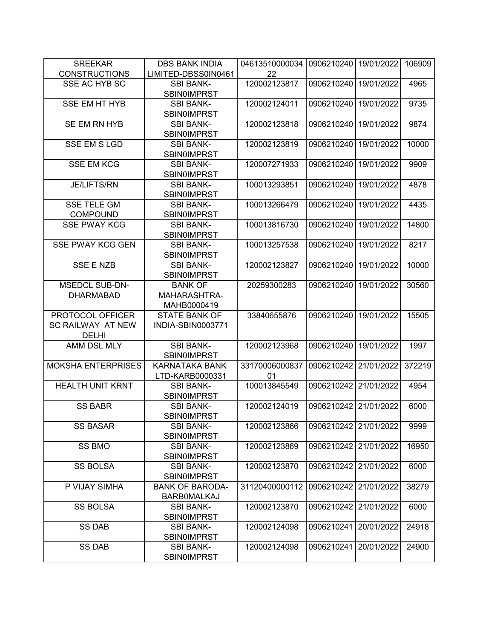| <b>SREEKAR</b>            | <b>DBS BANK INDIA</b>                        | 04613510000034 | 0906210240            | 19/01/2022 | 106909 |
|---------------------------|----------------------------------------------|----------------|-----------------------|------------|--------|
| <b>CONSTRUCTIONS</b>      | LIMITED-DBSS0IN0461                          | 22             |                       |            |        |
| SSE AC HYB SC             | <b>SBI BANK-</b>                             | 120002123817   | 0906210240            | 19/01/2022 | 4965   |
|                           | <b>SBIN0IMPRST</b>                           |                |                       |            |        |
| <b>SSE EM HT HYB</b>      | <b>SBI BANK-</b>                             | 120002124011   | 0906210240            | 19/01/2022 | 9735   |
|                           | <b>SBIN0IMPRST</b>                           |                |                       |            |        |
| SE EM RN HYB              | <b>SBI BANK-</b>                             | 120002123818   | 0906210240            | 19/01/2022 | 9874   |
|                           | <b>SBIN0IMPRST</b>                           |                |                       |            |        |
| <b>SSE EM S LGD</b>       | <b>SBI BANK-</b>                             | 120002123819   | 0906210240            | 19/01/2022 | 10000  |
|                           | <b>SBIN0IMPRST</b>                           |                |                       |            |        |
| <b>SSE EM KCG</b>         | <b>SBI BANK-</b>                             | 120007271933   | 0906210240            | 19/01/2022 | 9909   |
|                           | <b>SBIN0IMPRST</b>                           |                |                       |            |        |
| <b>JE/LIFTS/RN</b>        | <b>SBI BANK-</b>                             | 100013293851   | 0906210240            | 19/01/2022 | 4878   |
|                           | SBIN0IMPRST                                  |                |                       |            |        |
| <b>SSE TELE GM</b>        | <b>SBI BANK-</b>                             | 100013266479   | 0906210240            | 19/01/2022 | 4435   |
| <b>COMPOUND</b>           | <b>SBIN0IMPRST</b>                           |                |                       |            |        |
| <b>SSE PWAY KCG</b>       | <b>SBI BANK-</b>                             | 100013816730   | 0906210240            | 19/01/2022 | 14800  |
|                           | <b>SBIN0IMPRST</b>                           |                |                       |            |        |
| <b>SSE PWAY KCG GEN</b>   | <b>SBI BANK-</b>                             | 100013257538   | 0906210240            | 19/01/2022 | 8217   |
|                           | <b>SBINOIMPRST</b>                           |                |                       |            |        |
| <b>SSE E NZB</b>          | <b>SBI BANK-</b>                             | 120002123827   | 0906210240            | 19/01/2022 | 10000  |
|                           | <b>SBIN0IMPRST</b>                           |                |                       |            |        |
| <b>MSEDCL SUB-DN-</b>     | <b>BANK OF</b>                               | 20259300283    | 0906210240            | 19/01/2022 | 30560  |
| <b>DHARMABAD</b>          | MAHARASHTRA-                                 |                |                       |            |        |
|                           | MAHB0000419                                  |                |                       |            |        |
| PROTOCOL OFFICER          | <b>STATE BANK OF</b>                         | 33840655876    | 0906210240            | 19/01/2022 | 15505  |
| SC RAILWAY AT NEW         | INDIA-SBIN0003771                            |                |                       |            |        |
| <b>DELHI</b>              |                                              |                |                       |            |        |
| AMM DSL MLY               | <b>SBI BANK-</b>                             | 120002123968   | 0906210240            | 19/01/2022 | 1997   |
|                           | <b>SBINOIMPRST</b>                           |                |                       |            |        |
| <b>MOKSHA ENTERPRISES</b> | <b>KARNATAKA BANK</b>                        | 33170006000837 | 0906210242            | 21/01/2022 | 372219 |
|                           | LTD-KARB0000331                              | 01             |                       |            |        |
| <b>HEALTH UNIT KRNT</b>   | <b>SBI BANK-</b>                             | 100013845549   | 0906210242            | 21/01/2022 | 4954   |
|                           | <b>SBIN0IMPRST</b>                           |                |                       |            |        |
| <b>SS BABR</b>            | <b>SBI BANK-</b>                             | 120002124019   | 0906210242            | 21/01/2022 | 6000   |
|                           | <b>SBIN0IMPRST</b>                           |                |                       |            |        |
| <b>SS BASAR</b>           | <b>SBI BANK-</b>                             | 120002123866   | 0906210242 21/01/2022 |            | 9999   |
|                           | <b>SBIN0IMPRST</b>                           |                |                       |            |        |
| <b>SS BMO</b>             | <b>SBI BANK-</b>                             | 120002123869   | 0906210242 21/01/2022 |            | 16950  |
| <b>SS BOLSA</b>           | <b>SBINOIMPRST</b><br><b>SBI BANK-</b>       |                |                       |            |        |
|                           |                                              | 120002123870   | 0906210242            | 21/01/2022 | 6000   |
| P VIJAY SIMHA             | <b>SBIN0IMPRST</b>                           |                | 0906210242            |            |        |
|                           | <b>BANK OF BARODA-</b><br><b>BARBOMALKAJ</b> | 31120400000112 |                       | 21/01/2022 | 38279  |
| <b>SS BOLSA</b>           | <b>SBI BANK-</b>                             | 120002123870   | 0906210242            | 21/01/2022 | 6000   |
|                           | <b>SBIN0IMPRST</b>                           |                |                       |            |        |
| <b>SS DAB</b>             | <b>SBI BANK-</b>                             | 120002124098   | 0906210241            | 20/01/2022 | 24918  |
|                           | <b>SBINOIMPRST</b>                           |                |                       |            |        |
| <b>SS DAB</b>             | SBI BANK-                                    | 120002124098   | 0906210241            | 20/01/2022 | 24900  |
|                           | <b>SBINOIMPRST</b>                           |                |                       |            |        |
|                           |                                              |                |                       |            |        |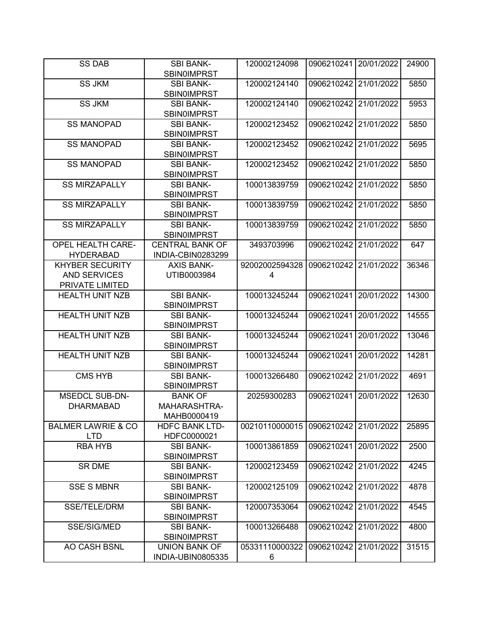| <b>SS DAB</b>                 | <b>SBI BANK-</b>       | 120002124098   | 0906210241            | 20/01/2022 | 24900 |
|-------------------------------|------------------------|----------------|-----------------------|------------|-------|
|                               | <b>SBIN0IMPRST</b>     |                |                       |            |       |
| <b>SS JKM</b>                 | <b>SBI BANK-</b>       | 120002124140   | 0906210242 21/01/2022 |            | 5850  |
|                               | <b>SBIN0IMPRST</b>     |                |                       |            |       |
| <b>SS JKM</b>                 | <b>SBI BANK-</b>       | 120002124140   | 0906210242            | 21/01/2022 | 5953  |
|                               | <b>SBINOIMPRST</b>     |                |                       |            |       |
| <b>SS MANOPAD</b>             | <b>SBI BANK-</b>       | 120002123452   | 0906210242            | 21/01/2022 | 5850  |
|                               | <b>SBINOIMPRST</b>     |                |                       |            |       |
| <b>SS MANOPAD</b>             | <b>SBI BANK-</b>       | 120002123452   | 0906210242            | 21/01/2022 | 5695  |
|                               | <b>SBIN0IMPRST</b>     |                |                       |            |       |
| <b>SS MANOPAD</b>             | <b>SBI BANK-</b>       | 120002123452   | 0906210242            | 21/01/2022 | 5850  |
|                               | <b>SBIN0IMPRST</b>     |                |                       |            |       |
| <b>SS MIRZAPALLY</b>          | <b>SBI BANK-</b>       | 100013839759   | 0906210242            | 21/01/2022 | 5850  |
|                               | <b>SBIN0IMPRST</b>     |                |                       |            |       |
| <b>SS MIRZAPALLY</b>          | <b>SBI BANK-</b>       | 100013839759   | 0906210242            | 21/01/2022 | 5850  |
|                               | <b>SBIN0IMPRST</b>     |                |                       |            |       |
| <b>SS MIRZAPALLY</b>          | <b>SBI BANK-</b>       | 100013839759   | 0906210242            | 21/01/2022 | 5850  |
|                               | <b>SBIN0IMPRST</b>     |                |                       |            |       |
| <b>OPEL HEALTH CARE-</b>      | <b>CENTRAL BANK OF</b> | 3493703996     | 0906210242            | 21/01/2022 | 647   |
| <b>HYDERABAD</b>              | INDIA-CBIN0283299      |                |                       |            |       |
| <b>KHYBER SECURITY</b>        | <b>AXIS BANK-</b>      | 92002002594328 | 0906210242            | 21/01/2022 | 36346 |
| <b>AND SERVICES</b>           | UTIB0003984            | 4              |                       |            |       |
| PRIVATE LIMITED               |                        |                |                       |            |       |
| <b>HEALTH UNIT NZB</b>        | <b>SBI BANK-</b>       | 100013245244   | 0906210241            | 20/01/2022 | 14300 |
|                               | <b>SBIN0IMPRST</b>     |                |                       |            |       |
| <b>HEALTH UNIT NZB</b>        | <b>SBI BANK-</b>       | 100013245244   | 0906210241            | 20/01/2022 | 14555 |
|                               | SBIN0IMPRST            |                |                       |            |       |
| <b>HEALTH UNIT NZB</b>        | <b>SBI BANK-</b>       | 100013245244   | 0906210241            | 20/01/2022 | 13046 |
|                               | <b>SBIN0IMPRST</b>     |                |                       |            |       |
| <b>HEALTH UNIT NZB</b>        | <b>SBI BANK-</b>       | 100013245244   | 0906210241            | 20/01/2022 | 14281 |
|                               | <b>SBIN0IMPRST</b>     |                |                       |            |       |
| <b>CMS HYB</b>                | <b>SBI BANK-</b>       | 100013266480   | 0906210242            | 21/01/2022 | 4691  |
|                               | <b>SBINOIMPRST</b>     |                |                       |            |       |
| <b>MSEDCL SUB-DN-</b>         | <b>BANK OF</b>         | 20259300283    | 0906210241            | 20/01/2022 | 12630 |
| <b>DHARMABAD</b>              | <b>MAHARASHTRA-</b>    |                |                       |            |       |
|                               | MAHB0000419            |                |                       |            |       |
| <b>BALMER LAWRIE &amp; CO</b> | <b>HDFC BANK LTD-</b>  | 00210110000015 | 0906210242 21/01/2022 |            | 25895 |
| <b>LTD</b>                    | HDFC0000021            |                |                       |            |       |
| <b>RBA HYB</b>                | <b>SBI BANK-</b>       | 100013861859   | 0906210241            | 20/01/2022 | 2500  |
|                               | <b>SBIN0IMPRST</b>     |                |                       |            |       |
| <b>SR DME</b>                 | <b>SBI BANK-</b>       | 120002123459   | 0906210242            | 21/01/2022 | 4245  |
|                               | <b>SBINOIMPRST</b>     |                |                       |            |       |
| <b>SSE S MBNR</b>             | <b>SBI BANK-</b>       | 120002125109   | 0906210242 21/01/2022 |            | 4878  |
|                               | <b>SBIN0IMPRST</b>     |                |                       |            |       |
| <b>SSE/TELE/DRM</b>           | <b>SBI BANK-</b>       | 120007353064   | 0906210242            | 21/01/2022 | 4545  |
|                               | <b>SBINOIMPRST</b>     |                |                       |            |       |
| SSE/SIG/MED                   | <b>SBI BANK-</b>       | 100013266488   | 0906210242            | 21/01/2022 | 4800  |
|                               | <b>SBIN0IMPRST</b>     |                |                       |            |       |
| AO CASH BSNL                  | UNION BANK OF          | 05331110000322 | 0906210242            | 21/01/2022 | 31515 |
|                               | INDIA-UBIN0805335      | 6              |                       |            |       |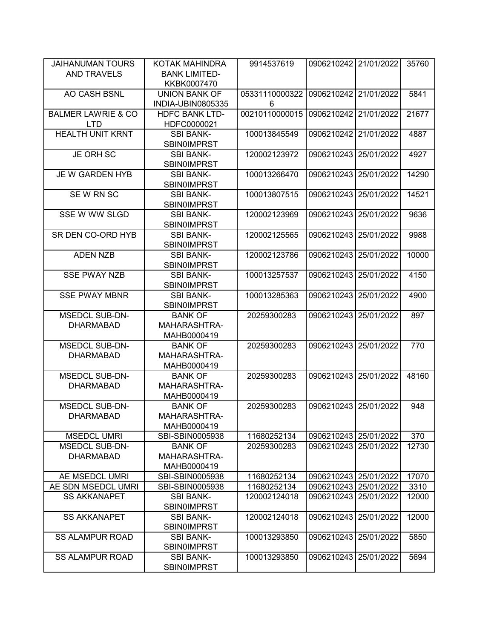| JAIHANUMAN TOURS              | KOTAK MAHINDRA           | 9914537619     | 0906210242 21/01/2022 |            | 35760 |
|-------------------------------|--------------------------|----------------|-----------------------|------------|-------|
| <b>AND TRAVELS</b>            | <b>BANK LIMITED-</b>     |                |                       |            |       |
|                               | KKBK0007470              |                |                       |            |       |
| AO CASH BSNL                  | <b>UNION BANK OF</b>     | 05331110000322 | 0906210242            | 21/01/2022 | 5841  |
|                               | <b>INDIA-UBIN0805335</b> | 6              |                       |            |       |
| <b>BALMER LAWRIE &amp; CO</b> | <b>HDFC BANK LTD-</b>    | 00210110000015 | 0906210242            | 21/01/2022 | 21677 |
| <b>LTD</b>                    | HDFC0000021              |                |                       |            |       |
| <b>HEALTH UNIT KRNT</b>       | <b>SBI BANK-</b>         | 100013845549   | 0906210242            | 21/01/2022 | 4887  |
|                               | <b>SBIN0IMPRST</b>       |                |                       |            |       |
| <b>JE ORH SC</b>              | <b>SBI BANK-</b>         | 120002123972   | 0906210243            | 25/01/2022 | 4927  |
|                               | SBIN0IMPRST              |                |                       |            |       |
| JE W GARDEN HYB               | <b>SBI BANK-</b>         | 100013266470   | 0906210243            | 25/01/2022 | 14290 |
|                               | SBIN0IMPRST              |                |                       |            |       |
| SEW RN SC                     | <b>SBI BANK-</b>         | 100013807515   | 0906210243            | 25/01/2022 | 14521 |
|                               | <b>SBIN0IMPRST</b>       |                |                       |            |       |
| SSE W WW SLGD                 | <b>SBI BANK-</b>         | 120002123969   | 0906210243            | 25/01/2022 | 9636  |
|                               | <b>SBIN0IMPRST</b>       |                |                       |            |       |
| SR DEN CO-ORD HYB             | <b>SBI BANK-</b>         | 120002125565   | 0906210243            | 25/01/2022 | 9988  |
|                               | <b>SBIN0IMPRST</b>       |                |                       |            |       |
| <b>ADEN NZB</b>               | <b>SBI BANK-</b>         | 120002123786   | 0906210243            | 25/01/2022 | 10000 |
|                               | <b>SBIN0IMPRST</b>       |                |                       |            |       |
| <b>SSE PWAY NZB</b>           | <b>SBI BANK-</b>         | 100013257537   | 0906210243            | 25/01/2022 | 4150  |
|                               | <b>SBINOIMPRST</b>       |                |                       |            |       |
| <b>SSE PWAY MBNR</b>          | <b>SBI BANK-</b>         | 100013285363   | 0906210243            | 25/01/2022 | 4900  |
|                               | <b>SBIN0IMPRST</b>       |                |                       |            |       |
| <b>MSEDCL SUB-DN-</b>         | <b>BANK OF</b>           | 20259300283    | 0906210243            | 25/01/2022 | 897   |
| <b>DHARMABAD</b>              | MAHARASHTRA-             |                |                       |            |       |
|                               | MAHB0000419              |                |                       |            |       |
| <b>MSEDCL SUB-DN-</b>         | <b>BANK OF</b>           | 20259300283    | 0906210243            | 25/01/2022 | 770   |
| <b>DHARMABAD</b>              | MAHARASHTRA-             |                |                       |            |       |
|                               | MAHB0000419              |                |                       |            |       |
| <b>MSEDCL SUB-DN-</b>         | <b>BANK OF</b>           | 20259300283    | 0906210243            | 25/01/2022 | 48160 |
| <b>DHARMABAD</b>              | MAHARASHTRA-             |                |                       |            |       |
|                               | MAHB0000419              |                |                       |            |       |
| <b>MSEDCL SUB-DN-</b>         | <b>BANK OF</b>           | 20259300283    | 0906210243            | 25/01/2022 | 948   |
| <b>DHARMABAD</b>              | MAHARASHTRA-             |                |                       |            |       |
|                               | MAHB0000419              |                |                       |            |       |
| <b>MSEDCL UMRI</b>            | SBI-SBIN0005938          | 11680252134    | 0906210243 25/01/2022 |            | 370   |
| <b>MSEDCL SUB-DN-</b>         | <b>BANK OF</b>           | 20259300283    | 0906210243 25/01/2022 |            | 12730 |
| <b>DHARMABAD</b>              | MAHARASHTRA-             |                |                       |            |       |
|                               | MAHB0000419              |                |                       |            |       |
| AE MSEDCL UMRI                | SBI-SBIN0005938          | 11680252134    | 0906210243 25/01/2022 |            | 17070 |
| AE SDN MSEDCL UMRI            | SBI-SBIN0005938          | 11680252134    | 0906210243 25/01/2022 |            | 3310  |
| <b>SS AKKANAPET</b>           | <b>SBI BANK-</b>         | 120002124018   | 0906210243            | 25/01/2022 | 12000 |
|                               | <b>SBINOIMPRST</b>       |                |                       |            |       |
| <b>SS AKKANAPET</b>           | <b>SBI BANK-</b>         | 120002124018   | 0906210243            | 25/01/2022 | 12000 |
|                               | <b>SBIN0IMPRST</b>       |                |                       |            |       |
| <b>SS ALAMPUR ROAD</b>        | <b>SBI BANK-</b>         | 100013293850   | 0906210243            | 25/01/2022 | 5850  |
|                               | <b>SBIN0IMPRST</b>       |                |                       |            |       |
| <b>SS ALAMPUR ROAD</b>        | <b>SBI BANK-</b>         | 100013293850   | 0906210243            | 25/01/2022 | 5694  |
|                               | <b>SBINOIMPRST</b>       |                |                       |            |       |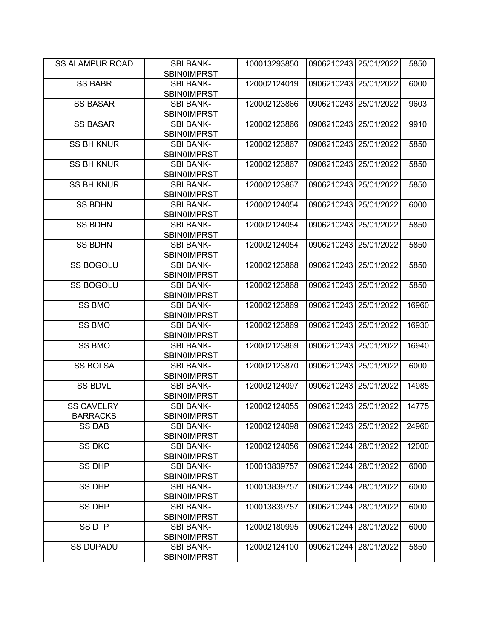| <b>SS ALAMPUR ROAD</b> | <b>SBI BANK-</b><br><b>SBIN0IMPRST</b> | 100013293850 | 0906210243 25/01/2022 |            | 5850  |
|------------------------|----------------------------------------|--------------|-----------------------|------------|-------|
| <b>SS BABR</b>         | <b>SBI BANK-</b>                       | 120002124019 | 0906210243            | 25/01/2022 | 6000  |
|                        | <b>SBIN0IMPRST</b>                     |              |                       |            |       |
| <b>SS BASAR</b>        | <b>SBI BANK-</b>                       | 120002123866 | 0906210243            | 25/01/2022 | 9603  |
|                        | <b>SBIN0IMPRST</b>                     |              |                       |            |       |
| <b>SS BASAR</b>        | <b>SBI BANK-</b>                       | 120002123866 | 0906210243            | 25/01/2022 | 9910  |
|                        | <b>SBIN0IMPRST</b>                     |              |                       |            |       |
| <b>SS BHIKNUR</b>      | <b>SBI BANK-</b>                       | 120002123867 | 0906210243            | 25/01/2022 | 5850  |
|                        | <b>SBIN0IMPRST</b>                     |              |                       |            |       |
| <b>SS BHIKNUR</b>      | <b>SBI BANK-</b>                       | 120002123867 | 0906210243            | 25/01/2022 | 5850  |
|                        | <b>SBINOIMPRST</b>                     |              |                       |            |       |
| <b>SS BHIKNUR</b>      | <b>SBI BANK-</b>                       | 120002123867 | 0906210243            | 25/01/2022 | 5850  |
|                        | SBIN0IMPRST                            |              |                       |            |       |
| <b>SS BDHN</b>         | <b>SBI BANK-</b>                       | 120002124054 | 0906210243            | 25/01/2022 | 6000  |
|                        | SBIN0IMPRST                            |              |                       |            |       |
| <b>SS BDHN</b>         | <b>SBI BANK-</b>                       | 120002124054 | 0906210243            | 25/01/2022 | 5850  |
|                        | <b>SBIN0IMPRST</b>                     |              |                       |            |       |
| <b>SS BDHN</b>         | <b>SBI BANK-</b>                       | 120002124054 | 0906210243            | 25/01/2022 | 5850  |
|                        | <b>SBIN0IMPRST</b>                     |              |                       |            |       |
| <b>SS BOGOLU</b>       | <b>SBI BANK-</b>                       | 120002123868 | 0906210243            | 25/01/2022 | 5850  |
|                        | <b>SBIN0IMPRST</b>                     |              |                       |            |       |
| <b>SS BOGOLU</b>       | <b>SBI BANK-</b>                       | 120002123868 | 0906210243            | 25/01/2022 | 5850  |
|                        | <b>SBIN0IMPRST</b>                     |              |                       |            |       |
| <b>SS BMO</b>          | <b>SBI BANK-</b>                       | 120002123869 | 0906210243            | 25/01/2022 | 16960 |
|                        | <b>SBIN0IMPRST</b>                     |              |                       |            |       |
| <b>SS BMO</b>          | <b>SBI BANK-</b>                       | 120002123869 | 0906210243            | 25/01/2022 | 16930 |
|                        | <b>SBINOIMPRST</b>                     |              |                       |            |       |
| SS BMO                 | <b>SBI BANK-</b><br><b>SBINOIMPRST</b> | 120002123869 | 0906210243            | 25/01/2022 | 16940 |
| <b>SS BOLSA</b>        | <b>SBI BANK-</b>                       | 120002123870 | 0906210243            | 25/01/2022 | 6000  |
|                        | <b>SBIN0IMPRST</b>                     |              |                       |            |       |
| <b>SS BDVL</b>         | <b>SBI BANK-</b>                       | 120002124097 | 0906210243            | 25/01/2022 | 14985 |
|                        | <b>SBIN0IMPRST</b>                     |              |                       |            |       |
| <b>SS CAVELRY</b>      | <b>SBI BANK-</b>                       | 120002124055 | 0906210243            | 25/01/2022 | 14775 |
| <b>BARRACKS</b>        | <b>SBIN0IMPRST</b>                     |              |                       |            |       |
| <b>SS DAB</b>          | <b>SBI BANK-</b>                       | 120002124098 | 0906210243 25/01/2022 |            | 24960 |
|                        | <b>SBIN0IMPRST</b>                     |              |                       |            |       |
| <b>SS DKC</b>          | <b>SBI BANK-</b>                       | 120002124056 | 0906210244            | 28/01/2022 | 12000 |
|                        | <b>SBIN0IMPRST</b>                     |              |                       |            |       |
| <b>SS DHP</b>          | <b>SBI BANK-</b>                       | 100013839757 | 0906210244            | 28/01/2022 | 6000  |
|                        | <b>SBINOIMPRST</b>                     |              |                       |            |       |
| <b>SS DHP</b>          | <b>SBI BANK-</b>                       | 100013839757 | 0906210244            | 28/01/2022 | 6000  |
|                        | <b>SBIN0IMPRST</b>                     |              |                       |            |       |
| SS DHP                 | <b>SBI BANK-</b>                       | 100013839757 | 0906210244            | 28/01/2022 | 6000  |
|                        | <b>SBIN0IMPRST</b>                     |              |                       |            |       |
| SS DTP                 | <b>SBI BANK-</b>                       | 120002180995 | 0906210244            | 28/01/2022 | 6000  |
|                        | <b>SBIN0IMPRST</b>                     |              |                       |            |       |
| <b>SS DUPADU</b>       | <b>SBI BANK-</b>                       | 120002124100 | 0906210244            | 28/01/2022 | 5850  |
|                        | <b>SBIN0IMPRST</b>                     |              |                       |            |       |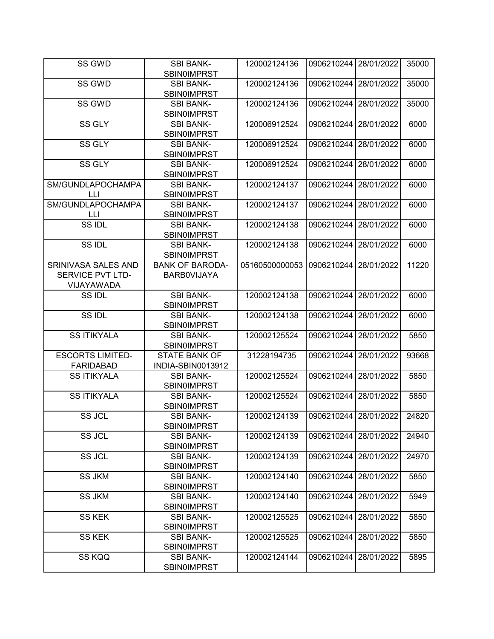| SS GWD                  | <b>SBI BANK-</b>                       | 120002124136   | 0906210244 28/01/2022 |            | 35000 |
|-------------------------|----------------------------------------|----------------|-----------------------|------------|-------|
|                         | <b>SBINOIMPRST</b>                     |                |                       |            |       |
| SS GWD                  | <b>SBI BANK-</b><br><b>SBIN0IMPRST</b> | 120002124136   | 0906210244            | 28/01/2022 | 35000 |
| SS GWD                  | <b>SBI BANK-</b>                       | 120002124136   | 0906210244            | 28/01/2022 | 35000 |
|                         | <b>SBIN0IMPRST</b>                     |                |                       |            |       |
| <b>SS GLY</b>           | <b>SBI BANK-</b>                       | 120006912524   | 0906210244            | 28/01/2022 | 6000  |
|                         | <b>SBIN0IMPRST</b>                     |                |                       |            |       |
| SS GLY                  | <b>SBI BANK-</b>                       | 120006912524   | 0906210244            | 28/01/2022 | 6000  |
|                         | <b>SBIN0IMPRST</b>                     |                |                       |            |       |
| SS GLY                  | <b>SBI BANK-</b>                       | 120006912524   | 0906210244            | 28/01/2022 | 6000  |
|                         | <b>SBIN0IMPRST</b>                     |                |                       |            |       |
| SM/GUNDLAPOCHAMPA       | <b>SBI BANK-</b>                       | 120002124137   | 0906210244            | 28/01/2022 | 6000  |
| LЦ                      | <b>SBIN0IMPRST</b>                     |                |                       |            |       |
| SM/GUNDLAPOCHAMPA       | <b>SBI BANK-</b>                       | 120002124137   | 0906210244            | 28/01/2022 | 6000  |
| LLI                     | <b>SBIN0IMPRST</b>                     |                |                       |            |       |
| SS IDL                  | <b>SBI BANK-</b>                       | 120002124138   | 0906210244            | 28/01/2022 | 6000  |
|                         | <b>SBIN0IMPRST</b>                     |                |                       |            |       |
| SS IDL                  | <b>SBI BANK-</b>                       | 120002124138   | 0906210244            | 28/01/2022 | 6000  |
|                         | <b>SBIN0IMPRST</b>                     |                |                       |            |       |
| SRINIVASA SALES AND     | <b>BANK OF BARODA-</b>                 | 05160500000053 | 0906210244            | 28/01/2022 | 11220 |
| SERVICE PVT LTD-        | <b>BARBOVIJAYA</b>                     |                |                       |            |       |
| VIJAYAWADA              |                                        |                |                       |            |       |
| SS IDL                  | <b>SBI BANK-</b>                       | 120002124138   | 0906210244            | 28/01/2022 | 6000  |
|                         | <b>SBIN0IMPRST</b>                     |                |                       |            |       |
| SS IDL                  | <b>SBI BANK-</b>                       | 120002124138   | 0906210244            | 28/01/2022 | 6000  |
|                         | <b>SBIN0IMPRST</b>                     |                |                       |            |       |
| <b>SS ITIKYALA</b>      | <b>SBI BANK-</b>                       | 120002125524   | 0906210244            | 28/01/2022 | 5850  |
|                         | SBIN0IMPRST                            |                |                       |            |       |
| <b>ESCORTS LIMITED-</b> | <b>STATE BANK OF</b>                   | 31228194735    | 0906210244            | 28/01/2022 | 93668 |
| <b>FARIDABAD</b>        | INDIA-SBIN0013912                      |                |                       |            |       |
| <b>SS ITIKYALA</b>      | <b>SBI BANK-</b>                       | 120002125524   | 0906210244            | 28/01/2022 | 5850  |
|                         | <b>SBIN0IMPRST</b>                     |                |                       |            |       |
| <b>SS ITIKYALA</b>      | <b>SBI BANK-</b>                       | 120002125524   | 0906210244            | 28/01/2022 | 5850  |
|                         | <b>SBIN0IMPRST</b>                     |                |                       |            |       |
| SS JCL                  | <b>SBI BANK-</b>                       | 120002124139   | 0906210244 28/01/2022 |            | 24820 |
|                         | SBIN0IMPRST                            |                |                       |            |       |
| SS JCL                  | <b>SBI BANK-</b>                       | 120002124139   | 0906210244            | 28/01/2022 | 24940 |
|                         | <b>SBIN0IMPRST</b>                     |                |                       |            |       |
| SS JCL                  | <b>SBI BANK-</b>                       | 120002124139   | 0906210244            | 28/01/2022 | 24970 |
|                         | <b>SBIN0IMPRST</b>                     |                |                       |            |       |
| <b>SS JKM</b>           | <b>SBI BANK-</b>                       | 120002124140   | 0906210244            | 28/01/2022 | 5850  |
|                         | <b>SBIN0IMPRST</b>                     |                |                       |            |       |
| <b>SS JKM</b>           | <b>SBI BANK-</b>                       | 120002124140   | 0906210244            | 28/01/2022 | 5949  |
|                         | <b>SBINOIMPRST</b>                     |                |                       |            |       |
| <b>SS KEK</b>           | <b>SBI BANK-</b>                       | 120002125525   | 0906210244            | 28/01/2022 | 5850  |
|                         | <b>SBINOIMPRST</b>                     |                |                       |            |       |
| <b>SS KEK</b>           | <b>SBI BANK-</b>                       | 120002125525   | 0906210244            | 28/01/2022 | 5850  |
|                         | <b>SBIN0IMPRST</b>                     |                |                       |            |       |
| SS KQQ                  | <b>SBI BANK-</b>                       | 120002124144   | 0906210244            | 28/01/2022 | 5895  |
|                         | <b>SBIN0IMPRST</b>                     |                |                       |            |       |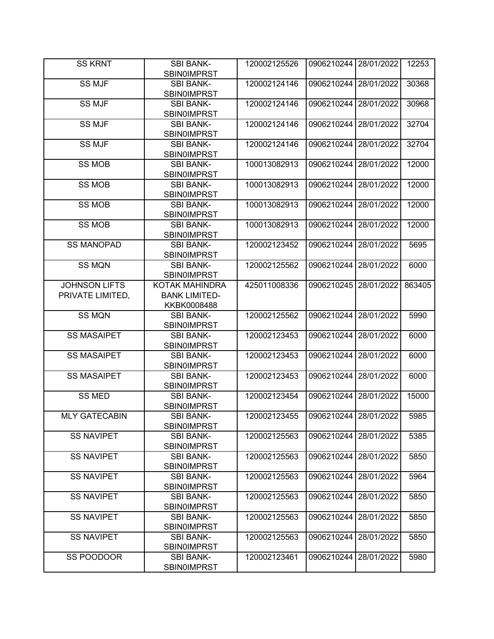| <b>SS KRNT</b>       | <b>SBI BANK-</b>                       | 120002125526 | 0906210244 28/01/2022 |            | 12253  |
|----------------------|----------------------------------------|--------------|-----------------------|------------|--------|
|                      | <b>SBIN0IMPRST</b>                     |              |                       |            |        |
| <b>SS MJF</b>        | <b>SBI BANK-</b><br><b>SBIN0IMPRST</b> | 120002124146 | 0906210244            | 28/01/2022 | 30368  |
| <b>SS MJF</b>        | <b>SBI BANK-</b>                       | 120002124146 | 0906210244            | 28/01/2022 | 30968  |
|                      | <b>SBIN0IMPRST</b>                     |              |                       |            |        |
| <b>SS MJF</b>        | <b>SBI BANK-</b>                       | 120002124146 | 0906210244            | 28/01/2022 | 32704  |
|                      | <b>SBINOIMPRST</b>                     |              |                       |            |        |
| <b>SS MJF</b>        | <b>SBI BANK-</b>                       | 120002124146 | 0906210244            | 28/01/2022 | 32704  |
|                      | <b>SBIN0IMPRST</b>                     |              |                       |            |        |
| <b>SS MOB</b>        | <b>SBI BANK-</b>                       | 100013082913 | 0906210244            | 28/01/2022 | 12000  |
|                      | <b>SBINOIMPRST</b>                     |              |                       |            |        |
| <b>SS MOB</b>        | <b>SBI BANK-</b>                       | 100013082913 | 0906210244            | 28/01/2022 | 12000  |
|                      | <b>SBIN0IMPRST</b>                     |              |                       |            |        |
| <b>SS MOB</b>        | <b>SBI BANK-</b>                       | 100013082913 | 0906210244            | 28/01/2022 | 12000  |
|                      | <b>SBIN0IMPRST</b>                     |              |                       |            |        |
| <b>SS MOB</b>        | <b>SBI BANK-</b>                       | 100013082913 | 0906210244            | 28/01/2022 | 12000  |
|                      | <b>SBIN0IMPRST</b>                     |              |                       |            |        |
| <b>SS MANOPAD</b>    | <b>SBI BANK-</b>                       | 120002123452 | 0906210244            | 28/01/2022 | 5695   |
|                      | <b>SBIN0IMPRST</b>                     |              |                       |            |        |
| <b>SS MQN</b>        | <b>SBI BANK-</b>                       | 120002125562 | 0906210244            | 28/01/2022 | 6000   |
|                      | SBIN0IMPRST                            |              |                       |            |        |
| <b>JOHNSON LIFTS</b> | KOTAK MAHINDRA                         | 425011008336 | 0906210245            | 28/01/2022 | 863405 |
| PRIVATE LIMITED,     | <b>BANK LIMITED-</b>                   |              |                       |            |        |
|                      | KKBK0008488                            |              |                       |            |        |
| <b>SS MQN</b>        | <b>SBI BANK-</b>                       | 120002125562 | 0906210244            | 28/01/2022 | 5990   |
| <b>SS MASAIPET</b>   | <b>SBIN0IMPRST</b>                     | 120002123453 | 0906210244            | 28/01/2022 |        |
|                      | <b>SBI BANK-</b>                       |              |                       |            | 6000   |
| <b>SS MASAIPET</b>   | <b>SBIN0IMPRST</b><br><b>SBI BANK-</b> | 120002123453 | 0906210244            | 28/01/2022 | 6000   |
|                      | <b>SBIN0IMPRST</b>                     |              |                       |            |        |
| <b>SS MASAIPET</b>   | <b>SBI BANK-</b>                       | 120002123453 | 0906210244            | 28/01/2022 | 6000   |
|                      | <b>SBIN0IMPRST</b>                     |              |                       |            |        |
| <b>SS MED</b>        | <b>SBI BANK-</b>                       | 120002123454 | 0906210244            | 28/01/2022 | 15000  |
|                      | <b>SBIN0IMPRST</b>                     |              |                       |            |        |
| <b>MLY GATECABIN</b> | <b>SBI BANK-</b>                       | 120002123455 | 0906210244 28/01/2022 |            | 5985   |
|                      | <b>SBIN0IMPRST</b>                     |              |                       |            |        |
| <b>SS NAVIPET</b>    | <b>SBI BANK-</b>                       | 120002125563 | 0906210244            | 28/01/2022 | 5385   |
|                      | <b>SBINOIMPRST</b>                     |              |                       |            |        |
| <b>SS NAVIPET</b>    | <b>SBI BANK-</b>                       | 120002125563 | 0906210244            | 28/01/2022 | 5850   |
|                      | <b>SBINOIMPRST</b>                     |              |                       |            |        |
| <b>SS NAVIPET</b>    | <b>SBI BANK-</b>                       | 120002125563 | 0906210244            | 28/01/2022 | 5964   |
|                      | <b>SBINOIMPRST</b>                     |              |                       |            |        |
| <b>SS NAVIPET</b>    | <b>SBI BANK-</b>                       | 120002125563 | 0906210244            | 28/01/2022 | 5850   |
|                      | <b>SBINOIMPRST</b>                     |              |                       |            |        |
| <b>SS NAVIPET</b>    | <b>SBI BANK-</b>                       | 120002125563 | 0906210244            | 28/01/2022 | 5850   |
|                      | <b>SBINOIMPRST</b>                     |              |                       |            |        |
| <b>SS NAVIPET</b>    | <b>SBI BANK-</b>                       | 120002125563 | 0906210244            | 28/01/2022 | 5850   |
|                      | <b>SBINOIMPRST</b>                     |              |                       |            |        |
| SS POODOOR           | <b>SBI BANK-</b>                       | 120002123461 | 0906210244            | 28/01/2022 | 5980   |
|                      | <b>SBIN0IMPRST</b>                     |              |                       |            |        |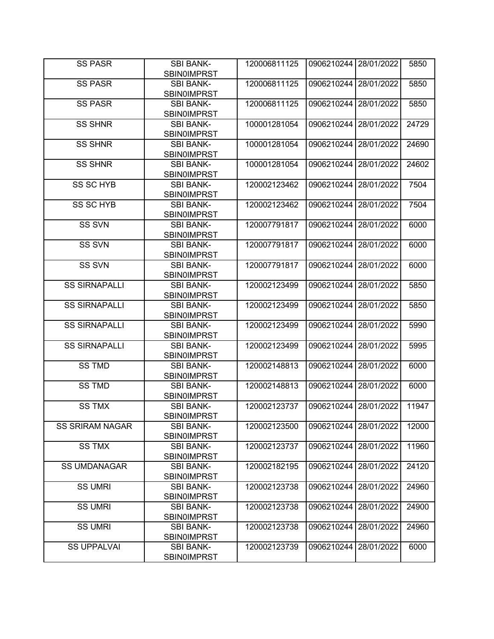| <b>SS PASR</b>         | <b>SBI BANK-</b><br><b>SBIN0IMPRST</b> | 120006811125 | 0906210244 28/01/2022 |            | 5850  |
|------------------------|----------------------------------------|--------------|-----------------------|------------|-------|
| <b>SS PASR</b>         | <b>SBI BANK-</b>                       | 120006811125 | 0906210244            | 28/01/2022 | 5850  |
|                        | <b>SBIN0IMPRST</b>                     |              |                       |            |       |
| <b>SS PASR</b>         | <b>SBI BANK-</b>                       | 120006811125 | 0906210244            | 28/01/2022 | 5850  |
|                        | <b>SBIN0IMPRST</b>                     |              |                       |            |       |
| <b>SS SHNR</b>         | <b>SBI BANK-</b>                       | 100001281054 | 0906210244            | 28/01/2022 | 24729 |
|                        | <b>SBINOIMPRST</b>                     |              |                       |            |       |
| <b>SS SHNR</b>         | <b>SBI BANK-</b>                       | 100001281054 | 0906210244            | 28/01/2022 | 24690 |
|                        | <b>SBINOIMPRST</b>                     |              |                       |            |       |
| <b>SS SHNR</b>         | <b>SBI BANK-</b>                       | 100001281054 | 0906210244            | 28/01/2022 | 24602 |
|                        | <b>SBINOIMPRST</b>                     |              |                       |            |       |
| SS SC HYB              | <b>SBI BANK-</b>                       | 120002123462 | 0906210244            | 28/01/2022 | 7504  |
|                        | <b>SBIN0IMPRST</b>                     |              |                       |            |       |
| SS SC HYB              | <b>SBI BANK-</b>                       | 120002123462 | 0906210244            | 28/01/2022 | 7504  |
|                        | <b>SBIN0IMPRST</b>                     |              |                       |            |       |
| <b>SS SVN</b>          | <b>SBI BANK-</b>                       | 120007791817 | 0906210244            | 28/01/2022 | 6000  |
| SS SVN                 | <b>SBIN0IMPRST</b>                     |              | 0906210244            |            | 6000  |
|                        | <b>SBI BANK-</b>                       | 120007791817 |                       | 28/01/2022 |       |
| SS SVN                 | <b>SBIN0IMPRST</b><br><b>SBI BANK-</b> | 120007791817 | 0906210244            | 28/01/2022 | 6000  |
|                        | <b>SBINOIMPRST</b>                     |              |                       |            |       |
| <b>SS SIRNAPALLI</b>   | <b>SBI BANK-</b>                       | 120002123499 | 0906210244            | 28/01/2022 | 5850  |
|                        | <b>SBINOIMPRST</b>                     |              |                       |            |       |
| <b>SS SIRNAPALLI</b>   | <b>SBI BANK-</b>                       | 120002123499 | 0906210244            | 28/01/2022 | 5850  |
|                        | <b>SBINOIMPRST</b>                     |              |                       |            |       |
| <b>SS SIRNAPALLI</b>   | <b>SBI BANK-</b>                       | 120002123499 | 0906210244            | 28/01/2022 | 5990  |
|                        | <b>SBIN0IMPRST</b>                     |              |                       |            |       |
| <b>SS SIRNAPALLI</b>   | <b>SBI BANK-</b>                       | 120002123499 | 0906210244            | 28/01/2022 | 5995  |
|                        | <b>SBIN0IMPRST</b>                     |              |                       |            |       |
| <b>SS TMD</b>          | <b>SBI BANK-</b>                       | 120002148813 | 0906210244            | 28/01/2022 | 6000  |
|                        | <b>SBINOIMPRST</b>                     |              |                       |            |       |
| <b>SS TMD</b>          | <b>SBI BANK-</b>                       | 120002148813 | 0906210244            | 28/01/2022 | 6000  |
|                        | <b>SBIN0IMPRST</b>                     |              |                       |            |       |
| <b>SS TMX</b>          | <b>SBI BANK-</b>                       | 120002123737 | 0906210244            | 28/01/2022 | 11947 |
|                        | <b>SBIN0IMPRST</b>                     |              |                       |            |       |
| <b>SS SRIRAM NAGAR</b> | <b>SBI BANK-</b>                       | 120002123500 | 0906210244 28/01/2022 |            | 12000 |
|                        | <b>SBIN0IMPRST</b>                     |              |                       |            |       |
| <b>SS TMX</b>          | <b>SBI BANK-</b>                       | 120002123737 | 0906210244            | 28/01/2022 | 11960 |
|                        | <b>SBIN0IMPRST</b>                     |              |                       |            |       |
| <b>SS UMDANAGAR</b>    | <b>SBI BANK-</b>                       | 120002182195 | 0906210244            | 28/01/2022 | 24120 |
| SS UMRI                | <b>SBIN0IMPRST</b><br><b>SBI BANK-</b> | 120002123738 | 0906210244            | 28/01/2022 | 24960 |
|                        | <b>SBIN0IMPRST</b>                     |              |                       |            |       |
| <b>SS UMRI</b>         | <b>SBI BANK-</b>                       | 120002123738 | 0906210244            | 28/01/2022 | 24900 |
|                        | <b>SBINOIMPRST</b>                     |              |                       |            |       |
| <b>SS UMRI</b>         | <b>SBI BANK-</b>                       | 120002123738 | 0906210244            | 28/01/2022 | 24960 |
|                        | <b>SBINOIMPRST</b>                     |              |                       |            |       |
| <b>SS UPPALVAI</b>     | <b>SBI BANK-</b>                       | 120002123739 | 0906210244            | 28/01/2022 | 6000  |
|                        | <b>SBIN0IMPRST</b>                     |              |                       |            |       |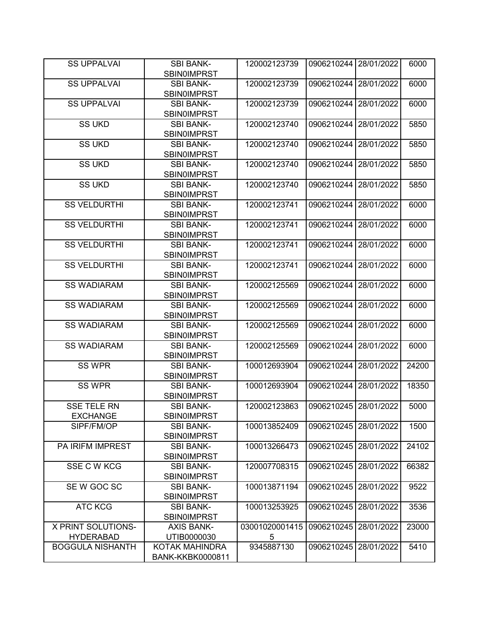| <b>SS UPPALVAI</b>        | <b>SBI BANK-</b>                       | 120002123739   | 0906210244 28/01/2022   |            | 6000  |
|---------------------------|----------------------------------------|----------------|-------------------------|------------|-------|
|                           | <b>SBIN0IMPRST</b>                     |                |                         |            |       |
| <b>SS UPPALVAI</b>        | <b>SBI BANK-</b><br><b>SBIN0IMPRST</b> | 120002123739   | 0906210244              | 28/01/2022 | 6000  |
| <b>SS UPPALVAI</b>        | <b>SBI BANK-</b>                       | 120002123739   | 0906210244              | 28/01/2022 | 6000  |
|                           | <b>SBIN0IMPRST</b>                     |                |                         |            |       |
| <b>SS UKD</b>             | <b>SBI BANK-</b>                       | 120002123740   | 0906210244              | 28/01/2022 | 5850  |
|                           | <b>SBIN0IMPRST</b>                     |                |                         |            |       |
| <b>SS UKD</b>             | <b>SBI BANK-</b>                       | 120002123740   | 0906210244              | 28/01/2022 | 5850  |
|                           | <b>SBINOIMPRST</b>                     |                |                         |            |       |
| <b>SS UKD</b>             | <b>SBI BANK-</b>                       | 120002123740   | 0906210244              | 28/01/2022 | 5850  |
|                           | SBIN0IMPRST                            |                |                         |            |       |
| <b>SS UKD</b>             | <b>SBI BANK-</b>                       | 120002123740   | 0906210244              | 28/01/2022 | 5850  |
|                           | SBIN0IMPRST                            |                |                         |            |       |
| <b>SS VELDURTHI</b>       | <b>SBI BANK-</b>                       | 120002123741   | 0906210244              | 28/01/2022 | 6000  |
|                           | SBIN0IMPRST                            |                |                         |            |       |
| <b>SS VELDURTHI</b>       | <b>SBI BANK-</b>                       | 120002123741   | 0906210244              | 28/01/2022 | 6000  |
|                           | <b>SBIN0IMPRST</b>                     |                |                         |            |       |
| <b>SS VELDURTHI</b>       | <b>SBI BANK-</b>                       | 120002123741   | 0906210244              | 28/01/2022 | 6000  |
|                           | <b>SBIN0IMPRST</b>                     |                |                         |            |       |
| <b>SS VELDURTHI</b>       | <b>SBI BANK-</b>                       | 120002123741   | 0906210244              | 28/01/2022 | 6000  |
|                           | <b>SBIN0IMPRST</b>                     |                |                         |            |       |
| <b>SS WADIARAM</b>        | <b>SBI BANK-</b>                       | 120002125569   | 0906210244              | 28/01/2022 | 6000  |
|                           | <b>SBIN0IMPRST</b>                     |                |                         |            |       |
| <b>SS WADIARAM</b>        | <b>SBI BANK-</b>                       | 120002125569   | 0906210244              | 28/01/2022 | 6000  |
|                           | <b>SBIN0IMPRST</b>                     |                |                         |            |       |
| <b>SS WADIARAM</b>        | <b>SBI BANK-</b>                       | 120002125569   | 0906210244              | 28/01/2022 | 6000  |
|                           | <b>SBINOIMPRST</b>                     |                |                         |            |       |
| <b>SS WADIARAM</b>        | <b>SBI BANK-</b>                       | 120002125569   | 0906210244              | 28/01/2022 | 6000  |
|                           | <b>SBINOIMPRST</b>                     |                |                         |            |       |
| SS WPR                    | <b>SBI BANK-</b>                       | 100012693904   | 0906210244              | 28/01/2022 | 24200 |
|                           | <b>SBINOIMPRST</b>                     |                |                         |            |       |
| <b>SS WPR</b>             | <b>SBI BANK-</b><br><b>SBIN0IMPRST</b> | 100012693904   | 0906210244              | 28/01/2022 | 18350 |
| <b>SSE TELE RN</b>        | <b>SBI BANK-</b>                       | 120002123863   | 0906210245              | 28/01/2022 | 5000  |
| <b>EXCHANGE</b>           | <b>SBIN0IMPRST</b>                     |                |                         |            |       |
| SIPF/FM/OP                | <b>SBI BANK-</b>                       | 100013852409   | 0906210245   28/01/2022 |            | 1500  |
|                           | <b>SBIN0IMPRST</b>                     |                |                         |            |       |
| PA IRIFM IMPREST          | <b>SBI BANK-</b>                       | 100013266473   | 0906210245              | 28/01/2022 | 24102 |
|                           | <b>SBINOIMPRST</b>                     |                |                         |            |       |
| SSE C W KCG               | <b>SBI BANK-</b>                       | 120007708315   | 0906210245              | 28/01/2022 | 66382 |
|                           | <b>SBIN0IMPRST</b>                     |                |                         |            |       |
| SEW GOC SC                | <b>SBI BANK-</b>                       | 100013871194   | 0906210245              | 28/01/2022 | 9522  |
|                           | <b>SBIN0IMPRST</b>                     |                |                         |            |       |
| <b>ATC KCG</b>            | <b>SBI BANK-</b>                       | 100013253925   | 0906210245              | 28/01/2022 | 3536  |
|                           | <b>SBIN0IMPRST</b>                     |                |                         |            |       |
| <b>X PRINT SOLUTIONS-</b> | <b>AXIS BANK-</b>                      | 03001020001415 | 0906210245              | 28/01/2022 | 23000 |
| <b>HYDERABAD</b>          | UTIB0000030                            | 5              |                         |            |       |
| <b>BOGGULA NISHANTH</b>   | KOTAK MAHINDRA                         | 9345887130     | 0906210245              | 28/01/2022 | 5410  |
|                           | BANK-KKBK0000811                       |                |                         |            |       |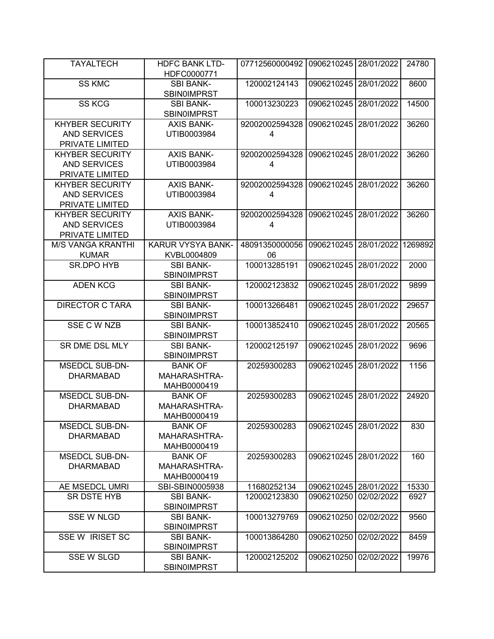| <b>TAYALTECH</b>         | <b>HDFC BANK LTD-</b><br>HDFC0000771   | 07712560000492 | 0906210245              | 28/01/2022 | 24780   |
|--------------------------|----------------------------------------|----------------|-------------------------|------------|---------|
| <b>SS KMC</b>            | <b>SBI BANK-</b>                       | 120002124143   | 0906210245              | 28/01/2022 | 8600    |
|                          | <b>SBIN0IMPRST</b>                     |                |                         |            |         |
| <b>SS KCG</b>            | <b>SBI BANK-</b><br><b>SBIN0IMPRST</b> | 100013230223   | 0906210245              | 28/01/2022 | 14500   |
| <b>KHYBER SECURITY</b>   | <b>AXIS BANK-</b>                      | 92002002594328 | 0906210245              | 28/01/2022 | 36260   |
| <b>AND SERVICES</b>      | UTIB0003984                            | 4              |                         |            |         |
|                          |                                        |                |                         |            |         |
| PRIVATE LIMITED          |                                        |                |                         |            |         |
| <b>KHYBER SECURITY</b>   | <b>AXIS BANK-</b>                      | 92002002594328 | 0906210245              | 28/01/2022 | 36260   |
| <b>AND SERVICES</b>      | UTIB0003984                            | 4              |                         |            |         |
| PRIVATE LIMITED          |                                        |                |                         |            |         |
| <b>KHYBER SECURITY</b>   | <b>AXIS BANK-</b>                      | 92002002594328 | 0906210245              | 28/01/2022 | 36260   |
| <b>AND SERVICES</b>      | UTIB0003984                            | 4              |                         |            |         |
| PRIVATE LIMITED          |                                        |                |                         |            |         |
| <b>KHYBER SECURITY</b>   | <b>AXIS BANK-</b>                      | 92002002594328 | 0906210245              | 28/01/2022 | 36260   |
| <b>AND SERVICES</b>      | UTIB0003984                            | 4              |                         |            |         |
| PRIVATE LIMITED          |                                        |                |                         |            |         |
|                          |                                        |                |                         |            |         |
| <b>M/S VANGA KRANTHI</b> | KARUR VYSYA BANK-                      | 48091350000056 | 0906210245              | 28/01/2022 | 1269892 |
| <b>KUMAR</b>             | KVBL0004809                            | 06             |                         |            |         |
| SR.DPO HYB               | <b>SBI BANK-</b>                       | 100013285191   | 0906210245              | 28/01/2022 | 2000    |
|                          | <b>SBINOIMPRST</b>                     |                |                         |            |         |
| <b>ADEN KCG</b>          | <b>SBI BANK-</b>                       | 120002123832   | 0906210245              | 28/01/2022 | 9899    |
|                          | <b>SBIN0IMPRST</b>                     |                |                         |            |         |
| <b>DIRECTOR C TARA</b>   | <b>SBI BANK-</b>                       | 100013266481   | 0906210245              | 28/01/2022 | 29657   |
|                          | <b>SBINOIMPRST</b>                     |                |                         |            |         |
| <b>SSE C W NZB</b>       | <b>SBI BANK-</b>                       | 100013852410   | 0906210245              | 28/01/2022 | 20565   |
|                          | <b>SBIN0IMPRST</b>                     |                |                         |            |         |
| SR DME DSL MLY           | <b>SBI BANK-</b>                       | 120002125197   | 0906210245              | 28/01/2022 | 9696    |
|                          |                                        |                |                         |            |         |
|                          | <b>SBINOIMPRST</b>                     |                |                         |            |         |
| <b>MSEDCL SUB-DN-</b>    | <b>BANK OF</b>                         | 20259300283    | 0906210245              | 28/01/2022 | 1156    |
| <b>DHARMABAD</b>         | MAHARASHTRA-                           |                |                         |            |         |
|                          | MAHB0000419                            |                |                         |            |         |
| <b>MSEDCL SUB-DN-</b>    | <b>BANK OF</b>                         | 20259300283    | 0906210245              | 28/01/2022 | 24920   |
| <b>DHARMABAD</b>         | MAHARASHTRA-                           |                |                         |            |         |
|                          | MAHB0000419                            |                |                         |            |         |
| <b>MSEDCL SUB-DN-</b>    | <b>BANK OF</b>                         | 20259300283    | 0906210245   28/01/2022 |            | 830     |
| <b>DHARMABAD</b>         | MAHARASHTRA-                           |                |                         |            |         |
|                          | MAHB0000419                            |                |                         |            |         |
| <b>MSEDCL SUB-DN-</b>    | <b>BANK OF</b>                         | 20259300283    | 0906210245 28/01/2022   |            | 160     |
| <b>DHARMABAD</b>         | MAHARASHTRA-                           |                |                         |            |         |
|                          |                                        |                |                         |            |         |
|                          | MAHB0000419                            |                |                         |            |         |
| AE MSEDCL UMRI           | SBI-SBIN0005938                        | 11680252134    | 0906210245 28/01/2022   |            | 15330   |
| SR DSTE HYB              | <b>SBI BANK-</b>                       | 120002123830   | 0906210250              | 02/02/2022 | 6927    |
|                          | <b>SBINOIMPRST</b>                     |                |                         |            |         |
| <b>SSE W NLGD</b>        | <b>SBI BANK-</b>                       | 100013279769   | 0906210250              | 02/02/2022 | 9560    |
|                          | <b>SBINOIMPRST</b>                     |                |                         |            |         |
| SSE W IRISET SC          | <b>SBI BANK-</b>                       | 100013864280   | 0906210250              | 02/02/2022 | 8459    |
|                          | <b>SBINOIMPRST</b>                     |                |                         |            |         |
| <b>SSE W SLGD</b>        | <b>SBI BANK-</b>                       | 120002125202   | 0906210250              | 02/02/2022 | 19976   |
|                          | <b>SBIN0IMPRST</b>                     |                |                         |            |         |
|                          |                                        |                |                         |            |         |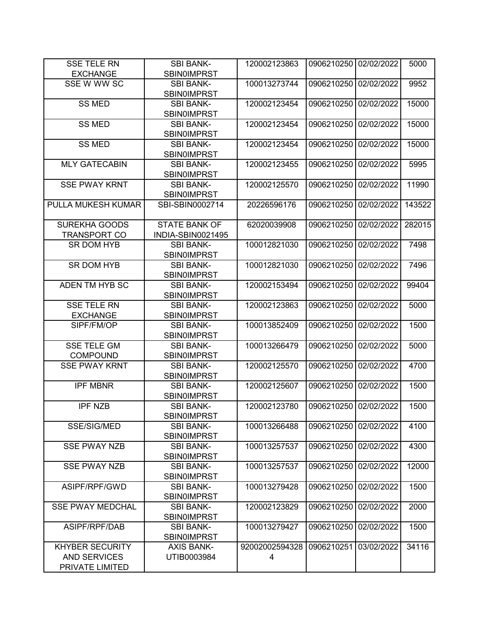| <b>SSE TELE RN</b>                     | <b>SBI BANK-</b>                       | 120002123863   | 0906210250 02/02/2022 |            | 5000   |
|----------------------------------------|----------------------------------------|----------------|-----------------------|------------|--------|
| <b>EXCHANGE</b>                        | <b>SBINOIMPRST</b>                     |                |                       |            |        |
| SSE W WW SC                            | <b>SBI BANK-</b><br><b>SBIN0IMPRST</b> | 100013273744   | 0906210250            | 02/02/2022 | 9952   |
| <b>SS MED</b>                          | <b>SBI BANK-</b><br><b>SBIN0IMPRST</b> | 120002123454   | 0906210250            | 02/02/2022 | 15000  |
| <b>SS MED</b>                          | <b>SBI BANK-</b><br><b>SBINOIMPRST</b> | 120002123454   | 0906210250            | 02/02/2022 | 15000  |
| <b>SS MED</b>                          | <b>SBI BANK-</b><br><b>SBINOIMPRST</b> | 120002123454   | 0906210250            | 02/02/2022 | 15000  |
| <b>MLY GATECABIN</b>                   | <b>SBI BANK-</b><br><b>SBINOIMPRST</b> | 120002123455   | 0906210250            | 02/02/2022 | 5995   |
| <b>SSE PWAY KRNT</b>                   | <b>SBI BANK-</b><br><b>SBIN0IMPRST</b> | 120002125570   | 0906210250            | 02/02/2022 | 11990  |
| PULLA MUKESH KUMAR                     | SBI-SBIN0002714                        | 20226596176    | 0906210250            | 02/02/2022 | 143522 |
| <b>SUREKHA GOODS</b>                   | <b>STATE BANK OF</b>                   | 62020039908    | 0906210250            | 02/02/2022 | 282015 |
| <b>TRANSPORT CO</b>                    | INDIA-SBIN0021495                      |                |                       |            |        |
| <b>SR DOM HYB</b>                      | <b>SBI BANK-</b><br><b>SBINOIMPRST</b> | 100012821030   | 0906210250            | 02/02/2022 | 7498   |
| SR DOM HYB                             | <b>SBI BANK-</b><br><b>SBINOIMPRST</b> | 100012821030   | 0906210250            | 02/02/2022 | 7496   |
| ADEN TM HYB SC                         | <b>SBI BANK-</b><br><b>SBINOIMPRST</b> | 120002153494   | 0906210250            | 02/02/2022 | 99404  |
| <b>SSE TELE RN</b>                     | <b>SBI BANK-</b>                       | 120002123863   | 0906210250            | 02/02/2022 | 5000   |
| <b>EXCHANGE</b>                        | <b>SBINOIMPRST</b>                     |                |                       |            |        |
| SIPF/FM/OP                             | <b>SBI BANK-</b><br><b>SBIN0IMPRST</b> | 100013852409   | 0906210250            | 02/02/2022 | 1500   |
| <b>SSE TELE GM</b><br><b>COMPOUND</b>  | <b>SBI BANK-</b><br><b>SBINOIMPRST</b> | 100013266479   | 0906210250            | 02/02/2022 | 5000   |
| <b>SSE PWAY KRNT</b>                   | <b>SBI BANK-</b><br><b>SBINOIMPRST</b> | 120002125570   | 0906210250            | 02/02/2022 | 4700   |
| <b>IPF MBNR</b>                        | <b>SBI BANK-</b><br><b>SBINOIMPRST</b> | 120002125607   | 0906210250            | 02/02/2022 | 1500   |
| <b>IPF NZB</b>                         | <b>SBI BANK-</b><br><b>SBIN0IMPRST</b> | 120002123780   | 0906210250            | 02/02/2022 | 1500   |
| SSE/SIG/MED                            | <b>SBI BANK-</b><br><b>SBIN0IMPRST</b> | 100013266488   | 0906210250            | 02/02/2022 | 4100   |
| <b>SSE PWAY NZB</b>                    | <b>SBI BANK-</b><br><b>SBIN0IMPRST</b> | 100013257537   | 0906210250            | 02/02/2022 | 4300   |
| <b>SSE PWAY NZB</b>                    | <b>SBI BANK-</b><br><b>SBINOIMPRST</b> | 100013257537   | 0906210250            | 02/02/2022 | 12000  |
| ASIPF/RPF/GWD                          | <b>SBI BANK-</b><br><b>SBIN0IMPRST</b> | 100013279428   | 0906210250            | 02/02/2022 | 1500   |
| <b>SSE PWAY MEDCHAL</b>                | <b>SBI BANK-</b><br><b>SBINOIMPRST</b> | 120002123829   | 0906210250            | 02/02/2022 | 2000   |
| ASIPF/RPF/DAB                          | <b>SBI BANK-</b><br><b>SBINOIMPRST</b> | 100013279427   | 0906210250            | 02/02/2022 | 1500   |
| <b>KHYBER SECURITY</b>                 | <b>AXIS BANK-</b>                      | 92002002594328 | 0906210251            | 03/02/2022 | 34116  |
| <b>AND SERVICES</b><br>PRIVATE LIMITED | UTIB0003984                            | 4              |                       |            |        |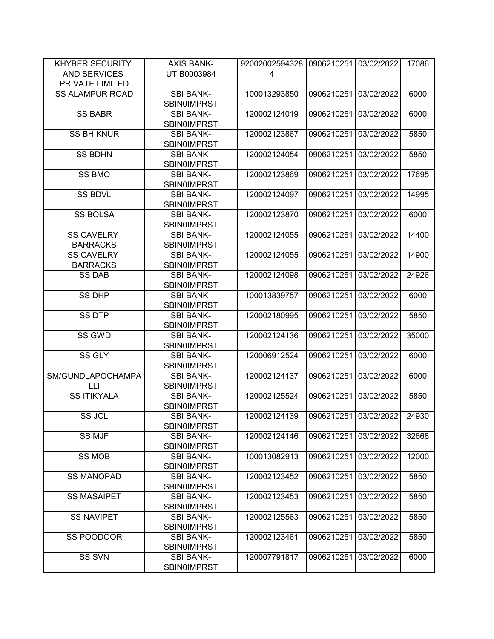| <b>KHYBER SECURITY</b> | <b>AXIS BANK-</b>  | 92002002594328 | 0906210251            | 03/02/2022 | 17086 |
|------------------------|--------------------|----------------|-----------------------|------------|-------|
| <b>AND SERVICES</b>    | UTIB0003984        | 4              |                       |            |       |
| PRIVATE LIMITED        |                    |                |                       |            |       |
| <b>SS ALAMPUR ROAD</b> | <b>SBI BANK-</b>   | 100013293850   | 0906210251            | 03/02/2022 | 6000  |
|                        | <b>SBIN0IMPRST</b> |                |                       |            |       |
| <b>SS BABR</b>         | <b>SBI BANK-</b>   | 120002124019   | 0906210251            | 03/02/2022 | 6000  |
|                        | <b>SBIN0IMPRST</b> |                |                       |            |       |
| <b>SS BHIKNUR</b>      | <b>SBI BANK-</b>   | 120002123867   | 0906210251            | 03/02/2022 | 5850  |
|                        | <b>SBINOIMPRST</b> |                |                       |            |       |
| <b>SS BDHN</b>         | <b>SBI BANK-</b>   | 120002124054   | 0906210251            | 03/02/2022 | 5850  |
|                        | <b>SBINOIMPRST</b> |                |                       |            |       |
| <b>SS BMO</b>          | <b>SBI BANK-</b>   | 120002123869   | 0906210251            | 03/02/2022 | 17695 |
|                        | <b>SBIN0IMPRST</b> |                |                       |            |       |
| <b>SS BDVL</b>         | <b>SBI BANK-</b>   | 120002124097   | 0906210251            | 03/02/2022 | 14995 |
|                        | <b>SBIN0IMPRST</b> |                |                       |            |       |
| <b>SS BOLSA</b>        | <b>SBI BANK-</b>   | 120002123870   | 0906210251            | 03/02/2022 | 6000  |
|                        | SBIN0IMPRST        |                |                       |            |       |
| <b>SS CAVELRY</b>      | <b>SBI BANK-</b>   | 120002124055   | 0906210251            | 03/02/2022 | 14400 |
| <b>BARRACKS</b>        | <b>SBIN0IMPRST</b> |                |                       |            |       |
| <b>SS CAVELRY</b>      | <b>SBI BANK-</b>   | 120002124055   | 0906210251            | 03/02/2022 | 14900 |
| <b>BARRACKS</b>        | <b>SBINOIMPRST</b> |                |                       |            |       |
| <b>SS DAB</b>          | <b>SBI BANK-</b>   | 120002124098   | 0906210251            | 03/02/2022 | 24926 |
|                        | <b>SBIN0IMPRST</b> |                |                       |            |       |
| <b>SS DHP</b>          | <b>SBI BANK-</b>   | 100013839757   | 0906210251            | 03/02/2022 | 6000  |
|                        | <b>SBIN0IMPRST</b> |                |                       |            |       |
| <b>SS DTP</b>          | <b>SBI BANK-</b>   | 120002180995   | 0906210251            | 03/02/2022 | 5850  |
|                        | <b>SBIN0IMPRST</b> |                |                       |            |       |
| SS GWD                 | <b>SBI BANK-</b>   | 120002124136   | 0906210251            | 03/02/2022 | 35000 |
|                        | <b>SBIN0IMPRST</b> |                |                       |            |       |
| SS GLY                 | <b>SBI BANK-</b>   | 120006912524   | 0906210251            | 03/02/2022 | 6000  |
|                        | <b>SBIN0IMPRST</b> |                |                       |            |       |
| SM/GUNDLAPOCHAMPA      | <b>SBI BANK-</b>   | 120002124137   | 0906210251            | 03/02/2022 | 6000  |
| LLI                    | <b>SBIN0IMPRST</b> |                |                       |            |       |
| <b>SS ITIKYALA</b>     | <b>SBI BANK-</b>   | 120002125524   | 0906210251            | 03/02/2022 | 5850  |
|                        | <b>SBIN0IMPRST</b> |                |                       |            |       |
| SS JCL                 | <b>SBI BANK-</b>   | 120002124139   | 0906210251 03/02/2022 |            | 24930 |
|                        | <b>SBINOIMPRST</b> |                |                       |            |       |
| SS MJF                 | <b>SBI BANK-</b>   | 120002124146   | 0906210251            | 03/02/2022 | 32668 |
|                        | <b>SBINOIMPRST</b> |                |                       |            |       |
| <b>SS MOB</b>          | <b>SBI BANK-</b>   | 100013082913   | 0906210251            | 03/02/2022 | 12000 |
|                        | <b>SBINOIMPRST</b> |                |                       |            |       |
| <b>SS MANOPAD</b>      | <b>SBI BANK-</b>   | 120002123452   | 0906210251            | 03/02/2022 | 5850  |
|                        | <b>SBIN0IMPRST</b> |                |                       |            |       |
| <b>SS MASAIPET</b>     | <b>SBI BANK-</b>   | 120002123453   | 0906210251            | 03/02/2022 | 5850  |
|                        | <b>SBINOIMPRST</b> |                |                       |            |       |
| <b>SS NAVIPET</b>      | <b>SBI BANK-</b>   | 120002125563   | 0906210251            | 03/02/2022 | 5850  |
|                        | <b>SBINOIMPRST</b> |                |                       |            |       |
| SS POODOOR             | <b>SBI BANK-</b>   | 120002123461   | 0906210251            | 03/02/2022 | 5850  |
|                        | <b>SBINOIMPRST</b> |                |                       |            |       |
| <b>SS SVN</b>          | <b>SBI BANK-</b>   | 120007791817   | 0906210251            | 03/02/2022 | 6000  |
|                        | <b>SBIN0IMPRST</b> |                |                       |            |       |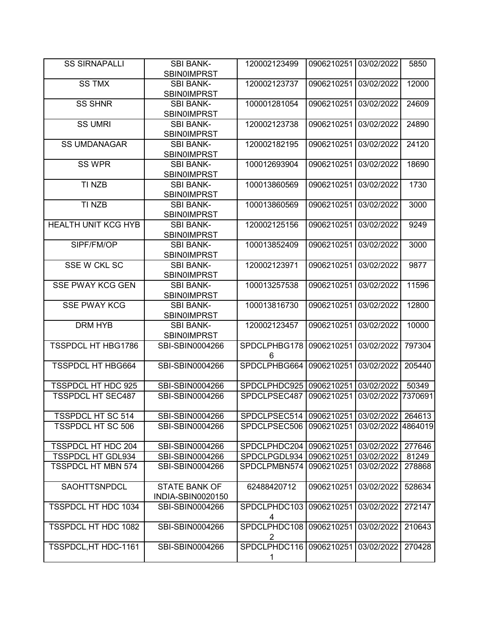| <b>SS SIRNAPALLI</b>                                  | <b>SBI BANK-</b><br><b>SBINOIMPRST</b> | 120002123499                 | 0906210251               | 03/02/2022 | 5850            |
|-------------------------------------------------------|----------------------------------------|------------------------------|--------------------------|------------|-----------------|
| <b>SS TMX</b>                                         | <b>SBI BANK-</b>                       | 120002123737                 | 0906210251               | 03/02/2022 | 12000           |
|                                                       | <b>SBIN0IMPRST</b>                     |                              |                          |            |                 |
| <b>SS SHNR</b>                                        | <b>SBI BANK-</b>                       | 100001281054                 | 0906210251               | 03/02/2022 | 24609           |
|                                                       | <b>SBIN0IMPRST</b>                     |                              |                          |            |                 |
| <b>SS UMRI</b>                                        | <b>SBI BANK-</b>                       | 120002123738                 | 0906210251               | 03/02/2022 | 24890           |
|                                                       | <b>SBIN0IMPRST</b>                     |                              |                          |            |                 |
| <b>SS UMDANAGAR</b>                                   | <b>SBI BANK-</b>                       | 120002182195                 | 0906210251               | 03/02/2022 | 24120           |
|                                                       | <b>SBIN0IMPRST</b>                     |                              |                          |            |                 |
| <b>SS WPR</b>                                         | <b>SBI BANK-</b>                       | 100012693904                 | 0906210251               | 03/02/2022 | 18690           |
|                                                       | <b>SBIN0IMPRST</b>                     |                              |                          |            |                 |
| TI NZB                                                | <b>SBI BANK-</b>                       | 100013860569                 | 0906210251               | 03/02/2022 | 1730            |
|                                                       | SBIN0IMPRST                            |                              |                          |            |                 |
| TI NZB                                                | <b>SBI BANK-</b>                       | 100013860569                 | 0906210251               | 03/02/2022 | 3000            |
|                                                       | SBIN0IMPRST                            |                              |                          |            |                 |
| <b>HEALTH UNIT KCG HYB</b>                            | <b>SBI BANK-</b>                       | 120002125156                 | 0906210251               | 03/02/2022 | 9249            |
|                                                       | <b>SBIN0IMPRST</b>                     |                              |                          |            |                 |
| SIPF/FM/OP                                            | <b>SBI BANK-</b>                       | 100013852409                 | 0906210251               | 03/02/2022 | 3000            |
|                                                       | <b>SBIN0IMPRST</b>                     |                              |                          |            |                 |
| SSE W CKL SC                                          | <b>SBI BANK-</b>                       | 120002123971                 | 0906210251               | 03/02/2022 | 9877            |
|                                                       | <b>SBIN0IMPRST</b>                     |                              |                          |            |                 |
| <b>SSE PWAY KCG GEN</b>                               | <b>SBI BANK-</b>                       | 100013257538                 | 0906210251               | 03/02/2022 | 11596           |
|                                                       | <b>SBIN0IMPRST</b>                     |                              |                          |            |                 |
| <b>SSE PWAY KCG</b>                                   | <b>SBI BANK-</b>                       | 100013816730                 | 0906210251               | 03/02/2022 | 12800           |
|                                                       | <b>SBINOIMPRST</b>                     |                              |                          |            |                 |
| <b>DRM HYB</b>                                        | <b>SBI BANK-</b>                       | 120002123457                 | 0906210251               | 03/02/2022 | 10000           |
|                                                       | <b>SBIN0IMPRST</b>                     |                              |                          |            |                 |
| <b>TSSPDCL HT HBG1786</b>                             | SBI-SBIN0004266                        | SPDCLPHBG178                 | 0906210251               | 03/02/2022 | 797304          |
|                                                       |                                        | 6                            |                          |            |                 |
| <b>TSSPDCL HT HBG664</b>                              | SBI-SBIN0004266                        | SPDCLPHBG664                 | 0906210251               | 03/02/2022 | 205440          |
| TSSPDCL HT HDC 925                                    | SBI-SBIN0004266                        | SPDCLPHDC925                 | 0906210251               | 03/02/2022 | 50349           |
| <b>TSSPDCL HT SEC487</b>                              | SBI-SBIN0004266                        | SPDCLPSEC487                 | 0906210251               | 03/02/2022 | 7370691         |
|                                                       |                                        |                              |                          |            |                 |
| <b>TSSPDCL HT SC 514</b>                              | SBI-SBIN0004266                        | SPDCLPSEC514                 | 0906210251 03/02/2022    |            | 264613          |
| <b>TSSPDCL HT SC 506</b>                              | SBI-SBIN0004266                        | SPDCLPSEC506                 | 0906210251               | 03/02/2022 | 4864019         |
|                                                       |                                        |                              |                          |            |                 |
| <b>TSSPDCL HT HDC 204</b>                             | SBI-SBIN0004266                        | SPDCLPHDC204<br>SPDCLPGDL934 | 0906210251               | 03/02/2022 | 277646          |
| <b>TSSPDCL HT GDL934</b><br><b>TSSPDCL HT MBN 574</b> | SBI-SBIN0004266<br>SBI-SBIN0004266     | SPDCLPMBN574                 | 0906210251<br>0906210251 | 03/02/2022 | 81249<br>278868 |
|                                                       |                                        |                              |                          | 03/02/2022 |                 |
| SAOHTTSNPDCL                                          | <b>STATE BANK OF</b>                   | 62488420712                  | 0906210251               | 03/02/2022 | 528634          |
|                                                       | INDIA-SBIN0020150                      |                              |                          |            |                 |
| <b>TSSPDCL HT HDC 1034</b>                            | SBI-SBIN0004266                        | SPDCLPHDC103                 | 0906210251               | 03/02/2022 | 272147          |
|                                                       |                                        | 4                            |                          |            |                 |
| TSSPDCL HT HDC 1082                                   | SBI-SBIN0004266                        | SPDCLPHDC108<br>2            | 0906210251               | 03/02/2022 | 210643          |
| TSSPDCL, HT HDC-1161                                  | SBI-SBIN0004266                        | SPDCLPHDC116                 | 0906210251               | 03/02/2022 | 270428          |
|                                                       |                                        | 1                            |                          |            |                 |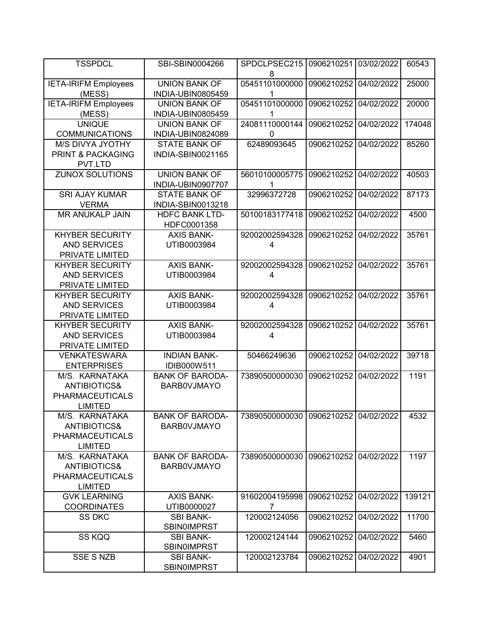| <b>TSSPDCL</b>                                                                        | SBI-SBIN0004266                              | SPDCLPSEC215<br>8                          | 0906210251            | 03/02/2022 | 60543  |
|---------------------------------------------------------------------------------------|----------------------------------------------|--------------------------------------------|-----------------------|------------|--------|
| <b>IETA-IRIFM Employees</b><br>(MESS)                                                 | <b>UNION BANK OF</b><br>INDIA-UBIN0805459    | 05451101000000<br>1                        | 0906210252            | 04/02/2022 | 25000  |
| <b>IETA-IRIFM Employees</b><br>(MESS)                                                 | <b>UNION BANK OF</b><br>INDIA-UBIN0805459    | 05451101000000<br>1                        | 0906210252            | 04/02/2022 | 20000  |
| <b>UNIQUE</b><br><b>COMMUNICATIONS</b>                                                | <b>UNION BANK OF</b><br>INDIA-UBIN0824089    | 24081110000144<br>0                        | 0906210252            | 04/02/2022 | 174048 |
| <b>M/S DIVYA JYOTHY</b><br><b>PRINT &amp; PACKAGING</b><br>PVT.LTD                    | <b>STATE BANK OF</b><br>INDIA-SBIN0021165    | 62489093645                                | 0906210252            | 04/02/2022 | 85260  |
| <b>ZUNOX SOLUTIONS</b>                                                                | <b>UNION BANK OF</b><br>INDIA-UBIN0907707    | 56010100005775<br>1                        | 0906210252            | 04/02/2022 | 40503  |
| <b>SRI AJAY KUMAR</b><br><b>VERMA</b>                                                 | <b>STATE BANK OF</b><br>INDIA-SBIN0013218    | 32996372728                                | 0906210252            | 04/02/2022 | 87173  |
| <b>MR ANUKALP JAIN</b>                                                                | <b>HDFC BANK LTD-</b><br>HDFC0001358         | 50100183177418                             | 0906210252            | 04/02/2022 | 4500   |
| <b>KHYBER SECURITY</b><br><b>AND SERVICES</b><br>PRIVATE LIMITED                      | <b>AXIS BANK-</b><br>UTIB0003984             | 92002002594328<br>$\overline{\mathcal{A}}$ | 0906210252            | 04/02/2022 | 35761  |
| <b>KHYBER SECURITY</b><br><b>AND SERVICES</b><br>PRIVATE LIMITED                      | <b>AXIS BANK-</b><br>UTIB0003984             | 92002002594328<br>4                        | 0906210252            | 04/02/2022 | 35761  |
| <b>KHYBER SECURITY</b><br><b>AND SERVICES</b><br>PRIVATE LIMITED                      | <b>AXIS BANK-</b><br>UTIB0003984             | 92002002594328<br>4                        | 0906210252            | 04/02/2022 | 35761  |
| <b>KHYBER SECURITY</b><br><b>AND SERVICES</b><br>PRIVATE LIMITED                      | <b>AXIS BANK-</b><br>UTIB0003984             | 92002002594328<br>4                        | 0906210252            | 04/02/2022 | 35761  |
| <b>VENKATESWARA</b><br><b>ENTERPRISES</b>                                             | <b>INDIAN BANK-</b><br>IDIB000W511           | 50466249636                                | 0906210252            | 04/02/2022 | 39718  |
| M/S. KARNATAKA<br><b>ANTIBIOTICS&amp;</b><br><b>PHARMACEUTICALS</b><br><b>LIMITED</b> | <b>BANK OF BARODA-</b><br><b>BARBOVJMAYO</b> | 73890500000030                             | 0906210252            | 04/02/2022 | 1191   |
| M/S. KARNATAKA<br><b>ANTIBIOTICS&amp;</b><br><b>PHARMACEUTICALS</b><br><b>LIMITED</b> | <b>BANK OF BARODA-</b><br><b>BARBOVJMAYO</b> | 73890500000030 0906210252 04/02/2022       |                       |            | 4532   |
| M/S. KARNATAKA<br><b>ANTIBIOTICS&amp;</b><br><b>PHARMACEUTICALS</b><br><b>LIMITED</b> | <b>BANK OF BARODA-</b><br><b>BARBOVJMAYO</b> | 73890500000030                             | 0906210252 04/02/2022 |            | 1197   |
| <b>GVK LEARNING</b><br><b>COORDINATES</b>                                             | <b>AXIS BANK-</b><br>UTIB0000027             | 91602004195998<br>7                        | 0906210252            | 04/02/2022 | 139121 |
| <b>SS DKC</b>                                                                         | <b>SBI BANK-</b><br><b>SBINOIMPRST</b>       | 120002124056                               | 0906210252            | 04/02/2022 | 11700  |
| SS KQQ                                                                                | <b>SBI BANK-</b><br><b>SBINOIMPRST</b>       | 120002124144                               | 0906210252            | 04/02/2022 | 5460   |
| <b>SSE S NZB</b>                                                                      | <b>SBI BANK-</b><br><b>SBINOIMPRST</b>       | 120002123784                               | 0906210252            | 04/02/2022 | 4901   |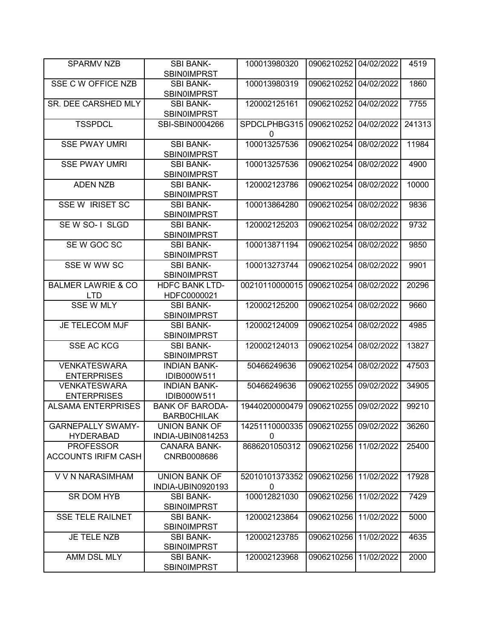| <b>SPARMV NZB</b>                              | <b>SBI BANK-</b><br><b>SBINOIMPRST</b>       | 100013980320                   | 0906210252            | 04/02/2022 | 4519   |
|------------------------------------------------|----------------------------------------------|--------------------------------|-----------------------|------------|--------|
| SSE C W OFFICE NZB                             | <b>SBI BANK-</b><br><b>SBINOIMPRST</b>       | 100013980319                   | 0906210252            | 04/02/2022 | 1860   |
| <b>SR. DEE CARSHED MLY</b>                     | <b>SBI BANK-</b><br><b>SBIN0IMPRST</b>       | 120002125161                   | 0906210252            | 04/02/2022 | 7755   |
| <b>TSSPDCL</b>                                 | SBI-SBIN0004266                              | SPDCLPHBG315<br>0              | 0906210252            | 04/02/2022 | 241313 |
| <b>SSE PWAY UMRI</b>                           | <b>SBI BANK-</b><br><b>SBINOIMPRST</b>       | 100013257536                   | 0906210254            | 08/02/2022 | 11984  |
| <b>SSE PWAY UMRI</b>                           | <b>SBI BANK-</b><br>SBIN0IMPRST              | 100013257536                   | 0906210254            | 08/02/2022 | 4900   |
| <b>ADEN NZB</b>                                | <b>SBI BANK-</b><br>SBIN0IMPRST              | 120002123786                   | 0906210254            | 08/02/2022 | 10000  |
| <b>SSE W IRISET SC</b>                         | <b>SBI BANK-</b><br>SBIN0IMPRST              | 100013864280                   | 0906210254            | 08/02/2022 | 9836   |
| SEW SO-1 SLGD                                  | <b>SBI BANK-</b><br><b>SBIN0IMPRST</b>       | 120002125203                   | 0906210254            | 08/02/2022 | 9732   |
| SEW GOC SC                                     | <b>SBI BANK-</b><br><b>SBIN0IMPRST</b>       | 100013871194                   | 0906210254            | 08/02/2022 | 9850   |
| SSE W WW SC                                    | <b>SBI BANK-</b><br><b>SBIN0IMPRST</b>       | 100013273744                   | 0906210254            | 08/02/2022 | 9901   |
| <b>BALMER LAWRIE &amp; CO</b><br><b>LTD</b>    | <b>HDFC BANK LTD-</b><br>HDFC0000021         | 00210110000015                 | 0906210254            | 08/02/2022 | 20296  |
| <b>SSE W MLY</b>                               | <b>SBI BANK-</b><br><b>SBIN0IMPRST</b>       | 120002125200                   | 0906210254            | 08/02/2022 | 9660   |
| <b>JE TELECOM MJF</b>                          | <b>SBI BANK-</b><br><b>SBINOIMPRST</b>       | 120002124009                   | 0906210254            | 08/02/2022 | 4985   |
| <b>SSE AC KCG</b>                              | <b>SBI BANK-</b><br><b>SBIN0IMPRST</b>       | 120002124013                   | 0906210254            | 08/02/2022 | 13827  |
| <b>VENKATESWARA</b><br><b>ENTERPRISES</b>      | <b>INDIAN BANK-</b><br>IDIB000W511           | 50466249636                    | 0906210254            | 08/02/2022 | 47503  |
| <b>VENKATESWARA</b><br><b>ENTERPRISES</b>      | <b>INDIAN BANK-</b><br>IDIB000W511           | 50466249636                    | 0906210255            | 09/02/2022 | 34905  |
| <b>ALSAMA ENTERPRISES</b>                      | <b>BANK OF BARODA-</b><br><b>BARBOCHILAK</b> | 19440200000479                 | 0906210255            | 09/02/2022 | 99210  |
| <b>GARNEPALLY SWAMY-</b><br><b>HYDERABAD</b>   | <b>UNION BANK OF</b><br>INDIA-UBIN0814253    | 14251110000335<br>0            | 0906210255 09/02/2022 |            | 36260  |
| <b>PROFESSOR</b><br><b>ACCOUNTS IRIFM CASH</b> | <b>CANARA BANK-</b><br>CNRB0008686           | 8686201050312                  | 0906210256            | 11/02/2022 | 25400  |
| V V N NARASIMHAM                               | <b>UNION BANK OF</b><br>INDIA-UBIN0920193    | 52010101373352<br>$\mathbf{0}$ | 0906210256 11/02/2022 |            | 17928  |
| SR DOM HYB                                     | <b>SBI BANK-</b><br><b>SBIN0IMPRST</b>       | 100012821030                   | 0906210256            | 11/02/2022 | 7429   |
| <b>SSE TELE RAILNET</b>                        | <b>SBI BANK-</b><br><b>SBINOIMPRST</b>       | 120002123864                   | 0906210256            | 11/02/2022 | 5000   |
| JE TELE NZB                                    | <b>SBI BANK-</b><br><b>SBIN0IMPRST</b>       | 120002123785                   | 0906210256            | 11/02/2022 | 4635   |
| AMM DSL MLY                                    | <b>SBI BANK-</b><br><b>SBINOIMPRST</b>       | 120002123968                   | 0906210256            | 11/02/2022 | 2000   |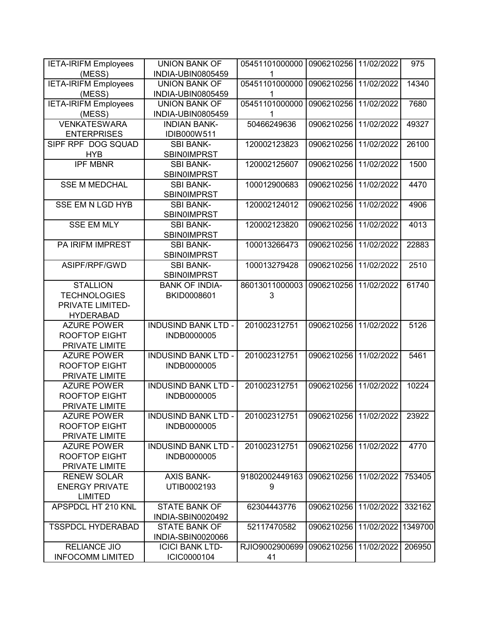| <b>IETA-IRIFM Employees</b> | <b>UNION BANK OF</b>       | 05451101000000 | 0906210256 11/02/2022 |            | 975     |
|-----------------------------|----------------------------|----------------|-----------------------|------------|---------|
| (MESS)                      | INDIA-UBIN0805459          | 1              |                       |            |         |
| <b>IETA-IRIFM Employees</b> | <b>UNION BANK OF</b>       | 05451101000000 | 0906210256            | 11/02/2022 | 14340   |
| (MESS)                      | INDIA-UBIN0805459          | 1              |                       |            |         |
| <b>IETA-IRIFM Employees</b> | <b>UNION BANK OF</b>       | 05451101000000 | 0906210256            | 11/02/2022 | 7680    |
| (MESS)                      | INDIA-UBIN0805459          | 1              |                       |            |         |
| <b>VENKATESWARA</b>         | <b>INDIAN BANK-</b>        | 50466249636    | 0906210256            | 11/02/2022 | 49327   |
| <b>ENTERPRISES</b>          | IDIB000W511                |                |                       |            |         |
| SIPF RPF DOG SQUAD          | <b>SBI BANK-</b>           | 120002123823   | 0906210256            | 11/02/2022 | 26100   |
| <b>HYB</b>                  | <b>SBINOIMPRST</b>         |                |                       |            |         |
| <b>IPF MBNR</b>             | <b>SBI BANK-</b>           | 120002125607   | 0906210256            | 11/02/2022 | 1500    |
|                             | <b>SBIN0IMPRST</b>         |                |                       |            |         |
| <b>SSE M MEDCHAL</b>        | <b>SBI BANK-</b>           | 100012900683   | 0906210256            | 11/02/2022 | 4470    |
|                             | SBIN0IMPRST                |                |                       |            |         |
| <b>SSE EM N LGD HYB</b>     | <b>SBI BANK-</b>           | 120002124012   | 0906210256            | 11/02/2022 | 4906    |
|                             | SBIN0IMPRST                |                |                       |            |         |
| <b>SSE EM MLY</b>           | <b>SBI BANK-</b>           | 120002123820   | 0906210256            | 11/02/2022 | 4013    |
|                             | SBIN0IMPRST                |                |                       |            |         |
| PA IRIFM IMPREST            | <b>SBI BANK-</b>           | 100013266473   | 0906210256            | 11/02/2022 | 22883   |
|                             | <b>SBIN0IMPRST</b>         |                |                       |            |         |
| ASIPF/RPF/GWD               | <b>SBI BANK-</b>           | 100013279428   | 0906210256            | 11/02/2022 | 2510    |
|                             | <b>SBINOIMPRST</b>         |                |                       |            |         |
| <b>STALLION</b>             | <b>BANK OF INDIA-</b>      | 86013011000003 | 0906210256            | 11/02/2022 | 61740   |
| <b>TECHNOLOGIES</b>         | BKID0008601                | 3              |                       |            |         |
| PRIVATE LIMITED-            |                            |                |                       |            |         |
| <b>HYDERABAD</b>            |                            |                |                       |            |         |
| <b>AZURE POWER</b>          | <b>INDUSIND BANK LTD -</b> | 201002312751   | 0906210256            | 11/02/2022 | 5126    |
| <b>ROOFTOP EIGHT</b>        | INDB0000005                |                |                       |            |         |
| PRIVATE LIMITE              |                            |                |                       |            |         |
| <b>AZURE POWER</b>          | <b>INDUSIND BANK LTD -</b> | 201002312751   | 0906210256            | 11/02/2022 | 5461    |
| <b>ROOFTOP EIGHT</b>        | INDB0000005                |                |                       |            |         |
| PRIVATE LIMITE              |                            |                |                       |            |         |
| <b>AZURE POWER</b>          | <b>INDUSIND BANK LTD -</b> | 201002312751   | 0906210256            | 11/02/2022 | 10224   |
| <b>ROOFTOP EIGHT</b>        | INDB0000005                |                |                       |            |         |
| PRIVATE LIMITE              |                            |                |                       |            |         |
| <b>AZURE POWER</b>          | <b>INDUSIND BANK LTD -</b> | 201002312751   | 0906210256 11/02/2022 |            | 23922   |
| <b>ROOFTOP EIGHT</b>        | INDB0000005                |                |                       |            |         |
| PRIVATE LIMITE              |                            |                |                       |            |         |
| <b>AZURE POWER</b>          | <b>INDUSIND BANK LTD -</b> | 201002312751   | 0906210256            | 11/02/2022 | 4770    |
| <b>ROOFTOP EIGHT</b>        | INDB0000005                |                |                       |            |         |
| PRIVATE LIMITE              |                            |                |                       |            |         |
| <b>RENEW SOLAR</b>          | <b>AXIS BANK-</b>          | 91802002449163 | 0906210256            | 11/02/2022 | 753405  |
| <b>ENERGY PRIVATE</b>       | UTIB0002193                | 9              |                       |            |         |
| <b>LIMITED</b>              |                            |                |                       |            |         |
| <b>APSPDCL HT 210 KNL</b>   | <b>STATE BANK OF</b>       | 62304443776    | 0906210256            | 11/02/2022 | 332162  |
|                             | INDIA-SBIN0020492          |                |                       |            |         |
| <b>TSSPDCL HYDERABAD</b>    | <b>STATE BANK OF</b>       | 52117470582    | 0906210256            | 11/02/2022 | 1349700 |
|                             | INDIA-SBIN0020066          |                |                       |            |         |
| <b>RELIANCE JIO</b>         | <b>ICICI BANK LTD-</b>     | RJIO9002900699 | 0906210256            | 11/02/2022 | 206950  |
| <b>INFOCOMM LIMITED</b>     | ICIC0000104                | 41             |                       |            |         |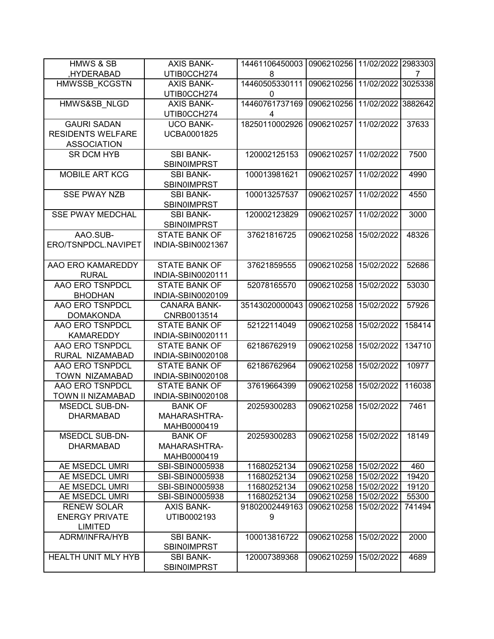| <b>HMWS &amp; SB</b>       | <b>AXIS BANK-</b>    | 14461106450003 | 0906210256              | 11/02/2022 2983303 |         |
|----------------------------|----------------------|----------------|-------------------------|--------------------|---------|
| ,HYDERABAD                 | UTIB0CCH274          | 8              |                         |                    | 7       |
| HMWSSB KCGSTN              | <b>AXIS BANK-</b>    | 14460505330111 | 0906210256              | 11/02/2022         | 3025338 |
|                            | UTIB0CCH274          | $\mathbf{0}$   |                         |                    |         |
| HMWS&SB NLGD               | <b>AXIS BANK-</b>    | 14460761737169 | 0906210256              | 11/02/2022         | 3882642 |
|                            | UTIB0CCH274          | 4              |                         |                    |         |
| <b>GAURI SADAN</b>         | <b>UCO BANK-</b>     | 18250110002926 | 0906210257              | 11/02/2022         | 37633   |
| <b>RESIDENTS WELFARE</b>   | UCBA0001825          |                |                         |                    |         |
| <b>ASSOCIATION</b>         |                      |                |                         |                    |         |
| <b>SR DCM HYB</b>          | <b>SBI BANK-</b>     | 120002125153   | 0906210257              | 11/02/2022         | 7500    |
|                            | <b>SBIN0IMPRST</b>   |                |                         |                    |         |
| <b>MOBILE ART KCG</b>      | <b>SBI BANK-</b>     | 100013981621   | 0906210257              | 11/02/2022         | 4990    |
|                            | <b>SBIN0IMPRST</b>   |                |                         |                    |         |
| <b>SSE PWAY NZB</b>        | <b>SBI BANK-</b>     | 100013257537   | 0906210257              | 11/02/2022         | 4550    |
|                            | <b>SBIN0IMPRST</b>   |                |                         |                    |         |
| <b>SSE PWAY MEDCHAL</b>    | <b>SBI BANK-</b>     | 120002123829   | 0906210257              | 11/02/2022         | 3000    |
|                            | <b>SBIN0IMPRST</b>   |                |                         |                    |         |
| AAO.SUB-                   | <b>STATE BANK OF</b> | 37621816725    | 0906210258              | 15/02/2022         | 48326   |
| ERO/TSNPDCL.NAVIPET        | INDIA-SBIN0021367    |                |                         |                    |         |
|                            |                      |                |                         |                    |         |
| AAO ERO KAMAREDDY          | <b>STATE BANK OF</b> | 37621859555    | 0906210258              | 15/02/2022         | 52686   |
| <b>RURAL</b>               | INDIA-SBIN0020111    |                |                         |                    |         |
| AAO ERO TSNPDCL            | <b>STATE BANK OF</b> | 52078165570    | 0906210258              | 15/02/2022         | 53030   |
| <b>BHODHAN</b>             | INDIA-SBIN0020109    |                |                         |                    |         |
| AAO ERO TSNPDCL            | <b>CANARA BANK-</b>  | 35143020000043 | 0906210258              | 15/02/2022         | 57926   |
| <b>DOMAKONDA</b>           | CNRB0013514          |                |                         |                    |         |
| AAO ERO TSNPDCL            | <b>STATE BANK OF</b> | 52122114049    | 0906210258              | 15/02/2022         | 158414  |
| <b>KAMAREDDY</b>           | INDIA-SBIN0020111    |                |                         |                    |         |
| AAO ERO TSNPDCL            | <b>STATE BANK OF</b> | 62186762919    | 0906210258              | 15/02/2022         | 134710  |
| RURAL NIZAMABAD            | INDIA-SBIN0020108    |                |                         |                    |         |
| AAO ERO TSNPDCL            | <b>STATE BANK OF</b> | 62186762964    | 0906210258              | 15/02/2022         | 10977   |
| TOWN NIZAMABAD             | INDIA-SBIN0020108    |                |                         |                    |         |
| AAO ERO TSNPDCL            | <b>STATE BANK OF</b> | 37619664399    | 0906210258              | 15/02/2022         | 116038  |
| TOWN II NIZAMABAD          | INDIA-SBIN0020108    |                |                         |                    |         |
| <b>MSEDCL SUB-DN-</b>      | <b>BANK OF</b>       | 20259300283    | 0906210258              | 15/02/2022         | 7461    |
| <b>DHARMABAD</b>           | MAHARASHTRA-         |                |                         |                    |         |
|                            | MAHB0000419          |                |                         |                    |         |
| <b>MSEDCL SUB-DN-</b>      | <b>BANK OF</b>       | 20259300283    | 0906210258   15/02/2022 |                    | 18149   |
| <b>DHARMABAD</b>           | MAHARASHTRA-         |                |                         |                    |         |
|                            | MAHB0000419          |                |                         |                    |         |
| AE MSEDCL UMRI             | SBI-SBIN0005938      | 11680252134    | 0906210258              | 15/02/2022         | 460     |
| AE MSEDCL UMRI             | SBI-SBIN0005938      | 11680252134    | 0906210258              | 15/02/2022         | 19420   |
| AE MSEDCL UMRI             | SBI-SBIN0005938      | 11680252134    | 0906210258              | 15/02/2022         | 19120   |
| AE MSEDCL UMRI             | SBI-SBIN0005938      | 11680252134    | 0906210258 15/02/2022   |                    | 55300   |
| <b>RENEW SOLAR</b>         | <b>AXIS BANK-</b>    | 91802002449163 | 0906210258              | 15/02/2022         | 741494  |
| <b>ENERGY PRIVATE</b>      | UTIB0002193          | 9              |                         |                    |         |
| <b>LIMITED</b>             |                      |                |                         |                    |         |
| ADRM/INFRA/HYB             | <b>SBI BANK-</b>     | 100013816722   | 0906210258              | 15/02/2022         | 2000    |
|                            | <b>SBINOIMPRST</b>   |                |                         |                    |         |
| <b>HEALTH UNIT MLY HYB</b> | <b>SBI BANK-</b>     | 120007389368   | 0906210259              | 15/02/2022         | 4689    |
|                            | <b>SBINOIMPRST</b>   |                |                         |                    |         |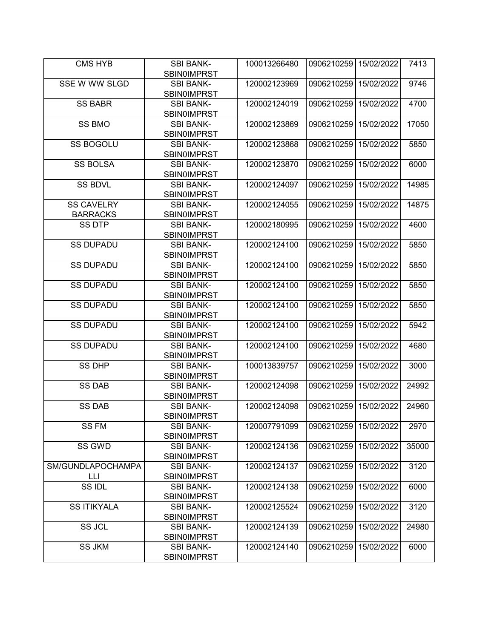| CMS HYB              | <b>SBI BANK-</b><br><b>SBIN0IMPRST</b> | 100013266480 | 0906210259 15/02/2022 |            | 7413  |
|----------------------|----------------------------------------|--------------|-----------------------|------------|-------|
| <b>SSE W WW SLGD</b> | <b>SBI BANK-</b>                       | 120002123969 | 0906210259            | 15/02/2022 | 9746  |
|                      | <b>SBIN0IMPRST</b>                     |              |                       |            |       |
| <b>SS BABR</b>       | <b>SBI BANK-</b>                       | 120002124019 | 0906210259            | 15/02/2022 | 4700  |
|                      | <b>SBIN0IMPRST</b>                     |              |                       |            |       |
| <b>SS BMO</b>        | <b>SBI BANK-</b>                       | 120002123869 | 0906210259            | 15/02/2022 | 17050 |
|                      | <b>SBINOIMPRST</b>                     |              |                       |            |       |
| <b>SS BOGOLU</b>     | <b>SBI BANK-</b>                       | 120002123868 | 0906210259            | 15/02/2022 | 5850  |
|                      | <b>SBINOIMPRST</b>                     |              |                       |            |       |
| <b>SS BOLSA</b>      | <b>SBI BANK-</b>                       | 120002123870 | 0906210259            | 15/02/2022 | 6000  |
|                      | <b>SBINOIMPRST</b>                     |              |                       |            |       |
| <b>SS BDVL</b>       | <b>SBI BANK-</b>                       | 120002124097 | 0906210259            | 15/02/2022 | 14985 |
|                      | <b>SBIN0IMPRST</b>                     |              |                       |            |       |
| <b>SS CAVELRY</b>    | <b>SBI BANK-</b>                       | 120002124055 | 0906210259            | 15/02/2022 | 14875 |
| <b>BARRACKS</b>      | <b>SBIN0IMPRST</b>                     |              |                       |            |       |
| <b>SS DTP</b>        | <b>SBI BANK-</b>                       | 120002180995 | 0906210259            | 15/02/2022 | 4600  |
| <b>SS DUPADU</b>     | <b>SBIN0IMPRST</b>                     | 120002124100 | 0906210259            | 15/02/2022 | 5850  |
|                      | <b>SBI BANK-</b><br><b>SBIN0IMPRST</b> |              |                       |            |       |
| <b>SS DUPADU</b>     | <b>SBI BANK-</b>                       | 120002124100 | 0906210259            | 15/02/2022 | 5850  |
|                      | <b>SBIN0IMPRST</b>                     |              |                       |            |       |
| <b>SS DUPADU</b>     | <b>SBI BANK-</b>                       | 120002124100 | 0906210259            | 15/02/2022 | 5850  |
|                      | <b>SBINOIMPRST</b>                     |              |                       |            |       |
| <b>SS DUPADU</b>     | <b>SBI BANK-</b>                       | 120002124100 | 0906210259            | 15/02/2022 | 5850  |
|                      | <b>SBINOIMPRST</b>                     |              |                       |            |       |
| <b>SS DUPADU</b>     | <b>SBI BANK-</b>                       | 120002124100 | 0906210259            | 15/02/2022 | 5942  |
|                      | <b>SBIN0IMPRST</b>                     |              |                       |            |       |
| <b>SS DUPADU</b>     | <b>SBI BANK-</b>                       | 120002124100 | 0906210259            | 15/02/2022 | 4680  |
|                      | <b>SBINOIMPRST</b>                     |              |                       |            |       |
| <b>SS DHP</b>        | <b>SBI BANK-</b>                       | 100013839757 | 0906210259            | 15/02/2022 | 3000  |
|                      | <b>SBIN0IMPRST</b>                     |              |                       |            |       |
| <b>SS DAB</b>        | <b>SBI BANK-</b>                       | 120002124098 | 0906210259            | 15/02/2022 | 24992 |
|                      | <b>SBINOIMPRST</b>                     |              |                       |            |       |
| <b>SS DAB</b>        | <b>SBI BANK-</b>                       | 120002124098 | 0906210259            | 15/02/2022 | 24960 |
|                      | <b>SBIN0IMPRST</b>                     |              |                       |            |       |
| SS FM                | <b>SBI BANK-</b>                       | 120007791099 | 0906210259            | 15/02/2022 | 2970  |
| SS GWD               | <b>SBINOIMPRST</b><br><b>SBI BANK-</b> | 120002124136 | 0906210259            | 15/02/2022 | 35000 |
|                      | <b>SBIN0IMPRST</b>                     |              |                       |            |       |
| SM/GUNDLAPOCHAMPA    | <b>SBI BANK-</b>                       | 120002124137 | 0906210259            | 15/02/2022 | 3120  |
| LLI                  | <b>SBINOIMPRST</b>                     |              |                       |            |       |
| SS IDL               | <b>SBI BANK-</b>                       | 120002124138 | 0906210259            | 15/02/2022 | 6000  |
|                      | <b>SBIN0IMPRST</b>                     |              |                       |            |       |
| <b>SS ITIKYALA</b>   | <b>SBI BANK-</b>                       | 120002125524 | 0906210259            | 15/02/2022 | 3120  |
|                      | <b>SBIN0IMPRST</b>                     |              |                       |            |       |
| <b>SS JCL</b>        | <b>SBI BANK-</b>                       | 120002124139 | 0906210259            | 15/02/2022 | 24980 |
|                      | <b>SBIN0IMPRST</b>                     |              |                       |            |       |
| <b>SS JKM</b>        | <b>SBI BANK-</b>                       | 120002124140 | 0906210259            | 15/02/2022 | 6000  |
|                      | <b>SBINOIMPRST</b>                     |              |                       |            |       |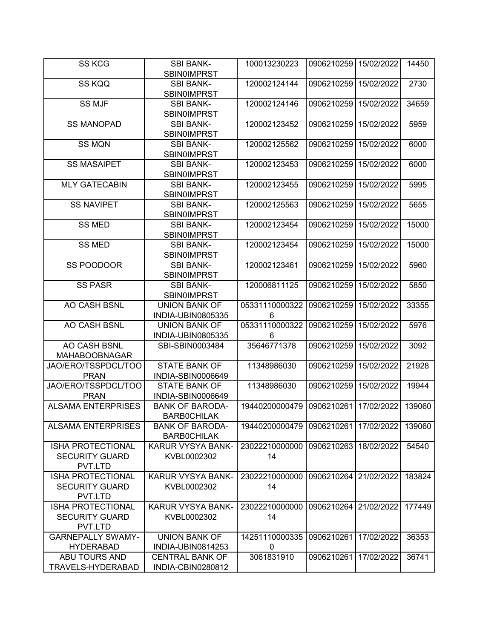| <b>SS KCG</b>             | <b>SBI BANK-</b>                       | 100013230223   | 0906210259 15/02/2022 |            | 14450  |
|---------------------------|----------------------------------------|----------------|-----------------------|------------|--------|
|                           | <b>SBIN0IMPRST</b>                     |                |                       |            |        |
| SS KQQ                    | <b>SBI BANK-</b><br><b>SBIN0IMPRST</b> | 120002124144   | 0906210259            | 15/02/2022 | 2730   |
| <b>SS MJF</b>             | <b>SBI BANK-</b><br><b>SBIN0IMPRST</b> | 120002124146   | 0906210259            | 15/02/2022 | 34659  |
| <b>SS MANOPAD</b>         | <b>SBI BANK-</b>                       | 120002123452   | 0906210259            | 15/02/2022 | 5959   |
|                           | <b>SBINOIMPRST</b>                     |                |                       |            |        |
| <b>SS MQN</b>             | <b>SBI BANK-</b>                       | 120002125562   | 0906210259            | 15/02/2022 | 6000   |
|                           | <b>SBINOIMPRST</b>                     |                |                       |            |        |
| <b>SS MASAIPET</b>        | <b>SBI BANK-</b>                       | 120002123453   | 0906210259            | 15/02/2022 | 6000   |
|                           | <b>SBIN0IMPRST</b>                     |                |                       |            |        |
| <b>MLY GATECABIN</b>      | <b>SBI BANK-</b>                       | 120002123455   | 0906210259            | 15/02/2022 | 5995   |
|                           | <b>SBIN0IMPRST</b>                     |                |                       |            |        |
| <b>SS NAVIPET</b>         | <b>SBI BANK-</b>                       | 120002125563   | 0906210259            | 15/02/2022 | 5655   |
|                           | <b>SBIN0IMPRST</b>                     |                |                       |            |        |
| <b>SS MED</b>             | <b>SBI BANK-</b>                       | 120002123454   | 0906210259            | 15/02/2022 | 15000  |
|                           | <b>SBIN0IMPRST</b>                     |                |                       |            |        |
| <b>SS MED</b>             | <b>SBI BANK-</b>                       | 120002123454   | 0906210259            | 15/02/2022 | 15000  |
|                           | <b>SBINOIMPRST</b>                     |                |                       |            |        |
| SS POODOOR                | <b>SBI BANK-</b>                       | 120002123461   | 0906210259            | 15/02/2022 | 5960   |
|                           | <b>SBIN0IMPRST</b>                     |                |                       |            |        |
| <b>SS PASR</b>            | <b>SBI BANK-</b>                       | 120006811125   | 0906210259            | 15/02/2022 | 5850   |
|                           | <b>SBIN0IMPRST</b>                     |                |                       |            |        |
| AO CASH BSNL              | UNION BANK OF                          | 05331110000322 | 0906210259            | 15/02/2022 | 33355  |
|                           | INDIA-UBIN0805335                      | 6              |                       |            |        |
| AO CASH BSNL              | <b>UNION BANK OF</b>                   | 05331110000322 | 0906210259            | 15/02/2022 | 5976   |
|                           | INDIA-UBIN0805335                      | 6              |                       |            |        |
| AO CASH BSNL              | SBI-SBIN0003484                        | 35646771378    | 0906210259            | 15/02/2022 | 3092   |
| <b>MAHABOOBNAGAR</b>      |                                        |                |                       |            |        |
| JAO/ERO/TSSPDCL/TOO       | <b>STATE BANK OF</b>                   | 11348986030    | 0906210259            | 15/02/2022 | 21928  |
| <b>PRAN</b>               | INDIA-SBIN0006649                      |                |                       |            |        |
| JAO/ERO/TSSPDCL/TOO       | <b>STATE BANK OF</b>                   | 11348986030    | 0906210259            | 15/02/2022 | 19944  |
| <b>PRAN</b>               | INDIA-SBIN0006649                      |                |                       |            |        |
| <b>ALSAMA ENTERPRISES</b> | <b>BANK OF BARODA-</b>                 | 19440200000479 | 0906210261            | 17/02/2022 | 139060 |
|                           | <b>BARBOCHILAK</b>                     |                |                       |            |        |
| <b>ALSAMA ENTERPRISES</b> | <b>BANK OF BARODA-</b>                 | 19440200000479 | 0906210261            | 17/02/2022 | 139060 |
|                           | <b>BARBOCHILAK</b>                     |                |                       |            |        |
| <b>ISHA PROTECTIONAL</b>  | KARUR VYSYA BANK-                      | 23022210000000 | 0906210263            | 18/02/2022 | 54540  |
| <b>SECURITY GUARD</b>     | KVBL0002302                            | 14             |                       |            |        |
| PVT.LTD                   |                                        |                |                       |            |        |
| <b>ISHA PROTECTIONAL</b>  | KARUR VYSYA BANK-                      | 23022210000000 | 0906210264 21/02/2022 |            | 183824 |
| <b>SECURITY GUARD</b>     | KVBL0002302                            | 14             |                       |            |        |
| PVT.LTD                   |                                        |                |                       |            |        |
| ISHA PROTECTIONAL         | KARUR VYSYA BANK-                      | 23022210000000 | 0906210264 21/02/2022 |            | 177449 |
| <b>SECURITY GUARD</b>     | KVBL0002302                            | 14             |                       |            |        |
| PVT.LTD                   |                                        |                |                       |            |        |
| <b>GARNEPALLY SWAMY-</b>  | <b>UNION BANK OF</b>                   | 14251110000335 | 0906210261            | 17/02/2022 | 36353  |
| <b>HYDERABAD</b>          | INDIA-UBIN0814253                      | 0              |                       |            |        |
| ABU TOURS AND             | <b>CENTRAL BANK OF</b>                 | 3061831910     | 0906210261            | 17/02/2022 | 36741  |
| TRAVELS-HYDERABAD         | INDIA-CBIN0280812                      |                |                       |            |        |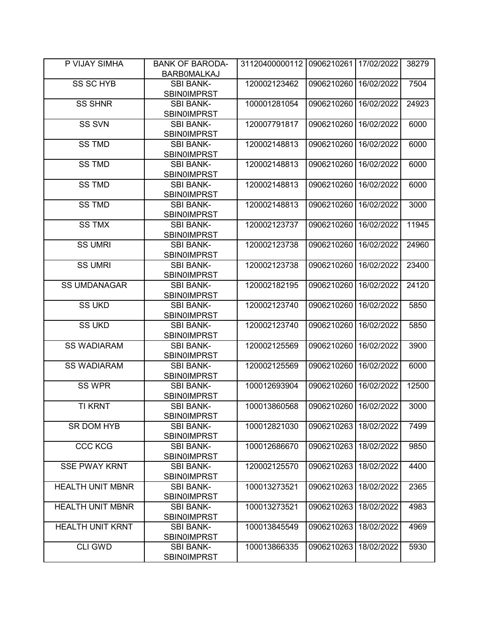| P VIJAY SIMHA           | <b>BANK OF BARODA-</b><br><b>BARBOMALKAJ</b> | 31120400000112 | 0906210261 | 17/02/2022 | 38279 |
|-------------------------|----------------------------------------------|----------------|------------|------------|-------|
|                         |                                              |                |            | 16/02/2022 |       |
| <b>SS SC HYB</b>        | <b>SBI BANK-</b><br><b>SBIN0IMPRST</b>       | 120002123462   | 0906210260 |            | 7504  |
| <b>SS SHNR</b>          | <b>SBI BANK-</b>                             | 100001281054   | 0906210260 | 16/02/2022 | 24923 |
|                         | <b>SBIN0IMPRST</b>                           |                |            |            |       |
| SS SVN                  | <b>SBI BANK-</b>                             | 120007791817   | 0906210260 | 16/02/2022 | 6000  |
|                         | <b>SBINOIMPRST</b>                           |                |            |            |       |
| <b>SS TMD</b>           | <b>SBI BANK-</b>                             | 120002148813   | 0906210260 | 16/02/2022 | 6000  |
|                         | <b>SBINOIMPRST</b>                           |                |            |            |       |
| <b>SS TMD</b>           | <b>SBI BANK-</b>                             | 120002148813   | 0906210260 | 16/02/2022 | 6000  |
|                         | <b>SBINOIMPRST</b>                           |                |            |            |       |
| <b>SS TMD</b>           | <b>SBI BANK-</b>                             | 120002148813   | 0906210260 | 16/02/2022 | 6000  |
|                         | <b>SBIN0IMPRST</b>                           |                |            |            |       |
| <b>SS TMD</b>           | <b>SBI BANK-</b>                             | 120002148813   | 0906210260 | 16/02/2022 | 3000  |
|                         | <b>SBIN0IMPRST</b>                           |                |            |            |       |
| <b>SS TMX</b>           | <b>SBI BANK-</b>                             | 120002123737   | 0906210260 | 16/02/2022 | 11945 |
|                         | <b>SBIN0IMPRST</b>                           |                |            |            |       |
| <b>SS UMRI</b>          | <b>SBI BANK-</b>                             | 120002123738   | 0906210260 | 16/02/2022 | 24960 |
|                         | <b>SBIN0IMPRST</b>                           |                |            |            |       |
| <b>SS UMRI</b>          | <b>SBI BANK-</b>                             | 120002123738   | 0906210260 | 16/02/2022 | 23400 |
|                         | <b>SBIN0IMPRST</b>                           |                |            |            |       |
| <b>SS UMDANAGAR</b>     | <b>SBI BANK-</b>                             | 120002182195   | 0906210260 | 16/02/2022 | 24120 |
|                         | <b>SBINOIMPRST</b>                           |                |            |            |       |
| <b>SS UKD</b>           | <b>SBI BANK-</b>                             | 120002123740   | 0906210260 | 16/02/2022 | 5850  |
|                         | <b>SBINOIMPRST</b>                           |                |            |            |       |
| <b>SS UKD</b>           | <b>SBI BANK-</b>                             | 120002123740   | 0906210260 | 16/02/2022 | 5850  |
|                         | <b>SBIN0IMPRST</b>                           |                |            |            |       |
| <b>SS WADIARAM</b>      | <b>SBI BANK-</b>                             | 120002125569   | 0906210260 | 16/02/2022 | 3900  |
| <b>SS WADIARAM</b>      | <b>SBIN0IMPRST</b><br><b>SBI BANK-</b>       | 120002125569   | 0906210260 | 16/02/2022 | 6000  |
|                         | <b>SBIN0IMPRST</b>                           |                |            |            |       |
| SS WPR                  | <b>SBI BANK-</b>                             | 100012693904   | 0906210260 | 16/02/2022 | 12500 |
|                         | <b>SBIN0IMPRST</b>                           |                |            |            |       |
| <b>TI KRNT</b>          | <b>SBI BANK-</b>                             | 100013860568   | 0906210260 | 16/02/2022 | 3000  |
|                         | <b>SBIN0IMPRST</b>                           |                |            |            |       |
| SR DOM HYB              | <b>SBI BANK-</b>                             | 100012821030   | 0906210263 | 18/02/2022 | 7499  |
|                         | <b>SBIN0IMPRST</b>                           |                |            |            |       |
| <b>CCC KCG</b>          | <b>SBI BANK-</b>                             | 100012686670   | 0906210263 | 18/02/2022 | 9850  |
|                         | <b>SBIN0IMPRST</b>                           |                |            |            |       |
| <b>SSE PWAY KRNT</b>    | <b>SBI BANK-</b>                             | 120002125570   | 0906210263 | 18/02/2022 | 4400  |
|                         | <b>SBINOIMPRST</b>                           |                |            |            |       |
| <b>HEALTH UNIT MBNR</b> | <b>SBI BANK-</b>                             | 100013273521   | 0906210263 | 18/02/2022 | 2365  |
|                         | <b>SBIN0IMPRST</b>                           |                |            |            |       |
| <b>HEALTH UNIT MBNR</b> | <b>SBI BANK-</b>                             | 100013273521   | 0906210263 | 18/02/2022 | 4983  |
|                         | <b>SBINOIMPRST</b>                           |                |            |            |       |
| <b>HEALTH UNIT KRNT</b> | <b>SBI BANK-</b>                             | 100013845549   | 0906210263 | 18/02/2022 | 4969  |
|                         | <b>SBINOIMPRST</b>                           |                |            |            |       |
| <b>CLI GWD</b>          | <b>SBI BANK-</b>                             | 100013866335   | 0906210263 | 18/02/2022 | 5930  |
|                         | <b>SBINOIMPRST</b>                           |                |            |            |       |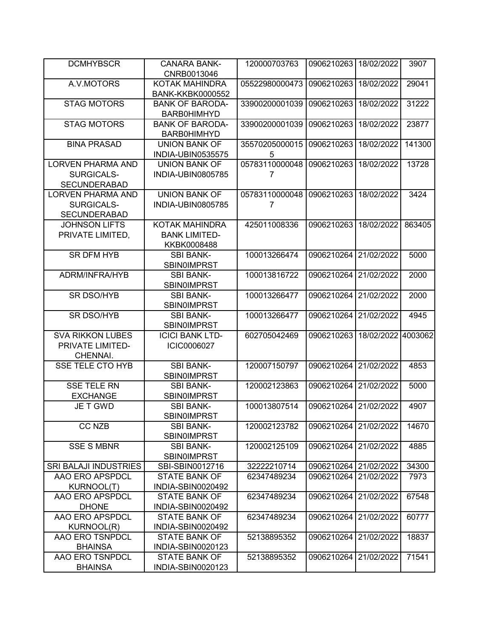| <b>DCMHYBSCR</b>                                              | <b>CANARA BANK-</b><br>CNRB0013046                           | 120000703763        | 0906210263            | 18/02/2022 | 3907    |
|---------------------------------------------------------------|--------------------------------------------------------------|---------------------|-----------------------|------------|---------|
| A.V.MOTORS                                                    | KOTAK MAHINDRA<br><b>BANK-KKBK0000552</b>                    | 05522980000473      | 0906210263            | 18/02/2022 | 29041   |
| <b>STAG MOTORS</b>                                            | <b>BANK OF BARODA-</b><br><b>BARB0HIMHYD</b>                 | 33900200001039      | 0906210263            | 18/02/2022 | 31222   |
| <b>STAG MOTORS</b>                                            | <b>BANK OF BARODA-</b><br><b>BARB0HIMHYD</b>                 | 33900200001039      | 0906210263            | 18/02/2022 | 23877   |
| <b>BINA PRASAD</b>                                            | <b>UNION BANK OF</b><br>INDIA-UBIN0535575                    | 35570205000015<br>5 | 0906210263            | 18/02/2022 | 141300  |
| <b>LORVEN PHARMA AND</b><br>SURGICALS-<br><b>SECUNDERABAD</b> | <b>UNION BANK OF</b><br>INDIA-UBIN0805785                    | 05783110000048<br>7 | 0906210263            | 18/02/2022 | 13728   |
| <b>LORVEN PHARMA AND</b><br>SURGICALS-<br><b>SECUNDERABAD</b> | <b>UNION BANK OF</b><br>INDIA-UBIN0805785                    | 05783110000048<br>7 | 0906210263            | 18/02/2022 | 3424    |
| <b>JOHNSON LIFTS</b><br>PRIVATE LIMITED.                      | <b>KOTAK MAHINDRA</b><br><b>BANK LIMITED-</b><br>KKBK0008488 | 425011008336        | 0906210263            | 18/02/2022 | 863405  |
| <b>SR DFM HYB</b>                                             | <b>SBI BANK-</b><br><b>SBIN0IMPRST</b>                       | 100013266474        | 0906210264            | 21/02/2022 | 5000    |
| ADRM/INFRA/HYB                                                | <b>SBI BANK-</b><br><b>SBIN0IMPRST</b>                       | 100013816722        | 0906210264            | 21/02/2022 | 2000    |
| <b>SR DSO/HYB</b>                                             | <b>SBI BANK-</b><br><b>SBINOIMPRST</b>                       | 100013266477        | 0906210264            | 21/02/2022 | 2000    |
| <b>SR DSO/HYB</b>                                             | <b>SBI BANK-</b><br>SBIN0IMPRST                              | 100013266477        | 0906210264            | 21/02/2022 | 4945    |
| <b>SVA RIKKON LUBES</b><br>PRIVATE LIMITED-<br>CHENNAI.       | <b>ICICI BANK LTD-</b><br>ICIC0006027                        | 602705042469        | 0906210263            | 18/02/2022 | 4003062 |
| <b>SSE TELE CTO HYB</b>                                       | <b>SBI BANK-</b><br><b>SBINOIMPRST</b>                       | 120007150797        | 0906210264            | 21/02/2022 | 4853    |
| <b>SSE TELE RN</b><br><b>EXCHANGE</b>                         | <b>SBI BANK-</b><br><b>SBIN0IMPRST</b>                       | 120002123863        | 0906210264            | 21/02/2022 | 5000    |
| <b>JE T GWD</b>                                               | <b>SBI BANK-</b><br><b>SBIN0IMPRST</b>                       | 100013807514        | 0906210264            | 21/02/2022 | 4907    |
| CC NZB                                                        | <b>SBI BANK-</b><br>SBIN0IMPRST                              | 120002123782        | 0906210264 21/02/2022 |            | 14670   |
| <b>SSE S MBNR</b>                                             | <b>SBI BANK-</b><br><b>SBINOIMPRST</b>                       | 120002125109        | 0906210264            | 21/02/2022 | 4885    |
| SRI BALAJI INDUSTRIES                                         | SBI-SBIN0012716                                              | 32222210714         | 0906210264 21/02/2022 |            | 34300   |
| AAO ERO APSPDCL                                               | <b>STATE BANK OF</b>                                         | 62347489234         | 0906210264            | 21/02/2022 | 7973    |
| KURNOOL(T)                                                    | INDIA-SBIN0020492                                            |                     |                       |            |         |
| AAO ERO APSPDCL                                               | <b>STATE BANK OF</b>                                         | 62347489234         | 0906210264            | 21/02/2022 | 67548   |
| <b>DHONE</b>                                                  | INDIA-SBIN0020492                                            |                     |                       |            |         |
| AAO ERO APSPDCL                                               | <b>STATE BANK OF</b>                                         | 62347489234         | 0906210264            | 21/02/2022 | 60777   |
| <b>KURNOOL(R)</b>                                             | INDIA-SBIN0020492                                            |                     |                       |            |         |
| AAO ERO TSNPDCL<br><b>BHAINSA</b>                             | <b>STATE BANK OF</b><br>INDIA-SBIN0020123                    | 52138895352         | 0906210264            | 21/02/2022 | 18837   |
| AAO ERO TSNPDCL                                               | <b>STATE BANK OF</b>                                         | 52138895352         | 0906210264            | 21/02/2022 | 71541   |
| <b>BHAINSA</b>                                                | INDIA-SBIN0020123                                            |                     |                       |            |         |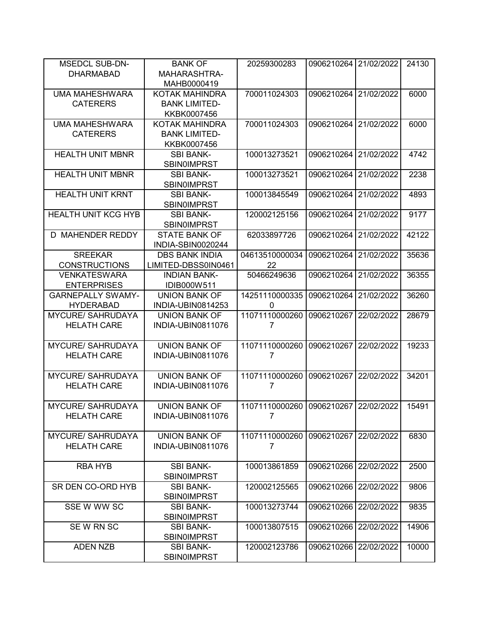| <b>MSEDCL SUB-DN-</b>      | <b>BANK OF</b>           | 20259300283    | 0906210264 21/02/2022 |            | 24130 |
|----------------------------|--------------------------|----------------|-----------------------|------------|-------|
| <b>DHARMABAD</b>           | MAHARASHTRA-             |                |                       |            |       |
|                            | MAHB0000419              |                |                       |            |       |
| <b>UMA MAHESHWARA</b>      | KOTAK MAHINDRA           | 700011024303   | 0906210264            | 21/02/2022 | 6000  |
| <b>CATERERS</b>            | <b>BANK LIMITED-</b>     |                |                       |            |       |
|                            | KKBK0007456              |                |                       |            |       |
| <b>UMA MAHESHWARA</b>      | KOTAK MAHINDRA           | 700011024303   | 0906210264            | 21/02/2022 | 6000  |
| <b>CATERERS</b>            | <b>BANK LIMITED-</b>     |                |                       |            |       |
|                            | KKBK0007456              |                |                       |            |       |
| <b>HEALTH UNIT MBNR</b>    | <b>SBI BANK-</b>         | 100013273521   | 0906210264            | 21/02/2022 | 4742  |
|                            | <b>SBIN0IMPRST</b>       |                |                       |            |       |
| <b>HEALTH UNIT MBNR</b>    |                          | 100013273521   | 0906210264            | 21/02/2022 | 2238  |
|                            | <b>SBI BANK-</b>         |                |                       |            |       |
|                            | <b>SBIN0IMPRST</b>       |                |                       |            |       |
| <b>HEALTH UNIT KRNT</b>    | <b>SBI BANK-</b>         | 100013845549   | 0906210264            | 21/02/2022 | 4893  |
|                            | <b>SBIN0IMPRST</b>       |                |                       |            |       |
| <b>HEALTH UNIT KCG HYB</b> | <b>SBI BANK-</b>         | 120002125156   | 0906210264            | 21/02/2022 | 9177  |
|                            | <b>SBINOIMPRST</b>       |                |                       |            |       |
| D MAHENDER REDDY           | <b>STATE BANK OF</b>     | 62033897726    | 0906210264            | 21/02/2022 | 42122 |
|                            | INDIA-SBIN0020244        |                |                       |            |       |
| <b>SREEKAR</b>             | <b>DBS BANK INDIA</b>    | 04613510000034 | 0906210264            | 21/02/2022 | 35636 |
| <b>CONSTRUCTIONS</b>       | LIMITED-DBSS0IN0461      | 22             |                       |            |       |
| <b>VENKATESWARA</b>        | <b>INDIAN BANK-</b>      | 50466249636    | 0906210264            | 21/02/2022 | 36355 |
| <b>ENTERPRISES</b>         | IDIB000W511              |                |                       |            |       |
| <b>GARNEPALLY SWAMY-</b>   | <b>UNION BANK OF</b>     | 14251110000335 | 0906210264            | 21/02/2022 | 36260 |
| <b>HYDERABAD</b>           | INDIA-UBIN0814253        | 0              |                       |            |       |
| <b>MYCURE/ SAHRUDAYA</b>   | <b>UNION BANK OF</b>     | 11071110000260 | 0906210267            | 22/02/2022 | 28679 |
| <b>HELATH CARE</b>         | INDIA-UBIN0811076        | 7              |                       |            |       |
|                            |                          |                |                       |            |       |
| <b>MYCURE/ SAHRUDAYA</b>   | <b>UNION BANK OF</b>     | 11071110000260 | 0906210267            | 22/02/2022 | 19233 |
| <b>HELATH CARE</b>         | INDIA-UBIN0811076        | $\overline{7}$ |                       |            |       |
|                            |                          |                |                       |            |       |
| <b>MYCURE/ SAHRUDAYA</b>   | <b>UNION BANK OF</b>     | 11071110000260 | 0906210267            | 22/02/2022 | 34201 |
| <b>HELATH CARE</b>         | <b>INDIA-UBIN0811076</b> | 7              |                       |            |       |
|                            |                          |                |                       |            |       |
| <b>MYCURE/ SAHRUDAYA</b>   | <b>UNION BANK OF</b>     | 11071110000260 | 0906210267            | 22/02/2022 | 15491 |
| <b>HELATH CARE</b>         | INDIA-UBIN0811076        | 7              |                       |            |       |
|                            |                          |                |                       |            |       |
| <b>MYCURE/ SAHRUDAYA</b>   | <b>UNION BANK OF</b>     | 11071110000260 | 0906210267 22/02/2022 |            | 6830  |
| <b>HELATH CARE</b>         | INDIA-UBIN0811076        | $\overline{7}$ |                       |            |       |
|                            |                          |                |                       |            |       |
| RBA HYB                    | <b>SBI BANK-</b>         | 100013861859   | 0906210266            | 22/02/2022 | 2500  |
|                            | <b>SBINOIMPRST</b>       |                |                       |            |       |
| SR DEN CO-ORD HYB          | <b>SBI BANK-</b>         | 120002125565   | 0906210266            | 22/02/2022 | 9806  |
|                            | <b>SBINOIMPRST</b>       |                |                       |            |       |
| SSE W WW SC                | <b>SBI BANK-</b>         | 100013273744   | 0906210266            | 22/02/2022 | 9835  |
|                            | <b>SBINOIMPRST</b>       |                |                       |            |       |
| SEW RN SC                  | <b>SBI BANK-</b>         | 100013807515   | 0906210266            | 22/02/2022 | 14906 |
|                            | <b>SBINOIMPRST</b>       |                |                       |            |       |
| <b>ADEN NZB</b>            | <b>SBI BANK-</b>         | 120002123786   | 0906210266            | 22/02/2022 | 10000 |
|                            | <b>SBINOIMPRST</b>       |                |                       |            |       |
|                            |                          |                |                       |            |       |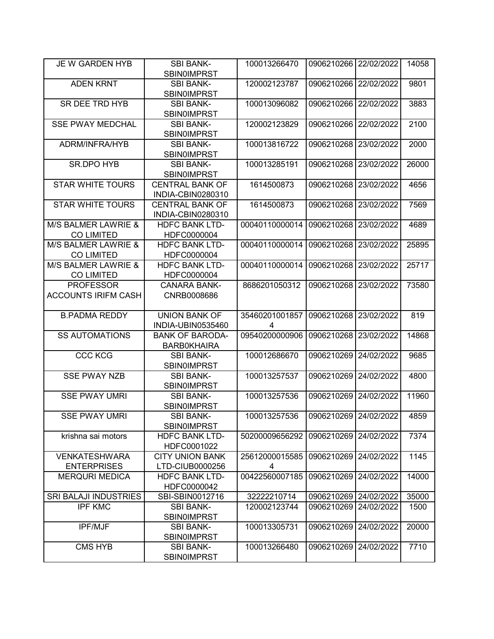| JE W GARDEN HYB                          | <b>SBI BANK-</b><br><b>SBINOIMPRST</b>       | 100013266470        | 0906210266 22/02/2022 |            | 14058 |
|------------------------------------------|----------------------------------------------|---------------------|-----------------------|------------|-------|
| <b>ADEN KRNT</b>                         | <b>SBI BANK-</b>                             | 120002123787        | 0906210266            | 22/02/2022 | 9801  |
|                                          | <b>SBIN0IMPRST</b>                           |                     |                       |            |       |
| <b>SR DEE TRD HYB</b>                    | <b>SBI BANK-</b><br><b>SBIN0IMPRST</b>       | 100013096082        | 0906210266            | 22/02/2022 | 3883  |
| <b>SSE PWAY MEDCHAL</b>                  | <b>SBI BANK-</b>                             | 120002123829        | 0906210266            | 22/02/2022 | 2100  |
|                                          | <b>SBINOIMPRST</b>                           |                     |                       |            |       |
| ADRM/INFRA/HYB                           | <b>SBI BANK-</b><br><b>SBIN0IMPRST</b>       | 100013816722        | 0906210268            | 23/02/2022 | 2000  |
| <b>SR.DPO HYB</b>                        | <b>SBI BANK-</b><br>SBIN0IMPRST              | 100013285191        | 0906210268            | 23/02/2022 | 26000 |
| <b>STAR WHITE TOURS</b>                  | <b>CENTRAL BANK OF</b><br>INDIA-CBIN0280310  | 1614500873          | 0906210268            | 23/02/2022 | 4656  |
| <b>STAR WHITE TOURS</b>                  | <b>CENTRAL BANK OF</b><br>INDIA-CBIN0280310  | 1614500873          | 0906210268            | 23/02/2022 | 7569  |
| M/S BALMER LAWRIE &<br><b>CO LIMITED</b> | <b>HDFC BANK LTD-</b><br>HDFC0000004         | 00040110000014      | 0906210268            | 23/02/2022 | 4689  |
| M/S BALMER LAWRIE &<br><b>CO LIMITED</b> | <b>HDFC BANK LTD-</b><br>HDFC0000004         | 00040110000014      | 0906210268            | 23/02/2022 | 25895 |
| M/S BALMER LAWRIE &                      | <b>HDFC BANK LTD-</b>                        | 00040110000014      | 0906210268            | 23/02/2022 | 25717 |
| <b>CO LIMITED</b>                        | HDFC0000004                                  |                     |                       |            |       |
| <b>PROFESSOR</b>                         | <b>CANARA BANK-</b>                          | 8686201050312       | 0906210268            | 23/02/2022 | 73580 |
| <b>ACCOUNTS IRIFM CASH</b>               | CNRB0008686                                  |                     |                       |            |       |
|                                          |                                              |                     |                       |            |       |
| <b>B.PADMA REDDY</b>                     | <b>UNION BANK OF</b><br>INDIA-UBIN0535460    | 35460201001857<br>4 | 0906210268            | 23/02/2022 | 819   |
| <b>SS AUTOMATIONS</b>                    | <b>BANK OF BARODA-</b><br><b>BARBOKHAIRA</b> | 09540200000906      | 0906210268            | 23/02/2022 | 14868 |
| <b>CCC KCG</b>                           | <b>SBI BANK-</b><br><b>SBIN0IMPRST</b>       | 100012686670        | 0906210269            | 24/02/2022 | 9685  |
| <b>SSE PWAY NZB</b>                      | <b>SBI BANK-</b><br><b>SBINOIMPRST</b>       | 100013257537        | 0906210269            | 24/02/2022 | 4800  |
| <b>SSE PWAY UMRI</b>                     | <b>SBI BANK-</b><br><b>SBIN0IMPRST</b>       | 100013257536        | 0906210269            | 24/02/2022 | 11960 |
| <b>SSE PWAY UMRI</b>                     | <b>SBI BANK-</b><br><b>SBINOIMPRST</b>       | 100013257536        | 0906210269 24/02/2022 |            | 4859  |
| krishna sai motors                       | <b>HDFC BANK LTD-</b><br>HDFC0001022         | 50200009656292      | 0906210269            | 24/02/2022 | 7374  |
| <b>VENKATESHWARA</b>                     | <b>CITY UNION BANK</b>                       | 25612000015585      | 0906210269            | 24/02/2022 | 1145  |
| <b>ENTERPRISES</b>                       | LTD-CIUB0000256                              | 4                   |                       |            |       |
| <b>MERQURI MEDICA</b>                    | <b>HDFC BANK LTD-</b>                        | 00422560007185      | 0906210269            | 24/02/2022 | 14000 |
| SRI BALAJI INDUSTRIES                    | HDFC0000042<br>SBI-SBIN0012716               | 32222210714         | 0906210269 24/02/2022 |            | 35000 |
| <b>IPF KMC</b>                           | <b>SBI BANK-</b>                             | 120002123744        | 0906210269            | 24/02/2022 | 1500  |
|                                          | <b>SBIN0IMPRST</b>                           |                     |                       |            |       |
| <b>IPF/MJF</b>                           | <b>SBI BANK-</b><br><b>SBIN0IMPRST</b>       | 100013305731        | 0906210269            | 24/02/2022 | 20000 |
| <b>CMS HYB</b>                           | <b>SBI BANK-</b><br><b>SBINOIMPRST</b>       | 100013266480        | 0906210269            | 24/02/2022 | 7710  |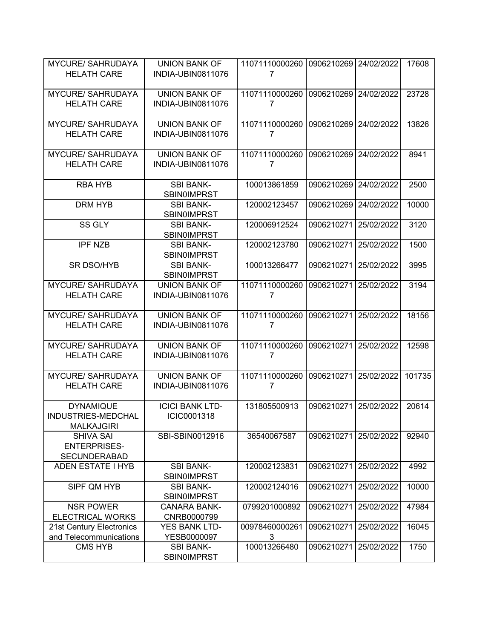| <b>MYCURE/ SAHRUDAYA</b> | <b>UNION BANK OF</b>                   | 11071110000260 | 0906210269 24/02/2022 |            | 17608  |
|--------------------------|----------------------------------------|----------------|-----------------------|------------|--------|
| <b>HELATH CARE</b>       | INDIA-UBIN0811076                      | 7              |                       |            |        |
|                          |                                        |                |                       |            |        |
| <b>MYCURE/ SAHRUDAYA</b> | <b>UNION BANK OF</b>                   | 11071110000260 | 0906210269            | 24/02/2022 | 23728  |
| <b>HELATH CARE</b>       | INDIA-UBIN0811076                      | 7              |                       |            |        |
|                          |                                        |                |                       |            |        |
| <b>MYCURE/ SAHRUDAYA</b> | <b>UNION BANK OF</b>                   | 11071110000260 | 0906210269            | 24/02/2022 | 13826  |
| <b>HELATH CARE</b>       | INDIA-UBIN0811076                      | 7              |                       |            |        |
|                          |                                        |                |                       |            |        |
| <b>MYCURE/ SAHRUDAYA</b> | <b>UNION BANK OF</b>                   | 11071110000260 | 0906210269            | 24/02/2022 | 8941   |
| <b>HELATH CARE</b>       | INDIA-UBIN0811076                      | 7              |                       |            |        |
|                          |                                        |                |                       |            |        |
| <b>RBA HYB</b>           | <b>SBI BANK-</b>                       | 100013861859   | 0906210269            | 24/02/2022 | 2500   |
|                          | <b>SBIN0IMPRST</b>                     |                |                       |            |        |
| <b>DRM HYB</b>           | <b>SBI BANK-</b>                       | 120002123457   | 0906210269            | 24/02/2022 | 10000  |
|                          | <b>SBIN0IMPRST</b>                     |                |                       |            |        |
| SS GLY                   | <b>SBI BANK-</b>                       | 120006912524   | 0906210271            | 25/02/2022 | 3120   |
|                          | <b>SBIN0IMPRST</b>                     |                |                       |            |        |
| <b>IPF NZB</b>           | <b>SBI BANK-</b>                       | 120002123780   | 0906210271            | 25/02/2022 | 1500   |
|                          | <b>SBINOIMPRST</b>                     |                |                       |            |        |
| <b>SR DSO/HYB</b>        | <b>SBI BANK-</b>                       | 100013266477   | 0906210271            | 25/02/2022 | 3995   |
|                          | <b>SBINOIMPRST</b>                     |                |                       |            |        |
| <b>MYCURE/ SAHRUDAYA</b> | <b>UNION BANK OF</b>                   | 11071110000260 | 0906210271            | 25/02/2022 | 3194   |
| <b>HELATH CARE</b>       | INDIA-UBIN0811076                      | 7              |                       |            |        |
|                          |                                        |                |                       |            |        |
| <b>MYCURE/ SAHRUDAYA</b> | <b>UNION BANK OF</b>                   | 11071110000260 | 0906210271            | 25/02/2022 | 18156  |
| <b>HELATH CARE</b>       | INDIA-UBIN0811076                      | 7              |                       |            |        |
|                          |                                        |                |                       |            |        |
| <b>MYCURE/ SAHRUDAYA</b> | <b>UNION BANK OF</b>                   | 11071110000260 | 0906210271            | 25/02/2022 | 12598  |
| <b>HELATH CARE</b>       | INDIA-UBIN0811076                      | $\overline{7}$ |                       |            |        |
|                          |                                        |                |                       |            |        |
| <b>MYCURE/ SAHRUDAYA</b> | <b>UNION BANK OF</b>                   | 11071110000260 | 0906210271            | 25/02/2022 | 101735 |
| <b>HELATH CARE</b>       | INDIA-UBIN0811076                      | 7              |                       |            |        |
|                          |                                        |                |                       |            |        |
| <b>DYNAMIQUE</b>         | <b>ICICI BANK LTD-</b>                 | 131805500913   | 0906210271            | 25/02/2022 | 20614  |
| INDUSTRIES-MEDCHAL       |                                        |                |                       |            |        |
|                          | ICIC0001318                            |                |                       |            |        |
| <b>MALKAJGIRI</b>        |                                        |                |                       |            |        |
| <b>SHIVA SAI</b>         | SBI-SBIN0012916                        | 36540067587    | 0906210271            | 25/02/2022 | 92940  |
| <b>ENTERPRISES-</b>      |                                        |                |                       |            |        |
| <b>SECUNDERABAD</b>      |                                        |                |                       |            |        |
| <b>ADEN ESTATE I HYB</b> | <b>SBI BANK-</b>                       | 120002123831   | 0906210271            | 25/02/2022 | 4992   |
|                          | <b>SBIN0IMPRST</b>                     |                |                       |            |        |
| SIPF QM HYB              | <b>SBI BANK-</b>                       | 120002124016   | 0906210271            | 25/02/2022 | 10000  |
|                          | <b>SBINOIMPRST</b>                     |                |                       |            |        |
| <b>NSR POWER</b>         | <b>CANARA BANK-</b>                    | 0799201000892  | 0906210271            | 25/02/2022 | 47984  |
| <b>ELECTRICAL WORKS</b>  | CNRB0000799                            |                |                       |            |        |
| 21st Century Electronics | YES BANK LTD-                          | 00978460000261 | 0906210271            | 25/02/2022 | 16045  |
| and Telecommunications   | YESB0000097                            | 3              |                       |            |        |
| <b>CMS HYB</b>           | <b>SBI BANK-</b><br><b>SBINOIMPRST</b> | 100013266480   | 0906210271            | 25/02/2022 | 1750   |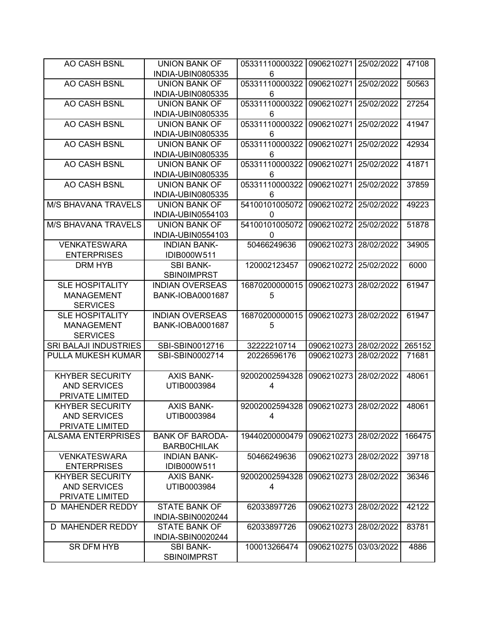| AO CASH BSNL                 | <b>UNION BANK OF</b>    | 05331110000322 | 0906210271 | 25/02/2022 | 47108  |
|------------------------------|-------------------------|----------------|------------|------------|--------|
|                              | INDIA-UBIN0805335       | 6              |            |            |        |
| AO CASH BSNL                 | <b>UNION BANK OF</b>    | 05331110000322 | 0906210271 | 25/02/2022 | 50563  |
|                              | INDIA-UBIN0805335       | 6              |            |            |        |
| AO CASH BSNL                 | <b>UNION BANK OF</b>    | 05331110000322 | 0906210271 | 25/02/2022 | 27254  |
|                              | INDIA-UBIN0805335       | 6              |            |            |        |
| AO CASH BSNL                 | <b>UNION BANK OF</b>    | 05331110000322 | 0906210271 | 25/02/2022 | 41947  |
|                              | INDIA-UBIN0805335       | 6              |            |            |        |
| AO CASH BSNL                 | <b>UNION BANK OF</b>    | 05331110000322 | 0906210271 | 25/02/2022 | 42934  |
|                              | INDIA-UBIN0805335       | 6              |            |            |        |
| AO CASH BSNL                 | <b>UNION BANK OF</b>    | 05331110000322 | 0906210271 | 25/02/2022 | 41871  |
|                              | INDIA-UBIN0805335       | 6              |            |            |        |
| AO CASH BSNL                 | <b>UNION BANK OF</b>    | 05331110000322 | 0906210271 | 25/02/2022 | 37859  |
|                              | INDIA-UBIN0805335       | 6              |            |            |        |
| <b>M/S BHAVANA TRAVELS</b>   | <b>UNION BANK OF</b>    | 54100101005072 | 0906210272 | 25/02/2022 | 49223  |
|                              | INDIA-UBIN0554103       | 0              |            |            |        |
| <b>M/S BHAVANA TRAVELS</b>   | <b>UNION BANK OF</b>    | 54100101005072 | 0906210272 | 25/02/2022 | 51878  |
|                              | INDIA-UBIN0554103       | $\Omega$       |            |            |        |
| <b>VENKATESWARA</b>          | <b>INDIAN BANK-</b>     | 50466249636    | 0906210273 | 28/02/2022 | 34905  |
| <b>ENTERPRISES</b>           | IDIB000W511             |                |            |            |        |
| <b>DRM HYB</b>               | <b>SBI BANK-</b>        | 120002123457   | 0906210272 | 25/02/2022 | 6000   |
|                              | <b>SBIN0IMPRST</b>      |                |            |            |        |
| <b>SLE HOSPITALITY</b>       | <b>INDIAN OVERSEAS</b>  | 16870200000015 | 0906210273 | 28/02/2022 | 61947  |
| <b>MANAGEMENT</b>            | <b>BANK-IOBA0001687</b> | 5              |            |            |        |
| <b>SERVICES</b>              |                         |                |            |            |        |
| <b>SLE HOSPITALITY</b>       | <b>INDIAN OVERSEAS</b>  | 16870200000015 | 0906210273 | 28/02/2022 | 61947  |
| <b>MANAGEMENT</b>            | <b>BANK-IOBA0001687</b> | 5              |            |            |        |
| <b>SERVICES</b>              |                         |                |            |            |        |
| <b>SRI BALAJI INDUSTRIES</b> | SBI-SBIN0012716         | 32222210714    | 0906210273 | 28/02/2022 | 265152 |
| PULLA MUKESH KUMAR           | SBI-SBIN0002714         | 20226596176    | 0906210273 | 28/02/2022 | 71681  |
|                              |                         |                |            |            |        |
| <b>KHYBER SECURITY</b>       | <b>AXIS BANK-</b>       | 92002002594328 | 0906210273 | 28/02/2022 | 48061  |
| <b>AND SERVICES</b>          | UTIB0003984             | 4              |            |            |        |
| PRIVATE LIMITED              |                         |                |            |            |        |
| <b>KHYBER SECURITY</b>       | <b>AXIS BANK-</b>       | 92002002594328 | 0906210273 | 28/02/2022 | 48061  |
| AND SERVICES                 | UTIB0003984             | 4              |            |            |        |
| PRIVATE LIMITED              |                         |                |            |            |        |
| <b>ALSAMA ENTERPRISES</b>    | <b>BANK OF BARODA-</b>  | 19440200000479 | 0906210273 | 28/02/2022 | 166475 |
|                              | <b>BARBOCHILAK</b>      |                |            |            |        |
| <b>VENKATESWARA</b>          | <b>INDIAN BANK-</b>     | 50466249636    | 0906210273 | 28/02/2022 | 39718  |
| <b>ENTERPRISES</b>           | IDIB000W511             |                |            |            |        |
| <b>KHYBER SECURITY</b>       | <b>AXIS BANK-</b>       | 92002002594328 | 0906210273 | 28/02/2022 | 36346  |
| AND SERVICES                 | UTIB0003984             | 4              |            |            |        |
| PRIVATE LIMITED              |                         |                |            |            |        |
| D MAHENDER REDDY             | <b>STATE BANK OF</b>    | 62033897726    | 0906210273 | 28/02/2022 | 42122  |
|                              | INDIA-SBIN0020244       |                |            |            |        |
| D MAHENDER REDDY             | <b>STATE BANK OF</b>    | 62033897726    | 0906210273 | 28/02/2022 | 83781  |
|                              | INDIA-SBIN0020244       |                |            |            |        |
| SR DFM HYB                   | <b>SBI BANK-</b>        | 100013266474   | 0906210275 | 03/03/2022 | 4886   |
|                              | <b>SBIN0IMPRST</b>      |                |            |            |        |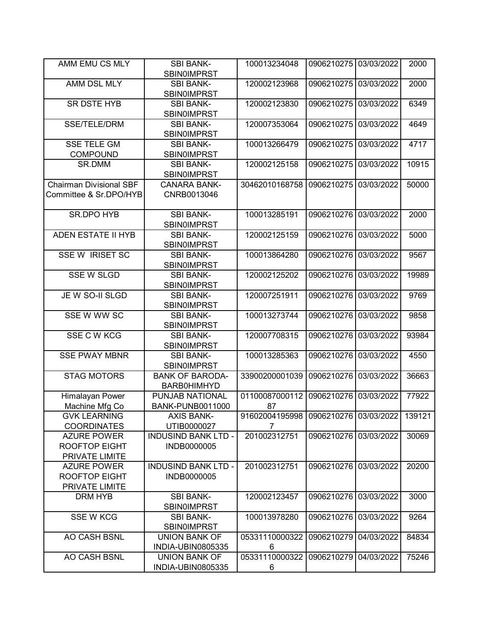| AMM EMU CS MLY                                               | <b>SBI BANK-</b><br><b>SBIN0IMPRST</b>       | 100013234048                                           | 0906210275 03/03/2022 |            | 2000   |
|--------------------------------------------------------------|----------------------------------------------|--------------------------------------------------------|-----------------------|------------|--------|
| AMM DSL MLY                                                  | <b>SBI BANK-</b><br><b>SBIN0IMPRST</b>       | 120002123968                                           | 0906210275            | 03/03/2022 | 2000   |
| SR DSTE HYB                                                  | <b>SBI BANK-</b><br><b>SBIN0IMPRST</b>       | 120002123830                                           | 0906210275            | 03/03/2022 | 6349   |
| SSE/TELE/DRM                                                 | <b>SBI BANK-</b><br><b>SBIN0IMPRST</b>       | 120007353064                                           | 0906210275            | 03/03/2022 | 4649   |
| <b>SSE TELE GM</b><br><b>COMPOUND</b>                        | <b>SBI BANK-</b><br><b>SBIN0IMPRST</b>       | 100013266479                                           | 0906210275            | 03/03/2022 | 4717   |
| SR.DMM                                                       | <b>SBI BANK-</b><br><b>SBIN0IMPRST</b>       | 120002125158                                           | 0906210275            | 03/03/2022 | 10915  |
| <b>Chairman Divisional SBF</b><br>Committee & Sr.DPO/HYB     | <b>CANARA BANK-</b><br>CNRB0013046           | 30462010168758                                         | 0906210275            | 03/03/2022 | 50000  |
| SR.DPO HYB                                                   | <b>SBI BANK-</b><br>SBIN0IMPRST              | 100013285191                                           | 0906210276            | 03/03/2022 | 2000   |
| ADEN ESTATE II HYB                                           | <b>SBI BANK-</b><br><b>SBIN0IMPRST</b>       | 120002125159                                           | 0906210276            | 03/03/2022 | 5000   |
| <b>SSE W IRISET SC</b>                                       | <b>SBI BANK-</b><br><b>SBIN0IMPRST</b>       | 100013864280                                           | 0906210276            | 03/03/2022 | 9567   |
| <b>SSE W SLGD</b>                                            | <b>SBI BANK-</b><br><b>SBINOIMPRST</b>       | 120002125202                                           | 0906210276            | 03/03/2022 | 19989  |
| JE W SO-II SLGD                                              | <b>SBI BANK-</b><br><b>SBIN0IMPRST</b>       | 120007251911                                           | 0906210276            | 03/03/2022 | 9769   |
| SSE W WW SC                                                  | <b>SBI BANK-</b><br><b>SBIN0IMPRST</b>       | 100013273744                                           | 0906210276            | 03/03/2022 | 9858   |
| SSE C W KCG                                                  | <b>SBI BANK-</b><br>SBIN0IMPRST              | 120007708315                                           | 0906210276            | 03/03/2022 | 93984  |
| <b>SSE PWAY MBNR</b>                                         | <b>SBI BANK-</b><br><b>SBIN0IMPRST</b>       | 100013285363                                           | 0906210276            | 03/03/2022 | 4550   |
| <b>STAG MOTORS</b>                                           | <b>BANK OF BARODA-</b><br><b>BARB0HIMHYD</b> | 33900200001039                                         | 0906210276            | 03/03/2022 | 36663  |
| <b>Himalayan Power</b>                                       | PUNJAB NATIONAL                              | 01100087000112                                         | 0906210276            | 03/03/2022 | 77922  |
| Machine Mfg Co                                               | <b>BANK-PUNB0011000</b>                      | 87                                                     |                       |            |        |
| <b>GVK LEARNING</b><br><b>COORDINATES</b>                    | <b>AXIS BANK-</b><br>UTIB0000027             | 91602004195998 0906210276 03/03/2022<br>$\overline{7}$ |                       |            | 139121 |
| <b>AZURE POWER</b><br><b>ROOFTOP EIGHT</b><br>PRIVATE LIMITE | <b>INDUSIND BANK LTD -</b><br>INDB0000005    | 201002312751                                           | 0906210276 03/03/2022 |            | 30069  |
| <b>AZURE POWER</b><br><b>ROOFTOP EIGHT</b><br>PRIVATE LIMITE | <b>INDUSIND BANK LTD -</b><br>INDB0000005    | 201002312751                                           | 0906210276 03/03/2022 |            | 20200  |
| DRM HYB                                                      | <b>SBI BANK-</b><br><b>SBIN0IMPRST</b>       | 120002123457                                           | 0906210276            | 03/03/2022 | 3000   |
| <b>SSE W KCG</b>                                             | <b>SBI BANK-</b><br><b>SBIN0IMPRST</b>       | 100013978280                                           | 0906210276            | 03/03/2022 | 9264   |
| AO CASH BSNL                                                 | <b>UNION BANK OF</b><br>INDIA-UBIN0805335    | 05331110000322<br>6                                    | 0906210279            | 04/03/2022 | 84834  |
| AO CASH BSNL                                                 | <b>UNION BANK OF</b><br>INDIA-UBIN0805335    | 05331110000322<br>6                                    | 0906210279            | 04/03/2022 | 75246  |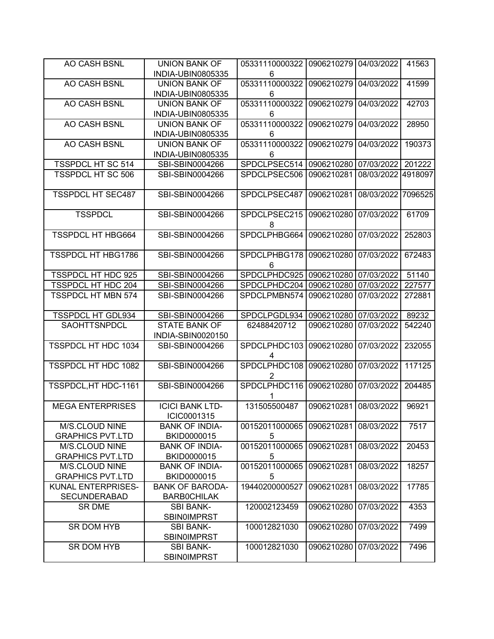| AO CASH BSNL              | <b>UNION BANK OF</b>   | 05331110000322 | 0906210279 04/03/2022 |            | 41563   |
|---------------------------|------------------------|----------------|-----------------------|------------|---------|
|                           | INDIA-UBIN0805335      | 6              |                       |            |         |
| AO CASH BSNL              | <b>UNION BANK OF</b>   | 05331110000322 | 0906210279            | 04/03/2022 | 41599   |
|                           | INDIA-UBIN0805335      | 6              |                       |            |         |
| <b>AO CASH BSNL</b>       | <b>UNION BANK OF</b>   | 05331110000322 | 0906210279            | 04/03/2022 | 42703   |
|                           | INDIA-UBIN0805335      | 6              |                       |            |         |
| AO CASH BSNL              | <b>UNION BANK OF</b>   | 05331110000322 | 0906210279            | 04/03/2022 | 28950   |
|                           | INDIA-UBIN0805335      | 6              |                       |            |         |
| AO CASH BSNL              | <b>UNION BANK OF</b>   | 05331110000322 | 0906210279            | 04/03/2022 | 190373  |
|                           | INDIA-UBIN0805335      | 6              |                       |            |         |
| <b>TSSPDCL HT SC 514</b>  | SBI-SBIN0004266        | SPDCLPSEC514   | 0906210280            | 07/03/2022 | 201222  |
| TSSPDCL HT SC 506         | SBI-SBIN0004266        | SPDCLPSEC506   | 0906210281            | 08/03/2022 | 4918097 |
|                           |                        |                |                       |            |         |
| <b>TSSPDCL HT SEC487</b>  | SBI-SBIN0004266        | SPDCLPSEC487   | 0906210281            | 08/03/2022 | 7096525 |
|                           |                        |                |                       |            |         |
| <b>TSSPDCL</b>            | SBI-SBIN0004266        | SPDCLPSEC215   | 0906210280            | 07/03/2022 | 61709   |
|                           |                        | 8              |                       |            |         |
| <b>TSSPDCL HT HBG664</b>  | SBI-SBIN0004266        | SPDCLPHBG664   | 0906210280            | 07/03/2022 | 252803  |
|                           |                        |                |                       |            |         |
| <b>TSSPDCL HT HBG1786</b> | SBI-SBIN0004266        | SPDCLPHBG178   | 0906210280            | 07/03/2022 | 672483  |
|                           |                        | 6              |                       |            |         |
| TSSPDCL HT HDC 925        | SBI-SBIN0004266        | SPDCLPHDC925   | 0906210280            | 07/03/2022 | 51140   |
| <b>TSSPDCL HT HDC 204</b> | SBI-SBIN0004266        | SPDCLPHDC204   | 0906210280            | 07/03/2022 | 227577  |
| <b>TSSPDCL HT MBN 574</b> | SBI-SBIN0004266        | SPDCLPMBN574   | 0906210280            | 07/03/2022 | 272881  |
|                           |                        |                |                       |            |         |
| <b>TSSPDCL HT GDL934</b>  | SBI-SBIN0004266        | SPDCLPGDL934   | 0906210280            | 07/03/2022 | 89232   |
| SAOHTTSNPDCL              | <b>STATE BANK OF</b>   | 62488420712    | 0906210280            | 07/03/2022 | 542240  |
|                           | INDIA-SBIN0020150      |                |                       |            |         |
| TSSPDCL HT HDC 1034       | SBI-SBIN0004266        | SPDCLPHDC103   | 0906210280            | 07/03/2022 | 232055  |
|                           |                        | 4              |                       |            |         |
| TSSPDCL HT HDC 1082       | SBI-SBIN0004266        | SPDCLPHDC108   | 0906210280            | 07/03/2022 | 117125  |
|                           |                        | 2              |                       |            |         |
| TSSPDCL, HT HDC-1161      | SBI-SBIN0004266        | SPDCLPHDC116   | 0906210280            | 07/03/2022 | 204485  |
|                           |                        |                |                       |            |         |
| <b>MEGA ENTERPRISES</b>   | <b>ICICI BANK LTD-</b> | 131505500487   | 0906210281            | 08/03/2022 | 96921   |
|                           | ICIC0001315            |                |                       |            |         |
| M/S.CLOUD NINE            | <b>BANK OF INDIA-</b>  | 00152011000065 | 0906210281            | 08/03/2022 | 7517    |
| <b>GRAPHICS PVT.LTD</b>   | BKID0000015            | 5              |                       |            |         |
| M/S.CLOUD NINE            | <b>BANK OF INDIA-</b>  | 00152011000065 | 0906210281            | 08/03/2022 | 20453   |
| <b>GRAPHICS PVT.LTD</b>   | BKID0000015            | 5              |                       |            |         |
| M/S.CLOUD NINE            | <b>BANK OF INDIA-</b>  | 00152011000065 | 0906210281            | 08/03/2022 | 18257   |
| <b>GRAPHICS PVT.LTD</b>   | BKID0000015            | 5              |                       |            |         |
| KUNAL ENTERPRISES-        | <b>BANK OF BARODA-</b> | 19440200000527 | 0906210281            | 08/03/2022 | 17785   |
| <b>SECUNDERABAD</b>       | <b>BARBOCHILAK</b>     |                |                       |            |         |
| SR DME                    | <b>SBI BANK-</b>       | 120002123459   | 0906210280            | 07/03/2022 | 4353    |
|                           | <b>SBINOIMPRST</b>     |                |                       |            |         |
| SR DOM HYB                | <b>SBI BANK-</b>       | 100012821030   | 0906210280            | 07/03/2022 | 7499    |
|                           | <b>SBINOIMPRST</b>     |                |                       |            |         |
| SR DOM HYB                | <b>SBI BANK-</b>       | 100012821030   | 0906210280            | 07/03/2022 | 7496    |
|                           | <b>SBINOIMPRST</b>     |                |                       |            |         |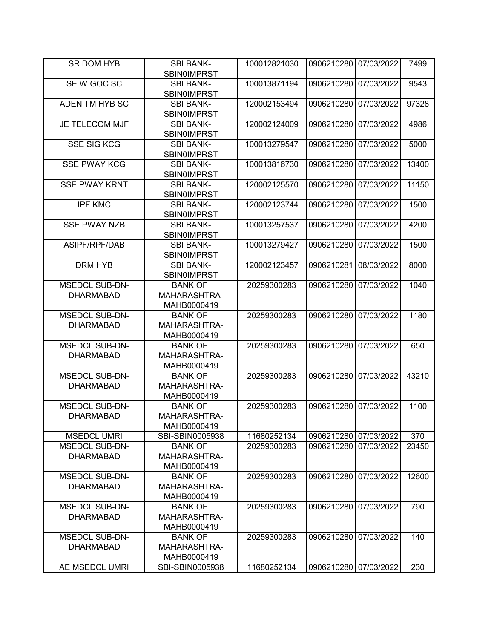| <b>SR DOM HYB</b>     | <b>SBI BANK-</b><br><b>SBIN0IMPRST</b> | 100012821030 | 0906210280            | 07/03/2022 | 7499  |
|-----------------------|----------------------------------------|--------------|-----------------------|------------|-------|
|                       |                                        |              |                       |            |       |
| SE W GOC SC           | <b>SBI BANK-</b><br><b>SBIN0IMPRST</b> | 100013871194 | 0906210280            | 07/03/2022 | 9543  |
| ADEN TM HYB SC        | <b>SBI BANK-</b><br><b>SBIN0IMPRST</b> | 120002153494 | 0906210280            | 07/03/2022 | 97328 |
|                       |                                        |              |                       |            |       |
| <b>JE TELECOM MJF</b> | <b>SBI BANK-</b><br><b>SBINOIMPRST</b> | 120002124009 | 0906210280            | 07/03/2022 | 4986  |
| <b>SSE SIG KCG</b>    | <b>SBI BANK-</b>                       | 100013279547 | 0906210280            | 07/03/2022 | 5000  |
|                       | <b>SBIN0IMPRST</b>                     |              |                       |            |       |
| <b>SSE PWAY KCG</b>   | <b>SBI BANK-</b><br><b>SBIN0IMPRST</b> | 100013816730 | 0906210280            | 07/03/2022 | 13400 |
| <b>SSE PWAY KRNT</b>  | <b>SBI BANK-</b>                       | 120002125570 | 0906210280            | 07/03/2022 | 11150 |
|                       | <b>SBIN0IMPRST</b>                     |              |                       |            |       |
|                       |                                        |              |                       |            |       |
| <b>IPF KMC</b>        | <b>SBI BANK-</b><br><b>SBIN0IMPRST</b> | 120002123744 | 0906210280            | 07/03/2022 | 1500  |
| <b>SSE PWAY NZB</b>   | <b>SBI BANK-</b>                       | 100013257537 | 0906210280            | 07/03/2022 | 4200  |
|                       | <b>SBIN0IMPRST</b>                     |              |                       |            |       |
| ASIPF/RPF/DAB         | <b>SBI BANK-</b>                       | 100013279427 | 0906210280            | 07/03/2022 | 1500  |
|                       | <b>SBIN0IMPRST</b>                     |              |                       |            |       |
| DRM HYB               | <b>SBI BANK-</b>                       | 120002123457 | 0906210281            | 08/03/2022 | 8000  |
|                       | <b>SBIN0IMPRST</b>                     |              |                       |            |       |
| <b>MSEDCL SUB-DN-</b> | <b>BANK OF</b>                         | 20259300283  | 0906210280            | 07/03/2022 | 1040  |
| <b>DHARMABAD</b>      | MAHARASHTRA-                           |              |                       |            |       |
|                       | MAHB0000419                            |              |                       |            |       |
| <b>MSEDCL SUB-DN-</b> | <b>BANK OF</b>                         | 20259300283  | 0906210280            | 07/03/2022 | 1180  |
| <b>DHARMABAD</b>      | MAHARASHTRA-                           |              |                       |            |       |
|                       | MAHB0000419                            |              |                       |            |       |
| <b>MSEDCL SUB-DN-</b> | <b>BANK OF</b>                         | 20259300283  | 0906210280            | 07/03/2022 | 650   |
| <b>DHARMABAD</b>      | MAHARASHTRA-                           |              |                       |            |       |
|                       |                                        |              |                       |            |       |
|                       | MAHB0000419                            |              |                       |            |       |
| <b>MSEDCL SUB-DN-</b> | <b>BANK OF</b>                         | 20259300283  | 0906210280            | 07/03/2022 | 43210 |
| <b>DHARMABAD</b>      | MAHARASHTRA-                           |              |                       |            |       |
|                       | MAHB0000419                            |              |                       |            |       |
| <b>MSEDCL SUB-DN-</b> | <b>BANK OF</b>                         | 20259300283  | 0906210280            | 07/03/2022 | 1100  |
| <b>DHARMABAD</b>      | MAHARASHTRA-                           |              |                       |            |       |
|                       | MAHB0000419                            |              |                       |            |       |
| <b>MSEDCL UMRI</b>    | SBI-SBIN0005938                        | 11680252134  | 0906210280 07/03/2022 |            | 370   |
| <b>MSEDCL SUB-DN-</b> | <b>BANK OF</b>                         | 20259300283  | 0906210280            | 07/03/2022 | 23450 |
| <b>DHARMABAD</b>      | MAHARASHTRA-                           |              |                       |            |       |
|                       | MAHB0000419                            |              |                       |            |       |
| <b>MSEDCL SUB-DN-</b> | <b>BANK OF</b>                         | 20259300283  | 0906210280            | 07/03/2022 | 12600 |
| <b>DHARMABAD</b>      | MAHARASHTRA-                           |              |                       |            |       |
|                       | MAHB0000419                            |              |                       |            |       |
| <b>MSEDCL SUB-DN-</b> | <b>BANK OF</b>                         | 20259300283  | 0906210280            | 07/03/2022 | 790   |
| <b>DHARMABAD</b>      | MAHARASHTRA-                           |              |                       |            |       |
|                       | MAHB0000419                            |              |                       |            |       |
| <b>MSEDCL SUB-DN-</b> | <b>BANK OF</b>                         | 20259300283  | 0906210280            | 07/03/2022 | 140   |
| <b>DHARMABAD</b>      | MAHARASHTRA-                           |              |                       |            |       |
|                       | MAHB0000419                            |              |                       |            |       |
| AE MSEDCL UMRI        | SBI-SBIN0005938                        | 11680252134  | 0906210280 07/03/2022 |            | 230   |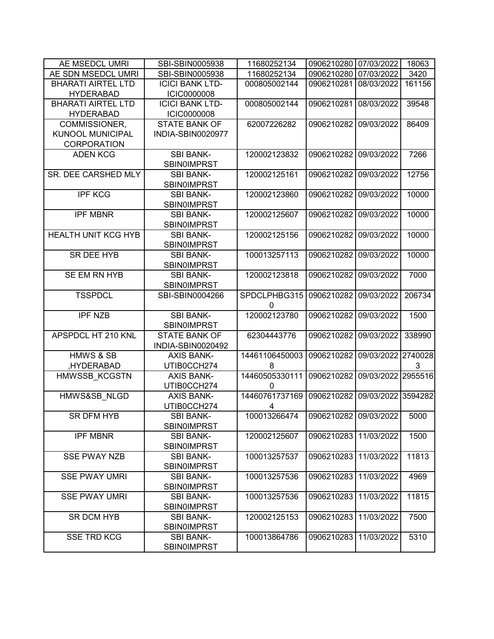| AE MSEDCL UMRI             | SBI-SBIN0005938                  | 11680252134         | 0906210280            | 07/03/2022         | 18063        |
|----------------------------|----------------------------------|---------------------|-----------------------|--------------------|--------------|
| AE SDN MSEDCL UMRI         | SBI-SBIN0005938                  | 11680252134         | 0906210280            | 07/03/2022         | 3420         |
| <b>BHARATI AIRTEL LTD</b>  | <b>ICICI BANK LTD-</b>           | 000805002144        | 0906210281            | 08/03/2022         | 161156       |
| <b>HYDERABAD</b>           | <b>ICIC0000008</b>               |                     |                       |                    |              |
| <b>BHARATI AIRTEL LTD</b>  | <b>ICICI BANK LTD-</b>           | 000805002144        | 0906210281            | 08/03/2022         | 39548        |
| <b>HYDERABAD</b>           | <b>ICIC0000008</b>               |                     |                       |                    |              |
| COMMISSIONER,              | <b>STATE BANK OF</b>             | 62007226282         | 0906210282            | 09/03/2022         | 86409        |
| <b>KUNOOL MUNICIPAL</b>    | INDIA-SBIN0020977                |                     |                       |                    |              |
| <b>CORPORATION</b>         |                                  |                     |                       |                    |              |
| <b>ADEN KCG</b>            | <b>SBI BANK-</b>                 | 120002123832        | 0906210282            | 09/03/2022         | 7266         |
|                            | <b>SBIN0IMPRST</b>               |                     |                       |                    |              |
| SR. DEE CARSHED MLY        | <b>SBI BANK-</b>                 | 120002125161        | 0906210282            | 09/03/2022         | 12756        |
|                            | <b>SBIN0IMPRST</b>               |                     |                       |                    |              |
| <b>IPF KCG</b>             | <b>SBI BANK-</b>                 | 120002123860        | 0906210282            | 09/03/2022         | 10000        |
|                            | <b>SBIN0IMPRST</b>               |                     |                       |                    |              |
| <b>IPF MBNR</b>            | <b>SBI BANK-</b>                 | 120002125607        | 0906210282            | 09/03/2022         | 10000        |
|                            | <b>SBIN0IMPRST</b>               |                     |                       |                    |              |
| <b>HEALTH UNIT KCG HYB</b> | <b>SBI BANK-</b>                 | 120002125156        | 0906210282            | 09/03/2022         | 10000        |
|                            | <b>SBINOIMPRST</b>               |                     |                       |                    |              |
| SR DEE HYB                 | <b>SBI BANK-</b>                 | 100013257113        | 0906210282            | 09/03/2022         | 10000        |
|                            | <b>SBIN0IMPRST</b>               |                     |                       |                    |              |
| SE EM RN HYB               | <b>SBI BANK-</b>                 | 120002123818        | 0906210282            | 09/03/2022         | 7000         |
|                            | <b>SBIN0IMPRST</b>               |                     |                       |                    |              |
| <b>TSSPDCL</b>             | SBI-SBIN0004266                  | SPDCLPHBG315        | 0906210282            | 09/03/2022         | 206734       |
|                            |                                  | 0                   |                       |                    |              |
| <b>IPF NZB</b>             | <b>SBI BANK-</b>                 | 120002123780        | 0906210282            | 09/03/2022         | 1500         |
|                            | <b>SBIN0IMPRST</b>               |                     |                       |                    |              |
| APSPDCL HT 210 KNL         | <b>STATE BANK OF</b>             | 62304443776         | 0906210282            | 09/03/2022         | 338990       |
| <b>HMWS &amp; SB</b>       | INDIA-SBIN0020492                | 14461106450003      | 0906210282            |                    | 2740028      |
|                            | <b>AXIS BANK-</b>                |                     |                       | 09/03/2022         |              |
| HYDERABAD,                 | UTIB0CCH274<br><b>AXIS BANK-</b> | 8<br>14460505330111 | 0906210282            | 09/03/2022         | 3<br>2955516 |
| HMWSSB KCGSTN              | UTIB0CCH274                      | $\mathbf{0}$        |                       |                    |              |
| HMWS&SB NLGD               | <b>AXIS BANK-</b>                | 14460761737169      | 0906210282            | 09/03/2022 3594282 |              |
|                            | UTIB0CCH274                      | 4                   |                       |                    |              |
| SR DFM HYB                 | SBI BANK-                        | 100013266474        | 0906210282 09/03/2022 |                    | 5000         |
|                            | <b>SBINOIMPRST</b>               |                     |                       |                    |              |
| <b>IPF MBNR</b>            | <b>SBI BANK-</b>                 | 120002125607        | 0906210283            | 11/03/2022         | 1500         |
|                            | <b>SBIN0IMPRST</b>               |                     |                       |                    |              |
| <b>SSE PWAY NZB</b>        | <b>SBI BANK-</b>                 | 100013257537        | 0906210283            | 11/03/2022         | 11813        |
|                            | <b>SBIN0IMPRST</b>               |                     |                       |                    |              |
| <b>SSE PWAY UMRI</b>       | <b>SBI BANK-</b>                 | 100013257536        | 0906210283            | 11/03/2022         | 4969         |
|                            | <b>SBIN0IMPRST</b>               |                     |                       |                    |              |
| <b>SSE PWAY UMRI</b>       | <b>SBI BANK-</b>                 | 100013257536        | 0906210283            | 11/03/2022         | 11815        |
|                            | <b>SBINOIMPRST</b>               |                     |                       |                    |              |
| <b>SR DCM HYB</b>          | <b>SBI BANK-</b>                 | 120002125153        | 0906210283            | 11/03/2022         | 7500         |
|                            | <b>SBIN0IMPRST</b>               |                     |                       |                    |              |
| <b>SSE TRD KCG</b>         | <b>SBI BANK-</b>                 | 100013864786        | 0906210283            | 11/03/2022         | 5310         |
|                            | <b>SBIN0IMPRST</b>               |                     |                       |                    |              |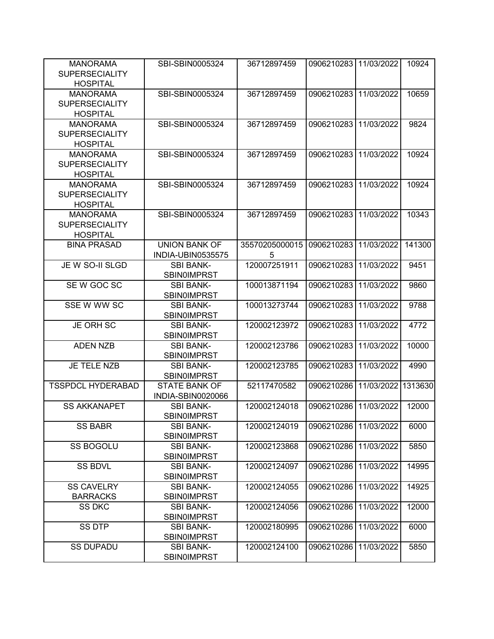| <b>MANORAMA</b><br><b>SUPERSECIALITY</b> | SBI-SBIN0005324      | 36712897459    | 0906210283 11/03/2022 |            | 10924   |
|------------------------------------------|----------------------|----------------|-----------------------|------------|---------|
| <b>HOSPITAL</b>                          |                      |                |                       |            |         |
| <b>MANORAMA</b>                          | SBI-SBIN0005324      | 36712897459    | 0906210283 11/03/2022 |            | 10659   |
| <b>SUPERSECIALITY</b>                    |                      |                |                       |            |         |
| <b>HOSPITAL</b>                          |                      |                |                       |            |         |
| <b>MANORAMA</b>                          | SBI-SBIN0005324      | 36712897459    | 0906210283            | 11/03/2022 | 9824    |
| <b>SUPERSECIALITY</b>                    |                      |                |                       |            |         |
| <b>HOSPITAL</b>                          |                      |                |                       |            |         |
| <b>MANORAMA</b>                          | SBI-SBIN0005324      | 36712897459    | 0906210283            | 11/03/2022 | 10924   |
| <b>SUPERSECIALITY</b>                    |                      |                |                       |            |         |
| <b>HOSPITAL</b>                          |                      |                |                       |            |         |
| <b>MANORAMA</b>                          | SBI-SBIN0005324      | 36712897459    | 0906210283            | 11/03/2022 | 10924   |
| <b>SUPERSECIALITY</b>                    |                      |                |                       |            |         |
| <b>HOSPITAL</b>                          |                      |                |                       |            |         |
| <b>MANORAMA</b>                          | SBI-SBIN0005324      | 36712897459    | 0906210283            | 11/03/2022 | 10343   |
| <b>SUPERSECIALITY</b>                    |                      |                |                       |            |         |
| <b>HOSPITAL</b>                          |                      |                |                       |            |         |
| <b>BINA PRASAD</b>                       | <b>UNION BANK OF</b> | 35570205000015 | 0906210283            | 11/03/2022 | 141300  |
|                                          | INDIA-UBIN0535575    | 5              |                       |            |         |
| JE W SO-II SLGD                          | <b>SBI BANK-</b>     | 120007251911   | 0906210283            | 11/03/2022 | 9451    |
|                                          | <b>SBIN0IMPRST</b>   |                |                       |            |         |
| SEW GOC SC                               | <b>SBI BANK-</b>     | 100013871194   | 0906210283            | 11/03/2022 | 9860    |
|                                          | <b>SBINOIMPRST</b>   |                |                       |            |         |
| SSE W WW SC                              | <b>SBI BANK-</b>     | 100013273744   | 0906210283            | 11/03/2022 | 9788    |
|                                          | <b>SBINOIMPRST</b>   |                |                       |            |         |
| <b>JE ORH SC</b>                         | <b>SBI BANK-</b>     | 120002123972   | 0906210283            | 11/03/2022 | 4772    |
|                                          | <b>SBINOIMPRST</b>   |                |                       |            |         |
| <b>ADEN NZB</b>                          | <b>SBI BANK-</b>     | 120002123786   | 0906210283            | 11/03/2022 | 10000   |
|                                          | <b>SBINOIMPRST</b>   |                |                       |            |         |
| JE TELE NZB                              | <b>SBI BANK-</b>     | 120002123785   | 0906210283            | 11/03/2022 | 4990    |
|                                          | <b>SBINOIMPRST</b>   |                |                       |            |         |
| <b>TSSPDCL HYDERABAD</b>                 | <b>STATE BANK OF</b> | 52117470582    | 0906210286            | 11/03/2022 | 1313630 |
|                                          | INDIA-SBIN0020066    |                |                       |            |         |
| <b>SS AKKANAPET</b>                      | <b>SBI BANK-</b>     | 120002124018   | 0906210286            | 11/03/2022 | 12000   |
|                                          | <b>SBIN0IMPRST</b>   |                |                       |            |         |
| <b>SS BABR</b>                           | <b>SBI BANK-</b>     | 120002124019   | 0906210286            | 11/03/2022 | 6000    |
|                                          | <b>SBIN0IMPRST</b>   |                |                       |            |         |
| <b>SS BOGOLU</b>                         | <b>SBI BANK-</b>     | 120002123868   | 0906210286            | 11/03/2022 | 5850    |
|                                          | <b>SBIN0IMPRST</b>   |                |                       |            |         |
| <b>SS BDVL</b>                           | <b>SBI BANK-</b>     | 120002124097   | 0906210286            | 11/03/2022 | 14995   |
|                                          | <b>SBIN0IMPRST</b>   |                |                       |            |         |
| <b>SS CAVELRY</b>                        | <b>SBI BANK-</b>     | 120002124055   | 0906210286            | 11/03/2022 | 14925   |
| <b>BARRACKS</b>                          | <b>SBIN0IMPRST</b>   |                |                       |            |         |
| <b>SS DKC</b>                            | <b>SBI BANK-</b>     | 120002124056   | 0906210286            | 11/03/2022 | 12000   |
|                                          | <b>SBIN0IMPRST</b>   |                |                       |            |         |
| SS DTP                                   | SBI BANK-            | 120002180995   | 0906210286            | 11/03/2022 | 6000    |
|                                          | <b>SBIN0IMPRST</b>   |                |                       |            |         |
| <b>SS DUPADU</b>                         | <b>SBI BANK-</b>     | 120002124100   | 0906210286            | 11/03/2022 | 5850    |
|                                          | <b>SBIN0IMPRST</b>   |                |                       |            |         |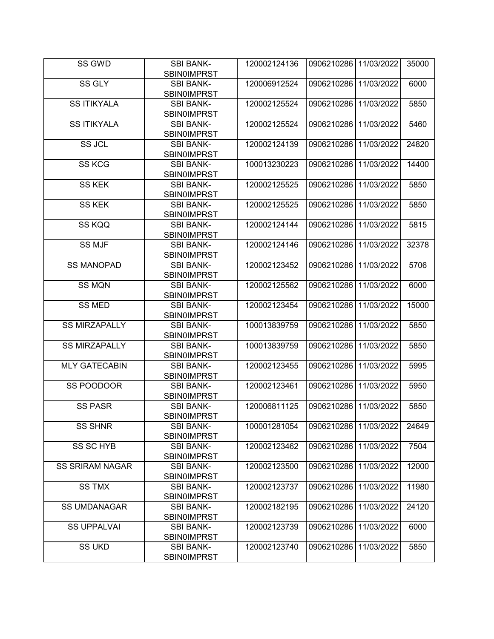| SS GWD                 | <b>SBI BANK-</b>                       | 120002124136 | 0906210286 11/03/2022 |            | 35000 |
|------------------------|----------------------------------------|--------------|-----------------------|------------|-------|
|                        | <b>SBIN0IMPRST</b>                     |              |                       |            |       |
| <b>SS GLY</b>          | <b>SBI BANK-</b>                       | 120006912524 | 0906210286 11/03/2022 |            | 6000  |
|                        | <b>SBIN0IMPRST</b>                     |              |                       |            |       |
| <b>SS ITIKYALA</b>     | <b>SBI BANK-</b>                       | 120002125524 | 0906210286            | 11/03/2022 | 5850  |
|                        | <b>SBIN0IMPRST</b>                     |              |                       |            |       |
| <b>SS ITIKYALA</b>     | <b>SBI BANK-</b>                       | 120002125524 | 0906210286            | 11/03/2022 | 5460  |
|                        | <b>SBINOIMPRST</b>                     |              |                       |            |       |
| SS JCL                 | <b>SBI BANK-</b>                       | 120002124139 | 0906210286            | 11/03/2022 | 24820 |
|                        | <b>SBIN0IMPRST</b>                     |              |                       |            |       |
| <b>SS KCG</b>          | <b>SBI BANK-</b>                       | 100013230223 | 0906210286            | 11/03/2022 | 14400 |
|                        | <b>SBIN0IMPRST</b>                     |              |                       |            |       |
| <b>SS KEK</b>          | <b>SBI BANK-</b>                       | 120002125525 | 0906210286            | 11/03/2022 | 5850  |
|                        | <b>SBIN0IMPRST</b>                     |              |                       |            |       |
| <b>SS KEK</b>          | <b>SBI BANK-</b>                       | 120002125525 | 0906210286            | 11/03/2022 | 5850  |
|                        | <b>SBIN0IMPRST</b>                     |              |                       |            |       |
| SS KQQ                 | <b>SBI BANK-</b>                       | 120002124144 | 0906210286            | 11/03/2022 | 5815  |
|                        | <b>SBINOIMPRST</b>                     |              |                       |            |       |
| <b>SS MJF</b>          | <b>SBI BANK-</b>                       | 120002124146 | 0906210286 11/03/2022 |            | 32378 |
|                        | <b>SBINOIMPRST</b>                     |              |                       |            |       |
| <b>SS MANOPAD</b>      | <b>SBI BANK-</b>                       | 120002123452 | 0906210286            | 11/03/2022 | 5706  |
|                        | <b>SBIN0IMPRST</b>                     |              |                       |            |       |
| <b>SS MQN</b>          | <b>SBI BANK-</b>                       | 120002125562 | 0906210286            | 11/03/2022 | 6000  |
|                        | <b>SBIN0IMPRST</b>                     |              |                       |            |       |
| <b>SS MED</b>          | <b>SBI BANK-</b>                       | 120002123454 | 0906210286            | 11/03/2022 | 15000 |
|                        | <b>SBIN0IMPRST</b>                     |              |                       |            |       |
| <b>SS MIRZAPALLY</b>   | <b>SBI BANK-</b>                       | 100013839759 | 0906210286            | 11/03/2022 | 5850  |
|                        | <b>SBINOIMPRST</b>                     |              |                       |            |       |
| <b>SS MIRZAPALLY</b>   | <b>SBI BANK-</b>                       | 100013839759 | 0906210286            | 11/03/2022 | 5850  |
|                        | <b>SBIN0IMPRST</b>                     |              |                       |            |       |
| <b>MLY GATECABIN</b>   | <b>SBI BANK-</b>                       | 120002123455 | 0906210286            | 11/03/2022 | 5995  |
| SS POODOOR             | <b>SBINOIMPRST</b><br><b>SBI BANK-</b> | 120002123461 | 0906210286            | 11/03/2022 | 5950  |
|                        | <b>SBIN0IMPRST</b>                     |              |                       |            |       |
| <b>SS PASR</b>         | <b>SBI BANK-</b>                       | 120006811125 | 0906210286            | 11/03/2022 | 5850  |
|                        | <b>SBIN0IMPRST</b>                     |              |                       |            |       |
| <b>SS SHNR</b>         | <b>SBI BANK-</b>                       | 100001281054 | 0906210286 11/03/2022 |            | 24649 |
|                        | <b>SBIN0IMPRST</b>                     |              |                       |            |       |
| <b>SS SC HYB</b>       | <b>SBI BANK-</b>                       | 120002123462 | 0906210286 11/03/2022 |            | 7504  |
|                        | <b>SBIN0IMPRST</b>                     |              |                       |            |       |
| <b>SS SRIRAM NAGAR</b> | <b>SBI BANK-</b>                       | 120002123500 | 0906210286 11/03/2022 |            | 12000 |
|                        | <b>SBINOIMPRST</b>                     |              |                       |            |       |
| <b>SS TMX</b>          | <b>SBI BANK-</b>                       | 120002123737 | 0906210286            | 11/03/2022 | 11980 |
|                        | <b>SBIN0IMPRST</b>                     |              |                       |            |       |
| <b>SS UMDANAGAR</b>    | <b>SBI BANK-</b>                       | 120002182195 | 0906210286            | 11/03/2022 | 24120 |
|                        | <b>SBIN0IMPRST</b>                     |              |                       |            |       |
| <b>SS UPPALVAI</b>     | <b>SBI BANK-</b>                       | 120002123739 | 0906210286            | 11/03/2022 | 6000  |
|                        | <b>SBINOIMPRST</b>                     |              |                       |            |       |
| <b>SS UKD</b>          | <b>SBI BANK-</b>                       | 120002123740 | 0906210286            | 11/03/2022 | 5850  |
|                        | <b>SBIN0IMPRST</b>                     |              |                       |            |       |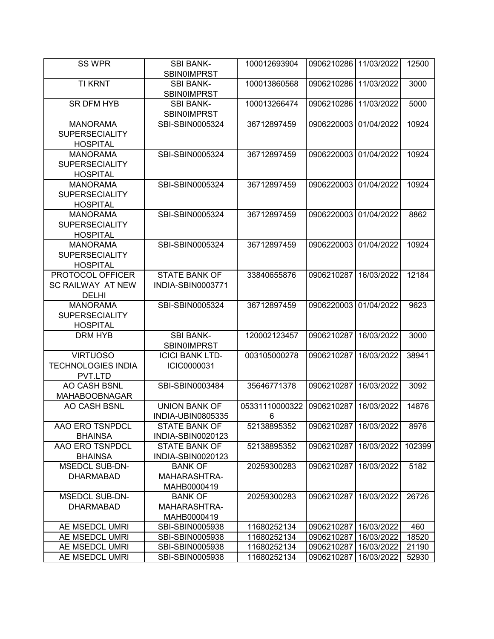| <b>SS WPR</b>                                                | <b>SBI BANK-</b><br><b>SBIN0IMPRST</b>           | 100012693904        | 0906210286 11/03/2022 |            | 12500  |
|--------------------------------------------------------------|--------------------------------------------------|---------------------|-----------------------|------------|--------|
| <b>TI KRNT</b>                                               | <b>SBI BANK-</b><br><b>SBIN0IMPRST</b>           | 100013860568        | 0906210286            | 11/03/2022 | 3000   |
| <b>SR DFM HYB</b>                                            | <b>SBI BANK-</b><br><b>SBIN0IMPRST</b>           | 100013266474        | 0906210286            | 11/03/2022 | 5000   |
| <b>MANORAMA</b><br><b>SUPERSECIALITY</b><br><b>HOSPITAL</b>  | SBI-SBIN0005324                                  | 36712897459         | 0906220003            | 01/04/2022 | 10924  |
| <b>MANORAMA</b><br><b>SUPERSECIALITY</b><br><b>HOSPITAL</b>  | SBI-SBIN0005324                                  | 36712897459         | 0906220003            | 01/04/2022 | 10924  |
| <b>MANORAMA</b><br><b>SUPERSECIALITY</b><br><b>HOSPITAL</b>  | SBI-SBIN0005324                                  | 36712897459         | 0906220003            | 01/04/2022 | 10924  |
| <b>MANORAMA</b><br><b>SUPERSECIALITY</b><br><b>HOSPITAL</b>  | SBI-SBIN0005324                                  | 36712897459         | 0906220003            | 01/04/2022 | 8862   |
| <b>MANORAMA</b><br><b>SUPERSECIALITY</b><br><b>HOSPITAL</b>  | SBI-SBIN0005324                                  | 36712897459         | 0906220003            | 01/04/2022 | 10924  |
| PROTOCOL OFFICER<br><b>SC RAILWAY AT NEW</b><br><b>DELHI</b> | <b>STATE BANK OF</b><br><b>INDIA-SBIN0003771</b> | 33840655876         | 0906210287            | 16/03/2022 | 12184  |
| <b>MANORAMA</b><br><b>SUPERSECIALITY</b><br><b>HOSPITAL</b>  | SBI-SBIN0005324                                  | 36712897459         | 0906220003            | 01/04/2022 | 9623   |
| <b>DRM HYB</b>                                               | <b>SBI BANK-</b><br><b>SBIN0IMPRST</b>           | 120002123457        | 0906210287            | 16/03/2022 | 3000   |
| <b>VIRTUOSO</b><br><b>TECHNOLOGIES INDIA</b><br>PVT.LTD      | <b>ICICI BANK LTD-</b><br>ICIC0000031            | 003105000278        | 0906210287            | 16/03/2022 | 38941  |
| AO CASH BSNL<br><b>MAHABOOBNAGAR</b>                         | SBI-SBIN0003484                                  | 35646771378         | 0906210287            | 16/03/2022 | 3092   |
| <b>AO CASH BSNL</b>                                          | <b>UNION BANK OF</b><br>INDIA-UBIN0805335        | 05331110000322<br>6 | 0906210287            | 16/03/2022 | 14876  |
| AAO ERO TSNPDCL<br><b>BHAINSA</b>                            | <b>STATE BANK OF</b><br>INDIA-SBIN0020123        | 52138895352         | 0906210287            | 16/03/2022 | 8976   |
| AAO ERO TSNPDCL<br><b>BHAINSA</b>                            | <b>STATE BANK OF</b><br>INDIA-SBIN0020123        | 52138895352         | 0906210287            | 16/03/2022 | 102399 |
| <b>MSEDCL SUB-DN-</b><br><b>DHARMABAD</b>                    | <b>BANK OF</b><br>MAHARASHTRA-<br>MAHB0000419    | 20259300283         | 0906210287            | 16/03/2022 | 5182   |
| <b>MSEDCL SUB-DN-</b><br><b>DHARMABAD</b>                    | <b>BANK OF</b><br>MAHARASHTRA-<br>MAHB0000419    | 20259300283         | 0906210287            | 16/03/2022 | 26726  |
| AE MSEDCL UMRI                                               | SBI-SBIN0005938                                  | 11680252134         | 0906210287            | 16/03/2022 | 460    |
| AE MSEDCL UMRI                                               | SBI-SBIN0005938                                  | 11680252134         | 0906210287            | 16/03/2022 | 18520  |
| AE MSEDCL UMRI                                               | SBI-SBIN0005938                                  | 11680252134         | 0906210287            | 16/03/2022 | 21190  |
| AE MSEDCL UMRI                                               | SBI-SBIN0005938                                  | 11680252134         | 0906210287            | 16/03/2022 | 52930  |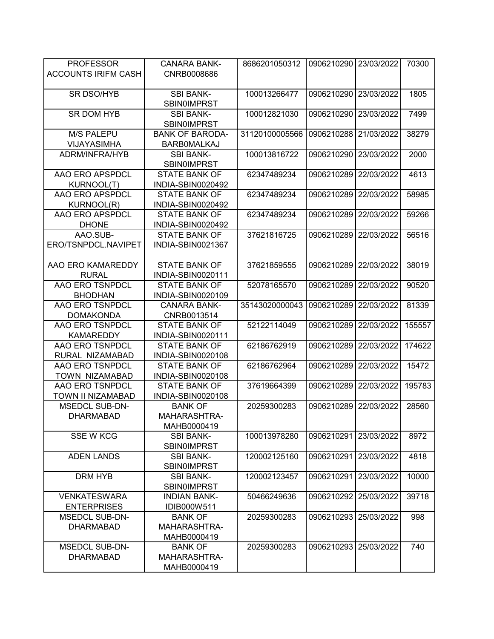| <b>PROFESSOR</b>           | <b>CANARA BANK-</b>                        | 8686201050312  | 0906210290 23/03/2022 |            | 70300  |
|----------------------------|--------------------------------------------|----------------|-----------------------|------------|--------|
| <b>ACCOUNTS IRIFM CASH</b> | CNRB0008686                                |                |                       |            |        |
|                            |                                            |                |                       |            |        |
| <b>SR DSO/HYB</b>          | <b>SBI BANK-</b>                           | 100013266477   | 0906210290            | 23/03/2022 | 1805   |
|                            | <b>SBINOIMPRST</b>                         |                |                       |            |        |
| SR DOM HYB                 | <b>SBI BANK-</b>                           | 100012821030   | 0906210290            | 23/03/2022 | 7499   |
|                            | <b>SBIN0IMPRST</b>                         |                |                       |            |        |
| <b>M/S PALEPU</b>          | <b>BANK OF BARODA-</b>                     | 31120100005566 | 0906210288            | 21/03/2022 | 38279  |
| VIJAYASIMHA                | <b>BARBOMALKAJ</b>                         |                |                       |            |        |
| ADRM/INFRA/HYB             | <b>SBI BANK-</b>                           | 100013816722   | 0906210290            | 23/03/2022 | 2000   |
| AAO ERO APSPDCL            | <b>SBINOIMPRST</b><br><b>STATE BANK OF</b> | 62347489234    | 0906210289            | 22/03/2022 | 4613   |
| <b>KURNOOL(T)</b>          | INDIA-SBIN0020492                          |                |                       |            |        |
| AAO ERO APSPDCL            | <b>STATE BANK OF</b>                       | 62347489234    | 0906210289            | 22/03/2022 | 58985  |
| <b>KURNOOL(R)</b>          | INDIA-SBIN0020492                          |                |                       |            |        |
| AAO ERO APSPDCL            | <b>STATE BANK OF</b>                       | 62347489234    | 0906210289            | 22/03/2022 | 59266  |
| <b>DHONE</b>               | INDIA-SBIN0020492                          |                |                       |            |        |
| AAO.SUB-                   | <b>STATE BANK OF</b>                       | 37621816725    | 0906210289            | 22/03/2022 | 56516  |
| ERO/TSNPDCL.NAVIPET        | INDIA-SBIN0021367                          |                |                       |            |        |
|                            |                                            |                |                       |            |        |
| AAO ERO KAMAREDDY          | <b>STATE BANK OF</b>                       | 37621859555    | 0906210289            | 22/03/2022 | 38019  |
| <b>RURAL</b>               | INDIA-SBIN0020111                          |                |                       |            |        |
| AAO ERO TSNPDCL            | <b>STATE BANK OF</b>                       | 52078165570    | 0906210289            | 22/03/2022 | 90520  |
| <b>BHODHAN</b>             | INDIA-SBIN0020109                          |                |                       |            |        |
| AAO ERO TSNPDCL            | <b>CANARA BANK-</b>                        | 35143020000043 | 0906210289            | 22/03/2022 | 81339  |
| <b>DOMAKONDA</b>           | CNRB0013514                                |                |                       |            |        |
| AAO ERO TSNPDCL            | <b>STATE BANK OF</b>                       | 52122114049    | 0906210289            | 22/03/2022 | 155557 |
| <b>KAMAREDDY</b>           | INDIA-SBIN0020111                          |                |                       |            |        |
| AAO ERO TSNPDCL            | <b>STATE BANK OF</b>                       | 62186762919    | 0906210289            | 22/03/2022 | 174622 |
| RURAL NIZAMABAD            | INDIA-SBIN0020108                          |                |                       |            |        |
| AAO ERO TSNPDCL            | <b>STATE BANK OF</b>                       | 62186762964    | 0906210289            | 22/03/2022 | 15472  |
| TOWN NIZAMABAD             | INDIA-SBIN0020108                          |                |                       |            |        |
| AAO ERO TSNPDCL            | <b>STATE BANK OF</b>                       | 37619664399    | 0906210289            | 22/03/2022 | 195783 |
| <b>TOWN II NIZAMABAD</b>   | INDIA-SBIN0020108                          |                |                       |            |        |
| <b>MSEDCL SUB-DN-</b>      | <b>BANK OF</b>                             | 20259300283    | 0906210289            | 22/03/2022 | 28560  |
| <b>DHARMABAD</b>           | MAHARASHTRA-                               |                |                       |            |        |
|                            | MAHB0000419                                |                |                       |            |        |
| <b>SSE W KCG</b>           | <b>SBI BANK-</b>                           | 100013978280   | 0906210291            | 23/03/2022 | 8972   |
|                            | <b>SBIN0IMPRST</b>                         |                |                       |            |        |
| <b>ADEN LANDS</b>          | <b>SBI BANK-</b>                           | 120002125160   | 0906210291            | 23/03/2022 | 4818   |
| DRM HYB                    | <b>SBIN0IMPRST</b><br><b>SBI BANK-</b>     | 120002123457   | 0906210291            | 23/03/2022 | 10000  |
|                            | <b>SBIN0IMPRST</b>                         |                |                       |            |        |
| <b>VENKATESWARA</b>        | <b>INDIAN BANK-</b>                        | 50466249636    | 0906210292            | 25/03/2022 | 39718  |
| <b>ENTERPRISES</b>         | IDIB000W511                                |                |                       |            |        |
| <b>MSEDCL SUB-DN-</b>      | <b>BANK OF</b>                             | 20259300283    | 0906210293            | 25/03/2022 | 998    |
| <b>DHARMABAD</b>           | MAHARASHTRA-                               |                |                       |            |        |
|                            | MAHB0000419                                |                |                       |            |        |
| <b>MSEDCL SUB-DN-</b>      | <b>BANK OF</b>                             | 20259300283    | 0906210293            | 25/03/2022 | 740    |
| <b>DHARMABAD</b>           | MAHARASHTRA-                               |                |                       |            |        |
|                            | MAHB0000419                                |                |                       |            |        |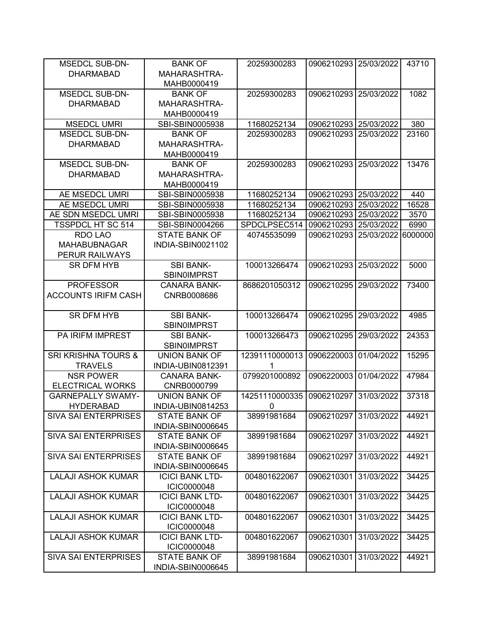| <b>MSEDCL SUB-DN-</b>          | <b>BANK OF</b>                        | 20259300283    | 0906210293 25/03/2022 |            | 43710   |
|--------------------------------|---------------------------------------|----------------|-----------------------|------------|---------|
| <b>DHARMABAD</b>               | MAHARASHTRA-                          |                |                       |            |         |
|                                | MAHB0000419                           |                |                       |            |         |
| <b>MSEDCL SUB-DN-</b>          | <b>BANK OF</b>                        | 20259300283    | 0906210293 25/03/2022 |            | 1082    |
| <b>DHARMABAD</b>               | MAHARASHTRA-                          |                |                       |            |         |
|                                | MAHB0000419                           |                |                       |            |         |
| <b>MSEDCL UMRI</b>             | SBI-SBIN0005938                       | 11680252134    | 0906210293            | 25/03/2022 | 380     |
| <b>MSEDCL SUB-DN-</b>          | <b>BANK OF</b>                        | 20259300283    | 0906210293            | 25/03/2022 | 23160   |
| <b>DHARMABAD</b>               | MAHARASHTRA-                          |                |                       |            |         |
|                                | MAHB0000419                           |                |                       |            |         |
| <b>MSEDCL SUB-DN-</b>          | <b>BANK OF</b>                        | 20259300283    | 0906210293            | 25/03/2022 | 13476   |
| <b>DHARMABAD</b>               | MAHARASHTRA-                          |                |                       |            |         |
|                                | MAHB0000419                           |                |                       |            |         |
| AE MSEDCL UMRI                 | SBI-SBIN0005938                       | 11680252134    | 0906210293            | 25/03/2022 | 440     |
| AE MSEDCL UMRI                 | SBI-SBIN0005938                       | 11680252134    | 0906210293            | 25/03/2022 | 16528   |
| AE SDN MSEDCL UMRI             | SBI-SBIN0005938                       | 11680252134    | 0906210293            | 25/03/2022 | 3570    |
| <b>TSSPDCL HT SC 514</b>       | SBI-SBIN0004266                       | SPDCLPSEC514   | 0906210293            | 25/03/2022 | 6990    |
| <b>RDO LAO</b>                 | <b>STATE BANK OF</b>                  | 40745535099    | 0906210293            | 25/03/2022 | 6000000 |
| <b>MAHABUBNAGAR</b>            | INDIA-SBIN0021102                     |                |                       |            |         |
| <b>PERUR RAILWAYS</b>          |                                       |                |                       |            |         |
| <b>SR DFM HYB</b>              | <b>SBI BANK-</b>                      | 100013266474   | 0906210293            | 25/03/2022 | 5000    |
|                                | <b>SBIN0IMPRST</b>                    |                |                       |            |         |
| <b>PROFESSOR</b>               | <b>CANARA BANK-</b>                   | 8686201050312  | 0906210295            | 29/03/2022 | 73400   |
| <b>ACCOUNTS IRIFM CASH</b>     | CNRB0008686                           |                |                       |            |         |
|                                |                                       |                |                       |            |         |
| <b>SR DFM HYB</b>              | <b>SBI BANK-</b>                      | 100013266474   | 0906210295            | 29/03/2022 | 4985    |
|                                | <b>SBIN0IMPRST</b>                    |                |                       |            |         |
| <b>PA IRIFM IMPREST</b>        | <b>SBI BANK-</b>                      | 100013266473   | 0906210295            | 29/03/2022 | 24353   |
|                                | SBIN0IMPRST                           |                |                       |            |         |
| <b>SRI KRISHNA TOURS &amp;</b> | <b>UNION BANK OF</b>                  | 12391110000013 | 0906220003            | 01/04/2022 | 15295   |
| <b>TRAVELS</b>                 | INDIA-UBIN0812391                     | 1              |                       |            |         |
| <b>NSR POWER</b>               | <b>CANARA BANK-</b>                   | 0799201000892  | 0906220003            | 01/04/2022 | 47984   |
| <b>ELECTRICAL WORKS</b>        | CNRB0000799                           |                |                       |            |         |
| <b>GARNEPALLY SWAMY-</b>       | <b>UNION BANK OF</b>                  | 14251110000335 | 0906210297            | 31/03/2022 | 37318   |
| <b>HYDERABAD</b>               | INDIA-UBIN0814253                     | 0              |                       |            |         |
| <b>SIVA SAI ENTERPRISES</b>    | <b>STATE BANK OF</b>                  | 38991981684    | 0906210297 31/03/2022 |            | 44921   |
|                                | INDIA-SBIN0006645                     |                |                       |            |         |
| <b>SIVA SAI ENTERPRISES</b>    | <b>STATE BANK OF</b>                  | 38991981684    | 0906210297            | 31/03/2022 | 44921   |
|                                | INDIA-SBIN0006645                     |                |                       |            |         |
| <b>SIVA SAI ENTERPRISES</b>    | <b>STATE BANK OF</b>                  | 38991981684    | 0906210297            | 31/03/2022 | 44921   |
|                                | INDIA-SBIN0006645                     |                |                       |            |         |
| <b>LALAJI ASHOK KUMAR</b>      | <b>ICICI BANK LTD-</b>                | 004801622067   | 0906210301            | 31/03/2022 | 34425   |
|                                | <b>ICIC0000048</b>                    |                |                       |            |         |
| <b>LALAJI ASHOK KUMAR</b>      | <b>ICICI BANK LTD-</b>                | 004801622067   | 0906210301            | 31/03/2022 | 34425   |
| <b>LALAJI ASHOK KUMAR</b>      | ICIC0000048                           |                |                       | 31/03/2022 |         |
|                                | <b>ICICI BANK LTD-</b>                | 004801622067   | 0906210301            |            | 34425   |
| <b>LALAJI ASHOK KUMAR</b>      | ICIC0000048<br><b>ICICI BANK LTD-</b> | 004801622067   | 0906210301            | 31/03/2022 | 34425   |
|                                |                                       |                |                       |            |         |
| <b>SIVA SAI ENTERPRISES</b>    | ICIC0000048<br><b>STATE BANK OF</b>   | 38991981684    | 0906210301            | 31/03/2022 | 44921   |
|                                | INDIA-SBIN0006645                     |                |                       |            |         |
|                                |                                       |                |                       |            |         |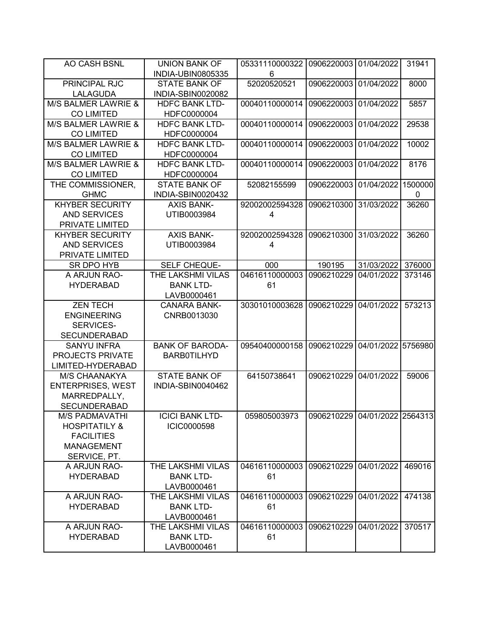| AO CASH BSNL                           | <b>UNION BANK OF</b>     | 05331110000322            | 0906220003                    | 01/04/2022         | 31941   |
|----------------------------------------|--------------------------|---------------------------|-------------------------------|--------------------|---------|
|                                        | INDIA-UBIN0805335        | 6                         |                               |                    |         |
| PRINCIPAL RJC                          | <b>STATE BANK OF</b>     | 52020520521               | 0906220003                    | 01/04/2022         | 8000    |
| LALAGUDA                               | INDIA-SBIN0020082        |                           |                               |                    |         |
| M/S BALMER LAWRIE &                    | <b>HDFC BANK LTD-</b>    | 00040110000014            | 0906220003                    | 01/04/2022         | 5857    |
| <b>CO LIMITED</b>                      | HDFC0000004              |                           |                               |                    |         |
| M/S BALMER LAWRIE &                    | <b>HDFC BANK LTD-</b>    | 00040110000014            | 0906220003                    | 01/04/2022         | 29538   |
| <b>CO LIMITED</b>                      | HDFC0000004              |                           |                               |                    |         |
| M/S BALMER LAWRIE &                    | <b>HDFC BANK LTD-</b>    | 00040110000014            | 0906220003                    | 01/04/2022         | 10002   |
| <b>CO LIMITED</b>                      | HDFC0000004              |                           |                               |                    |         |
| M/S BALMER LAWRIE &                    | <b>HDFC BANK LTD-</b>    | 00040110000014            | 0906220003                    | 01/04/2022         | 8176    |
| <b>CO LIMITED</b>                      | HDFC0000004              |                           |                               |                    |         |
| THE COMMISSIONER,                      | <b>STATE BANK OF</b>     | 52082155599               | 0906220003                    | 01/04/2022         | 1500000 |
| <b>GHMC</b>                            | INDIA-SBIN0020432        |                           |                               |                    | 0       |
| <b>KHYBER SECURITY</b>                 | <b>AXIS BANK-</b>        | 92002002594328            | 0906210300                    | 31/03/2022         | 36260   |
| <b>AND SERVICES</b>                    | UTIB0003984              | 4                         |                               |                    |         |
| PRIVATE LIMITED                        |                          |                           |                               |                    |         |
| <b>KHYBER SECURITY</b>                 | <b>AXIS BANK-</b>        | 92002002594328            | 0906210300                    | 31/03/2022         | 36260   |
| <b>AND SERVICES</b>                    | UTIB0003984              | 4                         |                               |                    |         |
| PRIVATE LIMITED                        |                          |                           |                               |                    |         |
| SR DPO HYB                             | SELF CHEQUE-             | 000                       | 190195                        | 31/03/2022         | 376000  |
| A ARJUN RAO-                           | THE LAKSHMI VILAS        | 04616110000003            | 0906210229                    | 04/01/2022         | 373146  |
| <b>HYDERABAD</b>                       | <b>BANK LTD-</b>         | 61                        |                               |                    |         |
|                                        | LAVB0000461              |                           |                               |                    |         |
| <b>ZEN TECH</b>                        | <b>CANARA BANK-</b>      | 30301010003628            | 0906210229                    | 04/01/2022         | 573213  |
| <b>ENGINEERING</b>                     | CNRB0013030              |                           |                               |                    |         |
| SERVICES-                              |                          |                           |                               |                    |         |
| <b>SECUNDERABAD</b>                    |                          |                           |                               |                    |         |
| <b>SANYU INFRA</b><br>PROJECTS PRIVATE | <b>BANK OF BARODA-</b>   | 09540400000158            | 0906210229                    | 04/01/2022 5756980 |         |
| LIMITED-HYDERABAD                      | <b>BARB0TILHYD</b>       |                           |                               |                    |         |
| M/S CHAANAKYA                          | <b>STATE BANK OF</b>     | 64150738641               | 0906210229                    | 04/01/2022         | 59006   |
| <b>ENTERPRISES, WEST</b>               | INDIA-SBIN0040462        |                           |                               |                    |         |
| MARREDPALLY,                           |                          |                           |                               |                    |         |
| <b>SECUNDERABAD</b>                    |                          |                           |                               |                    |         |
| <b>M/S PADMAVATHI</b>                  | <b>ICICI BANK LTD-</b>   | 059805003973              | 0906210229 04/01/2022 2564313 |                    |         |
| <b>HOSPITATILY &amp;</b>               | <b>ICIC0000598</b>       |                           |                               |                    |         |
| <b>FACILITIES</b>                      |                          |                           |                               |                    |         |
| <b>MANAGEMENT</b>                      |                          |                           |                               |                    |         |
| SERVICE, PT.                           |                          |                           |                               |                    |         |
| A ARJUN RAO-                           | <b>THE LAKSHMI VILAS</b> | 04616110000003 0906210229 |                               | 04/01/2022         | 469016  |
| <b>HYDERABAD</b>                       | <b>BANK LTD-</b>         | 61                        |                               |                    |         |
|                                        | LAVB0000461              |                           |                               |                    |         |
| A ARJUN RAO-                           | THE LAKSHMI VILAS        | 04616110000003            | 0906210229                    | 04/01/2022         | 474138  |
| <b>HYDERABAD</b>                       | <b>BANK LTD-</b>         | 61                        |                               |                    |         |
|                                        | LAVB0000461              |                           |                               |                    |         |
| A ARJUN RAO-                           | THE LAKSHMI VILAS        | 04616110000003            | 0906210229                    | 04/01/2022         | 370517  |
| <b>HYDERABAD</b>                       | <b>BANK LTD-</b>         | 61                        |                               |                    |         |
|                                        | LAVB0000461              |                           |                               |                    |         |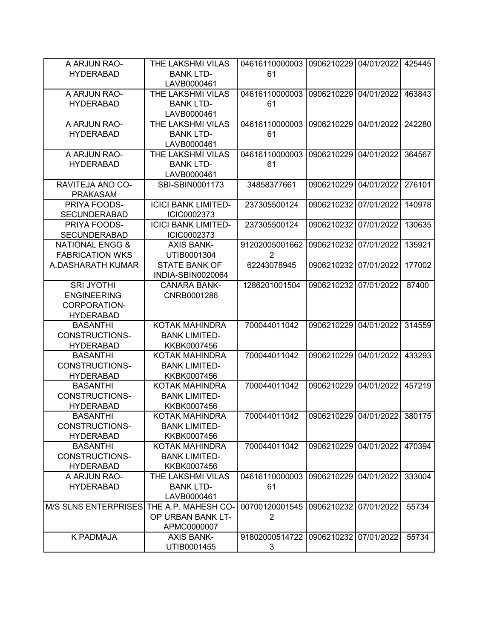| A ARJUN RAO-                             | THE LAKSHMI VILAS          | 04616110000003 | 0906210229                   | 04/01/2022 | 425445 |
|------------------------------------------|----------------------------|----------------|------------------------------|------------|--------|
| <b>HYDERABAD</b>                         | <b>BANK LTD-</b>           | 61             |                              |            |        |
|                                          | LAVB0000461                |                |                              |            |        |
| A ARJUN RAO-                             | THE LAKSHMI VILAS          | 04616110000003 | 0906210229                   | 04/01/2022 | 463843 |
| <b>HYDERABAD</b>                         | <b>BANK LTD-</b>           | 61             |                              |            |        |
|                                          | LAVB0000461                |                |                              |            |        |
| A ARJUN RAO-                             | THE LAKSHMI VILAS          | 04616110000003 | 0906210229                   | 04/01/2022 | 242280 |
| <b>HYDERABAD</b>                         | <b>BANK LTD-</b>           | 61             |                              |            |        |
|                                          | LAVB0000461                |                |                              |            |        |
| A ARJUN RAO-                             | THE LAKSHMI VILAS          | 04616110000003 | 0906210229                   | 04/01/2022 | 364567 |
| <b>HYDERABAD</b>                         | <b>BANK LTD-</b>           | 61             |                              |            |        |
|                                          | LAVB0000461                |                |                              |            |        |
| RAVITEJA AND CO-                         | SBI-SBIN0001173            | 34858377661    | 0906210229                   | 04/01/2022 | 276101 |
|                                          |                            |                |                              |            |        |
| <b>PRAKASAM</b>                          |                            |                |                              |            |        |
| PRIYA FOODS-                             | <b>ICICI BANK LIMITED-</b> | 237305500124   | 0906210232                   | 07/01/2022 | 140978 |
| <b>SECUNDERABAD</b>                      | ICIC0002373                |                |                              |            |        |
| PRIYA FOODS-                             | <b>ICICI BANK LIMITED-</b> | 237305500124   | 0906210232                   | 07/01/2022 | 130635 |
| <b>SECUNDERABAD</b>                      | ICIC0002373                |                |                              |            |        |
| <b>NATIONAL ENGG &amp;</b>               | <b>AXIS BANK-</b>          | 91202005001662 | 0906210232                   | 07/01/2022 | 135921 |
| <b>FABRICATION WKS</b>                   | UTIB0001304                | $\overline{2}$ |                              |            |        |
| A.DASHARATH KUMAR                        | <b>STATE BANK OF</b>       | 62243078945    | 0906210232                   | 07/01/2022 | 177002 |
|                                          | INDIA-SBIN0020064          |                |                              |            |        |
| <b>SRI JYOTHI</b>                        | <b>CANARA BANK-</b>        | 1286201001504  | 0906210232                   | 07/01/2022 | 87400  |
| <b>ENGINEERING</b>                       | CNRB0001286                |                |                              |            |        |
| CORPORATION-                             |                            |                |                              |            |        |
| <b>HYDERABAD</b>                         |                            |                |                              |            |        |
| <b>BASANTHI</b>                          | KOTAK MAHINDRA             | 700044011042   | 0906210229                   | 04/01/2022 | 314559 |
| CONSTRUCTIONS-                           | <b>BANK LIMITED-</b>       |                |                              |            |        |
| <b>HYDERABAD</b>                         | KKBK0007456                |                |                              |            |        |
| <b>BASANTHI</b>                          | <b>KOTAK MAHINDRA</b>      | 700044011042   | 0906210229                   | 04/01/2022 | 433293 |
|                                          |                            |                |                              |            |        |
| CONSTRUCTIONS-                           | <b>BANK LIMITED-</b>       |                |                              |            |        |
| <b>HYDERABAD</b>                         | KKBK0007456                |                |                              |            |        |
| <b>BASANTHI</b>                          | KOTAK MAHINDRA             | 700044011042   | 0906210229                   | 04/01/2022 | 457219 |
| <b>CONSTRUCTIONS-</b>                    | <b>BANK LIMITED-</b>       |                |                              |            |        |
| <b>HYDERABAD</b>                         | KKBK0007456                |                |                              |            |        |
| BASANTHI                                 | KOTAK MAHINDRA             | 700044011042   | 0906210229 04/01/2022 380175 |            |        |
| CONSTRUCTIONS-                           | <b>BANK LIMITED-</b>       |                |                              |            |        |
| <b>HYDERABAD</b>                         | KKBK0007456                |                |                              |            |        |
| <b>BASANTHI</b>                          | KOTAK MAHINDRA             | 700044011042   | 0906210229                   | 04/01/2022 | 470394 |
| CONSTRUCTIONS-                           | <b>BANK LIMITED-</b>       |                |                              |            |        |
| <b>HYDERABAD</b>                         | KKBK0007456                |                |                              |            |        |
| A ARJUN RAO-                             | THE LAKSHMI VILAS          | 04616110000003 | 0906210229                   | 04/01/2022 | 333004 |
| <b>HYDERABAD</b>                         | <b>BANK LTD-</b>           | 61             |                              |            |        |
|                                          | LAVB0000461                |                |                              |            |        |
| M/S SLNS ENTERPRISES THE A.P. MAHESH CO- |                            | 00700120001545 | 0906210232                   | 07/01/2022 | 55734  |
|                                          | OP URBAN BANK LT-          | $\overline{2}$ |                              |            |        |
|                                          | APMC0000007                |                |                              |            |        |
| <b>K PADMAJA</b>                         | <b>AXIS BANK-</b>          | 91802000514722 | 0906210232                   | 07/01/2022 | 55734  |
|                                          |                            |                |                              |            |        |
|                                          | UTIB0001455                | 3              |                              |            |        |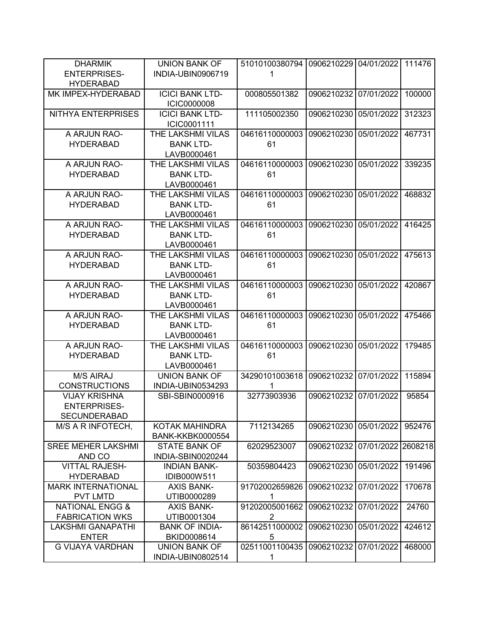| <b>DHARMIK</b>             | <b>UNION BANK OF</b>    | 51010100380794          | 0906210229 | 04/01/2022         | 111476 |
|----------------------------|-------------------------|-------------------------|------------|--------------------|--------|
| <b>ENTERPRISES-</b>        | INDIA-UBIN0906719       | 1                       |            |                    |        |
| <b>HYDERABAD</b>           |                         |                         |            |                    |        |
| MK IMPEX-HYDERABAD         | <b>ICICI BANK LTD-</b>  | 000805501382            | 0906210232 | 07/01/2022         | 100000 |
|                            |                         |                         |            |                    |        |
|                            | <b>ICIC0000008</b>      |                         |            |                    |        |
| NITHYA ENTERPRISES         | <b>ICICI BANK LTD-</b>  | 111105002350            | 0906210230 | 05/01/2022         | 312323 |
|                            | ICIC0001111             |                         |            |                    |        |
| A ARJUN RAO-               | THE LAKSHMI VILAS       | 04616110000003          | 0906210230 | 05/01/2022         | 467731 |
| <b>HYDERABAD</b>           | <b>BANK LTD-</b>        | 61                      |            |                    |        |
|                            | LAVB0000461             |                         |            |                    |        |
| A ARJUN RAO-               | THE LAKSHMI VILAS       | 04616110000003          | 0906210230 | 05/01/2022         | 339235 |
| <b>HYDERABAD</b>           | <b>BANK LTD-</b>        | 61                      |            |                    |        |
|                            | LAVB0000461             |                         |            |                    |        |
| A ARJUN RAO-               | THE LAKSHMI VILAS       | 04616110000003          | 0906210230 | 05/01/2022         | 468832 |
| <b>HYDERABAD</b>           | <b>BANK LTD-</b>        | 61                      |            |                    |        |
|                            | LAVB0000461             |                         |            |                    |        |
| A ARJUN RAO-               | THE LAKSHMI VILAS       | 04616110000003          | 0906210230 | 05/01/2022         | 416425 |
| <b>HYDERABAD</b>           | <b>BANK LTD-</b>        | 61                      |            |                    |        |
|                            | LAVB0000461             |                         |            |                    |        |
| A ARJUN RAO-               | THE LAKSHMI VILAS       | 04616110000003          | 0906210230 | 05/01/2022         | 475613 |
| <b>HYDERABAD</b>           | <b>BANK LTD-</b>        | 61                      |            |                    |        |
|                            | LAVB0000461             |                         |            |                    |        |
| A ARJUN RAO-               | THE LAKSHMI VILAS       | 04616110000003          | 0906210230 | 05/01/2022         | 420867 |
| <b>HYDERABAD</b>           | <b>BANK LTD-</b>        | 61                      |            |                    |        |
|                            | LAVB0000461             |                         |            |                    |        |
| A ARJUN RAO-               | THE LAKSHMI VILAS       | 04616110000003          | 0906210230 | 05/01/2022         | 475466 |
|                            |                         |                         |            |                    |        |
| <b>HYDERABAD</b>           | <b>BANK LTD-</b>        | 61                      |            |                    |        |
|                            | LAVB0000461             |                         |            |                    |        |
| A ARJUN RAO-               | THE LAKSHMI VILAS       | 04616110000003          | 0906210230 | 05/01/2022         | 179485 |
| <b>HYDERABAD</b>           | <b>BANK LTD-</b>        | 61                      |            |                    |        |
|                            | LAVB0000461             |                         |            |                    |        |
| <b>M/S AIRAJ</b>           | <b>UNION BANK OF</b>    | 34290101003618          | 0906210232 | 07/01/2022         | 115894 |
| <b>CONSTRUCTIONS</b>       | INDIA-UBIN0534293       | 1                       |            |                    |        |
| <b>VIJAY KRISHNA</b>       | SBI-SBIN0000916         | 32773903936             | 0906210232 | 07/01/2022         | 95854  |
| <b>ENTERPRISES-</b>        |                         |                         |            |                    |        |
| SECUNDERABAD               |                         |                         |            |                    |        |
| M/S A R INFOTECH,          | KOTAK MAHINDRA          | 7112134265              | 0906210230 | 05/01/2022         | 952476 |
|                            | <b>BANK-KKBK0000554</b> |                         |            |                    |        |
| <b>SREE MEHER LAKSHMI</b>  | <b>STATE BANK OF</b>    | 62029523007             | 0906210232 | 07/01/2022 2608218 |        |
| AND CO                     | INDIA-SBIN0020244       |                         |            |                    |        |
| <b>VITTAL RAJESH-</b>      | <b>INDIAN BANK-</b>     | 50359804423             | 0906210230 | 05/01/2022         | 191496 |
| <b>HYDERABAD</b>           | IDIB000W511             |                         |            |                    |        |
| <b>MARK INTERNATIONAL</b>  | <b>AXIS BANK-</b>       | 91702002659826          | 0906210232 | 07/01/2022         | 170678 |
| <b>PVT LMTD</b>            | UTIB0000289             | 1                       |            |                    |        |
| <b>NATIONAL ENGG &amp;</b> | <b>AXIS BANK-</b>       | 91202005001662          | 0906210232 | 07/01/2022         | 24760  |
| <b>FABRICATION WKS</b>     | UTIB0001304             | $\overline{\mathbf{c}}$ |            |                    |        |
| LAKSHMI GANAPATHI          | <b>BANK OF INDIA-</b>   | 86142511000002          | 0906210230 | 05/01/2022         | 424612 |
| <b>ENTER</b>               | BKID0008614             | 5                       |            |                    |        |
| <b>G VIJAYA VARDHAN</b>    | <b>UNION BANK OF</b>    | 02511001100435          | 0906210232 | 07/01/2022         | 468000 |
|                            | INDIA-UBIN0802514       | 1                       |            |                    |        |
|                            |                         |                         |            |                    |        |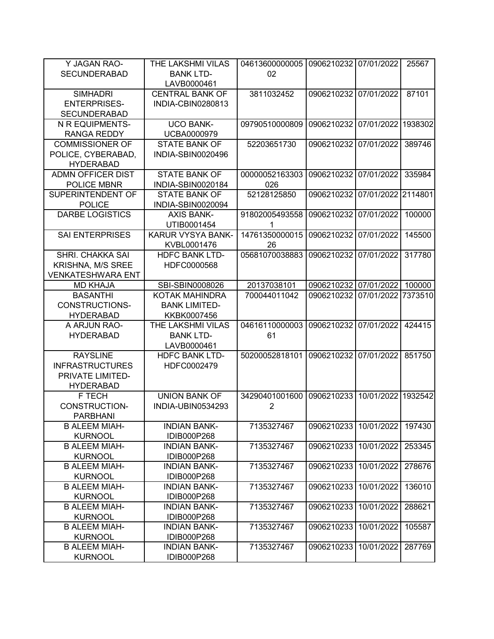| Y JAGAN RAO-                                 | THE LAKSHMI VILAS        | 04613600000005 | 0906210232 07/01/2022 |            | 25567   |
|----------------------------------------------|--------------------------|----------------|-----------------------|------------|---------|
| <b>SECUNDERABAD</b>                          | <b>BANK LTD-</b>         | 02             |                       |            |         |
|                                              | LAVB0000461              |                |                       |            |         |
| <b>SIMHADRI</b>                              | <b>CENTRAL BANK OF</b>   | 3811032452     | 0906210232            | 07/01/2022 | 87101   |
| <b>ENTERPRISES-</b>                          | INDIA-CBIN0280813        |                |                       |            |         |
| <b>SECUNDERABAD</b>                          |                          |                |                       |            |         |
| N R EQUIPMENTS-                              | <b>UCO BANK-</b>         | 09790510000809 | 0906210232            | 07/01/2022 | 1938302 |
| <b>RANGA REDDY</b>                           | <b>UCBA0000979</b>       |                |                       |            |         |
| <b>COMMISSIONER OF</b>                       | <b>STATE BANK OF</b>     | 52203651730    | 0906210232            | 07/01/2022 | 389746  |
| POLICE, CYBERABAD,                           | INDIA-SBIN0020496        |                |                       |            |         |
|                                              |                          |                |                       |            |         |
| <b>HYDERABAD</b><br><b>ADMN OFFICER DIST</b> | <b>STATE BANK OF</b>     | 00000052163303 | 0906210232            | 07/01/2022 | 335984  |
|                                              |                          |                |                       |            |         |
| <b>POLICE MBNR</b>                           | INDIA-SBIN0020184        | 026            |                       |            |         |
| SUPERINTENDENT OF                            | <b>STATE BANK OF</b>     | 52128125850    | 0906210232            | 07/01/2022 | 2114801 |
| <b>POLICE</b>                                | INDIA-SBIN0020094        |                |                       |            |         |
| <b>DARBE LOGISTICS</b>                       | <b>AXIS BANK-</b>        | 91802005493558 | 0906210232            | 07/01/2022 | 100000  |
|                                              | UTIB0001454              | 1              |                       |            |         |
| <b>SAI ENTERPRISES</b>                       | <b>KARUR VYSYA BANK-</b> | 14761350000015 | 0906210232            | 07/01/2022 | 145500  |
|                                              | KVBL0001476              | 26             |                       |            |         |
| <b>SHRI. CHAKKA SAI</b>                      | <b>HDFC BANK LTD-</b>    | 05681070038883 | 0906210232            | 07/01/2022 | 317780  |
| <b>KRISHNA, M/S SREE</b>                     | HDFC0000568              |                |                       |            |         |
| <b>VENKATESHWARA ENT</b>                     |                          |                |                       |            |         |
| <b>MD KHAJA</b>                              | SBI-SBIN0008026          | 20137038101    | 0906210232 07/01/2022 |            | 100000  |
| <b>BASANTHI</b>                              | KOTAK MAHINDRA           | 700044011042   | 0906210232            | 07/01/2022 | 7373510 |
| CONSTRUCTIONS-                               | <b>BANK LIMITED-</b>     |                |                       |            |         |
| <b>HYDERABAD</b>                             | KKBK0007456              |                |                       |            |         |
| A ARJUN RAO-                                 | THE LAKSHMI VILAS        | 04616110000003 | 0906210232            | 07/01/2022 | 424415  |
| <b>HYDERABAD</b>                             | <b>BANK LTD-</b>         | 61             |                       |            |         |
|                                              | LAVB0000461              |                |                       |            |         |
| <b>RAYSLINE</b>                              | <b>HDFC BANK LTD-</b>    | 50200052818101 | 0906210232            | 07/01/2022 | 851750  |
| <b>INFRASTRUCTURES</b>                       | HDFC0002479              |                |                       |            |         |
| PRIVATE LIMITED-                             |                          |                |                       |            |         |
| <b>HYDERABAD</b>                             |                          |                |                       |            |         |
| F TECH                                       | <b>UNION BANK OF</b>     | 34290401001600 | 0906210233            | 10/01/2022 | 1932542 |
| <b>CONSTRUCTION-</b>                         | INDIA-UBIN0534293        | $\overline{2}$ |                       |            |         |
| <b>PARBHANI</b>                              |                          |                |                       |            |         |
| <b>B ALEEM MIAH-</b>                         | <b>INDIAN BANK-</b>      | 7135327467     | 0906210233            | 10/01/2022 | 197430  |
| <b>KURNOOL</b>                               | IDIB000P268              |                |                       |            |         |
| <b>B ALEEM MIAH-</b>                         | <b>INDIAN BANK-</b>      | 7135327467     | 0906210233            | 10/01/2022 | 253345  |
| <b>KURNOOL</b>                               | IDIB000P268              |                |                       |            |         |
| <b>B ALEEM MIAH-</b>                         | <b>INDIAN BANK-</b>      | 7135327467     | 0906210233            | 10/01/2022 | 278676  |
| <b>KURNOOL</b>                               | IDIB000P268              |                |                       |            |         |
| <b>B ALEEM MIAH-</b>                         | <b>INDIAN BANK-</b>      | 7135327467     | 0906210233            | 10/01/2022 | 136010  |
| <b>KURNOOL</b>                               | IDIB000P268              |                |                       |            |         |
| <b>B ALEEM MIAH-</b>                         | <b>INDIAN BANK-</b>      | 7135327467     | 0906210233            | 10/01/2022 | 288621  |
| <b>KURNOOL</b>                               | IDIB000P268              |                |                       |            |         |
| <b>B ALEEM MIAH-</b>                         | <b>INDIAN BANK-</b>      | 7135327467     | 0906210233            | 10/01/2022 | 105587  |
| <b>KURNOOL</b>                               | IDIB000P268              |                |                       |            |         |
|                                              |                          |                |                       |            |         |
| <b>B ALEEM MIAH-</b>                         | <b>INDIAN BANK-</b>      | 7135327467     | 0906210233            | 10/01/2022 | 287769  |
| <b>KURNOOL</b>                               | IDIB000P268              |                |                       |            |         |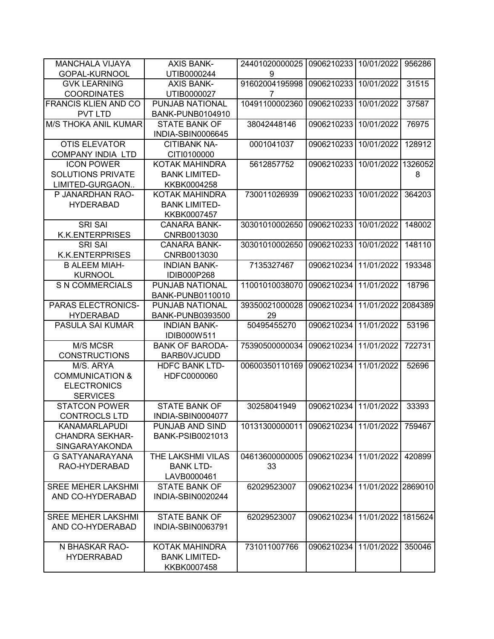| <b>MANCHALA VIJAYA</b>      | <b>AXIS BANK-</b>       | 24401020000025 | 0906210233                    | 10/01/2022         | 956286  |
|-----------------------------|-------------------------|----------------|-------------------------------|--------------------|---------|
| GOPAL-KURNOOL               | UTIB0000244             | 9              |                               |                    |         |
| <b>GVK LEARNING</b>         | <b>AXIS BANK-</b>       | 91602004195998 | 0906210233                    | 10/01/2022         | 31515   |
| <b>COORDINATES</b>          | UTIB0000027             | 7              |                               |                    |         |
| <b>FRANCIS KLIEN AND CO</b> | PUNJAB NATIONAL         | 10491100002360 | 0906210233                    | 10/01/2022         | 37587   |
| <b>PVT LTD</b>              | <b>BANK-PUNB0104910</b> |                |                               |                    |         |
| <b>M/S THOKA ANIL KUMAR</b> | <b>STATE BANK OF</b>    | 38042448146    | 0906210233                    | 10/01/2022         | 76975   |
|                             | INDIA-SBIN0006645       |                |                               |                    |         |
| <b>OTIS ELEVATOR</b>        | <b>CITIBANK NA-</b>     | 0001041037     | 0906210233                    | 10/01/2022         | 128912  |
| <b>COMPANY INDIA LTD</b>    | CITI0100000             |                |                               |                    |         |
| <b>ICON POWER</b>           | <b>KOTAK MAHINDRA</b>   | 5612857752     | 0906210233                    | 10/01/2022         | 1326052 |
| <b>SOLUTIONS PRIVATE</b>    | <b>BANK LIMITED-</b>    |                |                               |                    | 8       |
| LIMITED-GURGAON             | KKBK0004258             |                |                               |                    |         |
| P JANARDHAN RAO-            | <b>KOTAK MAHINDRA</b>   | 730011026939   | 0906210233                    | 10/01/2022         | 364203  |
| <b>HYDERABAD</b>            | <b>BANK LIMITED-</b>    |                |                               |                    |         |
|                             | KKBK0007457             |                |                               |                    |         |
| <b>SRI SAI</b>              | <b>CANARA BANK-</b>     | 30301010002650 | 0906210233                    | 10/01/2022         | 148002  |
| <b>K.K.ENTERPRISES</b>      | CNRB0013030             |                |                               |                    |         |
| <b>SRI SAI</b>              | <b>CANARA BANK-</b>     | 30301010002650 | 0906210233                    | 10/01/2022         | 148110  |
| <b>K.K.ENTERPRISES</b>      | CNRB0013030             |                |                               |                    |         |
| <b>B ALEEM MIAH-</b>        | <b>INDIAN BANK-</b>     | 7135327467     | 0906210234                    | 11/01/2022         | 193348  |
| <b>KURNOOL</b>              | IDIB000P268             |                |                               |                    |         |
| <b>S N COMMERCIALS</b>      | PUNJAB NATIONAL         | 11001010038070 | 0906210234                    | 11/01/2022         | 18796   |
|                             | BANK-PUNB0110010        |                |                               |                    |         |
| PARAS ELECTRONICS-          | PUNJAB NATIONAL         | 39350021000028 | 0906210234                    | 11/01/2022         | 2084389 |
| <b>HYDERABAD</b>            | <b>BANK-PUNB0393500</b> | 29             |                               |                    |         |
| PASULA SAI KUMAR            | <b>INDIAN BANK-</b>     | 50495455270    | 0906210234                    | 11/01/2022         | 53196   |
|                             | IDIB000W511             |                |                               |                    |         |
| M/S MCSR                    | <b>BANK OF BARODA-</b>  | 75390500000034 | 0906210234                    | 11/01/2022         | 722731  |
| <b>CONSTRUCTIONS</b>        | <b>BARBOVJCUDD</b>      |                |                               |                    |         |
| M/S. ARYA                   | <b>HDFC BANK LTD-</b>   | 00600350110169 | 0906210234                    | 11/01/2022         | 52696   |
| <b>COMMUNICATION &amp;</b>  | HDFC0000060             |                |                               |                    |         |
| <b>ELECTRONICS</b>          |                         |                |                               |                    |         |
| <b>SERVICES</b>             |                         |                |                               |                    |         |
| <b>STATCON POWER</b>        | <b>STATE BANK OF</b>    | 30258041949    | 0906210234                    | 11/01/2022         | 33393   |
| CONTROCLS LTD               | INDIA-SBIN0004077       |                |                               |                    |         |
| <b>KANAMARLAPUDI</b>        | PUNJAB AND SIND         | 10131300000011 | 0906210234 11/01/2022         |                    | 759467  |
| <b>CHANDRA SEKHAR-</b>      | <b>BANK-PSIB0021013</b> |                |                               |                    |         |
| SINGARAYAKONDA              |                         |                |                               |                    |         |
| G SATYANARAYANA             | THE LAKSHMI VILAS       | 04613600000005 | 0906210234 11/01/2022         |                    | 420899  |
| RAO-HYDERABAD               | <b>BANK LTD-</b>        | 33             |                               |                    |         |
|                             | LAVB0000461             |                |                               |                    |         |
| <b>SREE MEHER LAKSHMI</b>   | <b>STATE BANK OF</b>    | 62029523007    | 0906210234 11/01/2022 2869010 |                    |         |
| AND CO-HYDERABAD            | INDIA-SBIN0020244       |                |                               |                    |         |
|                             |                         |                |                               |                    |         |
| <b>SREE MEHER LAKSHMI</b>   | <b>STATE BANK OF</b>    | 62029523007    | 0906210234                    | 11/01/2022 1815624 |         |
| AND CO-HYDERABAD            | INDIA-SBIN0063791       |                |                               |                    |         |
|                             |                         |                |                               |                    |         |
| N BHASKAR RAO-              | KOTAK MAHINDRA          | 731011007766   | 0906210234                    | 11/01/2022         | 350046  |
| <b>HYDERRABAD</b>           | <b>BANK LIMITED-</b>    |                |                               |                    |         |
|                             | KKBK0007458             |                |                               |                    |         |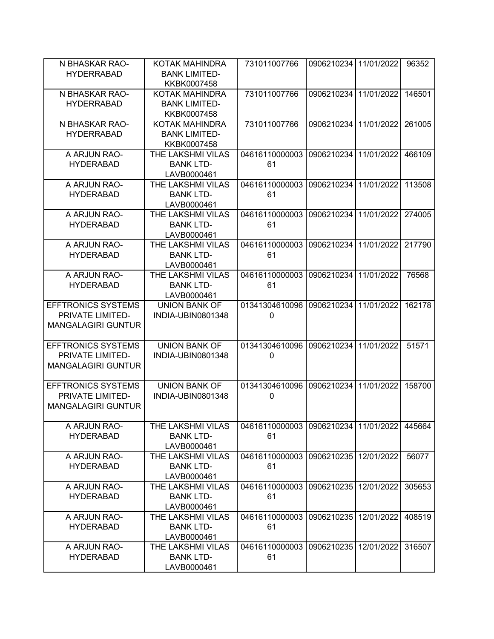| N BHASKAR RAO-            | KOTAK MAHINDRA       | 731011007766   | 0906210234 11/01/2022 |            | 96352  |
|---------------------------|----------------------|----------------|-----------------------|------------|--------|
| <b>HYDERRABAD</b>         | <b>BANK LIMITED-</b> |                |                       |            |        |
|                           | KKBK0007458          |                |                       |            |        |
| N BHASKAR RAO-            | KOTAK MAHINDRA       | 731011007766   | 0906210234            | 11/01/2022 | 146501 |
| <b>HYDERRABAD</b>         | <b>BANK LIMITED-</b> |                |                       |            |        |
|                           | KKBK0007458          |                |                       |            |        |
| N BHASKAR RAO-            | KOTAK MAHINDRA       | 731011007766   | 0906210234            | 11/01/2022 | 261005 |
| <b>HYDERRABAD</b>         | <b>BANK LIMITED-</b> |                |                       |            |        |
|                           |                      |                |                       |            |        |
|                           | KKBK0007458          |                |                       |            |        |
| A ARJUN RAO-              | THE LAKSHMI VILAS    | 04616110000003 | 0906210234            | 11/01/2022 | 466109 |
| <b>HYDERABAD</b>          | <b>BANK LTD-</b>     | 61             |                       |            |        |
|                           | LAVB0000461          |                |                       |            |        |
| A ARJUN RAO-              | THE LAKSHMI VILAS    | 04616110000003 | 0906210234            | 11/01/2022 | 113508 |
| <b>HYDERABAD</b>          | <b>BANK LTD-</b>     | 61             |                       |            |        |
|                           | LAVB0000461          |                |                       |            |        |
| A ARJUN RAO-              | THE LAKSHMI VILAS    | 04616110000003 | 0906210234            | 11/01/2022 | 274005 |
| <b>HYDERABAD</b>          | <b>BANK LTD-</b>     | 61             |                       |            |        |
|                           | LAVB0000461          |                |                       |            |        |
| A ARJUN RAO-              | THE LAKSHMI VILAS    | 04616110000003 | 0906210234            | 11/01/2022 | 217790 |
| <b>HYDERABAD</b>          | <b>BANK LTD-</b>     | 61             |                       |            |        |
|                           | LAVB0000461          |                |                       |            |        |
| A ARJUN RAO-              | THE LAKSHMI VILAS    | 04616110000003 | 0906210234            | 11/01/2022 | 76568  |
|                           |                      |                |                       |            |        |
| <b>HYDERABAD</b>          | <b>BANK LTD-</b>     | 61             |                       |            |        |
|                           | LAVB0000461          |                |                       |            |        |
| <b>EFFTRONICS SYSTEMS</b> | <b>UNION BANK OF</b> | 01341304610096 | 0906210234            | 11/01/2022 | 162178 |
| PRIVATE LIMITED-          | INDIA-UBIN0801348    | 0              |                       |            |        |
| <b>MANGALAGIRI GUNTUR</b> |                      |                |                       |            |        |
|                           |                      |                |                       |            |        |
| <b>EFFTRONICS SYSTEMS</b> | <b>UNION BANK OF</b> | 01341304610096 | 0906210234            | 11/01/2022 | 51571  |
| PRIVATE LIMITED-          | INDIA-UBIN0801348    | $\Omega$       |                       |            |        |
| <b>MANGALAGIRI GUNTUR</b> |                      |                |                       |            |        |
|                           |                      |                |                       |            |        |
| <b>EFFTRONICS SYSTEMS</b> | <b>UNION BANK OF</b> | 01341304610096 | 0906210234            | 11/01/2022 | 158700 |
| PRIVATE LIMITED-          | INDIA-UBIN0801348    | 0              |                       |            |        |
| <b>MANGALAGIRI GUNTUR</b> |                      |                |                       |            |        |
|                           |                      |                |                       |            |        |
| A ARJUN RAO-              | THE LAKSHMI VILAS    | 04616110000003 | 0906210234 11/01/2022 |            | 445664 |
| <b>HYDERABAD</b>          | <b>BANK LTD-</b>     | 61             |                       |            |        |
|                           | LAVB0000461          |                |                       |            |        |
| A ARJUN RAO-              | THE LAKSHMI VILAS    | 04616110000003 | 0906210235 12/01/2022 |            | 56077  |
| <b>HYDERABAD</b>          | <b>BANK LTD-</b>     | 61             |                       |            |        |
|                           |                      |                |                       |            |        |
|                           | LAVB0000461          |                |                       |            |        |
| A ARJUN RAO-              | THE LAKSHMI VILAS    | 04616110000003 | 0906210235            | 12/01/2022 | 305653 |
| <b>HYDERABAD</b>          | <b>BANK LTD-</b>     | 61             |                       |            |        |
|                           | LAVB0000461          |                |                       |            |        |
| A ARJUN RAO-              | THE LAKSHMI VILAS    | 04616110000003 | 0906210235            | 12/01/2022 | 408519 |
| <b>HYDERABAD</b>          | <b>BANK LTD-</b>     | 61             |                       |            |        |
|                           | LAVB0000461          |                |                       |            |        |
| A ARJUN RAO-              | THE LAKSHMI VILAS    | 04616110000003 | 0906210235            | 12/01/2022 | 316507 |
| <b>HYDERABAD</b>          | <b>BANK LTD-</b>     | 61             |                       |            |        |
|                           | LAVB0000461          |                |                       |            |        |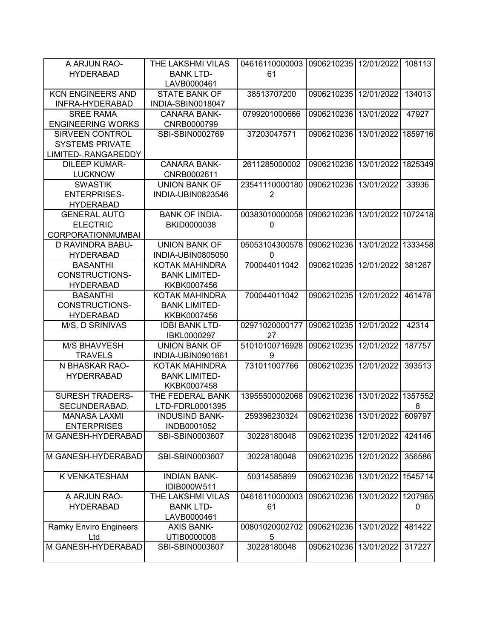| A ARJUN RAO-                  | THE LAKSHMI VILAS     | 04616110000003 | 0906210235 12/01/2022   |            | 108113  |
|-------------------------------|-----------------------|----------------|-------------------------|------------|---------|
| <b>HYDERABAD</b>              | <b>BANK LTD-</b>      | 61             |                         |            |         |
|                               | LAVB0000461           |                |                         |            |         |
| <b>KCN ENGINEERS AND</b>      | <b>STATE BANK OF</b>  | 38513707200    | 0906210235              | 12/01/2022 | 134013  |
| INFRA-HYDERABAD               | INDIA-SBIN0018047     |                |                         |            |         |
| <b>SREE RAMA</b>              | <b>CANARA BANK-</b>   | 0799201000666  | 0906210236              | 13/01/2022 | 47927   |
| <b>ENGINEERING WORKS</b>      | CNRB0000799           |                |                         |            |         |
| <b>SIRVEEN CONTROL</b>        | SBI-SBIN0002769       | 37203047571    | 0906210236              | 13/01/2022 | 1859716 |
| <b>SYSTEMS PRIVATE</b>        |                       |                |                         |            |         |
| LIMITED-.RANGAREDDY           |                       |                |                         |            |         |
| <b>DILEEP KUMAR-</b>          | <b>CANARA BANK-</b>   | 2611285000002  | 0906210236              | 13/01/2022 | 1825349 |
| <b>LUCKNOW</b>                | CNRB0002611           |                |                         |            |         |
| <b>SWASTIK</b>                | <b>UNION BANK OF</b>  | 23541110000180 | 0906210236              | 13/01/2022 | 33936   |
| <b>ENTERPRISES-</b>           | INDIA-UBIN0823546     | $\overline{2}$ |                         |            |         |
| <b>HYDERABAD</b>              |                       |                |                         |            |         |
| <b>GENERAL AUTO</b>           | <b>BANK OF INDIA-</b> | 00383010000058 | 0906210236              | 13/01/2022 | 1072418 |
| <b>ELECTRIC</b>               | BKID0000038           | 0              |                         |            |         |
| <b>CORPORATIONMUMBAI</b>      |                       |                |                         |            |         |
| <b>D RAVINDRA BABU-</b>       | <b>UNION BANK OF</b>  | 05053104300578 | 0906210236              | 13/01/2022 | 1333458 |
| <b>HYDERABAD</b>              | INDIA-UBIN0805050     | $\Omega$       |                         |            |         |
| <b>BASANTHI</b>               | KOTAK MAHINDRA        | 700044011042   | 0906210235              | 12/01/2022 | 381267  |
| <b>CONSTRUCTIONS-</b>         | <b>BANK LIMITED-</b>  |                |                         |            |         |
| <b>HYDERABAD</b>              | KKBK0007456           |                |                         |            |         |
| <b>BASANTHI</b>               | KOTAK MAHINDRA        | 700044011042   | 0906210235              | 12/01/2022 | 461478  |
| <b>CONSTRUCTIONS-</b>         | <b>BANK LIMITED-</b>  |                |                         |            |         |
| <b>HYDERABAD</b>              | KKBK0007456           |                |                         |            |         |
| M/S. D SRINIVAS               | <b>IDBI BANK LTD-</b> | 02971020000177 | 0906210235              | 12/01/2022 | 42314   |
|                               | IBKL0000297           | 27             |                         |            |         |
| <b>M/S BHAVYESH</b>           | <b>UNION BANK OF</b>  | 51010100716928 | 0906210235              | 12/01/2022 | 187757  |
| <b>TRAVELS</b>                | INDIA-UBIN0901661     | 9              |                         |            |         |
| N BHASKAR RAO-                | <b>KOTAK MAHINDRA</b> | 731011007766   | 0906210235              | 12/01/2022 | 393513  |
| <b>HYDERRABAD</b>             | <b>BANK LIMITED-</b>  |                |                         |            |         |
|                               | KKBK0007458           |                |                         |            |         |
| <b>SURESH TRADERS-</b>        | THE FEDERAL BANK      | 13955500002068 | 0906210236              | 13/01/2022 | 1357552 |
| SECUNDERABAD.                 | LTD-FDRL0001395       |                |                         |            | 8       |
| <b>MANASA LAXMI</b>           | <b>INDUSIND BANK-</b> | 259396230324   | 0906210236 13/01/2022   |            | 609797  |
| <b>ENTERPRISES</b>            | INDB0001052           |                |                         |            |         |
| M GANESH-HYDERABAD            | SBI-SBIN0003607       | 30228180048    | 0906210235   12/01/2022 |            | 424146  |
|                               |                       |                |                         |            |         |
| M GANESH-HYDERABAD            | SBI-SBIN0003607       | 30228180048    | 0906210235              | 12/01/2022 | 356586  |
|                               |                       |                |                         |            |         |
| K VENKATESHAM                 | <b>INDIAN BANK-</b>   | 50314585899    | 0906210236              | 13/01/2022 | 1545714 |
|                               | IDIB000W511           |                |                         |            |         |
| A ARJUN RAO-                  | THE LAKSHMI VILAS     | 04616110000003 | 0906210236              | 13/01/2022 | 1207965 |
| <b>HYDERABAD</b>              | <b>BANK LTD-</b>      | 61             |                         |            | 0       |
|                               | LAVB0000461           |                |                         |            |         |
| <b>Ramky Enviro Engineers</b> | <b>AXIS BANK-</b>     | 00801020002702 | 0906210236              | 13/01/2022 | 481422  |
| Ltd                           | UTIB0000008           | 5              |                         |            |         |
| M GANESH-HYDERABAD            | SBI-SBIN0003607       | 30228180048    | 0906210236              | 13/01/2022 | 317227  |
|                               |                       |                |                         |            |         |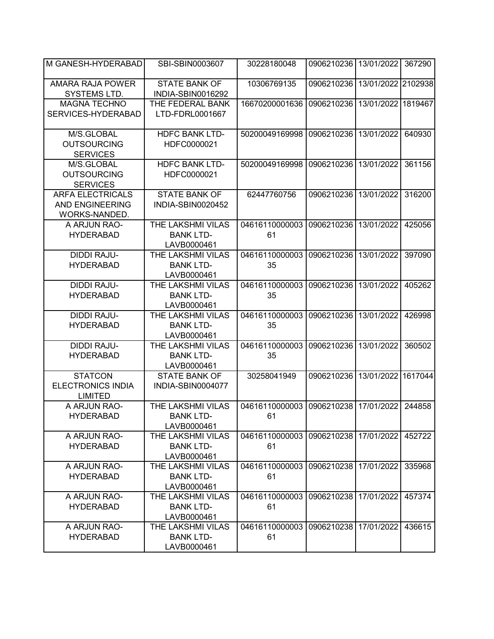| M GANESH-HYDERABAD                                                 | SBI-SBIN0003607                                             | 30228180048          | 0906210236            | 13/01/2022         | 367290  |
|--------------------------------------------------------------------|-------------------------------------------------------------|----------------------|-----------------------|--------------------|---------|
| AMARA RAJA POWER<br>SYSTEMS LTD.                                   | <b>STATE BANK OF</b><br>INDIA-SBIN0016292                   | 10306769135          | 0906210236            | 13/01/2022 2102938 |         |
| <b>MAGNA TECHNO</b><br>SERVICES-HYDERABAD                          | THE FEDERAL BANK<br>LTD-FDRL0001667                         | 16670200001636       | 0906210236            | 13/01/2022         | 1819467 |
| M/S.GLOBAL<br><b>OUTSOURCING</b><br><b>SERVICES</b>                | <b>HDFC BANK LTD-</b><br>HDFC0000021                        | 50200049169998       | 0906210236            | 13/01/2022         | 640930  |
| M/S.GLOBAL<br><b>OUTSOURCING</b><br><b>SERVICES</b>                | <b>HDFC BANK LTD-</b><br>HDFC0000021                        | 50200049169998       | 0906210236            | 13/01/2022         | 361156  |
| <b>ARFA ELECTRICALS</b><br><b>AND ENGINEERING</b><br>WORKS-NANDED. | <b>STATE BANK OF</b><br>INDIA-SBIN0020452                   | 62447760756          | 0906210236            | 13/01/2022         | 316200  |
| A ARJUN RAO-<br><b>HYDERABAD</b>                                   | THE LAKSHMI VILAS<br><b>BANK LTD-</b><br>LAVB0000461        | 04616110000003<br>61 | 0906210236            | 13/01/2022         | 425056  |
| <b>DIDDI RAJU-</b><br><b>HYDERABAD</b>                             | <b>THE LAKSHMI VILAS</b><br><b>BANK LTD-</b><br>LAVB0000461 | 04616110000003<br>35 | 0906210236            | 13/01/2022         | 397090  |
| <b>DIDDI RAJU-</b><br><b>HYDERABAD</b>                             | THE LAKSHMI VILAS<br><b>BANK LTD-</b><br>LAVB0000461        | 04616110000003<br>35 | 0906210236            | 13/01/2022         | 405262  |
| <b>DIDDI RAJU-</b><br><b>HYDERABAD</b>                             | THE LAKSHMI VILAS<br><b>BANK LTD-</b><br>LAVB0000461        | 04616110000003<br>35 | 0906210236            | 13/01/2022         | 426998  |
| <b>DIDDI RAJU-</b><br><b>HYDERABAD</b>                             | THE LAKSHMI VILAS<br><b>BANK LTD-</b><br>LAVB0000461        | 04616110000003<br>35 | 0906210236            | 13/01/2022         | 360502  |
| <b>STATCON</b><br><b>ELECTRONICS INDIA</b><br><b>LIMITED</b>       | <b>STATE BANK OF</b><br>INDIA-SBIN0004077                   | 30258041949          | 0906210236            | 13/01/2022         | 1617044 |
| A ARJUN RAO-<br><b>HYDERABAD</b>                                   | THE LAKSHMI VILAS<br><b>BANK LTD-</b><br>LAVB0000461        | 04616110000003<br>61 | 0906210238            | 17/01/2022         | 244858  |
| A ARJUN RAO-<br><b>HYDERABAD</b>                                   | THE LAKSHMI VILAS<br><b>BANK LTD-</b><br>LAVB0000461        | 04616110000003<br>61 | 0906210238 17/01/2022 |                    | 452722  |
| A ARJUN RAO-<br><b>HYDERABAD</b>                                   | THE LAKSHMI VILAS<br><b>BANK LTD-</b><br>LAVB0000461        | 04616110000003<br>61 | 0906210238 17/01/2022 |                    | 335968  |
| A ARJUN RAO-<br><b>HYDERABAD</b>                                   | THE LAKSHMI VILAS<br><b>BANK LTD-</b><br>LAVB0000461        | 04616110000003<br>61 | 0906210238            | 17/01/2022         | 457374  |
| A ARJUN RAO-<br><b>HYDERABAD</b>                                   | THE LAKSHMI VILAS<br><b>BANK LTD-</b><br>LAVB0000461        | 04616110000003<br>61 | 0906210238            | 17/01/2022         | 436615  |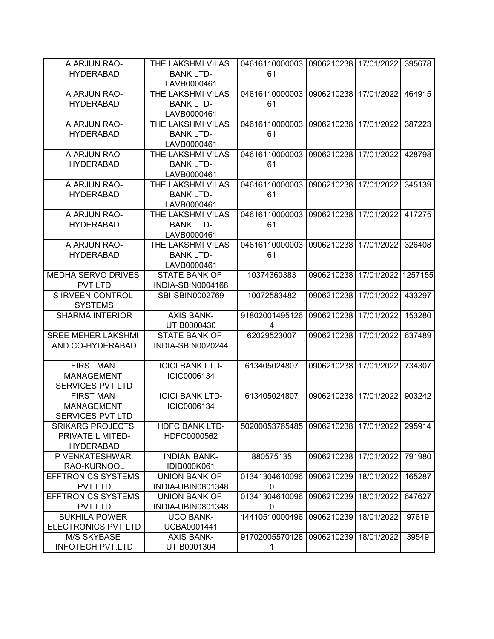| 0906210238 17/01/2022<br>A ARJUN RAO-<br>04616110000003<br>395678<br><b>BANK LTD-</b><br>61<br><b>HYDERABAD</b><br>LAVB0000461<br>04616110000003<br>0906210238 17/01/2022<br>A ARJUN RAO-<br>THE LAKSHMI VILAS<br>464915<br><b>BANK LTD-</b><br>61<br><b>HYDERABAD</b><br>LAVB0000461<br>04616110000003<br>A ARJUN RAO-<br>THE LAKSHMI VILAS<br>0906210238<br>17/01/2022<br>387223<br><b>BANK LTD-</b><br>61<br><b>HYDERABAD</b><br>LAVB0000461<br>04616110000003<br>A ARJUN RAO-<br>THE LAKSHMI VILAS<br>0906210238<br>17/01/2022<br>428798<br><b>BANK LTD-</b><br>61<br><b>HYDERABAD</b><br>LAVB0000461<br>04616110000003<br>A ARJUN RAO-<br>THE LAKSHMI VILAS<br>0906210238<br>17/01/2022<br>345139<br><b>BANK LTD-</b><br>61<br><b>HYDERABAD</b><br>LAVB0000461<br>04616110000003<br>A ARJUN RAO-<br>THE LAKSHMI VILAS<br>0906210238<br>17/01/2022<br>417275<br><b>HYDERABAD</b><br><b>BANK LTD-</b><br>61<br>LAVB0000461<br>A ARJUN RAO-<br>THE LAKSHMI VILAS<br>04616110000003<br>0906210238<br>17/01/2022<br>326408<br><b>HYDERABAD</b><br><b>BANK LTD-</b><br>61<br>LAVB0000461<br>17/01/2022<br>1257155<br><b>MEDHA SERVO DRIVES</b><br><b>STATE BANK OF</b><br>10374360383<br>0906210238<br><b>PVT LTD</b><br>INDIA-SBIN0004168<br>S IRVEEN CONTROL<br>10072583482<br>0906210238<br>17/01/2022<br>433297<br>SBI-SBIN0002769<br><b>SYSTEMS</b><br><b>AXIS BANK-</b><br>0906210238<br><b>SHARMA INTERIOR</b><br>91802001495126<br>17/01/2022<br>153280<br>UTIB0000430<br>4<br><b>SREE MEHER LAKSHMI</b><br>62029523007<br>0906210238<br>17/01/2022<br><b>STATE BANK OF</b><br>637489<br>AND CO-HYDERABAD<br>INDIA-SBIN0020244<br><b>FIRST MAN</b><br><b>ICICI BANK LTD-</b><br>613405024807<br>0906210238<br>17/01/2022<br>734307<br><b>MANAGEMENT</b><br>ICIC0006134<br><b>SERVICES PVT LTD</b><br><b>ICICI BANK LTD-</b><br><b>FIRST MAN</b><br>613405024807<br>0906210238<br>17/01/2022<br>903242<br><b>MANAGEMENT</b><br>ICIC0006134<br><b>SERVICES PVT LTD</b><br><b>SRIKARG PROJECTS</b><br>295914<br><b>HDFC BANK LTD-</b><br>50200053765485<br>0906210238 17/01/2022<br>PRIVATE LIMITED-<br>HDFC0000562<br><b>HYDERABAD</b><br>P VENKATESHWAR<br><b>INDIAN BANK-</b><br>880575135<br>0906210238 17/01/2022<br>791980<br>RAO-KURNOOL<br>IDIB000K061<br>01341304610096<br><b>EFFTRONICS SYSTEMS</b><br><b>UNION BANK OF</b><br>0906210239<br>18/01/2022<br>165287<br><b>PVT LTD</b><br>INDIA-UBIN0801348<br>0<br>01341304610096<br>647627<br><b>EFFTRONICS SYSTEMS</b><br>0906210239<br>18/01/2022<br><b>UNION BANK OF</b><br><b>PVT LTD</b><br>INDIA-UBIN0801348<br>0<br><b>SUKHILA POWER</b><br><b>UCO BANK-</b><br>14410510000496<br>0906210239<br>18/01/2022<br>97619<br>ELECTRONICS PVT LTD<br>UCBA0001441<br><b>M/S SKYBASE</b><br><b>AXIS BANK-</b><br>91702005570128<br>0906210239<br>18/01/2022<br>39549 |                         |                   |   |  |  |
|---------------------------------------------------------------------------------------------------------------------------------------------------------------------------------------------------------------------------------------------------------------------------------------------------------------------------------------------------------------------------------------------------------------------------------------------------------------------------------------------------------------------------------------------------------------------------------------------------------------------------------------------------------------------------------------------------------------------------------------------------------------------------------------------------------------------------------------------------------------------------------------------------------------------------------------------------------------------------------------------------------------------------------------------------------------------------------------------------------------------------------------------------------------------------------------------------------------------------------------------------------------------------------------------------------------------------------------------------------------------------------------------------------------------------------------------------------------------------------------------------------------------------------------------------------------------------------------------------------------------------------------------------------------------------------------------------------------------------------------------------------------------------------------------------------------------------------------------------------------------------------------------------------------------------------------------------------------------------------------------------------------------------------------------------------------------------------------------------------------------------------------------------------------------------------------------------------------------------------------------------------------------------------------------------------------------------------------------------------------------------------------------------------------------------------------------------------------------------------------------------------------------------------------------------------------------------------------------------------------------------------------------------------------------------------------------------------------------------------------------------------------------------------------------------------------------------------|-------------------------|-------------------|---|--|--|
|                                                                                                                                                                                                                                                                                                                                                                                                                                                                                                                                                                                                                                                                                                                                                                                                                                                                                                                                                                                                                                                                                                                                                                                                                                                                                                                                                                                                                                                                                                                                                                                                                                                                                                                                                                                                                                                                                                                                                                                                                                                                                                                                                                                                                                                                                                                                                                                                                                                                                                                                                                                                                                                                                                                                                                                                                                 |                         | THE LAKSHMI VILAS |   |  |  |
|                                                                                                                                                                                                                                                                                                                                                                                                                                                                                                                                                                                                                                                                                                                                                                                                                                                                                                                                                                                                                                                                                                                                                                                                                                                                                                                                                                                                                                                                                                                                                                                                                                                                                                                                                                                                                                                                                                                                                                                                                                                                                                                                                                                                                                                                                                                                                                                                                                                                                                                                                                                                                                                                                                                                                                                                                                 |                         |                   |   |  |  |
|                                                                                                                                                                                                                                                                                                                                                                                                                                                                                                                                                                                                                                                                                                                                                                                                                                                                                                                                                                                                                                                                                                                                                                                                                                                                                                                                                                                                                                                                                                                                                                                                                                                                                                                                                                                                                                                                                                                                                                                                                                                                                                                                                                                                                                                                                                                                                                                                                                                                                                                                                                                                                                                                                                                                                                                                                                 |                         |                   |   |  |  |
|                                                                                                                                                                                                                                                                                                                                                                                                                                                                                                                                                                                                                                                                                                                                                                                                                                                                                                                                                                                                                                                                                                                                                                                                                                                                                                                                                                                                                                                                                                                                                                                                                                                                                                                                                                                                                                                                                                                                                                                                                                                                                                                                                                                                                                                                                                                                                                                                                                                                                                                                                                                                                                                                                                                                                                                                                                 |                         |                   |   |  |  |
|                                                                                                                                                                                                                                                                                                                                                                                                                                                                                                                                                                                                                                                                                                                                                                                                                                                                                                                                                                                                                                                                                                                                                                                                                                                                                                                                                                                                                                                                                                                                                                                                                                                                                                                                                                                                                                                                                                                                                                                                                                                                                                                                                                                                                                                                                                                                                                                                                                                                                                                                                                                                                                                                                                                                                                                                                                 |                         |                   |   |  |  |
|                                                                                                                                                                                                                                                                                                                                                                                                                                                                                                                                                                                                                                                                                                                                                                                                                                                                                                                                                                                                                                                                                                                                                                                                                                                                                                                                                                                                                                                                                                                                                                                                                                                                                                                                                                                                                                                                                                                                                                                                                                                                                                                                                                                                                                                                                                                                                                                                                                                                                                                                                                                                                                                                                                                                                                                                                                 |                         |                   |   |  |  |
|                                                                                                                                                                                                                                                                                                                                                                                                                                                                                                                                                                                                                                                                                                                                                                                                                                                                                                                                                                                                                                                                                                                                                                                                                                                                                                                                                                                                                                                                                                                                                                                                                                                                                                                                                                                                                                                                                                                                                                                                                                                                                                                                                                                                                                                                                                                                                                                                                                                                                                                                                                                                                                                                                                                                                                                                                                 |                         |                   |   |  |  |
|                                                                                                                                                                                                                                                                                                                                                                                                                                                                                                                                                                                                                                                                                                                                                                                                                                                                                                                                                                                                                                                                                                                                                                                                                                                                                                                                                                                                                                                                                                                                                                                                                                                                                                                                                                                                                                                                                                                                                                                                                                                                                                                                                                                                                                                                                                                                                                                                                                                                                                                                                                                                                                                                                                                                                                                                                                 |                         |                   |   |  |  |
|                                                                                                                                                                                                                                                                                                                                                                                                                                                                                                                                                                                                                                                                                                                                                                                                                                                                                                                                                                                                                                                                                                                                                                                                                                                                                                                                                                                                                                                                                                                                                                                                                                                                                                                                                                                                                                                                                                                                                                                                                                                                                                                                                                                                                                                                                                                                                                                                                                                                                                                                                                                                                                                                                                                                                                                                                                 |                         |                   |   |  |  |
|                                                                                                                                                                                                                                                                                                                                                                                                                                                                                                                                                                                                                                                                                                                                                                                                                                                                                                                                                                                                                                                                                                                                                                                                                                                                                                                                                                                                                                                                                                                                                                                                                                                                                                                                                                                                                                                                                                                                                                                                                                                                                                                                                                                                                                                                                                                                                                                                                                                                                                                                                                                                                                                                                                                                                                                                                                 |                         |                   |   |  |  |
|                                                                                                                                                                                                                                                                                                                                                                                                                                                                                                                                                                                                                                                                                                                                                                                                                                                                                                                                                                                                                                                                                                                                                                                                                                                                                                                                                                                                                                                                                                                                                                                                                                                                                                                                                                                                                                                                                                                                                                                                                                                                                                                                                                                                                                                                                                                                                                                                                                                                                                                                                                                                                                                                                                                                                                                                                                 |                         |                   |   |  |  |
|                                                                                                                                                                                                                                                                                                                                                                                                                                                                                                                                                                                                                                                                                                                                                                                                                                                                                                                                                                                                                                                                                                                                                                                                                                                                                                                                                                                                                                                                                                                                                                                                                                                                                                                                                                                                                                                                                                                                                                                                                                                                                                                                                                                                                                                                                                                                                                                                                                                                                                                                                                                                                                                                                                                                                                                                                                 |                         |                   |   |  |  |
|                                                                                                                                                                                                                                                                                                                                                                                                                                                                                                                                                                                                                                                                                                                                                                                                                                                                                                                                                                                                                                                                                                                                                                                                                                                                                                                                                                                                                                                                                                                                                                                                                                                                                                                                                                                                                                                                                                                                                                                                                                                                                                                                                                                                                                                                                                                                                                                                                                                                                                                                                                                                                                                                                                                                                                                                                                 |                         |                   |   |  |  |
|                                                                                                                                                                                                                                                                                                                                                                                                                                                                                                                                                                                                                                                                                                                                                                                                                                                                                                                                                                                                                                                                                                                                                                                                                                                                                                                                                                                                                                                                                                                                                                                                                                                                                                                                                                                                                                                                                                                                                                                                                                                                                                                                                                                                                                                                                                                                                                                                                                                                                                                                                                                                                                                                                                                                                                                                                                 |                         |                   |   |  |  |
|                                                                                                                                                                                                                                                                                                                                                                                                                                                                                                                                                                                                                                                                                                                                                                                                                                                                                                                                                                                                                                                                                                                                                                                                                                                                                                                                                                                                                                                                                                                                                                                                                                                                                                                                                                                                                                                                                                                                                                                                                                                                                                                                                                                                                                                                                                                                                                                                                                                                                                                                                                                                                                                                                                                                                                                                                                 |                         |                   |   |  |  |
|                                                                                                                                                                                                                                                                                                                                                                                                                                                                                                                                                                                                                                                                                                                                                                                                                                                                                                                                                                                                                                                                                                                                                                                                                                                                                                                                                                                                                                                                                                                                                                                                                                                                                                                                                                                                                                                                                                                                                                                                                                                                                                                                                                                                                                                                                                                                                                                                                                                                                                                                                                                                                                                                                                                                                                                                                                 |                         |                   |   |  |  |
|                                                                                                                                                                                                                                                                                                                                                                                                                                                                                                                                                                                                                                                                                                                                                                                                                                                                                                                                                                                                                                                                                                                                                                                                                                                                                                                                                                                                                                                                                                                                                                                                                                                                                                                                                                                                                                                                                                                                                                                                                                                                                                                                                                                                                                                                                                                                                                                                                                                                                                                                                                                                                                                                                                                                                                                                                                 |                         |                   |   |  |  |
|                                                                                                                                                                                                                                                                                                                                                                                                                                                                                                                                                                                                                                                                                                                                                                                                                                                                                                                                                                                                                                                                                                                                                                                                                                                                                                                                                                                                                                                                                                                                                                                                                                                                                                                                                                                                                                                                                                                                                                                                                                                                                                                                                                                                                                                                                                                                                                                                                                                                                                                                                                                                                                                                                                                                                                                                                                 |                         |                   |   |  |  |
|                                                                                                                                                                                                                                                                                                                                                                                                                                                                                                                                                                                                                                                                                                                                                                                                                                                                                                                                                                                                                                                                                                                                                                                                                                                                                                                                                                                                                                                                                                                                                                                                                                                                                                                                                                                                                                                                                                                                                                                                                                                                                                                                                                                                                                                                                                                                                                                                                                                                                                                                                                                                                                                                                                                                                                                                                                 |                         |                   |   |  |  |
|                                                                                                                                                                                                                                                                                                                                                                                                                                                                                                                                                                                                                                                                                                                                                                                                                                                                                                                                                                                                                                                                                                                                                                                                                                                                                                                                                                                                                                                                                                                                                                                                                                                                                                                                                                                                                                                                                                                                                                                                                                                                                                                                                                                                                                                                                                                                                                                                                                                                                                                                                                                                                                                                                                                                                                                                                                 |                         |                   |   |  |  |
|                                                                                                                                                                                                                                                                                                                                                                                                                                                                                                                                                                                                                                                                                                                                                                                                                                                                                                                                                                                                                                                                                                                                                                                                                                                                                                                                                                                                                                                                                                                                                                                                                                                                                                                                                                                                                                                                                                                                                                                                                                                                                                                                                                                                                                                                                                                                                                                                                                                                                                                                                                                                                                                                                                                                                                                                                                 |                         |                   |   |  |  |
|                                                                                                                                                                                                                                                                                                                                                                                                                                                                                                                                                                                                                                                                                                                                                                                                                                                                                                                                                                                                                                                                                                                                                                                                                                                                                                                                                                                                                                                                                                                                                                                                                                                                                                                                                                                                                                                                                                                                                                                                                                                                                                                                                                                                                                                                                                                                                                                                                                                                                                                                                                                                                                                                                                                                                                                                                                 |                         |                   |   |  |  |
|                                                                                                                                                                                                                                                                                                                                                                                                                                                                                                                                                                                                                                                                                                                                                                                                                                                                                                                                                                                                                                                                                                                                                                                                                                                                                                                                                                                                                                                                                                                                                                                                                                                                                                                                                                                                                                                                                                                                                                                                                                                                                                                                                                                                                                                                                                                                                                                                                                                                                                                                                                                                                                                                                                                                                                                                                                 |                         |                   |   |  |  |
|                                                                                                                                                                                                                                                                                                                                                                                                                                                                                                                                                                                                                                                                                                                                                                                                                                                                                                                                                                                                                                                                                                                                                                                                                                                                                                                                                                                                                                                                                                                                                                                                                                                                                                                                                                                                                                                                                                                                                                                                                                                                                                                                                                                                                                                                                                                                                                                                                                                                                                                                                                                                                                                                                                                                                                                                                                 |                         |                   |   |  |  |
|                                                                                                                                                                                                                                                                                                                                                                                                                                                                                                                                                                                                                                                                                                                                                                                                                                                                                                                                                                                                                                                                                                                                                                                                                                                                                                                                                                                                                                                                                                                                                                                                                                                                                                                                                                                                                                                                                                                                                                                                                                                                                                                                                                                                                                                                                                                                                                                                                                                                                                                                                                                                                                                                                                                                                                                                                                 |                         |                   |   |  |  |
|                                                                                                                                                                                                                                                                                                                                                                                                                                                                                                                                                                                                                                                                                                                                                                                                                                                                                                                                                                                                                                                                                                                                                                                                                                                                                                                                                                                                                                                                                                                                                                                                                                                                                                                                                                                                                                                                                                                                                                                                                                                                                                                                                                                                                                                                                                                                                                                                                                                                                                                                                                                                                                                                                                                                                                                                                                 |                         |                   |   |  |  |
|                                                                                                                                                                                                                                                                                                                                                                                                                                                                                                                                                                                                                                                                                                                                                                                                                                                                                                                                                                                                                                                                                                                                                                                                                                                                                                                                                                                                                                                                                                                                                                                                                                                                                                                                                                                                                                                                                                                                                                                                                                                                                                                                                                                                                                                                                                                                                                                                                                                                                                                                                                                                                                                                                                                                                                                                                                 |                         |                   |   |  |  |
|                                                                                                                                                                                                                                                                                                                                                                                                                                                                                                                                                                                                                                                                                                                                                                                                                                                                                                                                                                                                                                                                                                                                                                                                                                                                                                                                                                                                                                                                                                                                                                                                                                                                                                                                                                                                                                                                                                                                                                                                                                                                                                                                                                                                                                                                                                                                                                                                                                                                                                                                                                                                                                                                                                                                                                                                                                 |                         |                   |   |  |  |
|                                                                                                                                                                                                                                                                                                                                                                                                                                                                                                                                                                                                                                                                                                                                                                                                                                                                                                                                                                                                                                                                                                                                                                                                                                                                                                                                                                                                                                                                                                                                                                                                                                                                                                                                                                                                                                                                                                                                                                                                                                                                                                                                                                                                                                                                                                                                                                                                                                                                                                                                                                                                                                                                                                                                                                                                                                 |                         |                   |   |  |  |
|                                                                                                                                                                                                                                                                                                                                                                                                                                                                                                                                                                                                                                                                                                                                                                                                                                                                                                                                                                                                                                                                                                                                                                                                                                                                                                                                                                                                                                                                                                                                                                                                                                                                                                                                                                                                                                                                                                                                                                                                                                                                                                                                                                                                                                                                                                                                                                                                                                                                                                                                                                                                                                                                                                                                                                                                                                 |                         |                   |   |  |  |
|                                                                                                                                                                                                                                                                                                                                                                                                                                                                                                                                                                                                                                                                                                                                                                                                                                                                                                                                                                                                                                                                                                                                                                                                                                                                                                                                                                                                                                                                                                                                                                                                                                                                                                                                                                                                                                                                                                                                                                                                                                                                                                                                                                                                                                                                                                                                                                                                                                                                                                                                                                                                                                                                                                                                                                                                                                 |                         |                   |   |  |  |
|                                                                                                                                                                                                                                                                                                                                                                                                                                                                                                                                                                                                                                                                                                                                                                                                                                                                                                                                                                                                                                                                                                                                                                                                                                                                                                                                                                                                                                                                                                                                                                                                                                                                                                                                                                                                                                                                                                                                                                                                                                                                                                                                                                                                                                                                                                                                                                                                                                                                                                                                                                                                                                                                                                                                                                                                                                 |                         |                   |   |  |  |
|                                                                                                                                                                                                                                                                                                                                                                                                                                                                                                                                                                                                                                                                                                                                                                                                                                                                                                                                                                                                                                                                                                                                                                                                                                                                                                                                                                                                                                                                                                                                                                                                                                                                                                                                                                                                                                                                                                                                                                                                                                                                                                                                                                                                                                                                                                                                                                                                                                                                                                                                                                                                                                                                                                                                                                                                                                 |                         |                   |   |  |  |
|                                                                                                                                                                                                                                                                                                                                                                                                                                                                                                                                                                                                                                                                                                                                                                                                                                                                                                                                                                                                                                                                                                                                                                                                                                                                                                                                                                                                                                                                                                                                                                                                                                                                                                                                                                                                                                                                                                                                                                                                                                                                                                                                                                                                                                                                                                                                                                                                                                                                                                                                                                                                                                                                                                                                                                                                                                 |                         |                   |   |  |  |
|                                                                                                                                                                                                                                                                                                                                                                                                                                                                                                                                                                                                                                                                                                                                                                                                                                                                                                                                                                                                                                                                                                                                                                                                                                                                                                                                                                                                                                                                                                                                                                                                                                                                                                                                                                                                                                                                                                                                                                                                                                                                                                                                                                                                                                                                                                                                                                                                                                                                                                                                                                                                                                                                                                                                                                                                                                 |                         |                   |   |  |  |
|                                                                                                                                                                                                                                                                                                                                                                                                                                                                                                                                                                                                                                                                                                                                                                                                                                                                                                                                                                                                                                                                                                                                                                                                                                                                                                                                                                                                                                                                                                                                                                                                                                                                                                                                                                                                                                                                                                                                                                                                                                                                                                                                                                                                                                                                                                                                                                                                                                                                                                                                                                                                                                                                                                                                                                                                                                 |                         |                   |   |  |  |
|                                                                                                                                                                                                                                                                                                                                                                                                                                                                                                                                                                                                                                                                                                                                                                                                                                                                                                                                                                                                                                                                                                                                                                                                                                                                                                                                                                                                                                                                                                                                                                                                                                                                                                                                                                                                                                                                                                                                                                                                                                                                                                                                                                                                                                                                                                                                                                                                                                                                                                                                                                                                                                                                                                                                                                                                                                 |                         |                   |   |  |  |
|                                                                                                                                                                                                                                                                                                                                                                                                                                                                                                                                                                                                                                                                                                                                                                                                                                                                                                                                                                                                                                                                                                                                                                                                                                                                                                                                                                                                                                                                                                                                                                                                                                                                                                                                                                                                                                                                                                                                                                                                                                                                                                                                                                                                                                                                                                                                                                                                                                                                                                                                                                                                                                                                                                                                                                                                                                 |                         |                   |   |  |  |
|                                                                                                                                                                                                                                                                                                                                                                                                                                                                                                                                                                                                                                                                                                                                                                                                                                                                                                                                                                                                                                                                                                                                                                                                                                                                                                                                                                                                                                                                                                                                                                                                                                                                                                                                                                                                                                                                                                                                                                                                                                                                                                                                                                                                                                                                                                                                                                                                                                                                                                                                                                                                                                                                                                                                                                                                                                 |                         |                   |   |  |  |
|                                                                                                                                                                                                                                                                                                                                                                                                                                                                                                                                                                                                                                                                                                                                                                                                                                                                                                                                                                                                                                                                                                                                                                                                                                                                                                                                                                                                                                                                                                                                                                                                                                                                                                                                                                                                                                                                                                                                                                                                                                                                                                                                                                                                                                                                                                                                                                                                                                                                                                                                                                                                                                                                                                                                                                                                                                 |                         |                   |   |  |  |
|                                                                                                                                                                                                                                                                                                                                                                                                                                                                                                                                                                                                                                                                                                                                                                                                                                                                                                                                                                                                                                                                                                                                                                                                                                                                                                                                                                                                                                                                                                                                                                                                                                                                                                                                                                                                                                                                                                                                                                                                                                                                                                                                                                                                                                                                                                                                                                                                                                                                                                                                                                                                                                                                                                                                                                                                                                 |                         |                   |   |  |  |
|                                                                                                                                                                                                                                                                                                                                                                                                                                                                                                                                                                                                                                                                                                                                                                                                                                                                                                                                                                                                                                                                                                                                                                                                                                                                                                                                                                                                                                                                                                                                                                                                                                                                                                                                                                                                                                                                                                                                                                                                                                                                                                                                                                                                                                                                                                                                                                                                                                                                                                                                                                                                                                                                                                                                                                                                                                 |                         |                   |   |  |  |
|                                                                                                                                                                                                                                                                                                                                                                                                                                                                                                                                                                                                                                                                                                                                                                                                                                                                                                                                                                                                                                                                                                                                                                                                                                                                                                                                                                                                                                                                                                                                                                                                                                                                                                                                                                                                                                                                                                                                                                                                                                                                                                                                                                                                                                                                                                                                                                                                                                                                                                                                                                                                                                                                                                                                                                                                                                 |                         |                   |   |  |  |
|                                                                                                                                                                                                                                                                                                                                                                                                                                                                                                                                                                                                                                                                                                                                                                                                                                                                                                                                                                                                                                                                                                                                                                                                                                                                                                                                                                                                                                                                                                                                                                                                                                                                                                                                                                                                                                                                                                                                                                                                                                                                                                                                                                                                                                                                                                                                                                                                                                                                                                                                                                                                                                                                                                                                                                                                                                 |                         |                   |   |  |  |
|                                                                                                                                                                                                                                                                                                                                                                                                                                                                                                                                                                                                                                                                                                                                                                                                                                                                                                                                                                                                                                                                                                                                                                                                                                                                                                                                                                                                                                                                                                                                                                                                                                                                                                                                                                                                                                                                                                                                                                                                                                                                                                                                                                                                                                                                                                                                                                                                                                                                                                                                                                                                                                                                                                                                                                                                                                 |                         |                   |   |  |  |
|                                                                                                                                                                                                                                                                                                                                                                                                                                                                                                                                                                                                                                                                                                                                                                                                                                                                                                                                                                                                                                                                                                                                                                                                                                                                                                                                                                                                                                                                                                                                                                                                                                                                                                                                                                                                                                                                                                                                                                                                                                                                                                                                                                                                                                                                                                                                                                                                                                                                                                                                                                                                                                                                                                                                                                                                                                 |                         |                   |   |  |  |
|                                                                                                                                                                                                                                                                                                                                                                                                                                                                                                                                                                                                                                                                                                                                                                                                                                                                                                                                                                                                                                                                                                                                                                                                                                                                                                                                                                                                                                                                                                                                                                                                                                                                                                                                                                                                                                                                                                                                                                                                                                                                                                                                                                                                                                                                                                                                                                                                                                                                                                                                                                                                                                                                                                                                                                                                                                 |                         |                   |   |  |  |
|                                                                                                                                                                                                                                                                                                                                                                                                                                                                                                                                                                                                                                                                                                                                                                                                                                                                                                                                                                                                                                                                                                                                                                                                                                                                                                                                                                                                                                                                                                                                                                                                                                                                                                                                                                                                                                                                                                                                                                                                                                                                                                                                                                                                                                                                                                                                                                                                                                                                                                                                                                                                                                                                                                                                                                                                                                 |                         |                   |   |  |  |
|                                                                                                                                                                                                                                                                                                                                                                                                                                                                                                                                                                                                                                                                                                                                                                                                                                                                                                                                                                                                                                                                                                                                                                                                                                                                                                                                                                                                                                                                                                                                                                                                                                                                                                                                                                                                                                                                                                                                                                                                                                                                                                                                                                                                                                                                                                                                                                                                                                                                                                                                                                                                                                                                                                                                                                                                                                 | <b>INFOTECH PVT.LTD</b> | UTIB0001304       | 1 |  |  |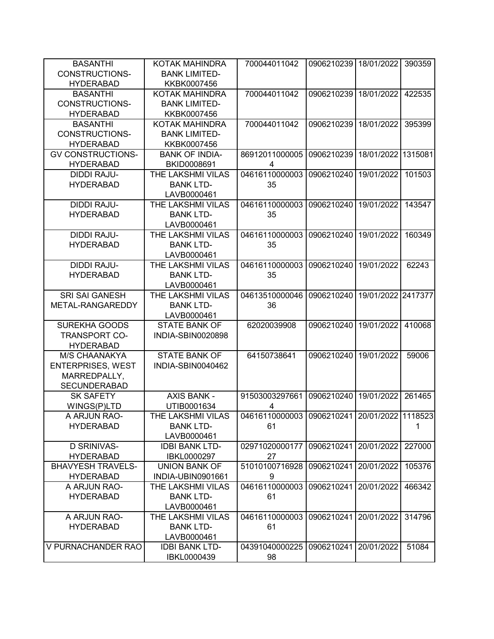| <b>BASANTHI</b>          | KOTAK MAHINDRA        | 700044011042                                 | 0906210239 | 18/01/2022         | 390359  |
|--------------------------|-----------------------|----------------------------------------------|------------|--------------------|---------|
| <b>CONSTRUCTIONS-</b>    | <b>BANK LIMITED-</b>  |                                              |            |                    |         |
| <b>HYDERABAD</b>         | KKBK0007456           |                                              |            |                    |         |
| <b>BASANTHI</b>          | KOTAK MAHINDRA        | 700044011042                                 | 0906210239 | 18/01/2022         | 422535  |
| <b>CONSTRUCTIONS-</b>    | <b>BANK LIMITED-</b>  |                                              |            |                    |         |
| <b>HYDERABAD</b>         | KKBK0007456           |                                              |            |                    |         |
| <b>BASANTHI</b>          | KOTAK MAHINDRA        | 700044011042                                 | 0906210239 | 18/01/2022         | 395399  |
| <b>CONSTRUCTIONS-</b>    | <b>BANK LIMITED-</b>  |                                              |            |                    |         |
| <b>HYDERABAD</b>         | KKBK0007456           |                                              |            |                    |         |
| <b>GV CONSTRUCTIONS-</b> | <b>BANK OF INDIA-</b> | 86912011000005                               | 0906210239 | 18/01/2022         | 1315081 |
| <b>HYDERABAD</b>         | BKID0008691           | 4                                            |            |                    |         |
| <b>DIDDI RAJU-</b>       | THE LAKSHMI VILAS     | 04616110000003                               | 0906210240 | 19/01/2022         | 101503  |
| <b>HYDERABAD</b>         | <b>BANK LTD-</b>      | 35                                           |            |                    |         |
|                          | LAVB0000461           |                                              |            |                    |         |
| <b>DIDDI RAJU-</b>       | THE LAKSHMI VILAS     | 04616110000003                               | 0906210240 | 19/01/2022         | 143547  |
| <b>HYDERABAD</b>         | <b>BANK LTD-</b>      | 35                                           |            |                    |         |
|                          | LAVB0000461           |                                              |            |                    |         |
| <b>DIDDI RAJU-</b>       | THE LAKSHMI VILAS     | 04616110000003                               | 0906210240 | 19/01/2022         | 160349  |
| <b>HYDERABAD</b>         | <b>BANK LTD-</b>      | 35                                           |            |                    |         |
|                          | LAVB0000461           |                                              |            |                    |         |
| <b>DIDDI RAJU-</b>       | THE LAKSHMI VILAS     | 04616110000003                               | 0906210240 | 19/01/2022         | 62243   |
| <b>HYDERABAD</b>         | <b>BANK LTD-</b>      | 35                                           |            |                    |         |
|                          | LAVB0000461           |                                              |            |                    |         |
| <b>SRI SAI GANESH</b>    | THE LAKSHMI VILAS     | 04613510000046                               | 0906210240 | 19/01/2022 2417377 |         |
| METAL-RANGAREDDY         | <b>BANK LTD-</b>      | 36                                           |            |                    |         |
|                          | LAVB0000461           |                                              |            |                    |         |
| <b>SUREKHA GOODS</b>     | <b>STATE BANK OF</b>  | 62020039908                                  | 0906210240 | 19/01/2022         | 410068  |
| <b>TRANSPORT CO-</b>     | INDIA-SBIN0020898     |                                              |            |                    |         |
| <b>HYDERABAD</b>         |                       |                                              |            |                    |         |
| M/S CHAANAKYA            | <b>STATE BANK OF</b>  | 64150738641                                  | 0906210240 | 19/01/2022         | 59006   |
| <b>ENTERPRISES, WEST</b> | INDIA-SBIN0040462     |                                              |            |                    |         |
| MARREDPALLY,             |                       |                                              |            |                    |         |
| <b>SECUNDERABAD</b>      |                       |                                              |            |                    |         |
| <b>SK SAFETY</b>         | <b>AXIS BANK -</b>    | 91503003297661                               | 0906210240 | 19/01/2022         | 261465  |
|                          | UTIB0001634           |                                              |            |                    |         |
| WINGS(P)LTD              |                       | 4                                            |            |                    |         |
| A ARJUN RAO-             | THE LAKSHMI VILAS     | 04616110000003 0906210241 20/01/2022 1118523 |            |                    |         |
| <b>HYDERABAD</b>         | <b>BANK LTD-</b>      | 61                                           |            |                    | 1       |
|                          | LAVB0000461           |                                              |            |                    |         |
| <b>D SRINIVAS-</b>       | <b>IDBI BANK LTD-</b> | 02971020000177                               | 0906210241 | 20/01/2022         | 227000  |
| <b>HYDERABAD</b>         | IBKL0000297           | 27                                           |            |                    |         |
| <b>BHAVYESH TRAVELS-</b> | <b>UNION BANK OF</b>  | 51010100716928                               | 0906210241 | 20/01/2022         | 105376  |
| <b>HYDERABAD</b>         | INDIA-UBIN0901661     | 9                                            |            |                    |         |
| A ARJUN RAO-             | THE LAKSHMI VILAS     | 04616110000003                               | 0906210241 | 20/01/2022         | 466342  |
| <b>HYDERABAD</b>         | <b>BANK LTD-</b>      | 61                                           |            |                    |         |
|                          | LAVB0000461           |                                              |            |                    |         |
| A ARJUN RAO-             | THE LAKSHMI VILAS     | 04616110000003                               | 0906210241 | 20/01/2022         | 314796  |
| <b>HYDERABAD</b>         | <b>BANK LTD-</b>      | 61                                           |            |                    |         |
|                          | LAVB0000461           |                                              |            |                    |         |
| V PURNACHANDER RAO       | <b>IDBI BANK LTD-</b> | 04391040000225                               | 0906210241 | 20/01/2022         | 51084   |
|                          | IBKL0000439           | 98                                           |            |                    |         |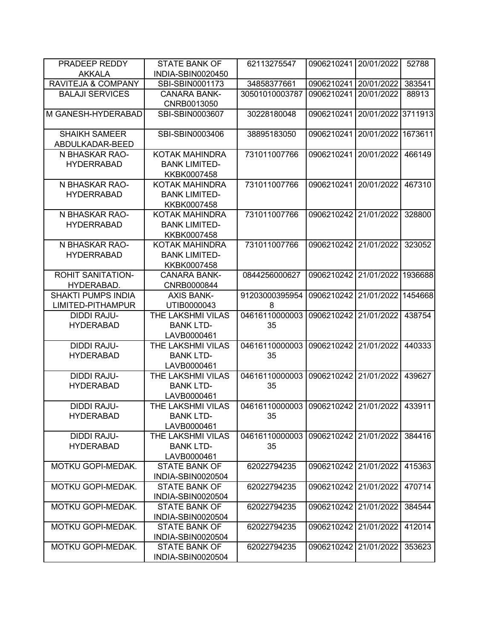| PRADEEP REDDY             | <b>STATE BANK OF</b>                      | 62113275547    | 0906210241            | 20/01/2022 | 52788   |
|---------------------------|-------------------------------------------|----------------|-----------------------|------------|---------|
| <b>AKKALA</b>             | INDIA-SBIN0020450                         |                |                       |            |         |
| RAVITEJA & COMPANY        | SBI-SBIN0001173                           | 34858377661    | 0906210241            | 20/01/2022 | 383541  |
| <b>BALAJI SERVICES</b>    | <b>CANARA BANK-</b>                       | 30501010003787 | 0906210241            | 20/01/2022 | 88913   |
|                           | CNRB0013050                               |                |                       |            |         |
| M GANESH-HYDERABAD        | SBI-SBIN0003607                           | 30228180048    | 0906210241            | 20/01/2022 | 3711913 |
| <b>SHAIKH SAMEER</b>      | SBI-SBIN0003406                           | 38895183050    | 0906210241            | 20/01/2022 | 1673611 |
| ABDULKADAR-BEED           |                                           |                |                       |            |         |
| N BHASKAR RAO-            | KOTAK MAHINDRA                            | 731011007766   | 0906210241            | 20/01/2022 | 466149  |
| <b>HYDERRABAD</b>         | <b>BANK LIMITED-</b>                      |                |                       |            |         |
|                           | KKBK0007458                               |                |                       |            |         |
| N BHASKAR RAO-            | KOTAK MAHINDRA                            | 731011007766   | 0906210241            | 20/01/2022 | 467310  |
| <b>HYDERRABAD</b>         | <b>BANK LIMITED-</b>                      |                |                       |            |         |
|                           | KKBK0007458                               |                |                       |            |         |
| N BHASKAR RAO-            | <b>KOTAK MAHINDRA</b>                     | 731011007766   | 0906210242            | 21/01/2022 | 328800  |
| <b>HYDERRABAD</b>         | <b>BANK LIMITED-</b>                      |                |                       |            |         |
|                           | KKBK0007458                               |                |                       |            |         |
| N BHASKAR RAO-            | <b>KOTAK MAHINDRA</b>                     | 731011007766   | 0906210242            | 21/01/2022 | 323052  |
| <b>HYDERRABAD</b>         | <b>BANK LIMITED-</b>                      |                |                       |            |         |
|                           | KKBK0007458                               |                |                       |            |         |
| <b>ROHIT SANITATION-</b>  | <b>CANARA BANK-</b>                       | 0844256000627  | 0906210242            | 21/01/2022 | 1936688 |
| HYDERABAD.                | CNRB0000844                               |                |                       |            |         |
| <b>SHAKTI PUMPS INDIA</b> | <b>AXIS BANK-</b>                         | 91203000395954 | 0906210242            | 21/01/2022 | 1454668 |
| LIMITED-PITHAMPUR         | UTIB0000043                               | 8              |                       |            |         |
| <b>DIDDI RAJU-</b>        | THE LAKSHMI VILAS                         | 04616110000003 | 0906210242            | 21/01/2022 | 438754  |
| <b>HYDERABAD</b>          | <b>BANK LTD-</b>                          | 35             |                       |            |         |
|                           | LAVB0000461                               |                |                       |            |         |
| <b>DIDDI RAJU-</b>        | THE LAKSHMI VILAS                         | 04616110000003 | 0906210242            | 21/01/2022 | 440333  |
| <b>HYDERABAD</b>          | <b>BANK LTD-</b>                          | 35             |                       |            |         |
|                           | LAVB0000461                               |                |                       |            |         |
| <b>DIDDI RAJU-</b>        | THE LAKSHMI VILAS                         | 04616110000003 | 0906210242            | 21/01/2022 | 439627  |
| <b>HYDERABAD</b>          | <b>BANK LTD-</b>                          | 35             |                       |            |         |
|                           | LAVB0000461                               |                |                       |            |         |
| <b>DIDDI RAJU-</b>        | THE LAKSHMI VILAS                         | 04616110000003 | 0906210242            | 21/01/2022 | 433911  |
| <b>HYDERABAD</b>          | <b>BANK LTD-</b>                          | 35             |                       |            |         |
|                           |                                           |                |                       |            |         |
|                           | LAVB0000461                               |                |                       |            |         |
| DIDDI RAJU-               | THE LAKSHMI VILAS                         | 04616110000003 | 0906210242 21/01/2022 |            | 384416  |
| <b>HYDERABAD</b>          | <b>BANK LTD-</b>                          | 35             |                       |            |         |
|                           | LAVB0000461                               |                |                       |            |         |
| MOTKU GOPI-MEDAK.         | <b>STATE BANK OF</b>                      | 62022794235    | 0906210242 21/01/2022 |            | 415363  |
|                           | INDIA-SBIN0020504                         |                |                       |            |         |
| MOTKU GOPI-MEDAK.         | <b>STATE BANK OF</b>                      | 62022794235    | 0906210242            | 21/01/2022 | 470714  |
|                           | INDIA-SBIN0020504                         |                |                       |            |         |
| <b>MOTKU GOPI-MEDAK.</b>  | <b>STATE BANK OF</b>                      | 62022794235    | 0906210242            | 21/01/2022 | 384544  |
|                           | INDIA-SBIN0020504                         |                |                       |            |         |
| MOTKU GOPI-MEDAK.         | <b>STATE BANK OF</b>                      | 62022794235    | 0906210242            | 21/01/2022 | 412014  |
|                           | INDIA-SBIN0020504                         |                |                       |            |         |
| MOTKU GOPI-MEDAK.         | <b>STATE BANK OF</b><br>INDIA-SBIN0020504 | 62022794235    | 0906210242            | 21/01/2022 | 353623  |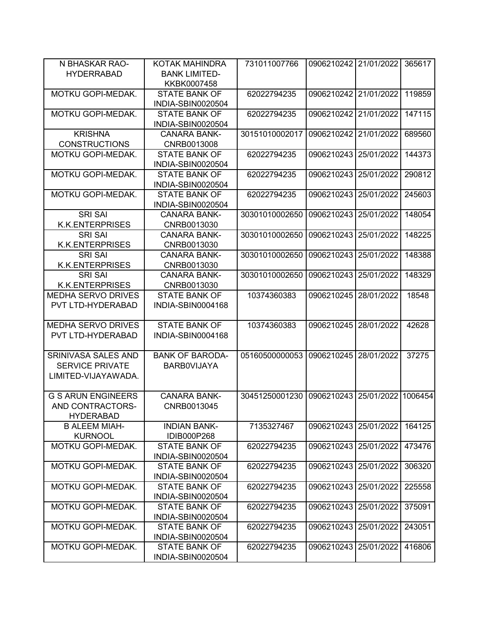| N BHASKAR RAO-            | KOTAK MAHINDRA         | 731011007766   | 0906210242 21/01/2022 |            | 365617  |
|---------------------------|------------------------|----------------|-----------------------|------------|---------|
| <b>HYDERRABAD</b>         | <b>BANK LIMITED-</b>   |                |                       |            |         |
|                           | KKBK0007458            |                |                       |            |         |
| MOTKU GOPI-MEDAK.         | <b>STATE BANK OF</b>   | 62022794235    | 0906210242            | 21/01/2022 | 119859  |
|                           | INDIA-SBIN0020504      |                |                       |            |         |
| MOTKU GOPI-MEDAK.         | <b>STATE BANK OF</b>   | 62022794235    | 0906210242            | 21/01/2022 | 147115  |
|                           | INDIA-SBIN0020504      |                |                       |            |         |
| <b>KRISHNA</b>            | <b>CANARA BANK-</b>    | 30151010002017 | 0906210242            | 21/01/2022 | 689560  |
|                           |                        |                |                       |            |         |
| <b>CONSTRUCTIONS</b>      | CNRB0013008            |                |                       |            |         |
| MOTKU GOPI-MEDAK.         | <b>STATE BANK OF</b>   | 62022794235    | 0906210243            | 25/01/2022 | 144373  |
|                           | INDIA-SBIN0020504      |                |                       |            |         |
| <b>MOTKU GOPI-MEDAK.</b>  | <b>STATE BANK OF</b>   | 62022794235    | 0906210243            | 25/01/2022 | 290812  |
|                           | INDIA-SBIN0020504      |                |                       |            |         |
| MOTKU GOPI-MEDAK.         | <b>STATE BANK OF</b>   | 62022794235    | 0906210243            | 25/01/2022 | 245603  |
|                           | INDIA-SBIN0020504      |                |                       |            |         |
| <b>SRI SAI</b>            | <b>CANARA BANK-</b>    | 30301010002650 | 0906210243            | 25/01/2022 | 148054  |
| <b>K.K.ENTERPRISES</b>    | CNRB0013030            |                |                       |            |         |
| <b>SRI SAI</b>            | <b>CANARA BANK-</b>    | 30301010002650 | 0906210243            | 25/01/2022 | 148225  |
| <b>K.K.ENTERPRISES</b>    | CNRB0013030            |                |                       |            |         |
| <b>SRI SAI</b>            | <b>CANARA BANK-</b>    | 30301010002650 | 0906210243            | 25/01/2022 | 148388  |
| <b>K.K.ENTERPRISES</b>    | CNRB0013030            |                |                       |            |         |
| <b>SRI SAI</b>            | <b>CANARA BANK-</b>    | 30301010002650 | 0906210243            | 25/01/2022 | 148329  |
| <b>K.K.ENTERPRISES</b>    | CNRB0013030            |                |                       |            |         |
| <b>MEDHA SERVO DRIVES</b> | <b>STATE BANK OF</b>   | 10374360383    | 0906210245            | 28/01/2022 | 18548   |
| PVT LTD-HYDERABAD         | INDIA-SBIN0004168      |                |                       |            |         |
|                           |                        |                |                       |            |         |
| <b>MEDHA SERVO DRIVES</b> | <b>STATE BANK OF</b>   | 10374360383    | 0906210245            | 28/01/2022 | 42628   |
| PVT LTD-HYDERABAD         | INDIA-SBIN0004168      |                |                       |            |         |
|                           |                        |                |                       |            |         |
| SRINIVASA SALES AND       | <b>BANK OF BARODA-</b> | 05160500000053 | 0906210245            | 28/01/2022 | 37275   |
| <b>SERVICE PRIVATE</b>    | <b>BARBOVIJAYA</b>     |                |                       |            |         |
| LIMITED-VIJAYAWADA.       |                        |                |                       |            |         |
|                           |                        |                |                       |            |         |
| <b>G S ARUN ENGINEERS</b> | <b>CANARA BANK-</b>    | 30451250001230 | 0906210243            | 25/01/2022 | 1006454 |
| AND CONTRACTORS-          | CNRB0013045            |                |                       |            |         |
| <b>HYDERABAD</b>          |                        |                |                       |            |         |
| <b>B ALEEM MIAH-</b>      | <b>INDIAN BANK-</b>    | 7135327467     | 0906210243            | 25/01/2022 | 164125  |
| <b>KURNOOL</b>            | IDIB000P268            |                |                       |            |         |
| MOTKU GOPI-MEDAK.         | <b>STATE BANK OF</b>   | 62022794235    | 0906210243            | 25/01/2022 | 473476  |
|                           | INDIA-SBIN0020504      |                |                       |            |         |
| MOTKU GOPI-MEDAK.         | <b>STATE BANK OF</b>   | 62022794235    | 0906210243            | 25/01/2022 | 306320  |
|                           | INDIA-SBIN0020504      |                |                       |            |         |
| <b>MOTKU GOPI-MEDAK.</b>  | <b>STATE BANK OF</b>   | 62022794235    | 0906210243            | 25/01/2022 | 225558  |
|                           | INDIA-SBIN0020504      |                |                       |            |         |
| MOTKU GOPI-MEDAK.         | <b>STATE BANK OF</b>   | 62022794235    | 0906210243            | 25/01/2022 | 375091  |
|                           | INDIA-SBIN0020504      |                |                       |            |         |
| MOTKU GOPI-MEDAK.         | <b>STATE BANK OF</b>   | 62022794235    | 0906210243            | 25/01/2022 | 243051  |
|                           | INDIA-SBIN0020504      |                |                       |            |         |
| MOTKU GOPI-MEDAK.         | <b>STATE BANK OF</b>   | 62022794235    | 0906210243            | 25/01/2022 | 416806  |
|                           | INDIA-SBIN0020504      |                |                       |            |         |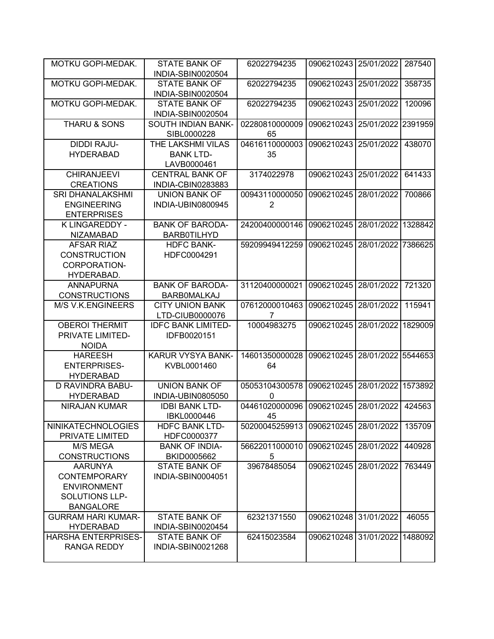| MOTKU GOPI-MEDAK.                                                                                 | <b>STATE BANK OF</b><br>INDIA-SBIN0020504            | 62022794235                      | 0906210243              | 25/01/2022         | 287540  |
|---------------------------------------------------------------------------------------------------|------------------------------------------------------|----------------------------------|-------------------------|--------------------|---------|
| MOTKU GOPI-MEDAK.                                                                                 | <b>STATE BANK OF</b><br>INDIA-SBIN0020504            | 62022794235                      | 0906210243              | 25/01/2022         | 358735  |
| MOTKU GOPI-MEDAK.                                                                                 | <b>STATE BANK OF</b><br>INDIA-SBIN0020504            | 62022794235                      | 0906210243              | 25/01/2022         | 120096  |
| THARU & SONS                                                                                      | SOUTH INDIAN BANK-<br>SIBL0000228                    | 02280810000009<br>65             | 0906210243              | 25/01/2022 2391959 |         |
| <b>DIDDI RAJU-</b><br><b>HYDERABAD</b>                                                            | THE LAKSHMI VILAS<br><b>BANK LTD-</b><br>LAVB0000461 | 04616110000003<br>35             | 0906210243              | 25/01/2022         | 438070  |
| <b>CHIRANJEEVI</b><br><b>CREATIONS</b>                                                            | <b>CENTRAL BANK OF</b><br>INDIA-CBIN0283883          | 3174022978                       | 0906210243              | 25/01/2022         | 641433  |
| <b>SRI DHANALAKSHMI</b><br><b>ENGINEERING</b><br><b>ENTERPRISES</b>                               | <b>UNION BANK OF</b><br>INDIA-UBIN0800945            | 00943110000050<br>$\overline{2}$ | 0906210245              | 28/01/2022         | 700866  |
| K LINGAREDDY -<br><b>NIZAMABAD</b>                                                                | <b>BANK OF BARODA-</b><br><b>BARB0TILHYD</b>         | 24200400000146                   | 0906210245              | 28/01/2022         | 1328842 |
| <b>AFSAR RIAZ</b><br><b>CONSTRUCTION</b><br>CORPORATION-<br>HYDERABAD.                            | <b>HDFC BANK-</b><br>HDFC0004291                     | 59209949412259                   | 0906210245              | 28/01/2022         | 7386625 |
| <b>ANNAPURNA</b><br><b>CONSTRUCTIONS</b>                                                          | <b>BANK OF BARODA-</b><br><b>BARBOMALKAJ</b>         | 31120400000021                   | 0906210245              | 28/01/2022         | 721320  |
| <b>M/S V.K.ENGINEERS</b>                                                                          | <b>CITY UNION BANK</b><br>LTD-CIUB0000076            | 07612000010463<br>7              | 0906210245              | 28/01/2022         | 115941  |
| <b>OBEROI THERMIT</b><br>PRIVATE LIMITED-<br><b>NOIDA</b>                                         | <b>IDFC BANK LIMITED-</b><br>IDFB0020151             | 10004983275                      | 0906210245              | 28/01/2022         | 1829009 |
| <b>HAREESH</b><br><b>ENTERPRISES-</b><br><b>HYDERABAD</b>                                         | <b>KARUR VYSYA BANK-</b><br>KVBL0001460              | 14601350000028<br>64             | 0906210245              | 28/01/2022 5544653 |         |
| D RAVINDRA BABU-<br><b>HYDERABAD</b>                                                              | <b>UNION BANK OF</b><br>INDIA-UBIN0805050            | 05053104300578<br>0              | 0906210245              | 28/01/2022         | 1573892 |
| <b>NIRAJAN KUMAR</b>                                                                              | <b>IDBI BANK LTD-</b><br>IBKL0000446                 | 04461020000096<br>45             | 0906210245              | 28/01/2022         | 424563  |
| <b>NINIKATECHNOLOGIES</b><br>PRIVATE LIMITED                                                      | <b>HDFC BANK LTD-</b><br>HDFC0000377                 | 50200045259913                   | 0906210245   28/01/2022 |                    | 135709  |
| M/S MEGA<br><b>CONSTRUCTIONS</b>                                                                  | <b>BANK OF INDIA-</b><br>BKID0005662                 | 56622011000010<br>5              | 0906210245              | 28/01/2022         | 440928  |
| <b>AARUNYA</b><br>CONTEMPORARY<br><b>ENVIRONMENT</b><br><b>SOLUTIONS LLP-</b><br><b>BANGALORE</b> | STATE BANK OF<br>INDIA-SBIN0004051                   | 39678485054                      | 0906210245              | 28/01/2022         | 763449  |
| <b>GURRAM HARI KUMAR-</b><br><b>HYDERABAD</b>                                                     | <b>STATE BANK OF</b><br>INDIA-SBIN0020454            | 62321371550                      | 0906210248              | 31/01/2022         | 46055   |
| <b>HARSHA ENTERPRISES-</b><br>RANGA REDDY                                                         | <b>STATE BANK OF</b><br>INDIA-SBIN0021268            | 62415023584                      | 0906210248              | 31/01/2022         | 1488092 |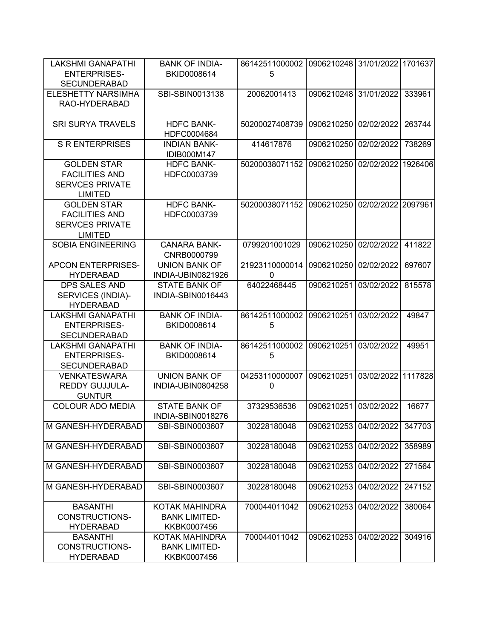| <b>LAKSHMI GANAPATHI</b>  | <b>BANK OF INDIA-</b> | 86142511000002 | 0906210248 31/01/2022 1701637 |                    |         |
|---------------------------|-----------------------|----------------|-------------------------------|--------------------|---------|
| <b>ENTERPRISES-</b>       | BKID0008614           | 5              |                               |                    |         |
| <b>SECUNDERABAD</b>       |                       |                |                               |                    |         |
| <b>ELESHETTY NARSIMHA</b> | SBI-SBIN0013138       | 20062001413    | 0906210248 31/01/2022         |                    | 333961  |
| RAO-HYDERABAD             |                       |                |                               |                    |         |
|                           |                       |                |                               |                    |         |
| <b>SRI SURYA TRAVELS</b>  | <b>HDFC BANK-</b>     | 50200027408739 | 0906210250                    | 02/02/2022         | 263744  |
|                           | HDFC0004684           |                |                               |                    |         |
| <b>S R ENTERPRISES</b>    | <b>INDIAN BANK-</b>   | 414617876      | 0906210250                    | 02/02/2022         | 738269  |
|                           |                       |                |                               |                    |         |
|                           | IDIB000M147           |                |                               |                    |         |
| <b>GOLDEN STAR</b>        | <b>HDFC BANK-</b>     | 50200038071152 | 0906210250                    | 02/02/2022         | 1926406 |
| <b>FACILITIES AND</b>     | HDFC0003739           |                |                               |                    |         |
| <b>SERVCES PRIVATE</b>    |                       |                |                               |                    |         |
| <b>LIMITED</b>            |                       |                |                               |                    |         |
| <b>GOLDEN STAR</b>        | <b>HDFC BANK-</b>     | 50200038071152 | 0906210250                    | 02/02/2022 2097961 |         |
| <b>FACILITIES AND</b>     | HDFC0003739           |                |                               |                    |         |
| <b>SERVCES PRIVATE</b>    |                       |                |                               |                    |         |
| <b>LIMITED</b>            |                       |                |                               |                    |         |
| <b>SOBIA ENGINEERING</b>  | <b>CANARA BANK-</b>   | 0799201001029  | 0906210250                    | 02/02/2022         | 411822  |
|                           | CNRB0000799           |                |                               |                    |         |
| <b>APCON ENTERPRISES-</b> | <b>UNION BANK OF</b>  | 21923110000014 | 0906210250                    | 02/02/2022         | 697607  |
| <b>HYDERABAD</b>          | INDIA-UBIN0821926     | 0              |                               |                    |         |
| <b>DPS SALES AND</b>      | <b>STATE BANK OF</b>  | 64022468445    | 0906210251                    | 03/02/2022         | 815578  |
| SERVICES (INDIA)-         | INDIA-SBIN0016443     |                |                               |                    |         |
| <b>HYDERABAD</b>          |                       |                |                               |                    |         |
| <b>LAKSHMI GANAPATHI</b>  | <b>BANK OF INDIA-</b> | 86142511000002 | 0906210251                    | 03/02/2022         | 49847   |
| <b>ENTERPRISES-</b>       | BKID0008614           | 5              |                               |                    |         |
| <b>SECUNDERABAD</b>       |                       |                |                               |                    |         |
| <b>LAKSHMI GANAPATHI</b>  | <b>BANK OF INDIA-</b> | 86142511000002 | 0906210251                    | 03/02/2022         | 49951   |
| <b>ENTERPRISES-</b>       | BKID0008614           | 5              |                               |                    |         |
|                           |                       |                |                               |                    |         |
| <b>SECUNDERABAD</b>       | <b>UNION BANK OF</b>  |                |                               |                    |         |
| <b>VENKATESWARA</b>       |                       | 04253110000007 | 0906210251                    | 03/02/2022 1117828 |         |
| <b>REDDY GUJJULA-</b>     | INDIA-UBIN0804258     | $\mathbf 0$    |                               |                    |         |
| <b>GUNTUR</b>             |                       |                |                               |                    |         |
| <b>COLOUR ADO MEDIA</b>   | <b>STATE BANK OF</b>  | 37329536536    | 0906210251                    | 03/02/2022         | 16677   |
|                           | INDIA-SBIN0018276     |                |                               |                    |         |
| M GANESH-HYDERABAD        | SBI-SBIN0003607       | 30228180048    | 0906210253                    | 04/02/2022         | 347703  |
|                           |                       |                |                               |                    |         |
| M GANESH-HYDERABAD        | SBI-SBIN0003607       | 30228180048    | 0906210253                    | 04/02/2022         | 358989  |
|                           |                       |                |                               |                    |         |
| M GANESH-HYDERABAD        | SBI-SBIN0003607       | 30228180048    | 0906210253                    | 04/02/2022         | 271564  |
|                           |                       |                |                               |                    |         |
| M GANESH-HYDERABAD        | SBI-SBIN0003607       | 30228180048    | 0906210253                    | 04/02/2022         | 247152  |
|                           |                       |                |                               |                    |         |
| <b>BASANTHI</b>           | KOTAK MAHINDRA        | 700044011042   | 0906210253                    | 04/02/2022         | 380064  |
| CONSTRUCTIONS-            | <b>BANK LIMITED-</b>  |                |                               |                    |         |
| <b>HYDERABAD</b>          | KKBK0007456           |                |                               |                    |         |
| <b>BASANTHI</b>           | KOTAK MAHINDRA        | 700044011042   | 0906210253                    | 04/02/2022         | 304916  |
| CONSTRUCTIONS-            | <b>BANK LIMITED-</b>  |                |                               |                    |         |
| <b>HYDERABAD</b>          | KKBK0007456           |                |                               |                    |         |
|                           |                       |                |                               |                    |         |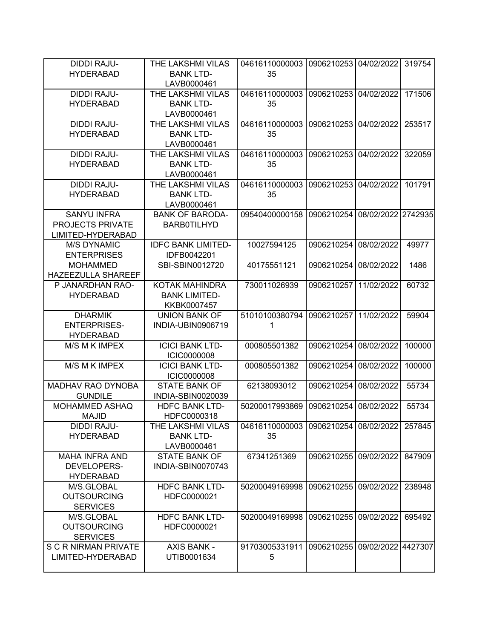| <b>DIDDI RAJU-</b>       | THE LAKSHMI VILAS         | 04616110000003 | 0906210253 | 04/02/2022 | 319754  |
|--------------------------|---------------------------|----------------|------------|------------|---------|
| <b>HYDERABAD</b>         | <b>BANK LTD-</b>          | 35             |            |            |         |
|                          | LAVB0000461               |                |            |            |         |
| <b>DIDDI RAJU-</b>       | THE LAKSHMI VILAS         | 04616110000003 | 0906210253 | 04/02/2022 | 171506  |
| <b>HYDERABAD</b>         | <b>BANK LTD-</b>          | 35             |            |            |         |
|                          | LAVB0000461               |                |            |            |         |
| <b>DIDDI RAJU-</b>       | THE LAKSHMI VILAS         | 04616110000003 | 0906210253 | 04/02/2022 | 253517  |
| <b>HYDERABAD</b>         | <b>BANK LTD-</b>          | 35             |            |            |         |
|                          | LAVB0000461               |                |            |            |         |
| <b>DIDDI RAJU-</b>       | THE LAKSHMI VILAS         | 04616110000003 | 0906210253 | 04/02/2022 | 322059  |
| <b>HYDERABAD</b>         | <b>BANK LTD-</b>          | 35             |            |            |         |
|                          | LAVB0000461               |                |            |            |         |
| <b>DIDDI RAJU-</b>       | THE LAKSHMI VILAS         | 04616110000003 | 0906210253 | 04/02/2022 | 101791  |
| <b>HYDERABAD</b>         | <b>BANK LTD-</b>          | 35             |            |            |         |
|                          | LAVB0000461               |                |            |            |         |
| <b>SANYU INFRA</b>       | <b>BANK OF BARODA-</b>    | 09540400000158 | 0906210254 | 08/02/2022 | 2742935 |
| PROJECTS PRIVATE         | <b>BARB0TILHYD</b>        |                |            |            |         |
|                          |                           |                |            |            |         |
| LIMITED-HYDERABAD        |                           |                |            |            |         |
| <b>M/S DYNAMIC</b>       | <b>IDFC BANK LIMITED-</b> | 10027594125    | 0906210254 | 08/02/2022 | 49977   |
| <b>ENTERPRISES</b>       | IDFB0042201               |                |            |            |         |
| <b>MOHAMMED</b>          | SBI-SBIN0012720           | 40175551121    | 0906210254 | 08/02/2022 | 1486    |
| HAZEEZULLA SHAREEF       |                           |                |            |            |         |
| P JANARDHAN RAO-         | <b>KOTAK MAHINDRA</b>     | 730011026939   | 0906210257 | 11/02/2022 | 60732   |
| <b>HYDERABAD</b>         | <b>BANK LIMITED-</b>      |                |            |            |         |
|                          | KKBK0007457               |                |            |            |         |
| <b>DHARMIK</b>           | <b>UNION BANK OF</b>      | 51010100380794 | 0906210257 | 11/02/2022 | 59904   |
| <b>ENTERPRISES-</b>      | INDIA-UBIN0906719         | 1              |            |            |         |
| <b>HYDERABAD</b>         |                           |                |            |            |         |
| M/S M K IMPEX            | <b>ICICI BANK LTD-</b>    | 000805501382   | 0906210254 | 08/02/2022 | 100000  |
|                          | <b>ICIC0000008</b>        |                |            |            |         |
| M/S M K IMPEX            | <b>ICICI BANK LTD-</b>    | 000805501382   | 0906210254 | 08/02/2022 | 100000  |
|                          | <b>ICIC0000008</b>        |                |            |            |         |
| <b>MADHAV RAO DYNOBA</b> | <b>STATE BANK OF</b>      | 62138093012    | 0906210254 | 08/02/2022 | 55734   |
| <b>GUNDILE</b>           | INDIA-SBIN0020039         |                |            |            |         |
| <b>MOHAMMED ASHAQ</b>    | <b>HDFC BANK LTD-</b>     | 50200017993869 | 0906210254 | 08/02/2022 | 55734   |
| <b>MAJID</b>             | HDFC0000318               |                |            |            |         |
| <b>DIDDI RAJU-</b>       | THE LAKSHMI VILAS         | 04616110000003 | 0906210254 | 08/02/2022 | 257845  |
| <b>HYDERABAD</b>         | <b>BANK LTD-</b>          | 35             |            |            |         |
|                          | LAVB0000461               |                |            |            |         |
| <b>MAHA INFRA AND</b>    | <b>STATE BANK OF</b>      | 67341251369    | 0906210255 | 09/02/2022 | 847909  |
| <b>DEVELOPERS-</b>       | INDIA-SBIN0070743         |                |            |            |         |
| <b>HYDERABAD</b>         |                           |                |            |            |         |
| M/S.GLOBAL               | <b>HDFC BANK LTD-</b>     | 50200049169998 | 0906210255 | 09/02/2022 | 238948  |
| <b>OUTSOURCING</b>       | HDFC0000021               |                |            |            |         |
| <b>SERVICES</b>          |                           |                |            |            |         |
| M/S.GLOBAL               | <b>HDFC BANK LTD-</b>     | 50200049169998 | 0906210255 | 09/02/2022 | 695492  |
| <b>OUTSOURCING</b>       | HDFC0000021               |                |            |            |         |
| <b>SERVICES</b>          |                           |                |            |            |         |
| S C R NIRMAN PRIVATE     | <b>AXIS BANK -</b>        | 91703005331911 | 0906210255 | 09/02/2022 | 4427307 |
| LIMITED-HYDERABAD        | UTIB0001634               | 5              |            |            |         |
|                          |                           |                |            |            |         |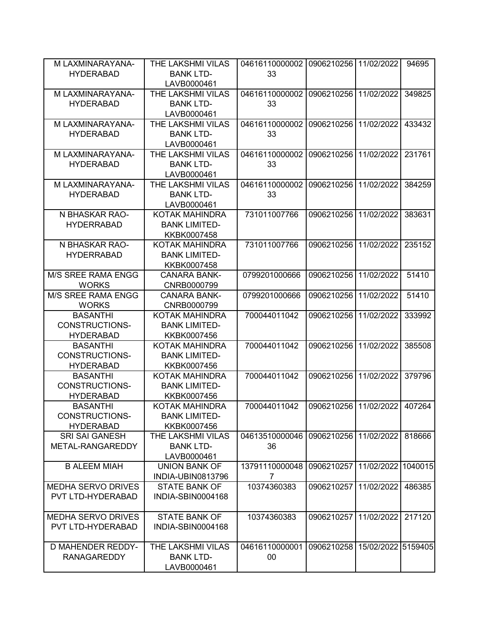| M LAXMINARAYANA-          | THE LAKSHMI VILAS     | 04616110000002 | 0906210256            | 11/02/2022         | 94695   |
|---------------------------|-----------------------|----------------|-----------------------|--------------------|---------|
| <b>HYDERABAD</b>          | <b>BANK LTD-</b>      | 33             |                       |                    |         |
|                           | LAVB0000461           |                |                       |                    |         |
| M LAXMINARAYANA-          | THE LAKSHMI VILAS     | 04616110000002 | 0906210256            | 11/02/2022         | 349825  |
| <b>HYDERABAD</b>          | <b>BANK LTD-</b>      | 33             |                       |                    |         |
|                           | LAVB0000461           |                |                       |                    |         |
| M LAXMINARAYANA-          | THE LAKSHMI VILAS     | 04616110000002 | 0906210256            | 11/02/2022         | 433432  |
| <b>HYDERABAD</b>          | <b>BANK LTD-</b>      | 33             |                       |                    |         |
|                           | LAVB0000461           |                |                       |                    |         |
| M LAXMINARAYANA-          | THE LAKSHMI VILAS     | 04616110000002 | 0906210256            | 11/02/2022         | 231761  |
|                           | <b>BANK LTD-</b>      | 33             |                       |                    |         |
| <b>HYDERABAD</b>          |                       |                |                       |                    |         |
|                           | LAVB0000461           |                |                       |                    |         |
| M LAXMINARAYANA-          | THE LAKSHMI VILAS     | 04616110000002 | 0906210256            | 11/02/2022         | 384259  |
| <b>HYDERABAD</b>          | <b>BANK LTD-</b>      | 33             |                       |                    |         |
|                           | LAVB0000461           |                |                       |                    |         |
| N BHASKAR RAO-            | KOTAK MAHINDRA        | 731011007766   | 0906210256            | 11/02/2022         | 383631  |
| <b>HYDERRABAD</b>         | <b>BANK LIMITED-</b>  |                |                       |                    |         |
|                           | KKBK0007458           |                |                       |                    |         |
| N BHASKAR RAO-            | KOTAK MAHINDRA        | 731011007766   | 0906210256            | 11/02/2022         | 235152  |
| <b>HYDERRABAD</b>         | <b>BANK LIMITED-</b>  |                |                       |                    |         |
|                           | KKBK0007458           |                |                       |                    |         |
| <b>M/S SREE RAMA ENGG</b> | <b>CANARA BANK-</b>   | 0799201000666  | 0906210256            | 11/02/2022         | 51410   |
| <b>WORKS</b>              | CNRB0000799           |                |                       |                    |         |
| M/S SREE RAMA ENGG        | <b>CANARA BANK-</b>   | 0799201000666  | 0906210256            | 11/02/2022         | 51410   |
| <b>WORKS</b>              | CNRB0000799           |                |                       |                    |         |
| <b>BASANTHI</b>           | KOTAK MAHINDRA        | 700044011042   | 0906210256            | 11/02/2022         | 333992  |
| <b>CONSTRUCTIONS-</b>     | <b>BANK LIMITED-</b>  |                |                       |                    |         |
| <b>HYDERABAD</b>          | KKBK0007456           |                |                       |                    |         |
| <b>BASANTHI</b>           | <b>KOTAK MAHINDRA</b> | 700044011042   | 0906210256            | 11/02/2022         | 385508  |
| <b>CONSTRUCTIONS-</b>     | <b>BANK LIMITED-</b>  |                |                       |                    |         |
| <b>HYDERABAD</b>          | KKBK0007456           |                |                       |                    |         |
| <b>BASANTHI</b>           | <b>KOTAK MAHINDRA</b> | 700044011042   | 0906210256            | 11/02/2022         | 379796  |
| <b>CONSTRUCTIONS-</b>     | <b>BANK LIMITED-</b>  |                |                       |                    |         |
| <b>HYDERABAD</b>          | KKBK0007456           |                |                       |                    |         |
| <b>BASANTHI</b>           | <b>KOTAK MAHINDRA</b> | 700044011042   | 0906210256            | 11/02/2022         | 407264  |
| CONSTRUCTIONS-            | <b>BANK LIMITED-</b>  |                |                       |                    |         |
| <b>HYDERABAD</b>          | KKBK0007456           |                |                       |                    |         |
| <b>SRI SAI GANESH</b>     | THE LAKSHMI VILAS     | 04613510000046 | 0906210256 11/02/2022 |                    | 818666  |
| METAL-RANGAREDDY          | <b>BANK LTD-</b>      | 36             |                       |                    |         |
|                           | LAVB0000461           |                |                       |                    |         |
| <b>B ALEEM MIAH</b>       | <b>UNION BANK OF</b>  | 13791110000048 | 0906210257            | 11/02/2022         | 1040015 |
|                           | INDIA-UBIN0813796     | 7              |                       |                    |         |
| <b>MEDHA SERVO DRIVES</b> | <b>STATE BANK OF</b>  | 10374360383    | 0906210257            | 11/02/2022         | 486385  |
| PVT LTD-HYDERABAD         | INDIA-SBIN0004168     |                |                       |                    |         |
|                           |                       |                |                       |                    |         |
| MEDHA SERVO DRIVES        | <b>STATE BANK OF</b>  | 10374360383    | 0906210257            | 11/02/2022         | 217120  |
| PVT LTD-HYDERABAD         | INDIA-SBIN0004168     |                |                       |                    |         |
|                           |                       |                |                       |                    |         |
| <b>D MAHENDER REDDY-</b>  | THE LAKSHMI VILAS     | 04616110000001 | 0906210258            | 15/02/2022 5159405 |         |
| <b>RANAGAREDDY</b>        | <b>BANK LTD-</b>      | 00             |                       |                    |         |
|                           | LAVB0000461           |                |                       |                    |         |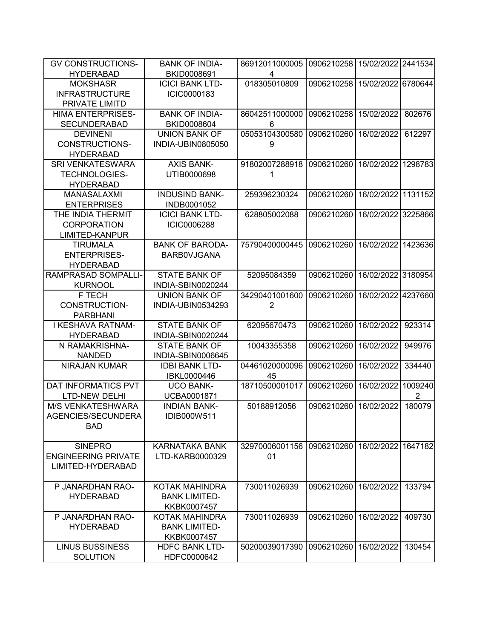| <b>GV CONSTRUCTIONS-</b>   | <b>BANK OF INDIA-</b>  | 86912011000005 | 0906210258 | 15/02/2022 2441534 |         |
|----------------------------|------------------------|----------------|------------|--------------------|---------|
| <b>HYDERABAD</b>           | BKID0008691            | 4              |            |                    |         |
| <b>MOKSHASR</b>            | <b>ICICI BANK LTD-</b> | 018305010809   | 0906210258 | 15/02/2022         | 6780644 |
| <b>INFRASTRUCTURE</b>      | ICIC0000183            |                |            |                    |         |
| PRIVATE LIMITD             |                        |                |            |                    |         |
| <b>HIMA ENTERPRISES-</b>   | <b>BANK OF INDIA-</b>  | 86042511000000 | 0906210258 | 15/02/2022         | 802676  |
| <b>SECUNDERABAD</b>        | BKID0008604            | 6              |            |                    |         |
| <b>DEVINENI</b>            | <b>UNION BANK OF</b>   | 05053104300580 | 0906210260 | 16/02/2022         | 612297  |
| <b>CONSTRUCTIONS-</b>      | INDIA-UBIN0805050      | 9              |            |                    |         |
| <b>HYDERABAD</b>           |                        |                |            |                    |         |
| <b>SRI VENKATESWARA</b>    | <b>AXIS BANK-</b>      | 91802007288918 | 0906210260 | 16/02/2022         | 1298783 |
| <b>TECHNOLOGIES-</b>       | UTIB0000698            | 1              |            |                    |         |
| <b>HYDERABAD</b>           |                        |                |            |                    |         |
| <b>MANASALAXMI</b>         | <b>INDUSIND BANK-</b>  | 259396230324   | 0906210260 | 16/02/2022         | 1131152 |
| <b>ENTERPRISES</b>         | INDB0001052            |                |            |                    |         |
| THE INDIA THERMIT          | <b>ICICI BANK LTD-</b> | 628805002088   | 0906210260 | 16/02/2022 3225866 |         |
| <b>CORPORATION</b>         | ICIC0006288            |                |            |                    |         |
| LIMITED-KANPUR             |                        |                |            |                    |         |
| <b>TIRUMALA</b>            | <b>BANK OF BARODA-</b> | 75790400000445 | 0906210260 | 16/02/2022         | 1423636 |
| <b>ENTERPRISES-</b>        | <b>BARBOVJGANA</b>     |                |            |                    |         |
| <b>HYDERABAD</b>           |                        |                |            |                    |         |
| RAMPRASAD SOMPALLI-        | <b>STATE BANK OF</b>   | 52095084359    | 0906210260 | 16/02/2022         | 3180954 |
| <b>KURNOOL</b>             | INDIA-SBIN0020244      |                |            |                    |         |
| F TECH                     | <b>UNION BANK OF</b>   | 34290401001600 | 0906210260 | 16/02/2022         | 4237660 |
| CONSTRUCTION-              | INDIA-UBIN0534293      | $\overline{2}$ |            |                    |         |
| <b>PARBHANI</b>            |                        |                |            |                    |         |
| I KESHAVA RATNAM-          | <b>STATE BANK OF</b>   | 62095670473    | 0906210260 | 16/02/2022         | 923314  |
| <b>HYDERABAD</b>           | INDIA-SBIN0020244      |                |            |                    |         |
| N RAMAKRISHNA-             | <b>STATE BANK OF</b>   | 10043355358    | 0906210260 | 16/02/2022         | 949976  |
| <b>NANDED</b>              | INDIA-SBIN0006645      |                |            |                    |         |
| NIRAJAN KUMAR              | <b>IDBI BANK LTD-</b>  | 04461020000096 | 0906210260 | 16/02/2022         | 334440  |
|                            | IBKL0000446            | 45             |            |                    |         |
| DAT INFORMATICS PVT        | <b>UCO BANK-</b>       | 18710500001017 | 0906210260 | 16/02/2022         | 1009240 |
| <b>LTD-NEW DELHI</b>       | UCBA0001871            |                |            |                    | 2       |
| <b>M/S VENKATESHWARA</b>   | <b>INDIAN BANK-</b>    | 50188912056    | 0906210260 | 16/02/2022         | 180079  |
| AGENCIES/SECUNDERA         | IDIB000W511            |                |            |                    |         |
| <b>BAD</b>                 |                        |                |            |                    |         |
|                            |                        |                |            |                    |         |
| <b>SINEPRO</b>             | KARNATAKA BANK         | 32970006001156 | 0906210260 | 16/02/2022         | 1647182 |
| <b>ENGINEERING PRIVATE</b> | LTD-KARB0000329        | 01             |            |                    |         |
| LIMITED-HYDERABAD          |                        |                |            |                    |         |
|                            |                        |                |            |                    |         |
| P JANARDHAN RAO-           | KOTAK MAHINDRA         | 730011026939   | 0906210260 | 16/02/2022         | 133794  |
| <b>HYDERABAD</b>           | <b>BANK LIMITED-</b>   |                |            |                    |         |
|                            | KKBK0007457            |                |            |                    |         |
| P JANARDHAN RAO-           | KOTAK MAHINDRA         | 730011026939   | 0906210260 | 16/02/2022         | 409730  |
| <b>HYDERABAD</b>           | <b>BANK LIMITED-</b>   |                |            |                    |         |
|                            | KKBK0007457            |                |            |                    |         |
| <b>LINUS BUSSINESS</b>     | <b>HDFC BANK LTD-</b>  | 50200039017390 | 0906210260 | 16/02/2022         | 130454  |
| <b>SOLUTION</b>            | HDFC0000642            |                |            |                    |         |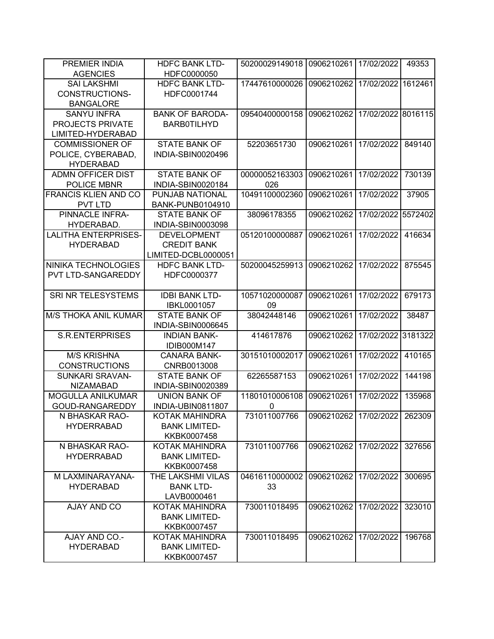| <b>AGENCIES</b>             | <b>HDFC BANK LTD-</b><br>HDFC0000050      | 50200029149018 | 0906210261              | 17/02/2022         | 49353   |
|-----------------------------|-------------------------------------------|----------------|-------------------------|--------------------|---------|
| <b>SAI LAKSHMI</b>          | <b>HDFC BANK LTD-</b>                     | 17447610000026 | 0906210262              | 17/02/2022         | 1612461 |
| <b>CONSTRUCTIONS-</b>       | HDFC0001744                               |                |                         |                    |         |
| <b>BANGALORE</b>            |                                           |                |                         |                    |         |
| <b>SANYU INFRA</b>          | <b>BANK OF BARODA-</b>                    | 09540400000158 | 0906210262              | 17/02/2022 8016115 |         |
|                             |                                           |                |                         |                    |         |
| PROJECTS PRIVATE            | <b>BARBOTILHYD</b>                        |                |                         |                    |         |
| LIMITED-HYDERABAD           |                                           |                |                         |                    |         |
| <b>COMMISSIONER OF</b>      | <b>STATE BANK OF</b>                      | 52203651730    | 0906210261              | 17/02/2022         | 849140  |
| POLICE, CYBERABAD,          | INDIA-SBIN0020496                         |                |                         |                    |         |
| <b>HYDERABAD</b>            |                                           |                |                         |                    |         |
| <b>ADMN OFFICER DIST</b>    | <b>STATE BANK OF</b>                      | 00000052163303 | 0906210261              | 17/02/2022         | 730139  |
| POLICE MBNR                 | INDIA-SBIN0020184                         | 026            |                         |                    |         |
| <b>FRANCIS KLIEN AND CO</b> | PUNJAB NATIONAL                           | 10491100002360 | 0906210261              | 17/02/2022         | 37905   |
| <b>PVT LTD</b>              | <b>BANK-PUNB0104910</b>                   |                |                         |                    |         |
| PINNACLE INFRA-             | <b>STATE BANK OF</b>                      | 38096178355    | 0906210262              | 17/02/2022         | 5572402 |
| HYDERABAD.                  | INDIA-SBIN0003098                         |                |                         |                    |         |
| <b>LALITHA ENTERPRISES-</b> | <b>DEVELOPMENT</b>                        | 05120100000887 | 0906210261              | 17/02/2022         | 416634  |
| <b>HYDERABAD</b>            | <b>CREDIT BANK</b>                        |                |                         |                    |         |
|                             | LIMITED-DCBL0000051                       |                |                         |                    |         |
| NINIKA TECHNOLOGIES         | <b>HDFC BANK LTD-</b>                     | 50200045259913 | 0906210262              | 17/02/2022         | 875545  |
| PVT LTD-SANGAREDDY          | HDFC0000377                               |                |                         |                    |         |
|                             |                                           |                |                         |                    |         |
| SRI NR TELESYSTEMS          | <b>IDBI BANK LTD-</b>                     | 10571020000087 | 0906210261              | 17/02/2022         | 679173  |
|                             | IBKL0001057                               | 09             |                         |                    |         |
| <b>M/S THOKA ANIL KUMAR</b> | <b>STATE BANK OF</b>                      | 38042448146    | 0906210261              | 17/02/2022         | 38487   |
|                             | INDIA-SBIN0006645                         |                |                         |                    |         |
|                             |                                           | 414617876      |                         |                    |         |
| <b>S.R.ENTERPRISES</b>      | <b>INDIAN BANK-</b>                       |                | 0906210262              | 17/02/2022         |         |
|                             | IDIB000M147                               |                |                         |                    |         |
| <b>M/S KRISHNA</b>          | <b>CANARA BANK-</b>                       | 30151010002017 | 0906210261              | 17/02/2022         | 410165  |
| <b>CONSTRUCTIONS</b>        | CNRB0013008                               |                |                         |                    |         |
| <b>SUNKARI SRAVAN-</b>      |                                           | 62265587153    | 0906210261              | 17/02/2022         | 144198  |
|                             | <b>STATE BANK OF</b>                      |                |                         |                    |         |
| <b>NIZAMABAD</b>            | INDIA-SBIN0020389<br><b>UNION BANK OF</b> | 11801010006108 | 0906210261              |                    |         |
| MOGULLA ANILKUMAR           |                                           |                |                         | 17/02/2022         | 135968  |
| GOUD-RANGAREDDY             | INDIA-UBIN0811807                         | 0              |                         |                    |         |
| N BHASKAR RAO-              | KOTAK MAHINDRA                            | 731011007766   | 0906210262   17/02/2022 |                    | 262309  |
| <b>HYDERRABAD</b>           | <b>BANK LIMITED-</b>                      |                |                         |                    |         |
|                             | KKBK0007458                               |                |                         |                    |         |
| N BHASKAR RAO-              | <b>KOTAK MAHINDRA</b>                     | 731011007766   | 0906210262              | 17/02/2022         | 327656  |
| <b>HYDERRABAD</b>           | <b>BANK LIMITED-</b>                      |                |                         |                    |         |
|                             | KKBK0007458                               |                |                         |                    |         |
| M LAXMINARAYANA-            | THE LAKSHMI VILAS                         | 04616110000002 | 0906210262              | 17/02/2022         | 300695  |
| <b>HYDERABAD</b>            | <b>BANK LTD-</b>                          | 33             |                         |                    |         |
|                             | LAVB0000461                               |                |                         |                    |         |
| AJAY AND CO                 | KOTAK MAHINDRA                            | 730011018495   | 0906210262 17/02/2022   |                    | 323010  |
|                             | <b>BANK LIMITED-</b>                      |                |                         |                    |         |
|                             | KKBK0007457                               |                |                         |                    |         |
| AJAY AND CO.-               | <b>KOTAK MAHINDRA</b>                     | 730011018495   | 0906210262              | 17/02/2022         | 196768  |
| <b>HYDERABAD</b>            | <b>BANK LIMITED-</b><br>KKBK0007457       |                |                         |                    | 3181322 |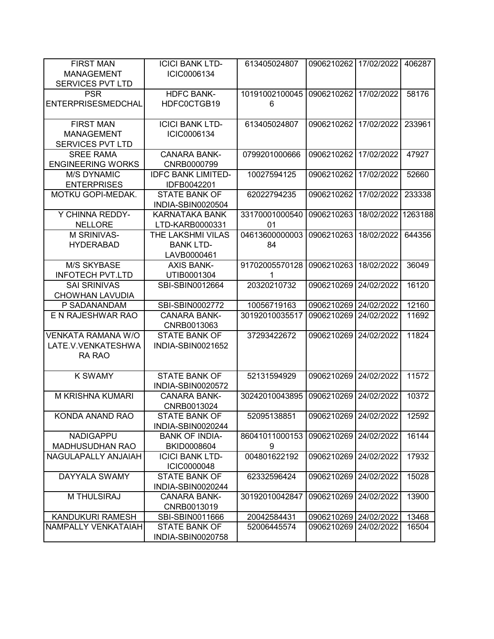| <b>FIRST MAN</b><br><b>MANAGEMENT</b><br><b>SERVICES PVT LTD</b> | <b>ICICI BANK LTD-</b><br>ICIC0006134                | 613405024807         | 0906210262            | 17/02/2022 | 406287  |
|------------------------------------------------------------------|------------------------------------------------------|----------------------|-----------------------|------------|---------|
| <b>PSR</b><br><b>ENTERPRISESMEDCHAL</b>                          | <b>HDFC BANK-</b><br>HDFC0CTGB19                     | 10191002100045<br>6  | 0906210262            | 17/02/2022 | 58176   |
| <b>FIRST MAN</b><br><b>MANAGEMENT</b><br><b>SERVICES PVT LTD</b> | <b>ICICI BANK LTD-</b><br>ICIC0006134                | 613405024807         | 0906210262            | 17/02/2022 | 233961  |
| <b>SREE RAMA</b><br><b>ENGINEERING WORKS</b>                     | <b>CANARA BANK-</b><br>CNRB0000799                   | 0799201000666        | 0906210262            | 17/02/2022 | 47927   |
| <b>M/S DYNAMIC</b><br><b>ENTERPRISES</b>                         | <b>IDFC BANK LIMITED-</b><br>IDFB0042201             | 10027594125          | 0906210262            | 17/02/2022 | 52660   |
| MOTKU GOPI-MEDAK.                                                | <b>STATE BANK OF</b><br>INDIA-SBIN0020504            | 62022794235          | 0906210262            | 17/02/2022 | 233338  |
| Y CHINNA REDDY-<br><b>NELLORE</b>                                | <b>KARNATAKA BANK</b><br>LTD-KARB0000331             | 33170001000540<br>01 | 0906210263            | 18/02/2022 | 1263188 |
| M SRINIVAS-<br><b>HYDERABAD</b>                                  | THE LAKSHMI VILAS<br><b>BANK LTD-</b><br>LAVB0000461 | 04613600000003<br>84 | 0906210263            | 18/02/2022 | 644356  |
| <b>M/S SKYBASE</b><br><b>INFOTECH PVT.LTD</b>                    | <b>AXIS BANK-</b><br>UTIB0001304                     | 91702005570128<br>1  | 0906210263            | 18/02/2022 | 36049   |
| <b>SAI SRINIVAS</b><br><b>CHOWHAN LAVUDIA</b>                    | SBI-SBIN0012664                                      | 20320210732          | 0906210269            | 24/02/2022 | 16120   |
| P SADANANDAM                                                     | SBI-SBIN0002772                                      | 10056719163          | 0906210269            | 24/02/2022 | 12160   |
| E N RAJESHWAR RAO                                                | <b>CANARA BANK-</b><br>CNRB0013063                   | 30192010035517       | 0906210269            | 24/02/2022 | 11692   |
| <b>VENKATA RAMANA W/O</b><br>LATE.V.VENKATESHWA<br>RA RAO        | <b>STATE BANK OF</b><br>INDIA-SBIN0021652            | 37293422672          | 0906210269            | 24/02/2022 | 11824   |
| <b>K SWAMY</b>                                                   | <b>STATE BANK OF</b><br>INDIA-SBIN0020572            | 52131594929          | 0906210269            | 24/02/2022 | 11572   |
| M KRISHNA KUMARI                                                 | <b>CANARA BANK-</b><br>CNRB0013024                   | 30242010043895       | 0906210269            | 24/02/2022 | 10372   |
| KONDA ANAND RAO                                                  | STATE BANK OF<br>INDIA-SBIN0020244                   | 52095138851          | 0906210269 24/02/2022 |            | 12592   |
| <b>NADIGAPPU</b><br><b>MADHUSUDHAN RAO</b>                       | <b>BANK OF INDIA-</b><br>BKID0008604                 | 86041011000153<br>9  | 0906210269            | 24/02/2022 | 16144   |
| NAGULAPALLY ANJAIAH                                              | <b>ICICI BANK LTD-</b><br><b>ICIC0000048</b>         | 004801622192         | 0906210269            | 24/02/2022 | 17932   |
| DAYYALA SWAMY                                                    | <b>STATE BANK OF</b><br>INDIA-SBIN0020244            | 62332596424          | 0906210269            | 24/02/2022 | 15028   |
| M THULSIRAJ                                                      | <b>CANARA BANK-</b><br>CNRB0013019                   | 30192010042847       | 0906210269            | 24/02/2022 | 13900   |
| <b>KANDUKURI RAMESH</b>                                          | SBI-SBIN0011666                                      | 20042584431          | 0906210269            | 24/02/2022 | 13468   |
| NAMPALLY VENKATAIAH                                              | <b>STATE BANK OF</b><br>INDIA-SBIN0020758            | 52006445574          | 0906210269            | 24/02/2022 | 16504   |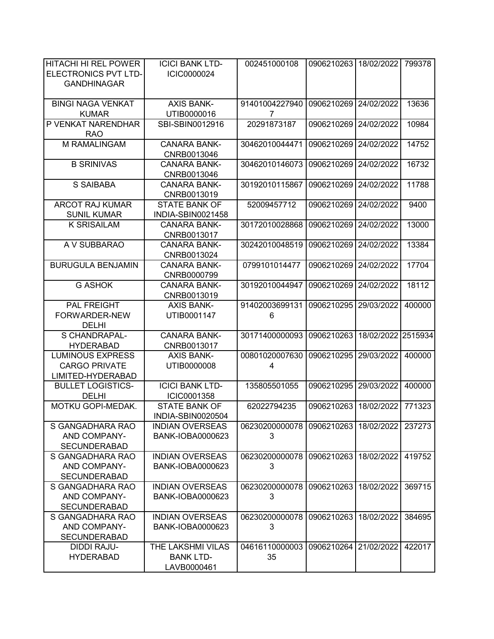| HITACHI HI REL POWER<br><b>ELECTRONICS PVT LTD-</b><br><b>GANDHINAGAR</b> | <b>ICICI BANK LTD-</b><br>ICIC0000024                | 002451000108         | 0906210263            | 18/02/2022 | 799378  |
|---------------------------------------------------------------------------|------------------------------------------------------|----------------------|-----------------------|------------|---------|
| <b>BINGI NAGA VENKAT</b><br><b>KUMAR</b>                                  | <b>AXIS BANK-</b><br>UTIB0000016                     | 91401004227940<br>7  | 0906210269            | 24/02/2022 | 13636   |
| P VENKAT NARENDHAR<br><b>RAO</b>                                          | SBI-SBIN0012916                                      | 20291873187          | 0906210269            | 24/02/2022 | 10984   |
| M RAMALINGAM                                                              | <b>CANARA BANK-</b><br>CNRB0013046                   | 30462010044471       | 0906210269            | 24/02/2022 | 14752   |
| <b>B SRINIVAS</b>                                                         | <b>CANARA BANK-</b><br>CNRB0013046                   | 30462010146073       | 0906210269            | 24/02/2022 | 16732   |
| S SAIBABA                                                                 | <b>CANARA BANK-</b><br>CNRB0013019                   | 30192010115867       | 0906210269            | 24/02/2022 | 11788   |
| <b>ARCOT RAJ KUMAR</b><br><b>SUNIL KUMAR</b>                              | <b>STATE BANK OF</b><br>INDIA-SBIN0021458            | 52009457712          | 0906210269            | 24/02/2022 | 9400    |
| <b>K SRISAILAM</b>                                                        | <b>CANARA BANK-</b><br>CNRB0013017                   | 30172010028868       | 0906210269            | 24/02/2022 | 13000   |
| A V SUBBARAO                                                              | <b>CANARA BANK-</b><br>CNRB0013024                   | 30242010048519       | 0906210269            | 24/02/2022 | 13384   |
| <b>BURUGULA BENJAMIN</b>                                                  | <b>CANARA BANK-</b><br>CNRB0000799                   | 0799101014477        | 0906210269            | 24/02/2022 | 17704   |
| <b>G ASHOK</b>                                                            | <b>CANARA BANK-</b><br>CNRB0013019                   | 30192010044947       | 0906210269            | 24/02/2022 | 18112   |
| PAL FREIGHT<br>FORWARDER-NEW<br><b>DELHI</b>                              | <b>AXIS BANK-</b><br>UTIB0001147                     | 91402003699131<br>6  | 0906210295            | 29/03/2022 | 400000  |
| S CHANDRAPAL-<br><b>HYDERABAD</b>                                         | <b>CANARA BANK-</b><br>CNRB0013017                   | 30171400000093       | 0906210263            | 18/02/2022 | 2515934 |
| <b>LUMINOUS EXPRESS</b><br><b>CARGO PRIVATE</b><br>LIMITED-HYDERABAD      | <b>AXIS BANK-</b><br>UTIB0000008                     | 00801020007630<br>4  | 0906210295            | 29/03/2022 | 400000  |
| <b>BULLET LOGISTICS-</b><br><b>DELHI</b>                                  | <b>ICICI BANK LTD-</b><br>ICIC0001358                | 135805501055         | 0906210295            | 29/03/2022 | 400000  |
| MOTKU GOPI-MEDAK.                                                         | <b>STATE BANK OF</b><br>INDIA-SBIN0020504            | 62022794235          | 0906210263            | 18/02/2022 | 771323  |
| S GANGADHARA RAO<br>AND COMPANY-<br><b>SECUNDERABAD</b>                   | <b>INDIAN OVERSEAS</b><br>BANK-IOBA0000623           | 06230200000078<br>3  | 0906210263 18/02/2022 |            | 237273  |
| S GANGADHARA RAO<br>AND COMPANY-<br><b>SECUNDERABAD</b>                   | <b>INDIAN OVERSEAS</b><br>BANK-IOBA0000623           | 06230200000078<br>3  | 0906210263 18/02/2022 |            | 419752  |
| S GANGADHARA RAO<br>AND COMPANY-<br><b>SECUNDERABAD</b>                   | <b>INDIAN OVERSEAS</b><br>BANK-IOBA0000623           | 06230200000078<br>3  | 0906210263            | 18/02/2022 | 369715  |
| S GANGADHARA RAO<br>AND COMPANY-<br><b>SECUNDERABAD</b>                   | <b>INDIAN OVERSEAS</b><br>BANK-IOBA0000623           | 06230200000078<br>3  | 0906210263            | 18/02/2022 | 384695  |
| DIDDI RAJU-<br><b>HYDERABAD</b>                                           | THE LAKSHMI VILAS<br><b>BANK LTD-</b><br>LAVB0000461 | 04616110000003<br>35 | 0906210264 21/02/2022 |            | 422017  |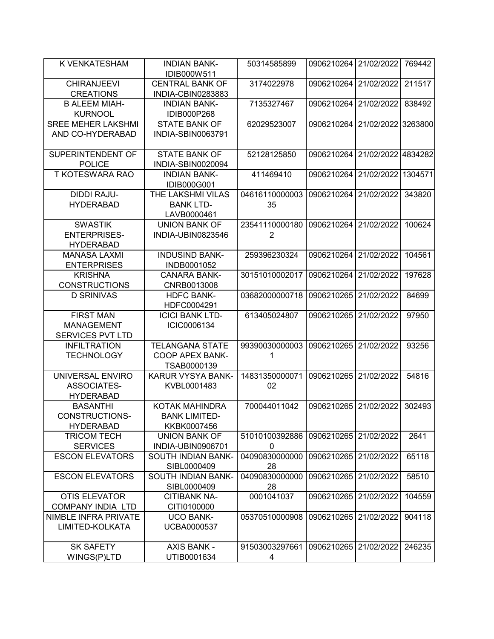| K VENKATESHAM                                                    | <b>INDIAN BANK-</b><br>IDIB000W511                              | 50314585899                      | 0906210264 | 21/02/2022 | 769442  |
|------------------------------------------------------------------|-----------------------------------------------------------------|----------------------------------|------------|------------|---------|
| <b>CHIRANJEEVI</b><br><b>CREATIONS</b>                           | <b>CENTRAL BANK OF</b><br>INDIA-CBIN0283883                     | 3174022978                       | 0906210264 | 21/02/2022 | 211517  |
| <b>B ALEEM MIAH-</b><br><b>KURNOOL</b>                           | <b>INDIAN BANK-</b><br>IDIB000P268                              | 7135327467                       | 0906210264 | 21/02/2022 | 838492  |
| <b>SREE MEHER LAKSHMI</b><br>AND CO-HYDERABAD                    | <b>STATE BANK OF</b><br><b>INDIA-SBIN0063791</b>                | 62029523007                      | 0906210264 | 21/02/2022 | 3263800 |
| SUPERINTENDENT OF<br><b>POLICE</b>                               | <b>STATE BANK OF</b><br>INDIA-SBIN0020094                       | 52128125850                      | 0906210264 | 21/02/2022 | 4834282 |
| <b>T KOTESWARA RAO</b>                                           | <b>INDIAN BANK-</b><br>IDIB000G001                              | 411469410                        | 0906210264 | 21/02/2022 | 1304571 |
| <b>DIDDI RAJU-</b><br><b>HYDERABAD</b>                           | THE LAKSHMI VILAS<br><b>BANK LTD-</b><br>LAVB0000461            | 04616110000003<br>35             | 0906210264 | 21/02/2022 | 343820  |
| <b>SWASTIK</b><br><b>ENTERPRISES-</b><br><b>HYDERABAD</b>        | <b>UNION BANK OF</b><br>INDIA-UBIN0823546                       | 23541110000180<br>$\overline{2}$ | 0906210264 | 21/02/2022 | 100624  |
| <b>MANASA LAXMI</b><br><b>ENTERPRISES</b>                        | <b>INDUSIND BANK-</b><br>INDB0001052                            | 259396230324                     | 0906210264 | 21/02/2022 | 104561  |
| <b>KRISHNA</b><br><b>CONSTRUCTIONS</b>                           | <b>CANARA BANK-</b><br>CNRB0013008                              | 30151010002017                   | 0906210264 | 21/02/2022 | 197628  |
| <b>D SRINIVAS</b>                                                | <b>HDFC BANK-</b><br>HDFC0004291                                | 03682000000718                   | 0906210265 | 21/02/2022 | 84699   |
| <b>FIRST MAN</b><br><b>MANAGEMENT</b><br><b>SERVICES PVT LTD</b> | <b>ICICI BANK LTD-</b><br>ICIC0006134                           | 613405024807                     | 0906210265 | 21/02/2022 | 97950   |
| <b>INFILTRATION</b><br><b>TECHNOLOGY</b>                         | <b>TELANGANA STATE</b><br><b>COOP APEX BANK-</b><br>TSAB0000139 | 99390030000003<br>1              | 0906210265 | 21/02/2022 | 93256   |
| UNIVERSAL ENVIRO<br><b>ASSOCIATES-</b><br><b>HYDERABAD</b>       | KARUR VYSYA BANK-<br>KVBL0001483                                | 14831350000071<br>02             | 0906210265 | 21/02/2022 | 54816   |
| <b>BASANTHI</b><br>CONSTRUCTIONS-<br><b>HYDERABAD</b>            | KOTAK MAHINDRA<br><b>BANK LIMITED-</b><br>KKBK0007456           | 700044011042                     | 0906210265 | 21/02/2022 | 302493  |
| <b>TRICOM TECH</b><br><b>SERVICES</b>                            | <b>UNION BANK OF</b><br>INDIA-UBIN0906701                       | 51010100392886<br>$\mathbf 0$    | 0906210265 | 21/02/2022 | 2641    |
| <b>ESCON ELEVATORS</b>                                           | SOUTH INDIAN BANK-<br>SIBL0000409                               | 04090830000000<br>28             | 0906210265 | 21/02/2022 | 65118   |
| <b>ESCON ELEVATORS</b>                                           | SOUTH INDIAN BANK-<br>SIBL0000409                               | 04090830000000<br>28             | 0906210265 | 21/02/2022 | 58510   |
| <b>OTIS ELEVATOR</b><br><b>COMPANY INDIA LTD</b>                 | <b>CITIBANK NA-</b><br>CITI0100000                              | 0001041037                       | 0906210265 | 21/02/2022 | 104559  |
| NIMBLE INFRA PRIVATE<br>LIMITED-KOLKATA                          | <b>UCO BANK-</b><br>UCBA0000537                                 | 05370510000908                   | 0906210265 | 21/02/2022 | 904118  |
| <b>SK SAFETY</b><br>WINGS(P)LTD                                  | <b>AXIS BANK -</b><br>UTIB0001634                               | 91503003297661<br>4              | 0906210265 | 21/02/2022 | 246235  |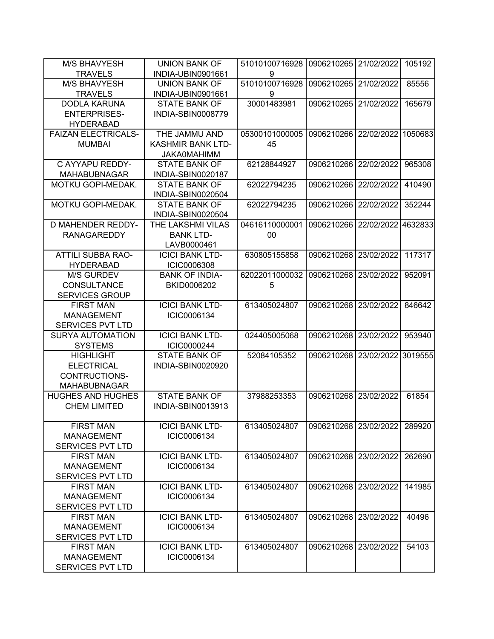| <b>M/S BHAVYESH</b>                   | <b>UNION BANK OF</b>                      | 51010100716928 | 0906210265 | 21/02/2022         | 105192  |
|---------------------------------------|-------------------------------------------|----------------|------------|--------------------|---------|
| <b>TRAVELS</b>                        | INDIA-UBIN0901661                         | 9              |            |                    |         |
| <b>M/S BHAVYESH</b>                   | <b>UNION BANK OF</b>                      | 51010100716928 | 0906210265 | 21/02/2022         | 85556   |
| <b>TRAVELS</b>                        | INDIA-UBIN0901661                         | 9              |            |                    |         |
| <b>DODLA KARUNA</b>                   | <b>STATE BANK OF</b>                      | 30001483981    | 0906210265 | 21/02/2022         | 165679  |
| <b>ENTERPRISES-</b>                   | INDIA-SBIN0008779                         |                |            |                    |         |
| <b>HYDERABAD</b>                      |                                           |                |            |                    |         |
| <b>FAIZAN ELECTRICALS-</b>            | THE JAMMU AND                             | 05300101000005 | 0906210266 | 22/02/2022 1050683 |         |
| <b>MUMBAI</b>                         | KASHMIR BANK LTD-                         | 45             |            |                    |         |
|                                       | <b>JAKA0MAHIMM</b>                        |                |            |                    |         |
| C AYYAPU REDDY-                       | <b>STATE BANK OF</b>                      | 62128844927    | 0906210266 | 22/02/2022         | 965308  |
| <b>MAHABUBNAGAR</b>                   | INDIA-SBIN0020187                         |                |            |                    |         |
| MOTKU GOPI-MEDAK.                     | <b>STATE BANK OF</b>                      | 62022794235    | 0906210266 | 22/02/2022         | 410490  |
| MOTKU GOPI-MEDAK.                     | INDIA-SBIN0020504<br><b>STATE BANK OF</b> | 62022794235    | 0906210266 | 22/02/2022         | 352244  |
|                                       | INDIA-SBIN0020504                         |                |            |                    |         |
| <b>D MAHENDER REDDY-</b>              | THE LAKSHMI VILAS                         | 04616110000001 | 0906210266 | 22/02/2022         | 4632833 |
| <b>RANAGAREDDY</b>                    | <b>BANK LTD-</b>                          | 00             |            |                    |         |
|                                       | LAVB0000461                               |                |            |                    |         |
| <b>ATTILI SUBBA RAO-</b>              | <b>ICICI BANK LTD-</b>                    | 630805155858   | 0906210268 | 23/02/2022         | 117317  |
| <b>HYDERABAD</b>                      | <b>ICIC0006308</b>                        |                |            |                    |         |
| <b>M/S GURDEV</b>                     | <b>BANK OF INDIA-</b>                     | 62022011000032 | 0906210268 | 23/02/2022         | 952091  |
| <b>CONSULTANCE</b>                    | BKID0006202                               | 5              |            |                    |         |
| <b>SERVICES GROUP</b>                 |                                           |                |            |                    |         |
| <b>FIRST MAN</b>                      | <b>ICICI BANK LTD-</b>                    | 613405024807   | 0906210268 | 23/02/2022         | 846642  |
| <b>MANAGEMENT</b>                     | ICIC0006134                               |                |            |                    |         |
| <b>SERVICES PVT LTD</b>               |                                           |                |            |                    |         |
| <b>SURYA AUTOMATION</b>               | <b>ICICI BANK LTD-</b>                    | 024405005068   | 0906210268 | 23/02/2022         | 953940  |
| <b>SYSTEMS</b>                        | ICIC0000244                               |                |            |                    |         |
| <b>HIGHLIGHT</b>                      | <b>STATE BANK OF</b>                      | 52084105352    | 0906210268 | 23/02/2022         | 3019555 |
| <b>ELECTRICAL</b>                     | INDIA-SBIN0020920                         |                |            |                    |         |
| CONTRUCTIONS-                         |                                           |                |            |                    |         |
| <b>MAHABUBNAGAR</b>                   |                                           |                |            |                    |         |
| <b>HUGHES AND HUGHES</b>              | <b>STATE BANK OF</b>                      | 37988253353    | 0906210268 | 23/02/2022         | 61854   |
| <b>CHEM LIMITED</b>                   | INDIA-SBIN0013913                         |                |            |                    |         |
|                                       |                                           |                |            |                    |         |
| <b>FIRST MAN</b><br><b>MANAGEMENT</b> | <b>ICICI BANK LTD-</b>                    | 613405024807   | 0906210268 | 23/02/2022         | 289920  |
| <b>SERVICES PVT LTD</b>               | ICIC0006134                               |                |            |                    |         |
| <b>FIRST MAN</b>                      | <b>ICICI BANK LTD-</b>                    | 613405024807   | 0906210268 | 23/02/2022         | 262690  |
| <b>MANAGEMENT</b>                     | ICIC0006134                               |                |            |                    |         |
| <b>SERVICES PVT LTD</b>               |                                           |                |            |                    |         |
| <b>FIRST MAN</b>                      | <b>ICICI BANK LTD-</b>                    | 613405024807   | 0906210268 | 23/02/2022         | 141985  |
| <b>MANAGEMENT</b>                     | ICIC0006134                               |                |            |                    |         |
| <b>SERVICES PVT LTD</b>               |                                           |                |            |                    |         |
| <b>FIRST MAN</b>                      | <b>ICICI BANK LTD-</b>                    | 613405024807   | 0906210268 | 23/02/2022         | 40496   |
| <b>MANAGEMENT</b>                     | ICIC0006134                               |                |            |                    |         |
| <b>SERVICES PVT LTD</b>               |                                           |                |            |                    |         |
| <b>FIRST MAN</b>                      | <b>ICICI BANK LTD-</b>                    | 613405024807   | 0906210268 | 23/02/2022         | 54103   |
| <b>MANAGEMENT</b>                     | ICIC0006134                               |                |            |                    |         |
| <b>SERVICES PVT LTD</b>               |                                           |                |            |                    |         |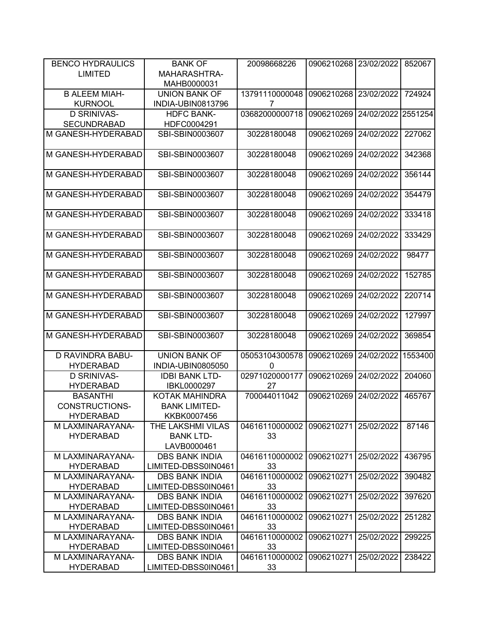| <b>BENCO HYDRAULICS</b> | <b>BANK OF</b>        | 20098668226    | 0906210268 | 23/02/2022 | 852067  |
|-------------------------|-----------------------|----------------|------------|------------|---------|
| <b>LIMITED</b>          | MAHARASHTRA-          |                |            |            |         |
|                         | MAHB0000031           |                |            |            |         |
| <b>B ALEEM MIAH-</b>    | <b>UNION BANK OF</b>  | 13791110000048 | 0906210268 | 23/02/2022 | 724924  |
| <b>KURNOOL</b>          | INDIA-UBIN0813796     | 7              |            |            |         |
| <b>D SRINIVAS-</b>      | <b>HDFC BANK-</b>     | 03682000000718 | 0906210269 | 24/02/2022 | 2551254 |
| <b>SECUNDRABAD</b>      | HDFC0004291           |                |            |            |         |
| M GANESH-HYDERABAD      | SBI-SBIN0003607       | 30228180048    | 0906210269 | 24/02/2022 | 227062  |
|                         |                       |                |            |            |         |
| M GANESH-HYDERABAD      | SBI-SBIN0003607       | 30228180048    | 0906210269 | 24/02/2022 | 342368  |
|                         |                       |                |            |            |         |
| M GANESH-HYDERABAD      | SBI-SBIN0003607       | 30228180048    | 0906210269 | 24/02/2022 | 356144  |
|                         |                       |                |            |            |         |
| M GANESH-HYDERABAD      | SBI-SBIN0003607       | 30228180048    | 0906210269 | 24/02/2022 | 354479  |
|                         |                       |                |            |            |         |
| M GANESH-HYDERABAD      | SBI-SBIN0003607       | 30228180048    | 0906210269 | 24/02/2022 | 333418  |
|                         |                       |                |            |            |         |
| M GANESH-HYDERABAD      | SBI-SBIN0003607       | 30228180048    | 0906210269 | 24/02/2022 | 333429  |
|                         |                       |                |            |            |         |
| M GANESH-HYDERABAD      | SBI-SBIN0003607       | 30228180048    | 0906210269 | 24/02/2022 | 98477   |
|                         |                       |                |            |            |         |
| M GANESH-HYDERABAD      | SBI-SBIN0003607       | 30228180048    | 0906210269 | 24/02/2022 | 152785  |
|                         |                       |                |            |            |         |
| M GANESH-HYDERABAD      | SBI-SBIN0003607       | 30228180048    | 0906210269 | 24/02/2022 | 220714  |
|                         |                       |                |            |            |         |
| M GANESH-HYDERABAD      | SBI-SBIN0003607       | 30228180048    | 0906210269 | 24/02/2022 | 127997  |
|                         |                       |                |            |            |         |
| M GANESH-HYDERABAD      | SBI-SBIN0003607       | 30228180048    | 0906210269 | 24/02/2022 | 369854  |
|                         |                       |                |            |            |         |
| D RAVINDRA BABU-        | <b>UNION BANK OF</b>  | 05053104300578 | 0906210269 | 24/02/2022 | 1553400 |
| <b>HYDERABAD</b>        | INDIA-UBIN0805050     | $\mathbf{0}$   |            |            |         |
| <b>D SRINIVAS-</b>      | <b>IDBI BANK LTD-</b> | 02971020000177 | 0906210269 | 24/02/2022 | 204060  |
| <b>HYDERABAD</b>        | IBKL0000297           | 27             |            |            |         |
| <b>BASANTHI</b>         | <b>KOTAK MAHINDRA</b> | 700044011042   | 0906210269 | 24/02/2022 | 465767  |
| <b>CONSTRUCTIONS-</b>   | <b>BANK LIMITED-</b>  |                |            |            |         |
| <b>HYDERABAD</b>        | KKBK0007456           |                |            |            |         |
| M LAXMINARAYANA-        | THE LAKSHMI VILAS     | 04616110000002 | 0906210271 | 25/02/2022 | 87146   |
| <b>HYDERABAD</b>        | <b>BANK LTD-</b>      | 33             |            |            |         |
|                         | LAVB0000461           |                |            |            |         |
| M LAXMINARAYANA-        | <b>DBS BANK INDIA</b> | 04616110000002 | 0906210271 | 25/02/2022 | 436795  |
| <b>HYDERABAD</b>        | LIMITED-DBSS0IN0461   | 33             |            |            |         |
| M LAXMINARAYANA-        | <b>DBS BANK INDIA</b> | 04616110000002 | 0906210271 | 25/02/2022 | 390482  |
| <b>HYDERABAD</b>        | LIMITED-DBSS0IN0461   | 33             |            |            |         |
| M LAXMINARAYANA-        | <b>DBS BANK INDIA</b> | 04616110000002 | 0906210271 | 25/02/2022 | 397620  |
| <b>HYDERABAD</b>        | LIMITED-DBSS0IN0461   | 33             |            |            |         |
| M LAXMINARAYANA-        | <b>DBS BANK INDIA</b> | 04616110000002 | 0906210271 | 25/02/2022 | 251282  |
| <b>HYDERABAD</b>        | LIMITED-DBSS0IN0461   | 33             |            |            |         |
| M LAXMINARAYANA-        | <b>DBS BANK INDIA</b> | 04616110000002 | 0906210271 | 25/02/2022 | 299225  |
| <b>HYDERABAD</b>        | LIMITED-DBSS0IN0461   | 33             |            |            |         |
| M LAXMINARAYANA-        | <b>DBS BANK INDIA</b> | 04616110000002 | 0906210271 | 25/02/2022 | 238422  |
| <b>HYDERABAD</b>        | LIMITED-DBSS0IN0461   | 33             |            |            |         |
|                         |                       |                |            |            |         |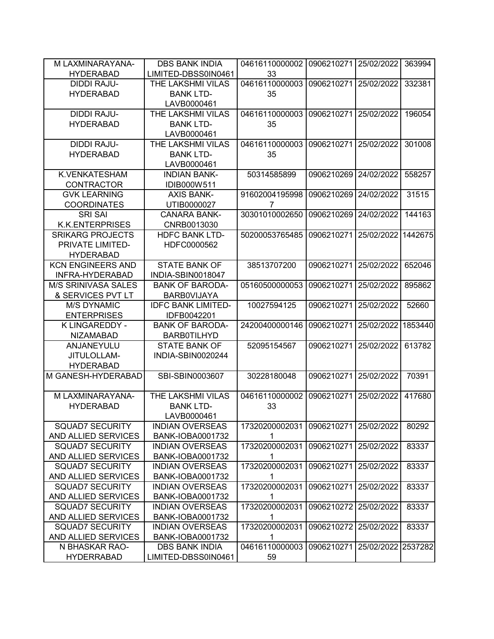| M LAXMINARAYANA-           | <b>DBS BANK INDIA</b>     | 04616110000002 | 0906210271 | 25/02/2022         | 363994  |
|----------------------------|---------------------------|----------------|------------|--------------------|---------|
| <b>HYDERABAD</b>           | LIMITED-DBSS0IN0461       | 33             |            |                    |         |
| <b>DIDDI RAJU-</b>         | THE LAKSHMI VILAS         | 04616110000003 | 0906210271 | 25/02/2022         | 332381  |
| <b>HYDERABAD</b>           | <b>BANK LTD-</b>          | 35             |            |                    |         |
|                            | LAVB0000461               |                |            |                    |         |
| <b>DIDDI RAJU-</b>         | THE LAKSHMI VILAS         | 04616110000003 | 0906210271 | 25/02/2022         | 196054  |
| <b>HYDERABAD</b>           | <b>BANK LTD-</b>          | 35             |            |                    |         |
|                            | LAVB0000461               |                |            |                    |         |
| <b>DIDDI RAJU-</b>         | THE LAKSHMI VILAS         | 04616110000003 | 0906210271 | 25/02/2022         | 301008  |
| <b>HYDERABAD</b>           | <b>BANK LTD-</b>          | 35             |            |                    |         |
|                            | LAVB0000461               |                |            |                    |         |
| K.VENKATESHAM              | <b>INDIAN BANK-</b>       | 50314585899    | 0906210269 | 24/02/2022         | 558257  |
| <b>CONTRACTOR</b>          | IDIB000W511               |                |            |                    |         |
| <b>GVK LEARNING</b>        | <b>AXIS BANK-</b>         | 91602004195998 | 0906210269 | 24/02/2022         | 31515   |
| <b>COORDINATES</b>         | UTIB0000027               | 7              |            |                    |         |
| <b>SRI SAI</b>             | <b>CANARA BANK-</b>       | 30301010002650 | 0906210269 | 24/02/2022         | 144163  |
| <b>K.K.ENTERPRISES</b>     | CNRB0013030               |                |            |                    |         |
| <b>SRIKARG PROJECTS</b>    | <b>HDFC BANK LTD-</b>     | 50200053765485 | 0906210271 | 25/02/2022         | 1442675 |
| PRIVATE LIMITED-           | HDFC0000562               |                |            |                    |         |
| <b>HYDERABAD</b>           |                           |                |            |                    |         |
| <b>KCN ENGINEERS AND</b>   | <b>STATE BANK OF</b>      | 38513707200    | 0906210271 | 25/02/2022         | 652046  |
| INFRA-HYDERABAD            | INDIA-SBIN0018047         |                |            |                    |         |
| <b>M/S SRINIVASA SALES</b> | <b>BANK OF BARODA-</b>    | 05160500000053 | 0906210271 | 25/02/2022         | 895862  |
| & SERVICES PVT LT          | <b>BARBOVIJAYA</b>        |                |            |                    |         |
| <b>M/S DYNAMIC</b>         | <b>IDFC BANK LIMITED-</b> | 10027594125    | 0906210271 | 25/02/2022         | 52660   |
| <b>ENTERPRISES</b>         | IDFB0042201               |                |            |                    |         |
| K LINGAREDDY -             | <b>BANK OF BARODA-</b>    | 24200400000146 | 0906210271 | 25/02/2022         | 1853440 |
| <b>NIZAMABAD</b>           | <b>BARB0TILHYD</b>        |                |            |                    |         |
| ANJANEYULU                 | <b>STATE BANK OF</b>      | 52095154567    | 0906210271 | 25/02/2022         | 613782  |
| JITULOLLAM-                | INDIA-SBIN0020244         |                |            |                    |         |
| <b>HYDERABAD</b>           |                           |                |            |                    |         |
| M GANESH-HYDERABAD         | SBI-SBIN0003607           | 30228180048    | 0906210271 | 25/02/2022         | 70391   |
|                            |                           |                |            |                    |         |
| M LAXMINARAYANA-           | THE LAKSHMI VILAS         | 04616110000002 | 0906210271 | 25/02/2022         | 417680  |
| <b>HYDERABAD</b>           | <b>BANK LTD-</b>          | 33             |            |                    |         |
|                            | LAVB0000461               |                |            |                    |         |
| <b>SQUAD7 SECURITY</b>     | <b>INDIAN OVERSEAS</b>    | 17320200002031 | 0906210271 | 25/02/2022         | 80292   |
| AND ALLIED SERVICES        | <b>BANK-IOBA0001732</b>   |                |            |                    |         |
| <b>SQUAD7 SECURITY</b>     | <b>INDIAN OVERSEAS</b>    | 17320200002031 | 0906210271 | 25/02/2022         | 83337   |
| AND ALLIED SERVICES        | <b>BANK-IOBA0001732</b>   | 1              |            |                    |         |
| <b>SQUAD7 SECURITY</b>     | <b>INDIAN OVERSEAS</b>    | 17320200002031 | 0906210271 | 25/02/2022         | 83337   |
| AND ALLIED SERVICES        | <b>BANK-IOBA0001732</b>   | 1              |            |                    |         |
| <b>SQUAD7 SECURITY</b>     | <b>INDIAN OVERSEAS</b>    | 17320200002031 | 0906210271 | 25/02/2022         | 83337   |
| AND ALLIED SERVICES        | BANK-IOBA0001732          | 1              |            |                    |         |
| <b>SQUAD7 SECURITY</b>     | <b>INDIAN OVERSEAS</b>    | 17320200002031 | 0906210272 | 25/02/2022         | 83337   |
| AND ALLIED SERVICES        | <b>BANK-IOBA0001732</b>   |                |            |                    |         |
| <b>SQUAD7 SECURITY</b>     | <b>INDIAN OVERSEAS</b>    | 17320200002031 | 0906210272 | 25/02/2022         | 83337   |
| AND ALLIED SERVICES        | BANK-IOBA0001732          | 1              |            |                    |         |
| N BHASKAR RAO-             | <b>DBS BANK INDIA</b>     | 04616110000003 | 0906210271 | 25/02/2022 2537282 |         |
| <b>HYDERRABAD</b>          | LIMITED-DBSS0IN0461       | 59             |            |                    |         |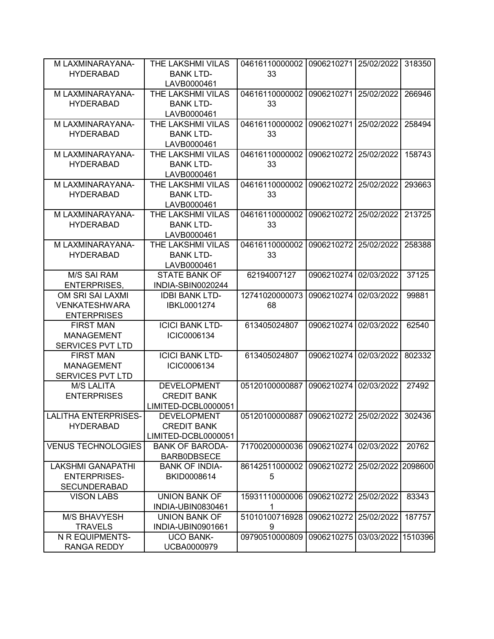| M LAXMINARAYANA-            | THE LAKSHMI VILAS                        | 04616110000002                              | 0906210271 | 25/02/2022         | 318350  |
|-----------------------------|------------------------------------------|---------------------------------------------|------------|--------------------|---------|
| <b>HYDERABAD</b>            | <b>BANK LTD-</b>                         | 33                                          |            |                    |         |
|                             | LAVB0000461                              |                                             |            |                    |         |
| M LAXMINARAYANA-            | THE LAKSHMI VILAS                        | 04616110000002                              | 0906210271 | 25/02/2022         | 266946  |
| <b>HYDERABAD</b>            | <b>BANK LTD-</b>                         | 33                                          |            |                    |         |
|                             | LAVB0000461                              |                                             |            |                    |         |
| M LAXMINARAYANA-            | THE LAKSHMI VILAS                        | 04616110000002                              | 0906210271 | 25/02/2022         | 258494  |
| <b>HYDERABAD</b>            | <b>BANK LTD-</b>                         | 33                                          |            |                    |         |
|                             | LAVB0000461                              |                                             |            |                    |         |
| M LAXMINARAYANA-            | THE LAKSHMI VILAS                        | 04616110000002                              | 0906210272 | 25/02/2022         | 158743  |
| <b>HYDERABAD</b>            | <b>BANK LTD-</b>                         | 33                                          |            |                    |         |
|                             | LAVB0000461                              |                                             |            |                    |         |
| M LAXMINARAYANA-            | THE LAKSHMI VILAS                        | 04616110000002                              | 0906210272 | 25/02/2022         | 293663  |
| <b>HYDERABAD</b>            | <b>BANK LTD-</b>                         | 33                                          |            |                    |         |
|                             | LAVB0000461                              |                                             |            |                    |         |
| M LAXMINARAYANA-            | THE LAKSHMI VILAS                        | 04616110000002                              | 0906210272 | 25/02/2022         | 213725  |
| <b>HYDERABAD</b>            | <b>BANK LTD-</b>                         | 33                                          |            |                    |         |
|                             | LAVB0000461                              |                                             |            |                    |         |
| M LAXMINARAYANA-            | THE LAKSHMI VILAS                        | 04616110000002                              | 0906210272 | 25/02/2022         | 258388  |
| <b>HYDERABAD</b>            | <b>BANK LTD-</b>                         | 33                                          |            |                    |         |
|                             | LAVB0000461                              |                                             |            |                    |         |
| <b>M/S SAI RAM</b>          | <b>STATE BANK OF</b>                     | 62194007127                                 | 0906210274 | 02/03/2022         | 37125   |
| <b>ENTERPRISES,</b>         | INDIA-SBIN0020244                        |                                             |            |                    |         |
| OM SRI SAI LAXMI            | <b>IDBI BANK LTD-</b>                    | 12741020000073                              | 0906210274 | 02/03/2022         | 99881   |
| <b>VENKATESHWARA</b>        | IBKL0001274                              | 68                                          |            |                    |         |
| <b>ENTERPRISES</b>          |                                          |                                             |            |                    |         |
| <b>FIRST MAN</b>            | <b>ICICI BANK LTD-</b>                   | 613405024807                                | 0906210274 | 02/03/2022         | 62540   |
| <b>MANAGEMENT</b>           | ICIC0006134                              |                                             |            |                    |         |
| <b>SERVICES PVT LTD</b>     |                                          |                                             |            |                    |         |
| <b>FIRST MAN</b>            | <b>ICICI BANK LTD-</b>                   | 613405024807                                | 0906210274 | 02/03/2022         | 802332  |
| <b>MANAGEMENT</b>           | ICIC0006134                              |                                             |            |                    |         |
| <b>SERVICES PVT LTD</b>     |                                          |                                             |            |                    |         |
| <b>M/S LALITA</b>           | <b>DEVELOPMENT</b>                       | 05120100000887                              | 0906210274 | 02/03/2022         | 27492   |
| <b>ENTERPRISES</b>          | <b>CREDIT BANK</b>                       |                                             |            |                    |         |
|                             | LIMITED-DCBL0000051                      |                                             |            |                    |         |
| <b>LALITHA ENTERPRISES-</b> |                                          | 05120100000887 0906210272 25/02/2022 302436 |            |                    |         |
| <b>HYDERABAD</b>            | <b>DEVELOPMENT</b><br><b>CREDIT BANK</b> |                                             |            |                    |         |
|                             |                                          |                                             |            |                    |         |
|                             | LIMITED-DCBL0000051                      |                                             |            | 02/03/2022         |         |
| <b>VENUS TECHNOLOGIES</b>   | <b>BANK OF BARODA-</b>                   | 71700200000036                              | 0906210274 |                    | 20762   |
|                             | <b>BARBODBSECE</b>                       |                                             |            |                    |         |
| <b>LAKSHMI GANAPATHI</b>    | <b>BANK OF INDIA-</b>                    | 86142511000002                              | 0906210272 | 25/02/2022 2098600 |         |
| <b>ENTERPRISES-</b>         | BKID0008614                              | 5                                           |            |                    |         |
| <b>SECUNDERABAD</b>         |                                          |                                             |            |                    |         |
| <b>VISON LABS</b>           | <b>UNION BANK OF</b>                     | 15931110000006                              | 0906210272 | 25/02/2022         | 83343   |
|                             | INDIA-UBIN0830461                        | 1                                           |            |                    |         |
| <b>M/S BHAVYESH</b>         | <b>UNION BANK OF</b>                     | 51010100716928                              | 0906210272 | 25/02/2022         | 187757  |
| <b>TRAVELS</b>              | INDIA-UBIN0901661                        | 9                                           |            |                    |         |
| N R EQUIPMENTS-             | <b>UCO BANK-</b>                         | 09790510000809                              | 0906210275 | 03/03/2022         | 1510396 |
| <b>RANGA REDDY</b>          | UCBA0000979                              |                                             |            |                    |         |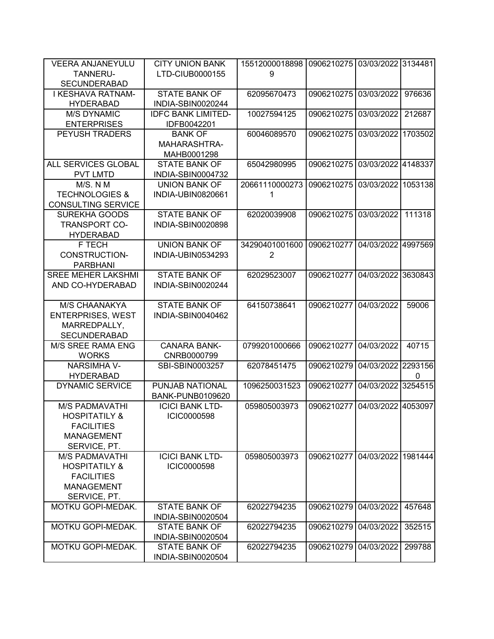| <b>VEERA ANJANEYULU</b>   | <b>CITY UNION BANK</b>    | 15512000018898 | 0906210275 | 03/03/2022 3134481 |              |
|---------------------------|---------------------------|----------------|------------|--------------------|--------------|
| <b>TANNERU-</b>           | LTD-CIUB0000155           | 9              |            |                    |              |
| <b>SECUNDERABAD</b>       |                           |                |            |                    |              |
| I KESHAVA RATNAM-         | <b>STATE BANK OF</b>      | 62095670473    | 0906210275 | 03/03/2022         | 976636       |
| <b>HYDERABAD</b>          | INDIA-SBIN0020244         |                |            |                    |              |
| <b>M/S DYNAMIC</b>        | <b>IDFC BANK LIMITED-</b> | 10027594125    | 0906210275 | 03/03/2022         | 212687       |
| <b>ENTERPRISES</b>        | IDFB0042201               |                |            |                    |              |
| PEYUSH TRADERS            | <b>BANK OF</b>            | 60046089570    | 0906210275 | 03/03/2022         | 1703502      |
|                           | MAHARASHTRA-              |                |            |                    |              |
|                           | MAHB0001298               |                |            |                    |              |
| ALL SERVICES GLOBAL       | <b>STATE BANK OF</b>      | 65042980995    | 0906210275 | 03/03/2022         | 4148337      |
| <b>PVT LMTD</b>           | INDIA-SBIN0004732         |                |            |                    |              |
| M/S. N M                  | UNION BANK OF             | 20661110000273 | 0906210275 | 03/03/2022         | 1053138      |
| <b>TECHNOLOGIES &amp;</b> | INDIA-UBIN0820661         | 1              |            |                    |              |
| <b>CONSULTING SERVICE</b> |                           |                |            |                    |              |
| SUREKHA GOODS             | <b>STATE BANK OF</b>      | 62020039908    | 0906210275 | 03/03/2022         | 111318       |
| <b>TRANSPORT CO-</b>      | INDIA-SBIN0020898         |                |            |                    |              |
| <b>HYDERABAD</b>          |                           |                |            |                    |              |
| F TECH                    | <b>UNION BANK OF</b>      | 34290401001600 | 0906210277 | 04/03/2022 4997569 |              |
| <b>CONSTRUCTION-</b>      | INDIA-UBIN0534293         | $\overline{2}$ |            |                    |              |
| <b>PARBHANI</b>           |                           |                |            |                    |              |
| <b>SREE MEHER LAKSHMI</b> | <b>STATE BANK OF</b>      | 62029523007    | 0906210277 | 04/03/2022         | 3630843      |
| AND CO-HYDERABAD          | INDIA-SBIN0020244         |                |            |                    |              |
| M/S CHAANAKYA             | <b>STATE BANK OF</b>      | 64150738641    | 0906210277 | 04/03/2022         | 59006        |
| <b>ENTERPRISES, WEST</b>  | INDIA-SBIN0040462         |                |            |                    |              |
| MARREDPALLY,              |                           |                |            |                    |              |
| <b>SECUNDERABAD</b>       |                           |                |            |                    |              |
| M/S SREE RAMA ENG         | <b>CANARA BANK-</b>       | 0799201000666  | 0906210277 | 04/03/2022         | 40715        |
| <b>WORKS</b>              | CNRB0000799               |                |            |                    |              |
| <b>NARSIMHA V-</b>        | SBI-SBIN0003257           | 62078451475    | 0906210279 | 04/03/2022         | 2293156      |
| <b>HYDERABAD</b>          |                           |                |            |                    | $\mathbf{0}$ |
| <b>DYNAMIC SERVICE</b>    | PUNJAB NATIONAL           | 1096250031523  | 0906210277 | 04/03/2022         | 3254515      |
|                           | <b>BANK-PUNB0109620</b>   |                |            |                    |              |
| <b>M/S PADMAVATHI</b>     | <b>ICICI BANK LTD-</b>    | 059805003973   | 0906210277 | 04/03/2022         | 4053097      |
| <b>HOSPITATILY &amp;</b>  | ICIC0000598               |                |            |                    |              |
| <b>FACILITIES</b>         |                           |                |            |                    |              |
| <b>MANAGEMENT</b>         |                           |                |            |                    |              |
| SERVICE, PT.              |                           |                |            |                    |              |
| <b>M/S PADMAVATHI</b>     | <b>ICICI BANK LTD-</b>    | 059805003973   | 0906210277 | 04/03/2022         | 1981444      |
| <b>HOSPITATILY &amp;</b>  | ICIC0000598               |                |            |                    |              |
| <b>FACILITIES</b>         |                           |                |            |                    |              |
| <b>MANAGEMENT</b>         |                           |                |            |                    |              |
| SERVICE, PT.              |                           |                |            |                    |              |
| MOTKU GOPI-MEDAK.         | <b>STATE BANK OF</b>      | 62022794235    | 0906210279 | 04/03/2022         | 457648       |
|                           | INDIA-SBIN0020504         |                |            |                    |              |
| MOTKU GOPI-MEDAK.         | <b>STATE BANK OF</b>      | 62022794235    | 0906210279 | 04/03/2022         | 352515       |
|                           | INDIA-SBIN0020504         |                |            |                    |              |
| MOTKU GOPI-MEDAK.         | <b>STATE BANK OF</b>      | 62022794235    | 0906210279 | 04/03/2022         | 299788       |
|                           | INDIA-SBIN0020504         |                |            |                    |              |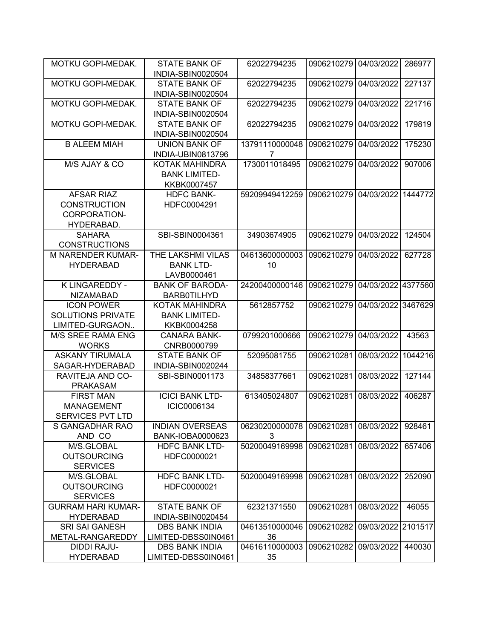| MOTKU GOPI-MEDAK.         | <b>STATE BANK OF</b>                      | 62022794235        | 0906210279 | 04/03/2022         | 286977  |
|---------------------------|-------------------------------------------|--------------------|------------|--------------------|---------|
|                           | INDIA-SBIN0020504                         |                    |            |                    |         |
| <b>MOTKU GOPI-MEDAK.</b>  | <b>STATE BANK OF</b>                      | 62022794235        | 0906210279 | 04/03/2022         | 227137  |
|                           | INDIA-SBIN0020504                         |                    |            |                    |         |
| MOTKU GOPI-MEDAK.         | <b>STATE BANK OF</b>                      | 62022794235        | 0906210279 | 04/03/2022         | 221716  |
|                           | INDIA-SBIN0020504                         |                    |            |                    |         |
| MOTKU GOPI-MEDAK.         | <b>STATE BANK OF</b>                      | 62022794235        | 0906210279 | 04/03/2022         | 179819  |
|                           | INDIA-SBIN0020504                         |                    |            |                    |         |
| <b>B ALEEM MIAH</b>       | <b>UNION BANK OF</b><br>INDIA-UBIN0813796 | 13791110000048     | 0906210279 | 04/03/2022         | 175230  |
|                           |                                           | 7<br>1730011018495 | 0906210279 | 04/03/2022         | 907006  |
| M/S AJAY & CO             | KOTAK MAHINDRA                            |                    |            |                    |         |
|                           | <b>BANK LIMITED-</b>                      |                    |            |                    |         |
|                           | KKBK0007457                               |                    |            |                    |         |
| <b>AFSAR RIAZ</b>         | <b>HDFC BANK-</b>                         | 59209949412259     | 0906210279 | 04/03/2022         | 1444772 |
| <b>CONSTRUCTION</b>       | HDFC0004291                               |                    |            |                    |         |
| <b>CORPORATION-</b>       |                                           |                    |            |                    |         |
| HYDERABAD.                |                                           |                    |            |                    |         |
| <b>SAHARA</b>             | SBI-SBIN0004361                           | 34903674905        | 0906210279 | 04/03/2022         | 124504  |
| <b>CONSTRUCTIONS</b>      |                                           |                    |            |                    |         |
| <b>M NARENDER KUMAR-</b>  | <b>THE LAKSHMI VILAS</b>                  | 04613600000003     | 0906210279 | 04/03/2022         | 627728  |
| <b>HYDERABAD</b>          | <b>BANK LTD-</b>                          | 10                 |            |                    |         |
|                           | LAVB0000461                               |                    |            |                    |         |
| K LINGAREDDY -            | <b>BANK OF BARODA-</b>                    | 24200400000146     | 0906210279 | 04/03/2022         | 4377560 |
| <b>NIZAMABAD</b>          | <b>BARB0TILHYD</b>                        |                    |            |                    |         |
| <b>ICON POWER</b>         | KOTAK MAHINDRA                            | 5612857752         | 0906210279 | 04/03/2022         | 3467629 |
| <b>SOLUTIONS PRIVATE</b>  | <b>BANK LIMITED-</b>                      |                    |            |                    |         |
| LIMITED-GURGAON           | KKBK0004258                               |                    |            |                    |         |
| <b>M/S SREE RAMA ENG</b>  | <b>CANARA BANK-</b>                       | 0799201000666      | 0906210279 | 04/03/2022         | 43563   |
| <b>WORKS</b>              | CNRB0000799                               |                    |            |                    |         |
| <b>ASKANY TIRUMALA</b>    | <b>STATE BANK OF</b>                      | 52095081755        | 0906210281 | 08/03/2022         | 1044216 |
| SAGAR-HYDERABAD           | INDIA-SBIN0020244                         |                    |            |                    |         |
| <b>RAVITEJA AND CO-</b>   | SBI-SBIN0001173                           | 34858377661        | 0906210281 | 08/03/2022         | 127144  |
| <b>PRAKASAM</b>           |                                           |                    |            |                    |         |
| <b>FIRST MAN</b>          | <b>ICICI BANK LTD-</b>                    | 613405024807       | 0906210281 | 08/03/2022         | 406287  |
| <b>MANAGEMENT</b>         | ICIC0006134                               |                    |            |                    |         |
| SERVICES PVT LTD          |                                           |                    |            |                    |         |
| S GANGADHAR RAO           | <b>INDIAN OVERSEAS</b>                    | 06230200000078     | 0906210281 | 08/03/2022         | 928461  |
| AND CO                    | BANK-IOBA0000623                          | 3                  |            |                    |         |
| M/S.GLOBAL                | <b>HDFC BANK LTD-</b>                     | 50200049169998     | 0906210281 | 08/03/2022         | 657406  |
| <b>OUTSOURCING</b>        | HDFC0000021                               |                    |            |                    |         |
| <b>SERVICES</b>           |                                           |                    |            |                    |         |
| M/S.GLOBAL                | <b>HDFC BANK LTD-</b>                     | 50200049169998     | 0906210281 | 08/03/2022         | 252090  |
| <b>OUTSOURCING</b>        | HDFC0000021                               |                    |            |                    |         |
| <b>SERVICES</b>           |                                           |                    |            |                    |         |
| <b>GURRAM HARI KUMAR-</b> | <b>STATE BANK OF</b>                      | 62321371550        | 0906210281 | 08/03/2022         | 46055   |
| <b>HYDERABAD</b>          | INDIA-SBIN0020454                         |                    |            |                    |         |
| <b>SRI SAI GANESH</b>     | <b>DBS BANK INDIA</b>                     | 04613510000046     | 0906210282 | 09/03/2022 2101517 |         |
| METAL-RANGAREDDY          | LIMITED-DBSS0IN0461                       | 36                 |            |                    |         |
| DIDDI RAJU-               | <b>DBS BANK INDIA</b>                     | 04616110000003     | 0906210282 | 09/03/2022         | 440030  |
| <b>HYDERABAD</b>          | LIMITED-DBSS0IN0461                       | 35                 |            |                    |         |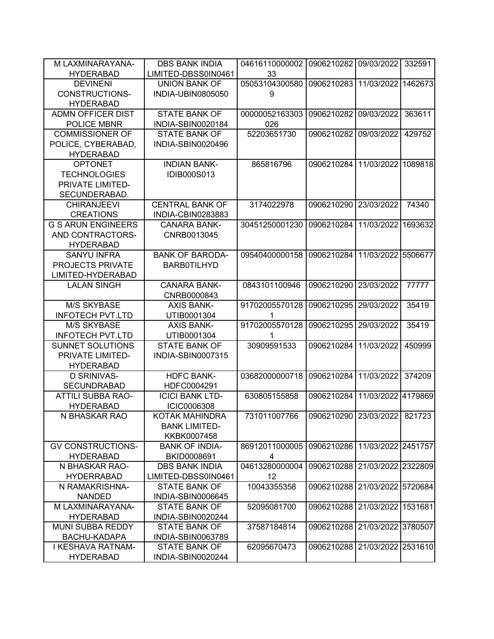| M LAXMINARAYANA-          | <b>DBS BANK INDIA</b>  | 04616110000002 | 0906210282 09/03/2022        |                    | 332591  |
|---------------------------|------------------------|----------------|------------------------------|--------------------|---------|
| <b>HYDERABAD</b>          | LIMITED-DBSS0IN0461    | 33             |                              |                    |         |
| <b>DEVINENI</b>           | <b>UNION BANK OF</b>   | 05053104300580 | 0906210283                   | 11/03/2022         | 1462673 |
| CONSTRUCTIONS-            | INDIA-UBIN0805050      | 9              |                              |                    |         |
| <b>HYDERABAD</b>          |                        |                |                              |                    |         |
| <b>ADMN OFFICER DIST</b>  | <b>STATE BANK OF</b>   | 00000052163303 | 0906210282                   | 09/03/2022         | 363611  |
| POLICE MBNR               | INDIA-SBIN0020184      | 026            |                              |                    |         |
| <b>COMMISSIONER OF</b>    | <b>STATE BANK OF</b>   | 52203651730    | 0906210282                   | 09/03/2022         | 429752  |
| POLICE, CYBERABAD,        | INDIA-SBIN0020496      |                |                              |                    |         |
| <b>HYDERABAD</b>          |                        |                |                              |                    |         |
| <b>OPTONET</b>            | <b>INDIAN BANK-</b>    | 865816796      | 0906210284                   | 11/03/2022         | 1089818 |
| <b>TECHNOLOGIES</b>       | <b>IDIB000S013</b>     |                |                              |                    |         |
| PRIVATE LIMITED-          |                        |                |                              |                    |         |
| SECUNDERABAD.             |                        |                |                              |                    |         |
| <b>CHIRANJEEVI</b>        | <b>CENTRAL BANK OF</b> | 3174022978     | 0906210290                   | 23/03/2022         | 74340   |
| <b>CREATIONS</b>          | INDIA-CBIN0283883      |                |                              |                    |         |
| <b>G S ARUN ENGINEERS</b> | <b>CANARA BANK-</b>    | 30451250001230 | 0906210284                   | 11/03/2022         | 1693632 |
| AND CONTRACTORS-          | CNRB0013045            |                |                              |                    |         |
| <b>HYDERABAD</b>          |                        |                |                              |                    |         |
| <b>SANYU INFRA</b>        | <b>BANK OF BARODA-</b> | 09540400000158 | 0906210284                   | 11/03/2022 5506677 |         |
| PROJECTS PRIVATE          | <b>BARB0TILHYD</b>     |                |                              |                    |         |
| LIMITED-HYDERABAD         |                        |                |                              |                    |         |
| <b>LALAN SINGH</b>        | <b>CANARA BANK-</b>    | 0843101100946  | 0906210290                   | 23/03/2022         | 77777   |
|                           | CNRB0000843            |                |                              |                    |         |
| <b>M/S SKYBASE</b>        | <b>AXIS BANK-</b>      | 91702005570128 | 0906210295                   | 29/03/2022         | 35419   |
| <b>INFOTECH PVT.LTD</b>   | UTIB0001304            |                |                              |                    |         |
| <b>M/S SKYBASE</b>        | <b>AXIS BANK-</b>      | 91702005570128 | 0906210295                   | 29/03/2022         | 35419   |
| <b>INFOTECH PVT.LTD</b>   | UTIB0001304            |                |                              |                    |         |
| <b>SUNNET SOLUTIONS</b>   | <b>STATE BANK OF</b>   | 30909591533    | 0906210284                   | 11/03/2022         | 450999  |
| PRIVATE LIMITED-          | INDIA-SBIN0007315      |                |                              |                    |         |
| <b>HYDERABAD</b>          |                        |                |                              |                    |         |
| <b>D SRINIVAS-</b>        | <b>HDFC BANK-</b>      | 03682000000718 | 0906210284                   | 11/03/2022         | 374209  |
| <b>SECUNDRABAD</b>        | HDFC0004291            |                |                              |                    |         |
| <b>ATTILI SUBBA RAO-</b>  | <b>ICICI BANK LTD-</b> | 630805155858   | 0906210284                   | 11/03/2022         | 4179869 |
| <b>HYDERABAD</b>          | <b>ICIC0006308</b>     |                |                              |                    |         |
| N BHASKAR RAO             | <b>KOTAK MAHINDRA</b>  | 731011007766   | 0906210290 23/03/2022 821723 |                    |         |
|                           | <b>BANK LIMITED-</b>   |                |                              |                    |         |
|                           | KKBK0007458            |                |                              |                    |         |
| <b>GV CONSTRUCTIONS-</b>  | <b>BANK OF INDIA-</b>  | 86912011000005 | 0906210286                   | 11/03/2022 2451757 |         |
| <b>HYDERABAD</b>          | BKID0008691            | 4              |                              |                    |         |
| N BHASKAR RAO-            | <b>DBS BANK INDIA</b>  | 04613280000004 | 0906210288                   | 21/03/2022 2322809 |         |
| <b>HYDERRABAD</b>         | LIMITED-DBSS0IN0461    | 12             |                              |                    |         |
| N RAMAKRISHNA-            | <b>STATE BANK OF</b>   | 10043355358    | 0906210288                   | 21/03/2022 5720684 |         |
| <b>NANDED</b>             | INDIA-SBIN0006645      |                |                              |                    |         |
| M LAXMINARAYANA-          | <b>STATE BANK OF</b>   | 52095081700    | 0906210288                   | 21/03/2022         | 1531681 |
| <b>HYDERABAD</b>          | INDIA-SBIN0020244      |                |                              |                    |         |
| MUNI SUBBA REDDY          | <b>STATE BANK OF</b>   | 37587184814    | 0906210288                   | 21/03/2022 3780507 |         |
| <b>BACHU-KADAPA</b>       | INDIA-SBIN0063789      |                |                              |                    |         |
| I KESHAVA RATNAM-         | <b>STATE BANK OF</b>   | 62095670473    | 0906210288                   | 21/03/2022 2531610 |         |
| <b>HYDERABAD</b>          | INDIA-SBIN0020244      |                |                              |                    |         |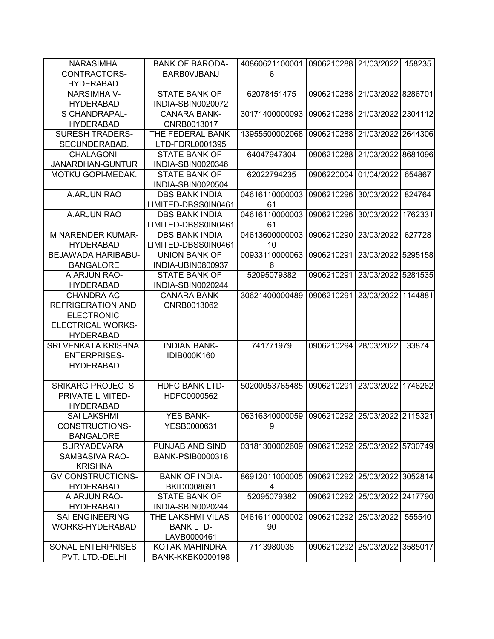| <b>NARASIMHA</b>         | <b>BANK OF BARODA-</b>  | 40860621100001                               | 0906210288 21/03/2022 |                    | 158235  |
|--------------------------|-------------------------|----------------------------------------------|-----------------------|--------------------|---------|
| CONTRACTORS-             | <b>BARBOVJBANJ</b>      | 6                                            |                       |                    |         |
| HYDERABAD.               |                         |                                              |                       |                    |         |
| <b>NARSIMHA V-</b>       | <b>STATE BANK OF</b>    | 62078451475                                  | 0906210288            | 21/03/2022 8286701 |         |
| <b>HYDERABAD</b>         | INDIA-SBIN0020072       |                                              |                       |                    |         |
| <b>S CHANDRAPAL-</b>     | <b>CANARA BANK-</b>     | 30171400000093                               | 0906210288            | 21/03/2022 2304112 |         |
| <b>HYDERABAD</b>         | CNRB0013017             |                                              |                       |                    |         |
| <b>SURESH TRADERS-</b>   | THE FEDERAL BANK        | 13955500002068                               | 0906210288            | 21/03/2022 2644306 |         |
| SECUNDERABAD.            | LTD-FDRL0001395         |                                              |                       |                    |         |
| <b>CHALAGONI</b>         | <b>STATE BANK OF</b>    | 64047947304                                  | 0906210288            | 21/03/2022         | 8681096 |
| JANARDHAN-GUNTUR         | INDIA-SBIN0020346       |                                              |                       |                    |         |
| MOTKU GOPI-MEDAK.        | <b>STATE BANK OF</b>    | 62022794235                                  | 0906220004            | 01/04/2022         | 654867  |
|                          |                         |                                              |                       |                    |         |
|                          | INDIA-SBIN0020504       |                                              |                       |                    |         |
| A.ARJUN RAO              | <b>DBS BANK INDIA</b>   | 04616110000003                               | 0906210296            | 30/03/2022         | 824764  |
|                          | LIMITED-DBSS0IN0461     | 61                                           |                       |                    |         |
| A.ARJUN RAO              | <b>DBS BANK INDIA</b>   | 04616110000003                               | 0906210296            | 30/03/2022         | 1762331 |
|                          | LIMITED-DBSS0IN0461     | 61                                           |                       |                    |         |
| <b>M NARENDER KUMAR-</b> | <b>DBS BANK INDIA</b>   | 04613600000003                               | 0906210290            | 23/03/2022         | 627728  |
| <b>HYDERABAD</b>         | LIMITED-DBSS0IN0461     | 10                                           |                       |                    |         |
| BEJAWADA HARIBABU-       | <b>UNION BANK OF</b>    | 00933110000063                               | 0906210291            | 23/03/2022 5295158 |         |
| <b>BANGALORE</b>         | INDIA-UBIN0800937       | 6                                            |                       |                    |         |
| A ARJUN RAO-             | <b>STATE BANK OF</b>    | 52095079382                                  | 0906210291            | 23/03/2022 5281535 |         |
| <b>HYDERABAD</b>         | INDIA-SBIN0020244       |                                              |                       |                    |         |
| <b>CHANDRA AC</b>        | <b>CANARA BANK-</b>     | 30621400000489                               | 0906210291            | 23/03/2022         | 1144881 |
| <b>REFRIGERATION AND</b> | CNRB0013062             |                                              |                       |                    |         |
| <b>ELECTRONIC</b>        |                         |                                              |                       |                    |         |
| <b>ELECTRICAL WORKS-</b> |                         |                                              |                       |                    |         |
| <b>HYDERABAD</b>         |                         |                                              |                       |                    |         |
| SRI VENKATA KRISHNA      | <b>INDIAN BANK-</b>     | 741771979                                    | 0906210294            | 28/03/2022         | 33874   |
| <b>ENTERPRISES-</b>      | IDIB000K160             |                                              |                       |                    |         |
| <b>HYDERABAD</b>         |                         |                                              |                       |                    |         |
|                          |                         |                                              |                       |                    |         |
| <b>SRIKARG PROJECTS</b>  | <b>HDFC BANK LTD-</b>   | 50200053765485                               | 0906210291            | 23/03/2022 1746262 |         |
| PRIVATE LIMITED-         | HDFC0000562             |                                              |                       |                    |         |
| <b>HYDERABAD</b>         |                         |                                              |                       |                    |         |
| <b>SAI LAKSHMI</b>       | YES BANK-               | 06316340000059 0906210292 25/03/2022 2115321 |                       |                    |         |
| CONSTRUCTIONS-           | YESB0000631             | 9                                            |                       |                    |         |
| <b>BANGALORE</b>         |                         |                                              |                       |                    |         |
| <b>SURYADEVARA</b>       | PUNJAB AND SIND         | 03181300002609                               | 0906210292            | 25/03/2022 5730749 |         |
| SAMBASIVA RAO-           | <b>BANK-PSIB0000318</b> |                                              |                       |                    |         |
| <b>KRISHNA</b>           |                         |                                              |                       |                    |         |
| <b>GV CONSTRUCTIONS-</b> | <b>BANK OF INDIA-</b>   | 86912011000005                               | 0906210292            | 25/03/2022 3052814 |         |
| <b>HYDERABAD</b>         | BKID0008691             | 4                                            |                       |                    |         |
| A ARJUN RAO-             | <b>STATE BANK OF</b>    | 52095079382                                  | 0906210292            | 25/03/2022 2417790 |         |
| <b>HYDERABAD</b>         | INDIA-SBIN0020244       |                                              |                       |                    |         |
|                          |                         |                                              | 0906210292            |                    |         |
| <b>SAI ENGINEERING</b>   | THE LAKSHMI VILAS       | 04616110000002                               |                       | 25/03/2022         | 555540  |
| WORKS-HYDERABAD          | <b>BANK LTD-</b>        | 90                                           |                       |                    |         |
|                          | LAVB0000461             |                                              |                       |                    |         |
| <b>SONAL ENTERPRISES</b> | KOTAK MAHINDRA          | 7113980038                                   | 0906210292            | 25/03/2022 3585017 |         |
| PVT. LTD.-DELHI          | <b>BANK-KKBK0000198</b> |                                              |                       |                    |         |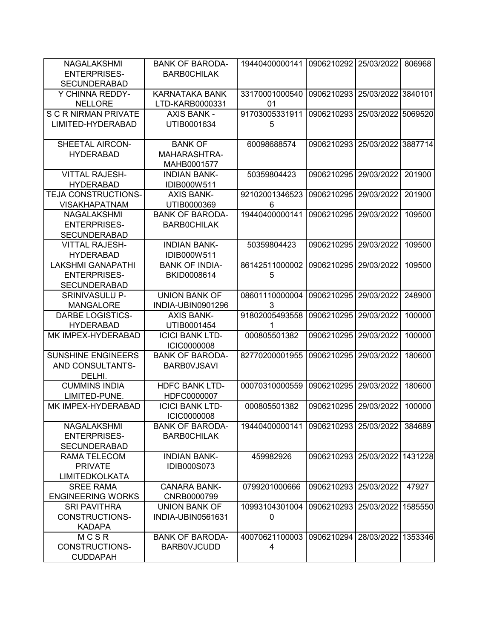| NAGALAKSHMI<br><b>ENTERPRISES-</b> | <b>BANK OF BARODA-</b><br><b>BARBOCHILAK</b> | 19440400000141 | 0906210292            | 25/03/2022         | 806968  |
|------------------------------------|----------------------------------------------|----------------|-----------------------|--------------------|---------|
| <b>SECUNDERABAD</b>                |                                              |                |                       |                    |         |
| Y CHINNA REDDY-                    | <b>KARNATAKA BANK</b>                        | 33170001000540 | 0906210293            | 25/03/2022 3840101 |         |
| <b>NELLORE</b>                     | LTD-KARB0000331                              | 01             |                       |                    |         |
| S C R NIRMAN PRIVATE               | <b>AXIS BANK -</b>                           | 91703005331911 | 0906210293            | 25/03/2022 5069520 |         |
| LIMITED-HYDERABAD                  | UTIB0001634                                  | 5              |                       |                    |         |
| SHEETAL AIRCON-                    | <b>BANK OF</b>                               | 60098688574    | 0906210293            | 25/03/2022 3887714 |         |
| <b>HYDERABAD</b>                   | MAHARASHTRA-                                 |                |                       |                    |         |
|                                    | MAHB0001577                                  |                |                       |                    |         |
| <b>VITTAL RAJESH-</b>              | <b>INDIAN BANK-</b>                          | 50359804423    | 0906210295            | 29/03/2022         | 201900  |
| <b>HYDERABAD</b>                   | IDIB000W511                                  |                |                       |                    |         |
| TEJA CONSTRUCTIONS-                | <b>AXIS BANK-</b>                            | 92102001346523 | 0906210295            | 29/03/2022         | 201900  |
| <b>VISAKHAPATNAM</b>               | UTIB0000369                                  | 6              |                       |                    |         |
| NAGALAKSHMI                        | <b>BANK OF BARODA-</b>                       | 19440400000141 | 0906210295            | 29/03/2022         | 109500  |
| <b>ENTERPRISES-</b>                | <b>BARBOCHILAK</b>                           |                |                       |                    |         |
| <b>SECUNDERABAD</b>                |                                              |                |                       |                    |         |
| <b>VITTAL RAJESH-</b>              | <b>INDIAN BANK-</b>                          | 50359804423    | 0906210295            | 29/03/2022         | 109500  |
| <b>HYDERABAD</b>                   | IDIB000W511                                  |                |                       |                    |         |
| <b>LAKSHMI GANAPATHI</b>           | <b>BANK OF INDIA-</b>                        | 86142511000002 | 0906210295            | 29/03/2022         | 109500  |
| <b>ENTERPRISES-</b>                | BKID0008614                                  | 5              |                       |                    |         |
| <b>SECUNDERABAD</b>                |                                              |                |                       |                    |         |
| <b>SRINIVASULU P-</b>              | <b>UNION BANK OF</b>                         | 08601110000004 | 0906210295            | 29/03/2022         | 248900  |
| <b>MANGALORE</b>                   | INDIA-UBIN0901296                            | 3              |                       |                    |         |
| <b>DARBE LOGISTICS-</b>            | <b>AXIS BANK-</b>                            | 91802005493558 | 0906210295            | 29/03/2022         | 100000  |
| <b>HYDERABAD</b>                   | UTIB0001454                                  | 1              |                       |                    |         |
| MK IMPEX-HYDERABAD                 | <b>ICICI BANK LTD-</b>                       | 000805501382   | 0906210295            | 29/03/2022         | 100000  |
|                                    | <b>ICIC0000008</b>                           |                |                       |                    |         |
| <b>SUNSHINE ENGINEERS</b>          | <b>BANK OF BARODA-</b>                       | 82770200001955 | 0906210295            | 29/03/2022         | 180600  |
| AND CONSULTANTS-                   | <b>BARBOVJSAVI</b>                           |                |                       |                    |         |
| DELHI.                             |                                              |                |                       |                    |         |
| <b>CUMMINS INDIA</b>               | <b>HDFC BANK LTD-</b>                        | 00070310000559 | 0906210295            | 29/03/2022         | 180600  |
| LIMITED-PUNE.                      | HDFC0000007                                  |                |                       |                    |         |
| MK IMPEX-HYDERABAD                 | <b>ICICI BANK LTD-</b>                       | 000805501382   | 0906210295            | 29/03/2022         | 100000  |
|                                    | <b>ICIC0000008</b>                           |                |                       |                    |         |
| NAGALAKSHMI                        | <b>BANK OF BARODA-</b>                       | 19440400000141 | 0906210293 25/03/2022 |                    | 384689  |
| <b>ENTERPRISES-</b>                | <b>BARBOCHILAK</b>                           |                |                       |                    |         |
| SECUNDERABAD                       |                                              |                |                       |                    |         |
| RAMA TELECOM                       | <b>INDIAN BANK-</b>                          | 459982926      | 0906210293 25/03/2022 |                    | 1431228 |
| <b>PRIVATE</b>                     | <b>IDIB000S073</b>                           |                |                       |                    |         |
| <b>LIMITEDKOLKATA</b>              |                                              |                |                       |                    |         |
| <b>SREE RAMA</b>                   | <b>CANARA BANK-</b>                          | 0799201000666  | 0906210293            | 25/03/2022         | 47927   |
| <b>ENGINEERING WORKS</b>           | CNRB0000799                                  |                |                       |                    |         |
| <b>SRI PAVITHRA</b>                | UNION BANK OF                                | 10993104301004 | 0906210293            | 25/03/2022         | 1585550 |
| CONSTRUCTIONS-                     | INDIA-UBIN0561631                            | 0              |                       |                    |         |
| <b>KADAPA</b>                      |                                              |                |                       |                    |         |
| MCSR                               | <b>BANK OF BARODA-</b>                       | 40070621100003 | 0906210294            | 28/03/2022         | 1353346 |
| CONSTRUCTIONS-                     | <b>BARBOVJCUDD</b>                           | 4              |                       |                    |         |
| <b>CUDDAPAH</b>                    |                                              |                |                       |                    |         |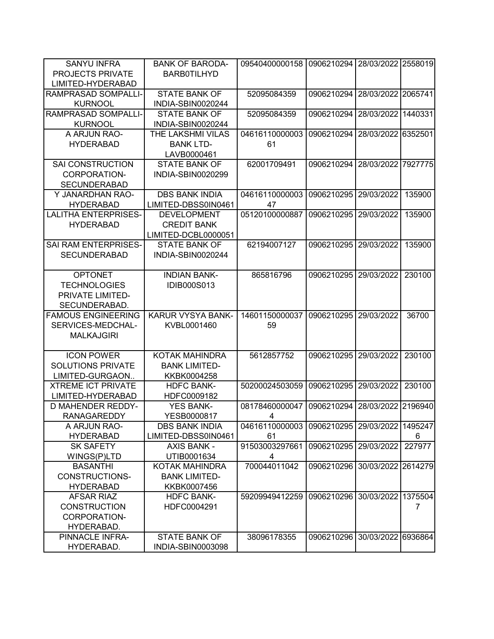| <b>SANYU INFRA</b>                             | <b>BANK OF BARODA-</b>   | 09540400000158       | 0906210294 | 28/03/2022 2558019 |         |
|------------------------------------------------|--------------------------|----------------------|------------|--------------------|---------|
| <b>PROJECTS PRIVATE</b>                        | <b>BARB0TILHYD</b>       |                      |            |                    |         |
| LIMITED-HYDERABAD                              |                          |                      |            |                    |         |
| RAMPRASAD SOMPALLI-                            | <b>STATE BANK OF</b>     | 52095084359          | 0906210294 | 28/03/2022 2065741 |         |
| <b>KURNOOL</b>                                 | INDIA-SBIN0020244        |                      |            |                    |         |
| <b>RAMPRASAD SOMPALLI-</b>                     | <b>STATE BANK OF</b>     | 52095084359          | 0906210294 | 28/03/2022         | 1440331 |
| <b>KURNOOL</b>                                 | INDIA-SBIN0020244        |                      |            |                    |         |
| A ARJUN RAO-                                   | THE LAKSHMI VILAS        | 04616110000003       | 0906210294 | 28/03/2022         | 6352501 |
| <b>HYDERABAD</b>                               | <b>BANK LTD-</b>         | 61                   |            |                    |         |
|                                                | LAVB0000461              |                      |            |                    |         |
| <b>SAI CONSTRUCTION</b>                        | <b>STATE BANK OF</b>     | 62001709491          | 0906210294 | 28/03/2022 7927775 |         |
| CORPORATION-                                   | INDIA-SBIN0020299        |                      |            |                    |         |
| <b>SECUNDERABAD</b>                            |                          |                      |            |                    |         |
| Y JANARDHAN RAO-                               | <b>DBS BANK INDIA</b>    | 04616110000003       | 0906210295 | 29/03/2022         | 135900  |
| <b>HYDERABAD</b>                               | LIMITED-DBSS0IN0461      | 47                   |            |                    |         |
| <b>LALITHA ENTERPRISES-</b>                    | <b>DEVELOPMENT</b>       | 05120100000887       | 0906210295 | 29/03/2022         | 135900  |
| <b>HYDERABAD</b>                               | <b>CREDIT BANK</b>       |                      |            |                    |         |
|                                                | LIMITED-DCBL0000051      |                      |            |                    |         |
| SAI RAM ENTERPRISES-                           | <b>STATE BANK OF</b>     | 62194007127          | 0906210295 | 29/03/2022         | 135900  |
| <b>SECUNDERABAD</b>                            | INDIA-SBIN0020244        |                      |            |                    |         |
|                                                |                          |                      |            |                    |         |
| <b>OPTONET</b>                                 | <b>INDIAN BANK-</b>      | 865816796            | 0906210295 | 29/03/2022         | 230100  |
| <b>TECHNOLOGIES</b>                            | <b>IDIB000S013</b>       |                      |            |                    |         |
| PRIVATE LIMITED-                               |                          |                      |            |                    |         |
| SECUNDERABAD.                                  | <b>KARUR VYSYA BANK-</b> |                      |            |                    |         |
| <b>FAMOUS ENGINEERING</b><br>SERVICES-MEDCHAL- | KVBL0001460              | 14601150000037<br>59 | 0906210295 | 29/03/2022         | 36700   |
| <b>MALKAJGIRI</b>                              |                          |                      |            |                    |         |
|                                                |                          |                      |            |                    |         |
| <b>ICON POWER</b>                              | <b>KOTAK MAHINDRA</b>    | 5612857752           | 0906210295 | 29/03/2022         | 230100  |
| <b>SOLUTIONS PRIVATE</b>                       | <b>BANK LIMITED-</b>     |                      |            |                    |         |
| LIMITED-GURGAON                                | KKBK0004258              |                      |            |                    |         |
| <b>XTREME ICT PRIVATE</b>                      | <b>HDFC BANK-</b>        | 50200024503059       | 0906210295 | 29/03/2022         | 230100  |
| LIMITED-HYDERABAD                              | HDFC0009182              |                      |            |                    |         |
| <b>D MAHENDER REDDY-</b>                       | <b>YES BANK-</b>         | 08178460000047       | 0906210294 | 28/03/2022         | 2196940 |
| <b>RANAGAREDDY</b>                             | YESB0000817              | 4                    |            |                    |         |
| A ARJUN RAO-                                   | <b>DBS BANK INDIA</b>    | 04616110000003       | 0906210295 | 29/03/2022         | 1495247 |
| <b>HYDERABAD</b>                               | LIMITED-DBSS0IN0461      | 61                   |            |                    | 6       |
| <b>SK SAFETY</b>                               | <b>AXIS BANK -</b>       | 91503003297661       | 0906210295 | 29/03/2022         | 227977  |
| WINGS(P)LTD                                    | UTIB0001634              | 4                    |            |                    |         |
| <b>BASANTHI</b>                                | KOTAK MAHINDRA           | 700044011042         | 0906210296 | 30/03/2022 2614279 |         |
| <b>CONSTRUCTIONS-</b>                          | <b>BANK LIMITED-</b>     |                      |            |                    |         |
| <b>HYDERABAD</b>                               | KKBK0007456              |                      |            |                    |         |
| AFSAR RIAZ                                     | <b>HDFC BANK-</b>        | 59209949412259       | 0906210296 | 30/03/2022         | 1375504 |
| <b>CONSTRUCTION</b>                            | HDFC0004291              |                      |            |                    | 7       |
| CORPORATION-                                   |                          |                      |            |                    |         |
| HYDERABAD.                                     |                          |                      |            |                    |         |
| PINNACLE INFRA-                                | <b>STATE BANK OF</b>     | 38096178355          | 0906210296 | 30/03/2022         | 6936864 |
| HYDERABAD.                                     | INDIA-SBIN0003098        |                      |            |                    |         |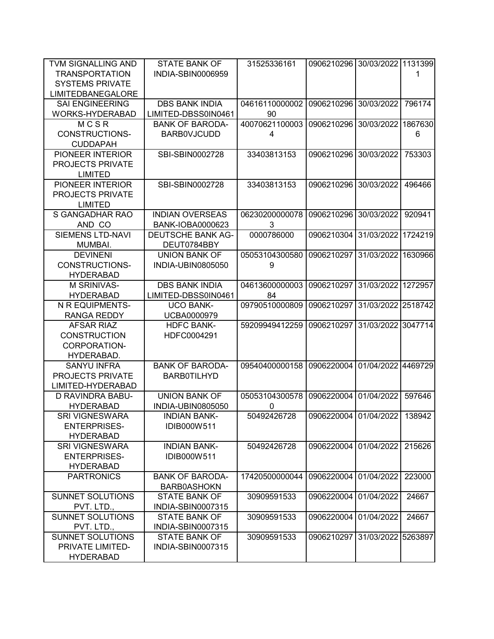| TVM SIGNALLING AND       | <b>STATE BANK OF</b>     | 31525336161    | 0906210296 30/03/2022 1131399 |                    |         |
|--------------------------|--------------------------|----------------|-------------------------------|--------------------|---------|
| <b>TRANSPORTATION</b>    | <b>INDIA-SBIN0006959</b> |                |                               |                    | 1       |
| <b>SYSTEMS PRIVATE</b>   |                          |                |                               |                    |         |
| <b>LIMITEDBANEGALORE</b> |                          |                |                               |                    |         |
| <b>SAI ENGINEERING</b>   | <b>DBS BANK INDIA</b>    | 04616110000002 | 0906210296                    | 30/03/2022         | 796174  |
| WORKS-HYDERABAD          | LIMITED-DBSS0IN0461      | 90             |                               |                    |         |
| MCSR                     | <b>BANK OF BARODA-</b>   | 40070621100003 | 0906210296                    | 30/03/2022         | 1867630 |
| <b>CONSTRUCTIONS-</b>    | <b>BARBOVJCUDD</b>       | 4              |                               |                    | 6       |
| <b>CUDDAPAH</b>          |                          |                |                               |                    |         |
| PIONEER INTERIOR         | SBI-SBIN0002728          | 33403813153    | 0906210296                    | 30/03/2022         | 753303  |
| <b>PROJECTS PRIVATE</b>  |                          |                |                               |                    |         |
| <b>LIMITED</b>           |                          |                |                               |                    |         |
| PIONEER INTERIOR         | SBI-SBIN0002728          | 33403813153    | 0906210296                    | 30/03/2022         | 496466  |
| <b>PROJECTS PRIVATE</b>  |                          |                |                               |                    |         |
| <b>LIMITED</b>           |                          |                |                               |                    |         |
| S GANGADHAR RAO          | <b>INDIAN OVERSEAS</b>   | 06230200000078 | 0906210296                    | 30/03/2022         | 920941  |
| AND CO                   | BANK-IOBA0000623         | 3              |                               |                    |         |
| <b>SIEMENS LTD-NAVI</b>  | <b>DEUTSCHE BANK AG-</b> | 0000786000     | 0906210304                    | 31/03/2022         | 1724219 |
| MUMBAI.                  | DEUT0784BBY              |                |                               |                    |         |
| <b>DEVINENI</b>          | <b>UNION BANK OF</b>     | 05053104300580 | 0906210297                    | 31/03/2022         | 1630966 |
| CONSTRUCTIONS-           | INDIA-UBIN0805050        | 9              |                               |                    |         |
| <b>HYDERABAD</b>         |                          |                |                               |                    |         |
| M SRINIVAS-              | <b>DBS BANK INDIA</b>    | 04613600000003 | 0906210297                    | 31/03/2022 1272957 |         |
| <b>HYDERABAD</b>         | LIMITED-DBSS0IN0461      | 84             |                               |                    |         |
| N R EQUIPMENTS-          | <b>UCO BANK-</b>         | 09790510000809 | 0906210297                    | 31/03/2022 2518742 |         |
| <b>RANGA REDDY</b>       | UCBA0000979              |                |                               |                    |         |
| <b>AFSAR RIAZ</b>        | <b>HDFC BANK-</b>        | 59209949412259 | 0906210297                    | 31/03/2022 3047714 |         |
| <b>CONSTRUCTION</b>      | HDFC0004291              |                |                               |                    |         |
| CORPORATION-             |                          |                |                               |                    |         |
|                          |                          |                |                               |                    |         |
| HYDERABAD.               |                          |                |                               | 01/04/2022         |         |
| <b>SANYU INFRA</b>       | <b>BANK OF BARODA-</b>   | 09540400000158 | 0906220004                    |                    | 4469729 |
| PROJECTS PRIVATE         | <b>BARB0TILHYD</b>       |                |                               |                    |         |
| LIMITED-HYDERABAD        |                          |                |                               |                    |         |
| D RAVINDRA BABU-         | <b>UNION BANK OF</b>     | 05053104300578 | 0906220004                    | 01/04/2022         | 597646  |
| <b>HYDERABAD</b>         | INDIA-UBIN0805050        | $\mathbf{0}$   |                               |                    |         |
| <b>SRI VIGNESWARA</b>    | <b>INDIAN BANK-</b>      | 50492426728    | 0906220004 01/04/2022         |                    | 138942  |
| <b>ENTERPRISES-</b>      | IDIB000W511              |                |                               |                    |         |
| <b>HYDERABAD</b>         |                          |                |                               |                    |         |
| <b>SRI VIGNESWARA</b>    | <b>INDIAN BANK-</b>      | 50492426728    | 0906220004                    | 01/04/2022         | 215626  |
| <b>ENTERPRISES-</b>      | IDIB000W511              |                |                               |                    |         |
| <b>HYDERABAD</b>         |                          |                |                               |                    |         |
| <b>PARTRONICS</b>        | <b>BANK OF BARODA-</b>   | 17420500000044 | 0906220004                    | 01/04/2022         | 223000  |
|                          | <b>BARB0ASHOKN</b>       |                |                               |                    |         |
| SUNNET SOLUTIONS         | <b>STATE BANK OF</b>     | 30909591533    | 0906220004                    | 01/04/2022         | 24667   |
| PVT. LTD.,               | INDIA-SBIN0007315        |                |                               |                    |         |
| <b>SUNNET SOLUTIONS</b>  | <b>STATE BANK OF</b>     | 30909591533    | 0906220004                    | 01/04/2022         | 24667   |
| PVT. LTD.,               | INDIA-SBIN0007315        |                |                               |                    |         |
| SUNNET SOLUTIONS         | <b>STATE BANK OF</b>     | 30909591533    | 0906210297                    | 31/03/2022 5263897 |         |
| PRIVATE LIMITED-         | INDIA-SBIN0007315        |                |                               |                    |         |
| <b>HYDERABAD</b>         |                          |                |                               |                    |         |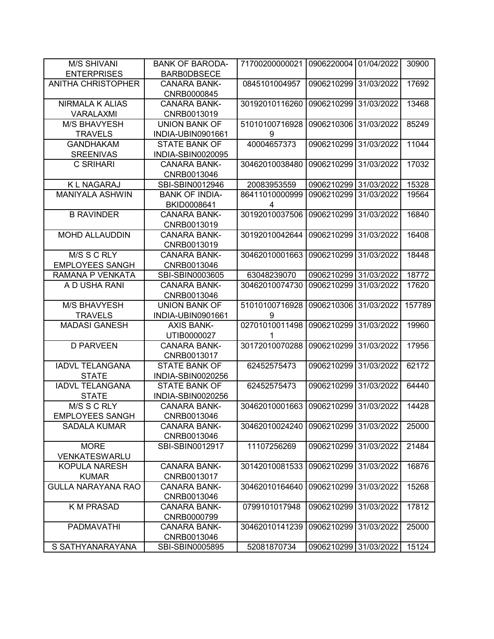| <b>M/S SHIVANI</b>        | <b>BANK OF BARODA-</b>              | 71700200000021 | 0906220004            | 01/04/2022 | 30900  |
|---------------------------|-------------------------------------|----------------|-----------------------|------------|--------|
| <b>ENTERPRISES</b>        | <b>BARB0DBSECE</b>                  |                |                       |            |        |
| <b>ANITHA CHRISTOPHER</b> | <b>CANARA BANK-</b>                 | 0845101004957  | 0906210299            | 31/03/2022 | 17692  |
|                           | CNRB0000845                         |                |                       |            |        |
| <b>NIRMALA K ALIAS</b>    | <b>CANARA BANK-</b>                 | 30192010116260 | 0906210299            | 31/03/2022 | 13468  |
| <b>VARALAXMI</b>          | CNRB0013019                         |                |                       |            |        |
| M/S BHAVYESH              | <b>UNION BANK OF</b>                | 51010100716928 | 0906210306            | 31/03/2022 | 85249  |
| <b>TRAVELS</b>            | INDIA-UBIN0901661                   | 9              |                       |            |        |
| <b>GANDHAKAM</b>          | <b>STATE BANK OF</b>                | 40004657373    | 0906210299            | 31/03/2022 | 11044  |
| <b>SREENIVAS</b>          | INDIA-SBIN0020095                   |                |                       |            |        |
| C SRIHARI                 | <b>CANARA BANK-</b>                 | 30462010038480 | 0906210299            | 31/03/2022 | 17032  |
|                           | CNRB0013046                         |                |                       |            |        |
| K L NAGARAJ               | SBI-SBIN0012946                     | 20083953559    | 0906210299            | 31/03/2022 | 15328  |
| <b>MANIYALA ASHWIN</b>    | <b>BANK OF INDIA-</b>               | 86411010000999 | 0906210299            | 31/03/2022 | 19564  |
|                           | BKID0008641                         | 4              |                       |            |        |
| <b>B RAVINDER</b>         | <b>CANARA BANK-</b>                 | 30192010037506 | 0906210299            | 31/03/2022 | 16840  |
|                           | CNRB0013019                         |                |                       |            |        |
| <b>MOHD ALLAUDDIN</b>     | <b>CANARA BANK-</b>                 | 30192010042644 | 0906210299            | 31/03/2022 | 16408  |
|                           | CNRB0013019                         |                |                       |            |        |
| M/S S C RLY               | <b>CANARA BANK-</b>                 | 30462010001663 | 0906210299            | 31/03/2022 | 18448  |
| <b>EMPLOYEES SANGH</b>    | CNRB0013046                         |                |                       |            |        |
| RAMANA P VENKATA          | SBI-SBIN0003605                     | 63048239070    | 0906210299            | 31/03/2022 | 18772  |
| A D USHA RANI             | <b>CANARA BANK-</b>                 | 30462010074730 | 0906210299            | 31/03/2022 | 17620  |
| <b>M/S BHAVYESH</b>       | CNRB0013046<br><b>UNION BANK OF</b> | 51010100716928 | 0906210306            | 31/03/2022 | 157789 |
| <b>TRAVELS</b>            | INDIA-UBIN0901661                   | 9              |                       |            |        |
| <b>MADASI GANESH</b>      | <b>AXIS BANK-</b>                   | 02701010011498 | 0906210299            | 31/03/2022 | 19960  |
|                           | UTIB0000027                         |                |                       |            |        |
| <b>D PARVEEN</b>          | <b>CANARA BANK-</b>                 | 30172010070288 | 0906210299            | 31/03/2022 | 17956  |
|                           | CNRB0013017                         |                |                       |            |        |
| <b>IADVL TELANGANA</b>    | <b>STATE BANK OF</b>                | 62452575473    | 0906210299            | 31/03/2022 | 62172  |
| <b>STATE</b>              | INDIA-SBIN0020256                   |                |                       |            |        |
| <b>IADVL TELANGANA</b>    | <b>STATE BANK OF</b>                | 62452575473    | 0906210299            | 31/03/2022 | 64440  |
| <b>STATE</b>              | INDIA-SBIN0020256                   |                |                       |            |        |
| M/S S C RLY               | <b>CANARA BANK-</b>                 | 30462010001663 | 0906210299            | 31/03/2022 | 14428  |
| <b>EMPLOYEES SANGH</b>    | CNRB0013046                         |                |                       |            |        |
| <b>SADALA KUMAR</b>       | <b>CANARA BANK-</b>                 | 30462010024240 | 0906210299 31/03/2022 |            | 25000  |
|                           | CNRB0013046                         |                |                       |            |        |
| <b>MORE</b>               | SBI-SBIN0012917                     | 11107256269    | 0906210299            | 31/03/2022 | 21484  |
| VENKATESWARLU             |                                     |                |                       |            |        |
| KOPULA NARESH             | <b>CANARA BANK-</b>                 | 30142010081533 | 0906210299            | 31/03/2022 | 16876  |
| <b>KUMAR</b>              | CNRB0013017                         |                |                       |            |        |
| <b>GULLA NARAYANA RAO</b> | <b>CANARA BANK-</b>                 | 30462010164640 | 0906210299            | 31/03/2022 | 15268  |
|                           | CNRB0013046                         |                |                       |            |        |
| <b>K M PRASAD</b>         | <b>CANARA BANK-</b>                 | 0799101017948  | 0906210299            | 31/03/2022 | 17812  |
|                           | CNRB0000799                         |                |                       |            |        |
| <b>PADMAVATHI</b>         | <b>CANARA BANK-</b>                 | 30462010141239 | 0906210299            | 31/03/2022 | 25000  |
|                           | CNRB0013046                         |                |                       |            |        |
| S SATHYANARAYANA          | SBI-SBIN0005895                     | 52081870734    | 0906210299 31/03/2022 |            | 15124  |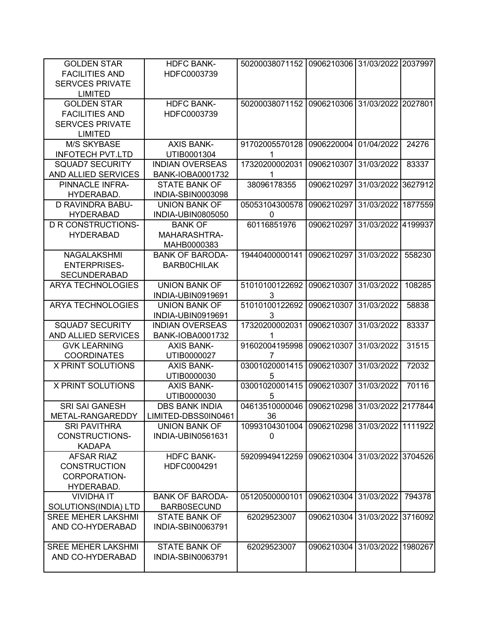| <b>GOLDEN STAR</b><br><b>FACILITIES AND</b><br><b>SERVCES PRIVATE</b>                   | <b>HDFC BANK-</b><br>HDFC0003739              | 50200038071152                               | 0906210306 31/03/2022 2037997 |                    |         |
|-----------------------------------------------------------------------------------------|-----------------------------------------------|----------------------------------------------|-------------------------------|--------------------|---------|
| <b>LIMITED</b>                                                                          |                                               |                                              |                               |                    |         |
| <b>GOLDEN STAR</b><br><b>FACILITIES AND</b><br><b>SERVCES PRIVATE</b><br><b>LIMITED</b> | <b>HDFC BANK-</b><br>HDFC0003739              | 50200038071152 0906210306 31/03/2022 2027801 |                               |                    |         |
| <b>M/S SKYBASE</b>                                                                      | <b>AXIS BANK-</b>                             | 91702005570128                               | 0906220004                    | 01/04/2022         | 24276   |
| <b>INFOTECH PVT.LTD</b>                                                                 | UTIB0001304                                   | 1                                            |                               |                    |         |
| <b>SQUAD7 SECURITY</b>                                                                  | <b>INDIAN OVERSEAS</b>                        | 17320200002031                               | 0906210307                    | 31/03/2022         | 83337   |
| AND ALLIED SERVICES                                                                     | <b>BANK-IOBA0001732</b>                       | 1                                            |                               |                    |         |
| PINNACLE INFRA-                                                                         | <b>STATE BANK OF</b>                          | 38096178355                                  | 0906210297                    | 31/03/2022         | 3627912 |
| HYDERABAD.                                                                              | INDIA-SBIN0003098                             |                                              |                               |                    |         |
| D RAVINDRA BABU-                                                                        | <b>UNION BANK OF</b>                          | 05053104300578                               | 0906210297                    | 31/03/2022         | 1877559 |
| <b>HYDERABAD</b>                                                                        | INDIA-UBIN0805050                             | 0                                            |                               |                    |         |
| <b>D R CONSTRUCTIONS-</b><br><b>HYDERABAD</b>                                           | <b>BANK OF</b><br>MAHARASHTRA-<br>MAHB0000383 | 60116851976                                  | 0906210297                    | 31/03/2022         | 4199937 |
| NAGALAKSHMI<br><b>ENTERPRISES-</b><br><b>SECUNDERABAD</b>                               | <b>BANK OF BARODA-</b><br><b>BARBOCHILAK</b>  | 19440400000141                               | 0906210297                    | 31/03/2022         | 558230  |
| <b>ARYA TECHNOLOGIES</b>                                                                | <b>UNION BANK OF</b><br>INDIA-UBIN0919691     | 51010100122692<br>3                          | 0906210307                    | 31/03/2022         | 108285  |
| <b>ARYA TECHNOLOGIES</b>                                                                | <b>UNION BANK OF</b><br>INDIA-UBIN0919691     | 51010100122692<br>3                          | 0906210307                    | 31/03/2022         | 58838   |
| <b>SQUAD7 SECURITY</b>                                                                  | <b>INDIAN OVERSEAS</b>                        | 17320200002031                               | 0906210307                    | 31/03/2022         | 83337   |
| AND ALLIED SERVICES                                                                     | <b>BANK-IOBA0001732</b>                       | 1                                            |                               |                    |         |
| <b>GVK LEARNING</b>                                                                     | <b>AXIS BANK-</b>                             | 91602004195998                               | 0906210307                    | 31/03/2022         | 31515   |
| <b>COORDINATES</b>                                                                      | UTIB0000027                                   | 7                                            |                               |                    |         |
| <b>X PRINT SOLUTIONS</b>                                                                | <b>AXIS BANK-</b><br>UTIB0000030              | 03001020001415<br>5                          | 0906210307                    | 31/03/2022         | 72032   |
| <b>X PRINT SOLUTIONS</b>                                                                | <b>AXIS BANK-</b><br>UTIB0000030              | 03001020001415<br>5                          | 0906210307                    | 31/03/2022         | 70116   |
| <b>SRI SAI GANESH</b>                                                                   | <b>DBS BANK INDIA</b>                         | 04613510000046                               | 0906210298                    | 31/03/2022 2177844 |         |
| METAL-RANGAREDDY                                                                        | LIMITED-DBSS0IN0461                           | 36                                           |                               |                    |         |
| <b>SRI PAVITHRA</b><br>CONSTRUCTIONS-<br><b>KADAPA</b>                                  | <b>UNION BANK OF</b><br>INDIA-UBIN0561631     | 10993104301004<br>$\mathbf{0}$               | 0906210298 31/03/2022 1111922 |                    |         |
| <b>AFSAR RIAZ</b><br><b>CONSTRUCTION</b><br>CORPORATION-<br>HYDERABAD.                  | <b>HDFC BANK-</b><br>HDFC0004291              | 59209949412259                               | 0906210304                    | 31/03/2022 3704526 |         |
| <b>VIVIDHA IT</b><br>SOLUTIONS(INDIA) LTD                                               | <b>BANK OF BARODA-</b><br><b>BARB0SECUND</b>  | 05120500000101                               | 0906210304                    | 31/03/2022         | 794378  |
| <b>SREE MEHER LAKSHMI</b><br>AND CO-HYDERABAD                                           | <b>STATE BANK OF</b><br>INDIA-SBIN0063791     | 62029523007                                  | 0906210304                    | 31/03/2022 3716092 |         |
| <b>SREE MEHER LAKSHMI</b><br>AND CO-HYDERABAD                                           | <b>STATE BANK OF</b><br>INDIA-SBIN0063791     | 62029523007                                  | 0906210304                    | 31/03/2022         | 1980267 |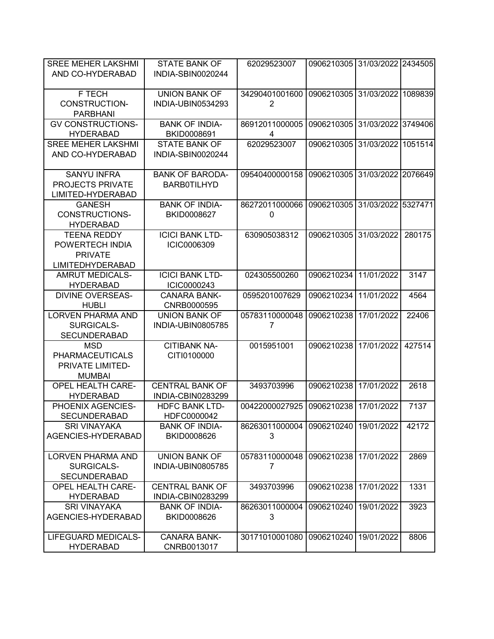| <b>SREE MEHER LAKSHMI</b> | <b>STATE BANK OF</b>     | 62029523007    | 0906210305 31/03/2022 2434505 |                    |         |
|---------------------------|--------------------------|----------------|-------------------------------|--------------------|---------|
| AND CO-HYDERABAD          | INDIA-SBIN0020244        |                |                               |                    |         |
|                           |                          |                |                               |                    |         |
| F TECH                    | <b>UNION BANK OF</b>     | 34290401001600 | 0906210305 31/03/2022         |                    | 1089839 |
| CONSTRUCTION-             | INDIA-UBIN0534293        | $\overline{2}$ |                               |                    |         |
| <b>PARBHANI</b>           |                          |                |                               |                    |         |
| <b>GV CONSTRUCTIONS-</b>  | <b>BANK OF INDIA-</b>    | 86912011000005 | 0906210305                    | 31/03/2022 3749406 |         |
| <b>HYDERABAD</b>          | BKID0008691              | 4              |                               |                    |         |
| <b>SREE MEHER LAKSHMI</b> | <b>STATE BANK OF</b>     | 62029523007    | 0906210305                    | 31/03/2022         | 1051514 |
| AND CO-HYDERABAD          | INDIA-SBIN0020244        |                |                               |                    |         |
|                           |                          |                |                               |                    |         |
| <b>SANYU INFRA</b>        | <b>BANK OF BARODA-</b>   | 09540400000158 | 0906210305                    | 31/03/2022 2076649 |         |
| PROJECTS PRIVATE          | <b>BARB0TILHYD</b>       |                |                               |                    |         |
| LIMITED-HYDERABAD         |                          |                |                               |                    |         |
| <b>GANESH</b>             | <b>BANK OF INDIA-</b>    | 86272011000066 | 0906210305                    | 31/03/2022 5327471 |         |
| CONSTRUCTIONS-            | BKID0008627              | 0              |                               |                    |         |
| <b>HYDERABAD</b>          |                          |                |                               |                    |         |
| <b>TEENA REDDY</b>        | <b>ICICI BANK LTD-</b>   | 630905038312   | 0906210305                    | 31/03/2022         | 280175  |
| POWERTECH INDIA           | ICIC0006309              |                |                               |                    |         |
| <b>PRIVATE</b>            |                          |                |                               |                    |         |
| <b>LIMITEDHYDERABAD</b>   |                          |                |                               |                    |         |
| <b>AMRUT MEDICALS-</b>    | <b>ICICI BANK LTD-</b>   | 024305500260   | 0906210234                    | 11/01/2022         | 3147    |
| <b>HYDERABAD</b>          | ICIC0000243              |                |                               |                    |         |
| <b>DIVINE OVERSEAS-</b>   | <b>CANARA BANK-</b>      | 0595201007629  | 0906210234                    | 11/01/2022         | 4564    |
| <b>HUBLI</b>              | CNRB0000595              |                |                               |                    |         |
| <b>LORVEN PHARMA AND</b>  | <b>UNION BANK OF</b>     | 05783110000048 | 0906210238                    | 17/01/2022         | 22406   |
| SURGICALS-                | <b>INDIA-UBIN0805785</b> | 7              |                               |                    |         |
| <b>SECUNDERABAD</b>       |                          |                |                               |                    |         |
| <b>MSD</b>                | <b>CITIBANK NA-</b>      | 0015951001     | 0906210238                    | 17/01/2022         | 427514  |
| <b>PHARMACEUTICALS</b>    | CITI0100000              |                |                               |                    |         |
| PRIVATE LIMITED-          |                          |                |                               |                    |         |
| <b>MUMBAI</b>             |                          |                |                               |                    |         |
| <b>OPEL HEALTH CARE-</b>  | <b>CENTRAL BANK OF</b>   | 3493703996     | 0906210238                    | 17/01/2022         | 2618    |
| <b>HYDERABAD</b>          | INDIA-CBIN0283299        |                |                               |                    |         |
| PHOENIX AGENCIES-         | <b>HDFC BANK LTD-</b>    | 00422000027925 | 0906210238                    | 17/01/2022         | 7137    |
| SECUNDERABAD              | HDFC0000042              |                |                               |                    |         |
| <b>SRI VINAYAKA</b>       | <b>BANK OF INDIA-</b>    | 86263011000004 | 0906210240 19/01/2022         |                    | 42172   |
| AGENCIES-HYDERABAD        | BKID0008626              | 3              |                               |                    |         |
|                           |                          |                |                               |                    |         |
| <b>LORVEN PHARMA AND</b>  | <b>UNION BANK OF</b>     | 05783110000048 | 0906210238 17/01/2022         |                    | 2869    |
| SURGICALS-                | INDIA-UBIN0805785        | 7              |                               |                    |         |
| <b>SECUNDERABAD</b>       |                          |                |                               |                    |         |
| <b>OPEL HEALTH CARE-</b>  | <b>CENTRAL BANK OF</b>   | 3493703996     | 0906210238                    | 17/01/2022         | 1331    |
| <b>HYDERABAD</b>          | INDIA-CBIN0283299        |                |                               |                    |         |
| <b>SRI VINAYAKA</b>       | <b>BANK OF INDIA-</b>    | 86263011000004 | 0906210240                    | 19/01/2022         | 3923    |
| AGENCIES-HYDERABAD        | BKID0008626              | 3              |                               |                    |         |
|                           |                          |                |                               |                    |         |
| LIFEGUARD MEDICALS-       | <b>CANARA BANK-</b>      | 30171010001080 | 0906210240                    | 19/01/2022         | 8806    |
| <b>HYDERABAD</b>          | CNRB0013017              |                |                               |                    |         |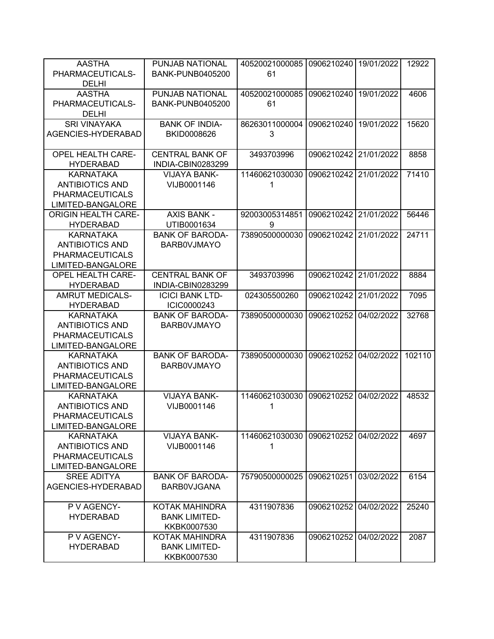| <b>AASTHA</b>              | PUNJAB NATIONAL         | 40520021000085 | 0906210240 | 19/01/2022 | 12922  |
|----------------------------|-------------------------|----------------|------------|------------|--------|
| PHARMACEUTICALS-           | <b>BANK-PUNB0405200</b> | 61             |            |            |        |
|                            |                         |                |            |            |        |
| <b>DELHI</b>               |                         |                |            |            |        |
| <b>AASTHA</b>              | PUNJAB NATIONAL         | 40520021000085 | 0906210240 | 19/01/2022 | 4606   |
| PHARMACEUTICALS-           | <b>BANK-PUNB0405200</b> | 61             |            |            |        |
| <b>DELHI</b>               |                         |                |            |            |        |
| <b>SRI VINAYAKA</b>        | <b>BANK OF INDIA-</b>   | 86263011000004 | 0906210240 | 19/01/2022 | 15620  |
| AGENCIES-HYDERABAD         | BKID0008626             | 3              |            |            |        |
|                            |                         |                |            |            |        |
| <b>OPEL HEALTH CARE-</b>   | <b>CENTRAL BANK OF</b>  | 3493703996     | 0906210242 | 21/01/2022 | 8858   |
| <b>HYDERABAD</b>           | INDIA-CBIN0283299       |                |            |            |        |
| <b>KARNATAKA</b>           | <b>VIJAYA BANK-</b>     | 11460621030030 | 0906210242 | 21/01/2022 | 71410  |
| <b>ANTIBIOTICS AND</b>     | VIJB0001146             | 1              |            |            |        |
|                            |                         |                |            |            |        |
| <b>PHARMACEUTICALS</b>     |                         |                |            |            |        |
| <b>LIMITED-BANGALORE</b>   |                         |                |            |            |        |
| <b>ORIGIN HEALTH CARE-</b> | <b>AXIS BANK -</b>      | 92003005314851 | 0906210242 | 21/01/2022 | 56446  |
| <b>HYDERABAD</b>           | UTIB0001634             | 9              |            |            |        |
| <b>KARNATAKA</b>           | <b>BANK OF BARODA-</b>  | 73890500000030 | 0906210242 | 21/01/2022 | 24711  |
| <b>ANTIBIOTICS AND</b>     | <b>BARBOVJMAYO</b>      |                |            |            |        |
| <b>PHARMACEUTICALS</b>     |                         |                |            |            |        |
| <b>LIMITED-BANGALORE</b>   |                         |                |            |            |        |
| <b>OPEL HEALTH CARE-</b>   | <b>CENTRAL BANK OF</b>  | 3493703996     | 0906210242 | 21/01/2022 | 8884   |
| <b>HYDERABAD</b>           | INDIA-CBIN0283299       |                |            |            |        |
| <b>AMRUT MEDICALS-</b>     | <b>ICICI BANK LTD-</b>  | 024305500260   | 0906210242 | 21/01/2022 | 7095   |
| <b>HYDERABAD</b>           | ICIC0000243             |                |            |            |        |
| <b>KARNATAKA</b>           | <b>BANK OF BARODA-</b>  | 73890500000030 | 0906210252 | 04/02/2022 | 32768  |
| <b>ANTIBIOTICS AND</b>     | <b>BARBOVJMAYO</b>      |                |            |            |        |
| <b>PHARMACEUTICALS</b>     |                         |                |            |            |        |
|                            |                         |                |            |            |        |
| <b>LIMITED-BANGALORE</b>   |                         |                |            |            |        |
| <b>KARNATAKA</b>           | <b>BANK OF BARODA-</b>  | 73890500000030 | 0906210252 | 04/02/2022 | 102110 |
| <b>ANTIBIOTICS AND</b>     | <b>BARBOVJMAYO</b>      |                |            |            |        |
| <b>PHARMACEUTICALS</b>     |                         |                |            |            |        |
| LIMITED-BANGALORE          |                         |                |            |            |        |
| <b>KARNATAKA</b>           | <b>VIJAYA BANK-</b>     | 11460621030030 | 0906210252 | 04/02/2022 | 48532  |
| <b>ANTIBIOTICS AND</b>     | VIJB0001146             | 1              |            |            |        |
| PHARMACEUTICALS            |                         |                |            |            |        |
| LIMITED-BANGALORE          |                         |                |            |            |        |
| <b>KARNATAKA</b>           | <b>VIJAYA BANK-</b>     | 11460621030030 | 0906210252 | 04/02/2022 | 4697   |
| <b>ANTIBIOTICS AND</b>     | VIJB0001146             | 1              |            |            |        |
| <b>PHARMACEUTICALS</b>     |                         |                |            |            |        |
|                            |                         |                |            |            |        |
| LIMITED-BANGALORE          |                         |                |            |            |        |
| <b>SREE ADITYA</b>         | <b>BANK OF BARODA-</b>  | 75790500000025 | 0906210251 | 03/02/2022 | 6154   |
| AGENCIES-HYDERABAD         | <b>BARBOVJGANA</b>      |                |            |            |        |
|                            |                         |                |            |            |        |
| P V AGENCY-                | KOTAK MAHINDRA          | 4311907836     | 0906210252 | 04/02/2022 | 25240  |
| <b>HYDERABAD</b>           | <b>BANK LIMITED-</b>    |                |            |            |        |
|                            | KKBK0007530             |                |            |            |        |
| P V AGENCY-                | KOTAK MAHINDRA          | 4311907836     | 0906210252 | 04/02/2022 | 2087   |
| <b>HYDERABAD</b>           | <b>BANK LIMITED-</b>    |                |            |            |        |
|                            | KKBK0007530             |                |            |            |        |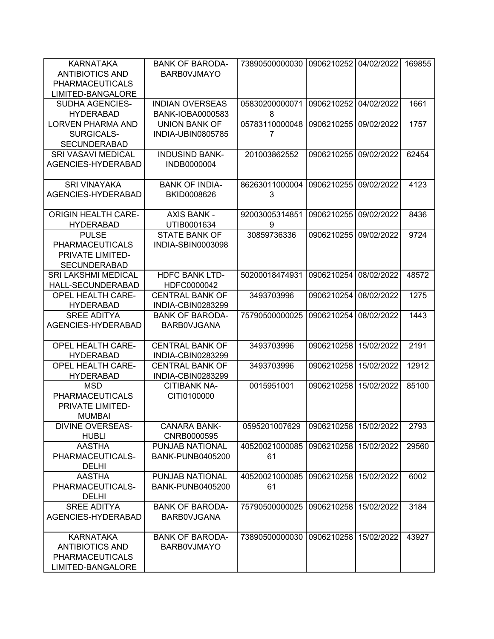| KARNATAKA<br><b>ANTIBIOTICS AND</b><br><b>PHARMACEUTICALS</b><br>LIMITED-BANGALORE        | <b>BANK OF BARODA-</b><br><b>BARBOVJMAYO</b>      | 73890500000030       | 0906210252 | 04/02/2022 | 169855 |
|-------------------------------------------------------------------------------------------|---------------------------------------------------|----------------------|------------|------------|--------|
| SUDHA AGENCIES-<br><b>HYDERABAD</b>                                                       | <b>INDIAN OVERSEAS</b><br><b>BANK-IOBA0000583</b> | 05830200000071<br>8  | 0906210252 | 04/02/2022 | 1661   |
| <b>LORVEN PHARMA AND</b><br>SURGICALS-<br><b>SECUNDERABAD</b>                             | <b>UNION BANK OF</b><br>INDIA-UBIN0805785         | 05783110000048<br>7  | 0906210255 | 09/02/2022 | 1757   |
| <b>SRI VASAVI MEDICAL</b><br>AGENCIES-HYDERABAD                                           | <b>INDUSIND BANK-</b><br>INDB0000004              | 201003862552         | 0906210255 | 09/02/2022 | 62454  |
| <b>SRI VINAYAKA</b><br>AGENCIES-HYDERABAD                                                 | <b>BANK OF INDIA-</b><br>BKID0008626              | 86263011000004<br>3  | 0906210255 | 09/02/2022 | 4123   |
| <b>ORIGIN HEALTH CARE-</b><br><b>HYDERABAD</b>                                            | <b>AXIS BANK -</b><br>UTIB0001634                 | 92003005314851<br>9  | 0906210255 | 09/02/2022 | 8436   |
| <b>PULSE</b><br><b>PHARMACEUTICALS</b><br>PRIVATE LIMITED-<br><b>SECUNDERABAD</b>         | <b>STATE BANK OF</b><br>INDIA-SBIN0003098         | 30859736336          | 0906210255 | 09/02/2022 | 9724   |
| <b>SRI LAKSHMI MEDICAL</b><br>HALL-SECUNDERABAD                                           | <b>HDFC BANK LTD-</b><br>HDFC0000042              | 50200018474931       | 0906210254 | 08/02/2022 | 48572  |
| <b>OPEL HEALTH CARE-</b><br><b>HYDERABAD</b>                                              | <b>CENTRAL BANK OF</b><br>INDIA-CBIN0283299       | 3493703996           | 0906210254 | 08/02/2022 | 1275   |
| <b>SREE ADITYA</b><br>AGENCIES-HYDERABAD                                                  | <b>BANK OF BARODA-</b><br><b>BARBOVJGANA</b>      | 75790500000025       | 0906210254 | 08/02/2022 | 1443   |
| <b>OPEL HEALTH CARE-</b><br><b>HYDERABAD</b>                                              | <b>CENTRAL BANK OF</b><br>INDIA-CBIN0283299       | 3493703996           | 0906210258 | 15/02/2022 | 2191   |
| <b>OPEL HEALTH CARE-</b><br><b>HYDERABAD</b>                                              | <b>CENTRAL BANK OF</b><br>INDIA-CBIN0283299       | 3493703996           | 0906210258 | 15/02/2022 | 12912  |
| MSD<br><b>PHARMACEUTICALS</b><br>PRIVATE LIMITED-<br><b>MUMBAI</b>                        | <b>CITIBANK NA-</b><br>CITI0100000                | 0015951001           | 0906210258 | 15/02/2022 | 85100  |
| <b>DIVINE OVERSEAS-</b><br><b>HUBLI</b>                                                   | <b>CANARA BANK-</b><br>CNRB0000595                | 0595201007629        | 0906210258 | 15/02/2022 | 2793   |
| <b>AASTHA</b><br>PHARMACEUTICALS-<br><b>DELHI</b>                                         | PUNJAB NATIONAL<br><b>BANK-PUNB0405200</b>        | 40520021000085<br>61 | 0906210258 | 15/02/2022 | 29560  |
| <b>AASTHA</b><br>PHARMACEUTICALS-<br><b>DELHI</b>                                         | PUNJAB NATIONAL<br><b>BANK-PUNB0405200</b>        | 40520021000085<br>61 | 0906210258 | 15/02/2022 | 6002   |
| <b>SREE ADITYA</b><br>AGENCIES-HYDERABAD                                                  | <b>BANK OF BARODA-</b><br><b>BARBOVJGANA</b>      | 75790500000025       | 0906210258 | 15/02/2022 | 3184   |
| <b>KARNATAKA</b><br><b>ANTIBIOTICS AND</b><br><b>PHARMACEUTICALS</b><br>LIMITED-BANGALORE | <b>BANK OF BARODA-</b><br><b>BARBOVJMAYO</b>      | 73890500000030       | 0906210258 | 15/02/2022 | 43927  |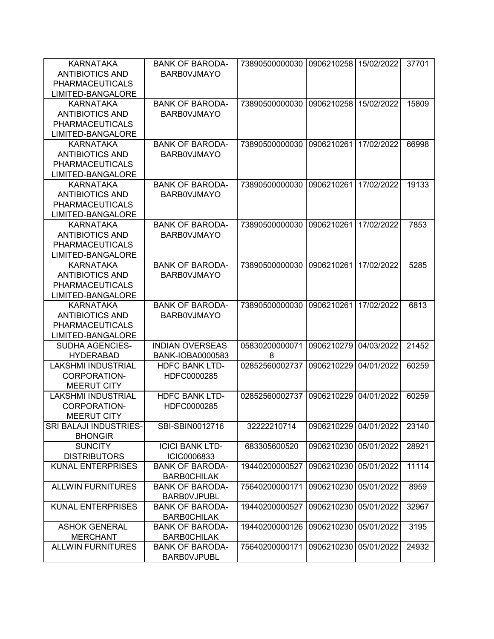| <b>KARNATAKA</b><br><b>ANTIBIOTICS AND</b><br><b>PHARMACEUTICALS</b><br>LIMITED-BANGALORE | <b>BANK OF BARODA-</b><br><b>BARBOVJMAYO</b> | 73890500000030      | 0906210258 15/02/2022 |            | 37701 |
|-------------------------------------------------------------------------------------------|----------------------------------------------|---------------------|-----------------------|------------|-------|
| <b>KARNATAKA</b><br><b>ANTIBIOTICS AND</b><br><b>PHARMACEUTICALS</b><br>LIMITED-BANGALORE | <b>BANK OF BARODA-</b><br><b>BARBOVJMAYO</b> | 73890500000030      | 0906210258            | 15/02/2022 | 15809 |
| <b>KARNATAKA</b><br><b>ANTIBIOTICS AND</b><br><b>PHARMACEUTICALS</b><br>LIMITED-BANGALORE | <b>BANK OF BARODA-</b><br><b>BARBOVJMAYO</b> | 73890500000030      | 0906210261            | 17/02/2022 | 66998 |
| <b>KARNATAKA</b><br><b>ANTIBIOTICS AND</b><br><b>PHARMACEUTICALS</b><br>LIMITED-BANGALORE | <b>BANK OF BARODA-</b><br><b>BARBOVJMAYO</b> | 73890500000030      | 0906210261            | 17/02/2022 | 19133 |
| <b>KARNATAKA</b><br><b>ANTIBIOTICS AND</b><br><b>PHARMACEUTICALS</b><br>LIMITED-BANGALORE | <b>BANK OF BARODA-</b><br><b>BARBOVJMAYO</b> | 73890500000030      | 0906210261            | 17/02/2022 | 7853  |
| <b>KARNATAKA</b><br><b>ANTIBIOTICS AND</b><br><b>PHARMACEUTICALS</b><br>LIMITED-BANGALORE | <b>BANK OF BARODA-</b><br><b>BARBOVJMAYO</b> | 73890500000030      | 0906210261            | 17/02/2022 | 5285  |
| <b>KARNATAKA</b><br><b>ANTIBIOTICS AND</b><br><b>PHARMACEUTICALS</b><br>LIMITED-BANGALORE | <b>BANK OF BARODA-</b><br><b>BARBOVJMAYO</b> | 73890500000030      | 0906210261            | 17/02/2022 | 6813  |
| <b>SUDHA AGENCIES-</b><br><b>HYDERABAD</b>                                                | <b>INDIAN OVERSEAS</b><br>BANK-IOBA0000583   | 05830200000071<br>8 | 0906210279            | 04/03/2022 | 21452 |
| <b>LAKSHMI INDUSTRIAL</b><br><b>CORPORATION-</b><br><b>MEERUT CITY</b>                    | <b>HDFC BANK LTD-</b><br>HDFC0000285         | 02852560002737      | 0906210229            | 04/01/2022 | 60259 |
| LAKSHMI INDUSTRIAL<br>CORPORATION-<br><b>MEERUT CITY</b>                                  | <b>HDFC BANK LTD-</b><br>HDFC0000285         | 02852560002737      | 0906210229            | 04/01/2022 | 60259 |
| SRI BALAJI INDUSTRIES-<br><b>BHONGIR</b>                                                  | SBI-SBIN0012716                              | 32222210714         | 0906210229            | 04/01/2022 | 23140 |
| <b>SUNCITY</b><br><b>DISTRIBUTORS</b>                                                     | <b>ICICI BANK LTD-</b><br>ICIC0006833        | 683305600520        | 0906210230            | 05/01/2022 | 28921 |
| <b>KUNAL ENTERPRISES</b>                                                                  | <b>BANK OF BARODA-</b><br><b>BARBOCHILAK</b> | 19440200000527      | 0906210230            | 05/01/2022 | 11114 |
| <b>ALLWIN FURNITURES</b>                                                                  | <b>BANK OF BARODA-</b><br><b>BARBOVJPUBL</b> | 75640200000171      | 0906210230            | 05/01/2022 | 8959  |
| <b>KUNAL ENTERPRISES</b>                                                                  | <b>BANK OF BARODA-</b><br><b>BARBOCHILAK</b> | 19440200000527      | 0906210230            | 05/01/2022 | 32967 |
| <b>ASHOK GENERAL</b><br><b>MERCHANT</b>                                                   | <b>BANK OF BARODA-</b><br><b>BARBOCHILAK</b> | 19440200000126      | 0906210230            | 05/01/2022 | 3195  |
| <b>ALLWIN FURNITURES</b>                                                                  | <b>BANK OF BARODA-</b><br><b>BARBOVJPUBL</b> | 75640200000171      | 0906210230            | 05/01/2022 | 24932 |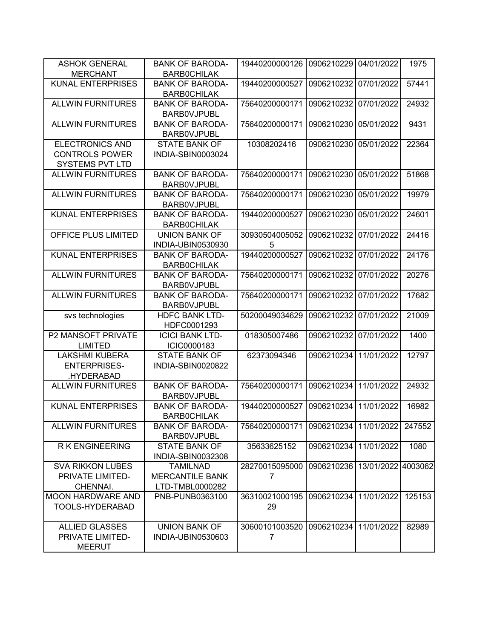| <b>ASHOK GENERAL</b>                                                      | <b>BANK OF BARODA-</b>                                       | 19440200000126                   | 0906210229 | 04/01/2022         | 1975   |
|---------------------------------------------------------------------------|--------------------------------------------------------------|----------------------------------|------------|--------------------|--------|
| <b>MERCHANT</b>                                                           | <b>BARBOCHILAK</b>                                           |                                  |            |                    |        |
| <b>KUNAL ENTERPRISES</b>                                                  | <b>BANK OF BARODA-</b><br><b>BARBOCHILAK</b>                 | 19440200000527                   | 0906210232 | 07/01/2022         | 57441  |
| <b>ALLWIN FURNITURES</b>                                                  | <b>BANK OF BARODA-</b><br><b>BARBOVJPUBL</b>                 | 75640200000171                   | 0906210232 | 07/01/2022         | 24932  |
| <b>ALLWIN FURNITURES</b>                                                  | <b>BANK OF BARODA-</b><br><b>BARBOVJPUBL</b>                 | 75640200000171                   | 0906210230 | 05/01/2022         | 9431   |
| <b>ELECTRONICS AND</b><br><b>CONTROLS POWER</b><br><b>SYSTEMS PVT LTD</b> | <b>STATE BANK OF</b><br>INDIA-SBIN0003024                    | 10308202416                      | 0906210230 | 05/01/2022         | 22364  |
| <b>ALLWIN FURNITURES</b>                                                  | <b>BANK OF BARODA-</b><br><b>BARBOVJPUBL</b>                 | 75640200000171                   | 0906210230 | 05/01/2022         | 51868  |
| <b>ALLWIN FURNITURES</b>                                                  | <b>BANK OF BARODA-</b><br><b>BARBOVJPUBL</b>                 | 75640200000171                   | 0906210230 | 05/01/2022         | 19979  |
| <b>KUNAL ENTERPRISES</b>                                                  | <b>BANK OF BARODA-</b><br><b>BARBOCHILAK</b>                 | 19440200000527                   | 0906210230 | 05/01/2022         | 24601  |
| OFFICE PLUS LIMITED                                                       | <b>UNION BANK OF</b><br><b>INDIA-UBIN0530930</b>             | 30930504005052<br>5              | 0906210232 | 07/01/2022         | 24416  |
| <b>KUNAL ENTERPRISES</b>                                                  | <b>BANK OF BARODA-</b><br><b>BARBOCHILAK</b>                 | 19440200000527                   | 0906210232 | 07/01/2022         | 24176  |
| <b>ALLWIN FURNITURES</b>                                                  | <b>BANK OF BARODA-</b><br><b>BARBOVJPUBL</b>                 | 75640200000171                   | 0906210232 | 07/01/2022         | 20276  |
| <b>ALLWIN FURNITURES</b>                                                  | <b>BANK OF BARODA-</b><br><b>BARBOVJPUBL</b>                 | 75640200000171                   | 0906210232 | 07/01/2022         | 17682  |
| svs technologies                                                          | <b>HDFC BANK LTD-</b><br>HDFC0001293                         | 50200049034629                   | 0906210232 | 07/01/2022         | 21009  |
| <b>P2 MANSOFT PRIVATE</b><br><b>LIMITED</b>                               | <b>ICICI BANK LTD-</b><br>ICIC0000183                        | 018305007486                     | 0906210232 | 07/01/2022         | 1400   |
| <b>LAKSHMI KUBERA</b><br><b>ENTERPRISES-</b><br>.HYDERABAD                | <b>STATE BANK OF</b><br>INDIA-SBIN0020822                    | 62373094346                      | 0906210234 | 11/01/2022         | 12797  |
| <b>ALLWIN FURNITURES</b>                                                  | <b>BANK OF BARODA-</b><br><b>BARBOVJPUBL</b>                 | 75640200000171                   | 0906210234 | 11/01/2022         | 24932  |
| <b>KUNAL ENTERPRISES</b>                                                  | <b>BANK OF BARODA-</b><br><b>BARBOCHILAK</b>                 | 19440200000527                   | 0906210234 | 11/01/2022         | 16982  |
| <b>ALLWIN FURNITURES</b>                                                  | <b>BANK OF BARODA-</b><br><b>BARBOVJPUBL</b>                 | 75640200000171                   | 0906210234 | 11/01/2022         | 247552 |
| <b>RK ENGINEERING</b>                                                     | <b>STATE BANK OF</b><br>INDIA-SBIN0032308                    | 35633625152                      | 0906210234 | 11/01/2022         | 1080   |
| <b>SVA RIKKON LUBES</b><br>PRIVATE LIMITED-<br>CHENNAI.                   | <b>TAMILNAD</b><br><b>MERCANTILE BANK</b><br>LTD-TMBL0000282 | 28270015095000<br>$\overline{7}$ | 0906210236 | 13/01/2022 4003062 |        |
| <b>MOON HARDWARE AND</b><br>TOOLS-HYDERABAD                               | PNB-PUNB0363100                                              | 36310021000195<br>29             | 0906210234 | 11/01/2022         | 125153 |
| <b>ALLIED GLASSES</b><br>PRIVATE LIMITED-<br><b>MEERUT</b>                | <b>UNION BANK OF</b><br>INDIA-UBIN0530603                    | 30600101003520<br>7              | 0906210234 | 11/01/2022         | 82989  |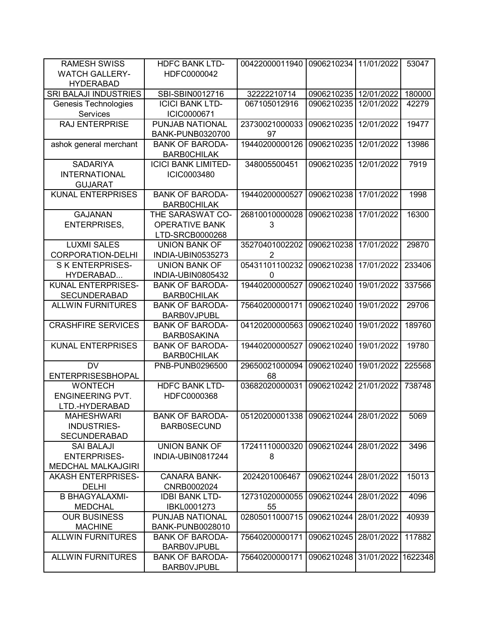| <b>RAMESH SWISS</b>          | <b>HDFC BANK LTD-</b>      | 00422000011940                       | 0906210234            | 11/01/2022 | 53047   |
|------------------------------|----------------------------|--------------------------------------|-----------------------|------------|---------|
| <b>WATCH GALLERY-</b>        | HDFC0000042                |                                      |                       |            |         |
| <b>HYDERABAD</b>             |                            |                                      |                       |            |         |
| <b>SRI BALAJI INDUSTRIES</b> | SBI-SBIN0012716            | 32222210714                          | 0906210235            | 12/01/2022 | 180000  |
| Genesis Technologies         | <b>ICICI BANK LTD-</b>     | 067105012916                         | 0906210235            | 12/01/2022 | 42279   |
| Services                     | ICIC0000671                |                                      |                       |            |         |
| <b>RAJ ENTERPRISE</b>        | PUNJAB NATIONAL            | 23730021000033                       | 0906210235            | 12/01/2022 | 19477   |
|                              | <b>BANK-PUNB0320700</b>    | 97                                   |                       |            |         |
| ashok general merchant       | <b>BANK OF BARODA-</b>     | 19440200000126                       | 0906210235            | 12/01/2022 | 13986   |
|                              | <b>BARBOCHILAK</b>         |                                      |                       |            |         |
| <b>SADARIYA</b>              | <b>ICICI BANK LIMITED-</b> | 348005500451                         | 0906210235            | 12/01/2022 | 7919    |
| <b>INTERNATIONAL</b>         | ICIC0003480                |                                      |                       |            |         |
| <b>GUJARAT</b>               |                            |                                      |                       |            |         |
| <b>KUNAL ENTERPRISES</b>     | <b>BANK OF BARODA-</b>     | 19440200000527                       | 0906210238            | 17/01/2022 | 1998    |
|                              | <b>BARBOCHILAK</b>         |                                      |                       |            |         |
| <b>GAJANAN</b>               | THE SARASWAT CO-           | 26810010000028                       | 0906210238            | 17/01/2022 | 16300   |
| <b>ENTERPRISES,</b>          | <b>OPERATIVE BANK</b>      | 3                                    |                       |            |         |
|                              | LTD-SRCB0000268            |                                      |                       |            |         |
| <b>LUXMI SALES</b>           | <b>UNION BANK OF</b>       | 35270401002202                       | 0906210238            | 17/01/2022 | 29870   |
| <b>CORPORATION-DELHI</b>     | INDIA-UBIN0535273          | $\overline{2}$                       |                       |            |         |
| <b>SK ENTERPRISES-</b>       | <b>UNION BANK OF</b>       | 05431101100232                       | 0906210238            | 17/01/2022 | 233406  |
| HYDERABAD                    | INDIA-UBIN0805432          | 0                                    |                       |            |         |
| KUNAL ENTERPRISES-           | <b>BANK OF BARODA-</b>     | 19440200000527                       | 0906210240            | 19/01/2022 | 337566  |
| <b>SECUNDERABAD</b>          | <b>BARBOCHILAK</b>         |                                      |                       |            |         |
| <b>ALLWIN FURNITURES</b>     | <b>BANK OF BARODA-</b>     | 75640200000171                       | 0906210240            | 19/01/2022 | 29706   |
|                              | <b>BARBOVJPUBL</b>         |                                      |                       |            |         |
| <b>CRASHFIRE SERVICES</b>    | <b>BANK OF BARODA-</b>     | 04120200000563                       | 0906210240            | 19/01/2022 | 189760  |
|                              | <b>BARB0SAKINA</b>         |                                      |                       |            |         |
| <b>KUNAL ENTERPRISES</b>     | <b>BANK OF BARODA-</b>     | 19440200000527                       | 0906210240            | 19/01/2022 | 19780   |
|                              | <b>BARBOCHILAK</b>         |                                      |                       |            |         |
| <b>DV</b>                    | PNB-PUNB0296500            | 29650021000094                       | 0906210240            | 19/01/2022 | 225568  |
| <b>ENTERPRISESBHOPAL</b>     |                            | 68                                   |                       |            |         |
| <b>WONTECH</b>               | <b>HDFC BANK LTD-</b>      | 03682020000031                       | 0906210242            | 21/01/2022 | 738748  |
| <b>ENGINEERING PVT.</b>      | HDFC0000368                |                                      |                       |            |         |
| LTD.-HYDERABAD               |                            |                                      |                       |            |         |
| <b>MAHESHWARI</b>            | <b>BANK OF BARODA-</b>     | 05120200001338 0906210244 28/01/2022 |                       |            | 5069    |
| INDUSTRIES-                  | <b>BARB0SECUND</b>         |                                      |                       |            |         |
| <b>SECUNDERABAD</b>          |                            |                                      |                       |            |         |
| <b>SAI BALAJI</b>            | <b>UNION BANK OF</b>       | 17241110000320                       | 0906210244 28/01/2022 |            | 3496    |
| <b>ENTERPRISES-</b>          | INDIA-UBIN0817244          | 8                                    |                       |            |         |
| <b>MEDCHAL MALKAJGIRI</b>    |                            |                                      |                       |            |         |
| <b>AKASH ENTERPRISES-</b>    | <b>CANARA BANK-</b>        | 2024201006467                        | 0906210244            | 28/01/2022 | 15013   |
| <b>DELHI</b>                 | CNRB0002024                |                                      |                       |            |         |
| <b>B BHAGYALAXMI-</b>        | <b>IDBI BANK LTD-</b>      | 12731020000055                       | 0906210244            | 28/01/2022 | 4096    |
| <b>MEDCHAL</b>               | IBKL0001273                | 55                                   |                       |            |         |
| <b>OUR BUSINESS</b>          | PUNJAB NATIONAL            | 02805011000715                       | 0906210244            | 28/01/2022 | 40939   |
| <b>MACHINE</b>               | BANK-PUNB0028010           |                                      |                       |            |         |
| <b>ALLWIN FURNITURES</b>     | <b>BANK OF BARODA-</b>     | 75640200000171                       | 0906210245            | 28/01/2022 | 117882  |
|                              | <b>BARBOVJPUBL</b>         |                                      |                       |            |         |
| <b>ALLWIN FURNITURES</b>     | <b>BANK OF BARODA-</b>     | 75640200000171                       | 0906210248            | 31/01/2022 | 1622348 |
|                              | <b>BARBOVJPUBL</b>         |                                      |                       |            |         |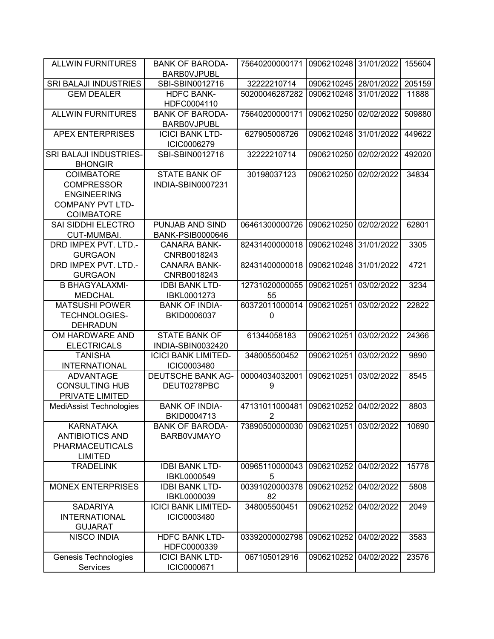| <b>ALLWIN FURNITURES</b>                 | <b>BANK OF BARODA-</b><br><b>BARBOVJPUBL</b> | 75640200000171                   | 0906210248 31/01/2022 |            | 155604 |
|------------------------------------------|----------------------------------------------|----------------------------------|-----------------------|------------|--------|
|                                          |                                              |                                  |                       |            |        |
| SRI BALAJI INDUSTRIES                    | SBI-SBIN0012716                              | 32222210714                      | 0906210245 28/01/2022 |            | 205159 |
| <b>GEM DEALER</b>                        | <b>HDFC BANK-</b><br>HDFC0004110             | 50200046287282                   | 0906210248            | 31/01/2022 | 11888  |
| <b>ALLWIN FURNITURES</b>                 | <b>BANK OF BARODA-</b><br><b>BARBOVJPUBL</b> | 75640200000171                   | 0906210250            | 02/02/2022 | 509880 |
| <b>APEX ENTERPRISES</b>                  | <b>ICICI BANK LTD-</b><br>ICIC0006279        | 627905008726                     | 0906210248            | 31/01/2022 | 449622 |
| SRI BALAJI INDUSTRIES-<br><b>BHONGIR</b> | SBI-SBIN0012716                              | 32222210714                      | 0906210250            | 02/02/2022 | 492020 |
| <b>COIMBATORE</b><br><b>COMPRESSOR</b>   | <b>STATE BANK OF</b><br>INDIA-SBIN0007231    | 30198037123                      | 0906210250            | 02/02/2022 | 34834  |
| <b>ENGINEERING</b>                       |                                              |                                  |                       |            |        |
| <b>COMPANY PVT LTD-</b>                  |                                              |                                  |                       |            |        |
| <b>COIMBATORE</b>                        |                                              |                                  |                       |            |        |
| SAI SIDDHI ELECTRO                       | PUNJAB AND SIND                              | 06461300000726                   | 0906210250            | 02/02/2022 | 62801  |
| CUT-MUMBAI.                              | <b>BANK-PSIB0000646</b>                      |                                  |                       |            |        |
| DRD IMPEX PVT. LTD.-                     | <b>CANARA BANK-</b>                          | 82431400000018                   | 0906210248            | 31/01/2022 | 3305   |
| <b>GURGAON</b>                           | CNRB0018243                                  |                                  |                       |            |        |
| DRD IMPEX PVT. LTD.-                     | <b>CANARA BANK-</b>                          | 82431400000018                   | 0906210248            | 31/01/2022 | 4721   |
| <b>GURGAON</b>                           | CNRB0018243                                  |                                  |                       |            |        |
| <b>B BHAGYALAXMI-</b>                    | <b>IDBI BANK LTD-</b>                        | 12731020000055                   | 0906210251            | 03/02/2022 | 3234   |
| <b>MEDCHAL</b>                           | IBKL0001273                                  | 55                               |                       |            |        |
| <b>MATSUSHI POWER</b>                    | <b>BANK OF INDIA-</b>                        | 60372011000014                   | 0906210251            | 03/02/2022 | 22822  |
| <b>TECHNOLOGIES-</b>                     | BKID0006037                                  | 0                                |                       |            |        |
| <b>DEHRADUN</b>                          |                                              |                                  |                       |            |        |
| OM HARDWARE AND                          | <b>STATE BANK OF</b>                         | 61344058183                      | 0906210251            | 03/02/2022 | 24366  |
| <b>ELECTRICALS</b>                       | INDIA-SBIN0032420                            |                                  |                       |            |        |
| <b>TANISHA</b>                           | <b>ICICI BANK LIMITED-</b>                   | 348005500452                     | 0906210251            | 03/02/2022 | 9890   |
| <b>INTERNATIONAL</b>                     | ICIC0003480                                  |                                  |                       |            |        |
| <b>ADVANTAGE</b>                         | <b>DEUTSCHE BANK AG-</b>                     | 00004034032001                   | 0906210251            | 03/02/2022 | 8545   |
| <b>CONSULTING HUB</b>                    | DEUT0278PBC                                  | 9                                |                       |            |        |
| PRIVATE LIMITED                          |                                              |                                  |                       |            |        |
| <b>MediAssist Technologies</b>           | <b>BANK OF INDIA-</b><br>BKID0004713         | 47131011000481<br>$\overline{2}$ | 0906210252            | 04/02/2022 | 8803   |
| <b>KARNATAKA</b>                         | <b>BANK OF BARODA-</b>                       | 73890500000030                   | 0906210251            | 03/02/2022 | 10690  |
| <b>ANTIBIOTICS AND</b>                   | <b>BARBOVJMAYO</b>                           |                                  |                       |            |        |
| <b>PHARMACEUTICALS</b>                   |                                              |                                  |                       |            |        |
| <b>LIMITED</b>                           |                                              |                                  |                       |            |        |
| <b>TRADELINK</b>                         | <b>IDBI BANK LTD-</b>                        | 00965110000043                   | 0906210252            | 04/02/2022 | 15778  |
|                                          | IBKL0000549                                  | 5                                |                       |            |        |
| <b>MONEX ENTERPRISES</b>                 | <b>IDBI BANK LTD-</b>                        | 00391020000378                   | 0906210252            | 04/02/2022 | 5808   |
|                                          | IBKL0000039                                  | 82                               |                       |            |        |
| <b>SADARIYA</b>                          | <b>ICICI BANK LIMITED-</b>                   | 348005500451                     | 0906210252            | 04/02/2022 | 2049   |
| <b>INTERNATIONAL</b>                     | ICIC0003480                                  |                                  |                       |            |        |
| <b>GUJARAT</b>                           |                                              |                                  |                       |            |        |
| <b>NISCO INDIA</b>                       | <b>HDFC BANK LTD-</b>                        | 03392000002798                   | 0906210252            | 04/02/2022 | 3583   |
|                                          | HDFC0000339                                  |                                  |                       |            |        |
| Genesis Technologies                     | <b>ICICI BANK LTD-</b>                       | 067105012916                     | 0906210252            | 04/02/2022 | 23576  |
| Services                                 | ICIC0000671                                  |                                  |                       |            |        |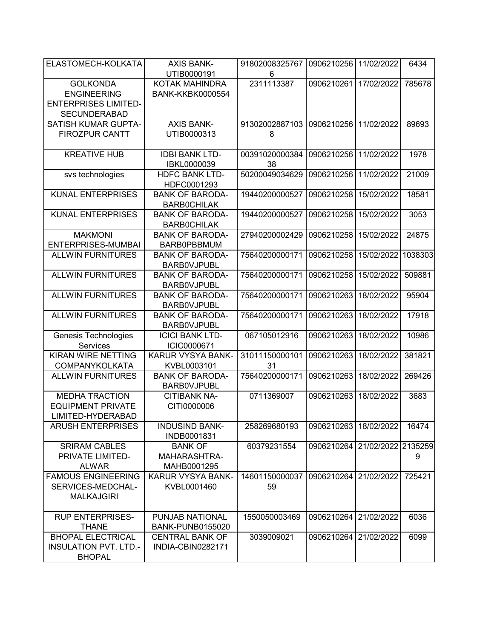| ELASTOMECH-KOLKATA           | <b>AXIS BANK-</b>       | 91802008325767 | 0906210256            | 11/02/2022         | 6434    |
|------------------------------|-------------------------|----------------|-----------------------|--------------------|---------|
|                              | UTIB0000191             | 6              |                       |                    |         |
| <b>GOLKONDA</b>              | KOTAK MAHINDRA          | 2311113387     | 0906210261            | 17/02/2022         | 785678  |
| <b>ENGINEERING</b>           | <b>BANK-KKBK0000554</b> |                |                       |                    |         |
| <b>ENTERPRISES LIMITED-</b>  |                         |                |                       |                    |         |
| <b>SECUNDERABAD</b>          |                         |                |                       |                    |         |
| <b>SATISH KUMAR GUPTA-</b>   | <b>AXIS BANK-</b>       | 91302002887103 | 0906210256            | 11/02/2022         | 89693   |
| <b>FIROZPUR CANTT</b>        | UTIB0000313             | 8              |                       |                    |         |
|                              |                         |                |                       |                    |         |
| <b>KREATIVE HUB</b>          | <b>IDBI BANK LTD-</b>   | 00391020000384 | 0906210256            | 11/02/2022         | 1978    |
|                              | IBKL0000039             | 38             |                       |                    |         |
| svs technologies             | <b>HDFC BANK LTD-</b>   | 50200049034629 | 0906210256            | 11/02/2022         | 21009   |
|                              | HDFC0001293             |                |                       |                    |         |
| <b>KUNAL ENTERPRISES</b>     | <b>BANK OF BARODA-</b>  | 19440200000527 | 0906210258            | 15/02/2022         | 18581   |
|                              | <b>BARBOCHILAK</b>      |                |                       |                    |         |
| <b>KUNAL ENTERPRISES</b>     | <b>BANK OF BARODA-</b>  | 19440200000527 | 0906210258            | 15/02/2022         | 3053    |
|                              | <b>BARBOCHILAK</b>      |                |                       |                    |         |
| <b>MAKMONI</b>               | <b>BANK OF BARODA-</b>  | 27940200002429 | 0906210258            | 15/02/2022         | 24875   |
| <b>ENTERPRISES-MUMBAI</b>    | <b>BARB0PBBMUM</b>      |                |                       |                    |         |
| <b>ALLWIN FURNITURES</b>     | <b>BANK OF BARODA-</b>  | 75640200000171 | 0906210258            | 15/02/2022         | 1038303 |
|                              | <b>BARBOVJPUBL</b>      |                |                       |                    |         |
| <b>ALLWIN FURNITURES</b>     | <b>BANK OF BARODA-</b>  | 75640200000171 | 0906210258            | 15/02/2022         | 509881  |
|                              | <b>BARBOVJPUBL</b>      |                |                       |                    |         |
| <b>ALLWIN FURNITURES</b>     | <b>BANK OF BARODA-</b>  | 75640200000171 | 0906210263            | 18/02/2022         | 95904   |
|                              | <b>BARBOVJPUBL</b>      |                |                       |                    |         |
| <b>ALLWIN FURNITURES</b>     | <b>BANK OF BARODA-</b>  | 75640200000171 | 0906210263            | 18/02/2022         | 17918   |
|                              | <b>BARBOVJPUBL</b>      |                |                       |                    |         |
| Genesis Technologies         | <b>ICICI BANK LTD-</b>  | 067105012916   | 0906210263            | 18/02/2022         | 10986   |
| Services                     | ICIC0000671             |                |                       |                    |         |
| KIRAN WIRE NETTING           | KARUR VYSYA BANK-       | 31011150000101 | 0906210263            | 18/02/2022         | 381821  |
| <b>COMPANYKOLKATA</b>        | KVBL0003101             | 31             |                       |                    |         |
| <b>ALLWIN FURNITURES</b>     | <b>BANK OF BARODA-</b>  | 75640200000171 | 0906210263            | 18/02/2022         | 269426  |
|                              | <b>BARBOVJPUBL</b>      |                |                       |                    |         |
| <b>MEDHA TRACTION</b>        | <b>CITIBANK NA-</b>     | 0711369007     | 0906210263            | 18/02/2022         | 3683    |
| <b>EQUIPMENT PRIVATE</b>     | CITI0000006             |                |                       |                    |         |
| LIMITED-HYDERABAD            |                         |                |                       |                    |         |
| <b>ARUSH ENTERPRISES</b>     | <b>INDUSIND BANK-</b>   | 258269680193   | 0906210263 18/02/2022 |                    | 16474   |
|                              | INDB0001831             |                |                       |                    |         |
| <b>SRIRAM CABLES</b>         | <b>BANK OF</b>          | 60379231554    | 0906210264            | 21/02/2022 2135259 |         |
| PRIVATE LIMITED-             | MAHARASHTRA-            |                |                       |                    | 9       |
| <b>ALWAR</b>                 | MAHB0001295             |                |                       |                    |         |
| <b>FAMOUS ENGINEERING</b>    | KARUR VYSYA BANK-       | 14601150000037 | 0906210264 21/02/2022 |                    | 725421  |
| SERVICES-MEDCHAL-            | KVBL0001460             | 59             |                       |                    |         |
| <b>MALKAJGIRI</b>            |                         |                |                       |                    |         |
|                              |                         |                |                       |                    |         |
| <b>RUP ENTERPRISES-</b>      | PUNJAB NATIONAL         | 1550050003469  | 0906210264            | 21/02/2022         | 6036    |
| <b>THANE</b>                 | <b>BANK-PUNB0155020</b> |                |                       |                    |         |
| <b>BHOPAL ELECTRICAL</b>     | <b>CENTRAL BANK OF</b>  | 3039009021     | 0906210264            | 21/02/2022         | 6099    |
| <b>INSULATION PVT. LTD.-</b> | INDIA-CBIN0282171       |                |                       |                    |         |
| <b>BHOPAL</b>                |                         |                |                       |                    |         |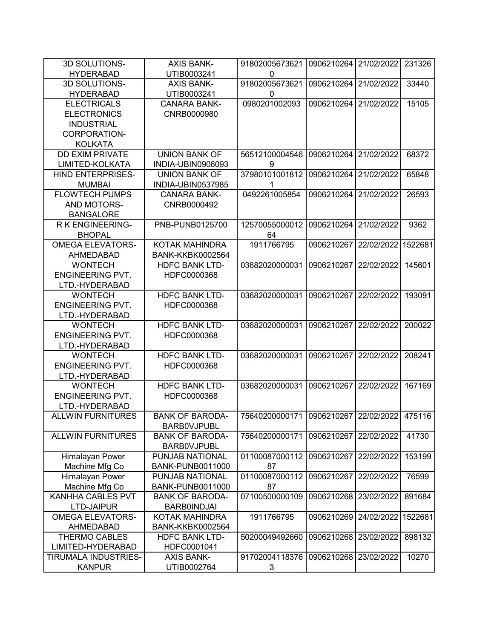| 3D SOLUTIONS-                       | <b>AXIS BANK-</b>                                 | 91802005673621                              | 0906210264 21/02/2022 |            | 231326  |
|-------------------------------------|---------------------------------------------------|---------------------------------------------|-----------------------|------------|---------|
| <b>HYDERABAD</b>                    | UTIB0003241                                       | 0                                           |                       |            |         |
| 3D SOLUTIONS-                       | <b>AXIS BANK-</b>                                 | 91802005673621                              | 0906210264            | 21/02/2022 | 33440   |
| <b>HYDERABAD</b>                    | UTIB0003241                                       | 0                                           |                       |            |         |
| <b>ELECTRICALS</b>                  | <b>CANARA BANK-</b>                               | 0980201002093                               | 0906210264            | 21/02/2022 | 15105   |
| <b>ELECTRONICS</b>                  | CNRB0000980                                       |                                             |                       |            |         |
| <b>INDUSTRIAL</b>                   |                                                   |                                             |                       |            |         |
| CORPORATION-                        |                                                   |                                             |                       |            |         |
| <b>KOLKATA</b>                      |                                                   |                                             |                       |            |         |
| <b>DD EXIM PRIVATE</b>              | <b>UNION BANK OF</b>                              | 56512100004546                              | 0906210264            | 21/02/2022 | 68372   |
| LIMITED-KOLKATA                     | INDIA-UBIN0906093                                 | 9                                           |                       |            |         |
| <b>HIND ENTERPRISES-</b>            | <b>UNION BANK OF</b>                              | 37980101001812                              | 0906210264            | 21/02/2022 | 65848   |
| <b>MUMBAI</b>                       | INDIA-UBIN0537985                                 | 1                                           |                       |            |         |
| <b>FLOWTECH PUMPS</b>               | <b>CANARA BANK-</b>                               | 0492261005854                               | 0906210264            | 21/02/2022 | 26593   |
| AND MOTORS-                         | CNRB0000492                                       |                                             |                       |            |         |
| <b>BANGALORE</b>                    |                                                   |                                             |                       |            |         |
| <b>RK ENGINEERING-</b>              | PNB-PUNB0125700                                   | 12570055000012                              | 0906210264            | 21/02/2022 | 9362    |
| <b>BHOPAL</b>                       |                                                   | 64                                          |                       |            |         |
| <b>OMEGA ELEVATORS-</b>             | <b>KOTAK MAHINDRA</b>                             | 1911766795                                  | 0906210267            | 22/02/2022 | 1522681 |
| AHMEDABAD                           | <b>BANK-KKBK0002564</b>                           |                                             |                       |            |         |
| <b>WONTECH</b>                      | <b>HDFC BANK LTD-</b>                             | 03682020000031                              | 0906210267            | 22/02/2022 | 145601  |
| <b>ENGINEERING PVT.</b>             | HDFC0000368                                       |                                             |                       |            |         |
| LTD.-HYDERABAD                      |                                                   |                                             |                       |            |         |
| <b>WONTECH</b>                      | <b>HDFC BANK LTD-</b>                             | 03682020000031                              | 0906210267            | 22/02/2022 | 193091  |
| <b>ENGINEERING PVT.</b>             | HDFC0000368                                       |                                             |                       |            |         |
| LTD.-HYDERABAD                      |                                                   |                                             |                       |            |         |
| <b>WONTECH</b>                      | <b>HDFC BANK LTD-</b>                             | 03682020000031                              | 0906210267            | 22/02/2022 | 200022  |
| <b>ENGINEERING PVT.</b>             | HDFC0000368                                       |                                             |                       |            |         |
| LTD.-HYDERABAD                      |                                                   |                                             |                       |            |         |
| <b>WONTECH</b>                      | <b>HDFC BANK LTD-</b>                             | 03682020000031                              | 0906210267            | 22/02/2022 | 208241  |
| <b>ENGINEERING PVT.</b>             | HDFC0000368                                       |                                             |                       |            |         |
| LTD.-HYDERABAD                      |                                                   |                                             |                       |            |         |
| <b>WONTECH</b>                      | <b>HDFC BANK LTD-</b>                             | 03682020000031                              | 0906210267            | 22/02/2022 | 167169  |
| <b>ENGINEERING PVT.</b>             | HDFC0000368                                       |                                             |                       |            |         |
| LTD.-HYDERABAD                      |                                                   |                                             |                       |            |         |
| <b>ALLWIN FURNITURES</b>            | <b>BANK OF BARODA-</b>                            | 75640200000171 0906210267 22/02/2022 475116 |                       |            |         |
|                                     | <b>BARBOVJPUBL</b>                                |                                             |                       |            |         |
| <b>ALLWIN FURNITURES</b>            | <b>BANK OF BARODA-</b>                            | 75640200000171                              | 0906210267            | 22/02/2022 | 41730   |
|                                     | <b>BARBOVJPUBL</b>                                |                                             |                       |            |         |
| Himalayan Power                     | PUNJAB NATIONAL                                   | 01100087000112                              | 0906210267            | 22/02/2022 | 153199  |
| Machine Mfg Co                      | <b>BANK-PUNB0011000</b>                           | 87                                          |                       |            |         |
| Himalayan Power                     | PUNJAB NATIONAL                                   | 01100087000112                              | 0906210267            | 22/02/2022 | 76599   |
|                                     |                                                   | 87                                          |                       |            |         |
| Machine Mfg Co<br>KANHHA CABLES PVT | <b>BANK-PUNB0011000</b><br><b>BANK OF BARODA-</b> | 07100500000109                              | 0906210268            | 23/02/2022 | 891684  |
| LTD-JAIPUR                          |                                                   |                                             |                       |            |         |
|                                     | <b>BARB0INDJAI</b><br><b>KOTAK MAHINDRA</b>       |                                             |                       |            |         |
| <b>OMEGA ELEVATORS-</b>             |                                                   | 1911766795                                  | 0906210269            | 24/02/2022 | 1522681 |
| AHMEDABAD                           | <b>BANK-KKBK0002564</b>                           |                                             |                       |            |         |
| <b>THERMO CABLES</b>                | <b>HDFC BANK LTD-</b>                             | 50200049492660                              | 0906210268            | 23/02/2022 | 898132  |
| LIMITED-HYDERABAD                   | HDFC0001041                                       |                                             |                       |            |         |
| TIRUMALA INDUSTRIES-                | <b>AXIS BANK-</b>                                 | 91702004118376                              | 0906210268            | 23/02/2022 | 10270   |
| <b>KANPUR</b>                       | UTIB0002764                                       | 3                                           |                       |            |         |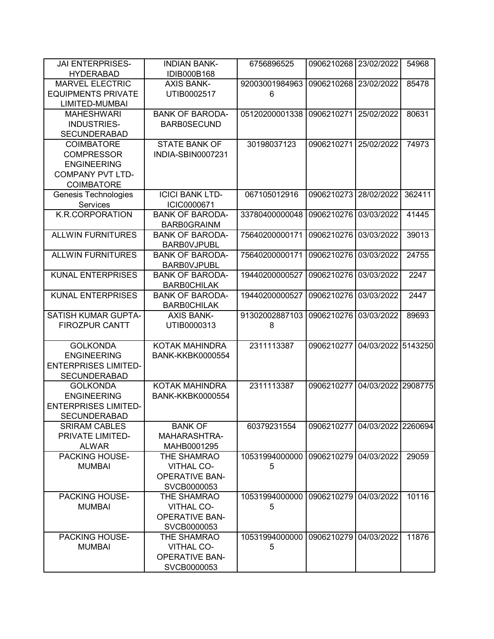| <b>JAI ENTERPRISES-</b><br><b>HYDERABAD</b> | <b>INDIAN BANK-</b><br>IDIB000B168 | 6756896525     | 0906210268            | 23/02/2022         | 54968   |
|---------------------------------------------|------------------------------------|----------------|-----------------------|--------------------|---------|
| <b>MARVEL ELECTRIC</b>                      | <b>AXIS BANK-</b>                  | 92003001984963 | 0906210268            | 23/02/2022         | 85478   |
| <b>EQUIPMENTS PRIVATE</b>                   | UTIB0002517                        | 6              |                       |                    |         |
| LIMITED-MUMBAI                              |                                    |                |                       |                    |         |
| <b>MAHESHWARI</b>                           | <b>BANK OF BARODA-</b>             | 05120200001338 | 0906210271            | 25/02/2022         | 80631   |
| INDUSTRIES-                                 | <b>BARB0SECUND</b>                 |                |                       |                    |         |
| <b>SECUNDERABAD</b>                         |                                    |                |                       |                    |         |
| <b>COIMBATORE</b>                           | <b>STATE BANK OF</b>               | 30198037123    | 0906210271            | 25/02/2022         | 74973   |
| <b>COMPRESSOR</b>                           | INDIA-SBIN0007231                  |                |                       |                    |         |
| <b>ENGINEERING</b>                          |                                    |                |                       |                    |         |
| <b>COMPANY PVT LTD-</b>                     |                                    |                |                       |                    |         |
| COIMBATORE                                  |                                    |                |                       |                    |         |
| Genesis Technologies                        | <b>ICICI BANK LTD-</b>             | 067105012916   | 0906210273            | 28/02/2022         | 362411  |
| Services                                    | ICIC0000671                        |                |                       |                    |         |
| K.R.CORPORATION                             | <b>BANK OF BARODA-</b>             | 33780400000048 | 0906210276            | 03/03/2022         | 41445   |
|                                             | <b>BARB0GRAINM</b>                 |                |                       |                    |         |
| <b>ALLWIN FURNITURES</b>                    | <b>BANK OF BARODA-</b>             | 75640200000171 | 0906210276            | 03/03/2022         | 39013   |
|                                             | <b>BARBOVJPUBL</b>                 |                |                       |                    |         |
| <b>ALLWIN FURNITURES</b>                    | <b>BANK OF BARODA-</b>             | 75640200000171 | 0906210276            | 03/03/2022         | 24755   |
|                                             | <b>BARBOVJPUBL</b>                 |                |                       |                    |         |
| <b>KUNAL ENTERPRISES</b>                    | <b>BANK OF BARODA-</b>             | 19440200000527 | 0906210276            | 03/03/2022         | 2247    |
|                                             | <b>BARBOCHILAK</b>                 |                |                       |                    |         |
| <b>KUNAL ENTERPRISES</b>                    | <b>BANK OF BARODA-</b>             | 19440200000527 | 0906210276            | 03/03/2022         | 2447    |
|                                             | <b>BARBOCHILAK</b>                 |                |                       |                    |         |
| <b>SATISH KUMAR GUPTA-</b>                  | <b>AXIS BANK-</b>                  | 91302002887103 | 0906210276            | 03/03/2022         | 89693   |
| <b>FIROZPUR CANTT</b>                       | UTIB0000313                        | 8              |                       |                    |         |
|                                             |                                    |                |                       |                    |         |
| <b>GOLKONDA</b>                             | KOTAK MAHINDRA                     | 2311113387     | 0906210277            | 04/03/2022 5143250 |         |
| <b>ENGINEERING</b>                          | <b>BANK-KKBK0000554</b>            |                |                       |                    |         |
| <b>ENTERPRISES LIMITED-</b>                 |                                    |                |                       |                    |         |
| <b>SECUNDERABAD</b>                         |                                    |                |                       |                    |         |
| <b>GOLKONDA</b>                             | KOTAK MAHINDRA                     | 2311113387     | 0906210277            | 04/03/2022 2908775 |         |
| <b>ENGINEERING</b>                          | <b>BANK-KKBK0000554</b>            |                |                       |                    |         |
| <b>ENTERPRISES LIMITED-</b>                 |                                    |                |                       |                    |         |
| <b>SECUNDERABAD</b>                         |                                    |                |                       |                    |         |
| <b>SRIRAM CABLES</b>                        | <b>BANK OF</b>                     | 60379231554    | 0906210277 04/03/2022 |                    | 2260694 |
| PRIVATE LIMITED-                            | MAHARASHTRA-                       |                |                       |                    |         |
| <b>ALWAR</b>                                | MAHB0001295                        |                |                       |                    |         |
| PACKING HOUSE-                              | THE SHAMRAO                        | 10531994000000 | 0906210279 04/03/2022 |                    | 29059   |
| <b>MUMBAI</b>                               | <b>VITHAL CO-</b>                  | 5              |                       |                    |         |
|                                             | <b>OPERATIVE BAN-</b>              |                |                       |                    |         |
|                                             | SVCB0000053                        |                |                       |                    |         |
| PACKING HOUSE-                              | THE SHAMRAO                        | 10531994000000 | 0906210279            | 04/03/2022         | 10116   |
| <b>MUMBAI</b>                               | <b>VITHAL CO-</b>                  | 5              |                       |                    |         |
|                                             | <b>OPERATIVE BAN-</b>              |                |                       |                    |         |
|                                             | SVCB0000053                        |                |                       |                    |         |
| PACKING HOUSE-                              | THE SHAMRAO                        | 10531994000000 | 0906210279            | 04/03/2022         | 11876   |
| <b>MUMBAI</b>                               | <b>VITHAL CO-</b>                  | 5              |                       |                    |         |
|                                             | <b>OPERATIVE BAN-</b>              |                |                       |                    |         |
|                                             | SVCB0000053                        |                |                       |                    |         |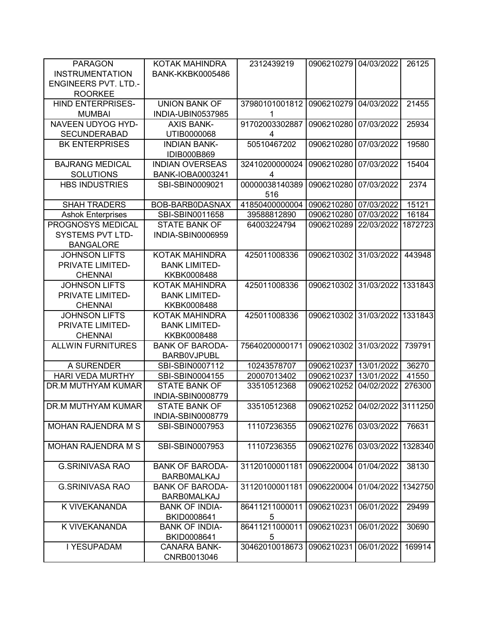| <b>PARAGON</b>              | KOTAK MAHINDRA           | 2312439219     | 0906210279            | 04/03/2022 | 26125   |
|-----------------------------|--------------------------|----------------|-----------------------|------------|---------|
| <b>INSTRUMENTATION</b>      | <b>BANK-KKBK0005486</b>  |                |                       |            |         |
| <b>ENGINEERS PVT. LTD.-</b> |                          |                |                       |            |         |
| <b>ROORKEE</b>              |                          |                |                       |            |         |
| <b>HIND ENTERPRISES-</b>    | <b>UNION BANK OF</b>     | 37980101001812 | 0906210279            | 04/03/2022 | 21455   |
| <b>MUMBAI</b>               | INDIA-UBIN0537985        | 1              |                       |            |         |
| NAVEEN UDYOG HYD-           | <b>AXIS BANK-</b>        | 91702003302887 | 0906210280            | 07/03/2022 | 25934   |
| <b>SECUNDERABAD</b>         | UTIB0000068              | 4              |                       |            |         |
| <b>BK ENTERPRISES</b>       | <b>INDIAN BANK-</b>      | 50510467202    | 0906210280            | 07/03/2022 | 19580   |
|                             | IDIB000B869              |                |                       |            |         |
| <b>BAJRANG MEDICAL</b>      | <b>INDIAN OVERSEAS</b>   | 32410200000024 | 0906210280            | 07/03/2022 | 15404   |
| <b>SOLUTIONS</b>            | BANK-IOBA0003241         | 4              |                       |            |         |
| <b>HBS INDUSTRIES</b>       | SBI-SBIN0009021          | 00000038140389 | 0906210280            | 07/03/2022 | 2374    |
|                             |                          | 516            |                       |            |         |
| <b>SHAH TRADERS</b>         | BOB-BARB0DASNAX          | 41850400000004 | 0906210280            | 07/03/2022 | 15121   |
| <b>Ashok Enterprises</b>    | SBI-SBIN0011658          | 39588812890    | 0906210280            | 07/03/2022 | 16184   |
| PROGNOSYS MEDICAL           | <b>STATE BANK OF</b>     | 64003224794    | 0906210289            | 22/03/2022 | 1872723 |
| <b>SYSTEMS PVT LTD-</b>     | <b>INDIA-SBIN0006959</b> |                |                       |            |         |
| <b>BANGALORE</b>            |                          |                |                       |            |         |
| <b>JOHNSON LIFTS</b>        | <b>KOTAK MAHINDRA</b>    | 425011008336   | 0906210302            | 31/03/2022 | 443948  |
| PRIVATE LIMITED-            | <b>BANK LIMITED-</b>     |                |                       |            |         |
| <b>CHENNAI</b>              | KKBK0008488              |                |                       |            |         |
| <b>JOHNSON LIFTS</b>        | <b>KOTAK MAHINDRA</b>    | 425011008336   | 0906210302            | 31/03/2022 | 1331843 |
| PRIVATE LIMITED-            | <b>BANK LIMITED-</b>     |                |                       |            |         |
| <b>CHENNAI</b>              | KKBK0008488              |                |                       |            |         |
| <b>JOHNSON LIFTS</b>        | KOTAK MAHINDRA           | 425011008336   | 0906210302 31/03/2022 |            | 1331843 |
| PRIVATE LIMITED-            | <b>BANK LIMITED-</b>     |                |                       |            |         |
| <b>CHENNAI</b>              | KKBK0008488              |                |                       |            |         |
| <b>ALLWIN FURNITURES</b>    | <b>BANK OF BARODA-</b>   | 75640200000171 | 0906210302            | 31/03/2022 | 739791  |
|                             | <b>BARBOVJPUBL</b>       |                |                       |            |         |
| A SURENDER                  | SBI-SBIN0007112          | 10243578707    | 0906210237            | 13/01/2022 | 36270   |
| <b>HARI VEDA MURTHY</b>     | SBI-SBIN0004155          | 20007013402    | 0906210237            | 13/01/2022 | 41550   |
| DR.M MUTHYAM KUMAR          | <b>STATE BANK OF</b>     | 33510512368    | 0906210252            | 04/02/2022 | 276300  |
|                             | <b>INDIA-SBIN0008779</b> |                |                       |            |         |
| DR.M MUTHYAM KUMAR          | <b>STATE BANK OF</b>     | 33510512368    | 0906210252            | 04/02/2022 | 3111250 |
|                             |                          |                |                       |            |         |
|                             | INDIA-SBIN0008779        |                |                       |            |         |
| <b>MOHAN RAJENDRA M S</b>   | SBI-SBIN0007953          | 11107236355    | 0906210276            | 03/03/2022 | 76631   |
|                             |                          |                |                       |            |         |
| <b>MOHAN RAJENDRA M S</b>   | SBI-SBIN0007953          | 11107236355    | 0906210276            | 03/03/2022 | 1328340 |
|                             |                          |                |                       |            |         |
| <b>G.SRINIVASA RAO</b>      | <b>BANK OF BARODA-</b>   | 31120100001181 | 0906220004            | 01/04/2022 | 38130   |
|                             | <b>BARBOMALKAJ</b>       |                |                       |            |         |
| <b>G.SRINIVASA RAO</b>      | <b>BANK OF BARODA-</b>   | 31120100001181 | 0906220004            | 01/04/2022 | 1342750 |
|                             | <b>BARBOMALKAJ</b>       |                |                       |            |         |
| K VIVEKANANDA               | <b>BANK OF INDIA-</b>    | 86411211000011 | 0906210231            | 06/01/2022 | 29499   |
|                             | BKID0008641              | 5              |                       |            |         |
| K VIVEKANANDA               | <b>BANK OF INDIA-</b>    | 86411211000011 | 0906210231            | 06/01/2022 | 30690   |
|                             | BKID0008641              | 5              |                       |            |         |
| I YESUPADAM                 | <b>CANARA BANK-</b>      | 30462010018673 | 0906210231            | 06/01/2022 | 169914  |
|                             | CNRB0013046              |                |                       |            |         |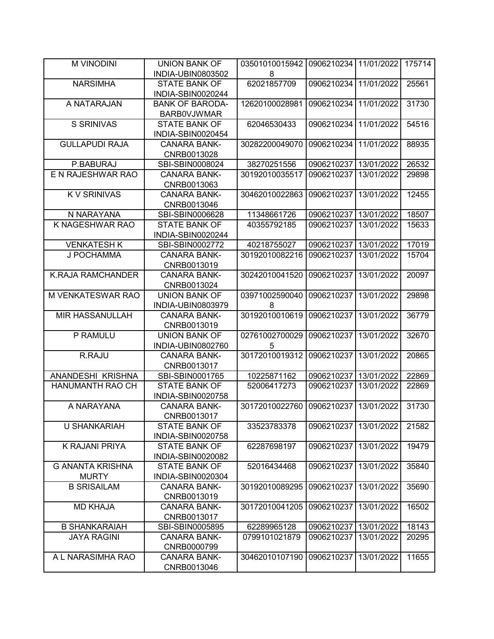| <b>M VINODINI</b>        | <b>UNION BANK OF</b>   | 03501010015942 | 0906210234 | 11/01/2022 | 175714 |
|--------------------------|------------------------|----------------|------------|------------|--------|
|                          | INDIA-UBIN0803502      | 8              |            |            |        |
| <b>NARSIMHA</b>          | <b>STATE BANK OF</b>   | 62021857709    | 0906210234 | 11/01/2022 | 25561  |
|                          | INDIA-SBIN0020244      |                |            |            |        |
| A NATARAJAN              | <b>BANK OF BARODA-</b> | 12620100028981 | 0906210234 | 11/01/2022 | 31730  |
|                          | <b>BARBOVJWMAR</b>     |                |            |            |        |
| <b>S SRINIVAS</b>        | <b>STATE BANK OF</b>   | 62046530433    | 0906210234 | 11/01/2022 | 54516  |
|                          | INDIA-SBIN0020454      |                |            |            |        |
| <b>GULLAPUDI RAJA</b>    | <b>CANARA BANK-</b>    | 30282200049070 | 0906210234 | 11/01/2022 | 88935  |
|                          | CNRB0013028            |                |            |            |        |
| P.BABURAJ                | SBI-SBIN0008024        | 38270251556    | 0906210237 | 13/01/2022 | 26532  |
| E N RAJESHWAR RAO        | <b>CANARA BANK-</b>    | 30192010035517 | 0906210237 | 13/01/2022 | 29898  |
|                          | CNRB0013063            |                |            |            |        |
| <b>KV SRINIVAS</b>       | <b>CANARA BANK-</b>    | 30462010022863 | 0906210237 | 13/01/2022 | 12455  |
|                          | CNRB0013046            |                |            |            |        |
| N NARAYANA               | SBI-SBIN0006628        | 11348661726    | 0906210237 | 13/01/2022 | 18507  |
| K NAGESHWAR RAO          | <b>STATE BANK OF</b>   | 40355792185    | 0906210237 | 13/01/2022 | 15633  |
|                          | INDIA-SBIN0020244      |                |            |            |        |
| <b>VENKATESH K</b>       | SBI-SBIN0002772        | 40218755027    | 0906210237 | 13/01/2022 | 17019  |
| J POCHAMMA               | <b>CANARA BANK-</b>    | 30192010082216 | 0906210237 | 13/01/2022 | 15704  |
|                          | CNRB0013019            |                |            |            |        |
| <b>K.RAJA RAMCHANDER</b> | <b>CANARA BANK-</b>    | 30242010041520 | 0906210237 | 13/01/2022 | 20097  |
|                          | CNRB0013024            |                |            |            |        |
| M VENKATESWAR RAO        | <b>UNION BANK OF</b>   | 03971002590040 | 0906210237 | 13/01/2022 | 29898  |
|                          | INDIA-UBIN0803979      | 8              |            |            |        |
| <b>MIR HASSANULLAH</b>   | <b>CANARA BANK-</b>    | 30192010010619 | 0906210237 | 13/01/2022 | 36779  |
|                          | CNRB0013019            |                |            |            |        |
| P RAMULU                 | <b>UNION BANK OF</b>   | 02761002700029 | 0906210237 | 13/01/2022 | 32670  |
|                          | INDIA-UBIN0802760      | 5              |            |            |        |
| R.RAJU                   | <b>CANARA BANK-</b>    | 30172010019312 | 0906210237 | 13/01/2022 | 20865  |
|                          | CNRB0013017            |                |            |            |        |
| ANANDESHI KRISHNA        | SBI-SBIN0001765        | 10225871162    | 0906210237 | 13/01/2022 | 22869  |
| HANUMANTH RAO CH         | <b>STATE BANK OF</b>   | 52006417273    | 0906210237 | 13/01/2022 | 22869  |
|                          | INDIA-SBIN0020758      |                |            |            |        |
| A NARAYANA               | <b>CANARA BANK-</b>    | 30172010022760 | 0906210237 | 13/01/2022 | 31730  |
|                          | CNRB0013017            |                |            |            |        |
| <b>U SHANKARIAH</b>      | <b>STATE BANK OF</b>   | 33523783378    | 0906210237 | 13/01/2022 | 21582  |
|                          | INDIA-SBIN0020758      |                |            |            |        |
| K RAJANI PRIYA           | <b>STATE BANK OF</b>   | 62287698197    | 0906210237 | 13/01/2022 | 19479  |
|                          | INDIA-SBIN0020082      |                |            |            |        |
| <b>G ANANTA KRISHNA</b>  | <b>STATE BANK OF</b>   | 52016434468    | 0906210237 | 13/01/2022 | 35840  |
| <b>MURTY</b>             | INDIA-SBIN0020304      |                |            |            |        |
| <b>B SRISAILAM</b>       | <b>CANARA BANK-</b>    | 30192010089295 | 0906210237 | 13/01/2022 | 35690  |
|                          | CNRB0013019            |                |            |            |        |
| <b>MD KHAJA</b>          | <b>CANARA BANK-</b>    | 30172010041205 | 0906210237 | 13/01/2022 | 16502  |
|                          | CNRB0013017            |                |            |            |        |
| <b>B SHANKARAIAH</b>     | SBI-SBIN0005895        | 62289965128    | 0906210237 | 13/01/2022 | 18143  |
| <b>JAYA RAGINI</b>       | <b>CANARA BANK-</b>    | 0799101021879  | 0906210237 | 13/01/2022 | 20295  |
|                          | CNRB0000799            |                |            |            |        |
| A L NARASIMHA RAO        | <b>CANARA BANK-</b>    | 30462010107190 | 0906210237 | 13/01/2022 | 11655  |
|                          | CNRB0013046            |                |            |            |        |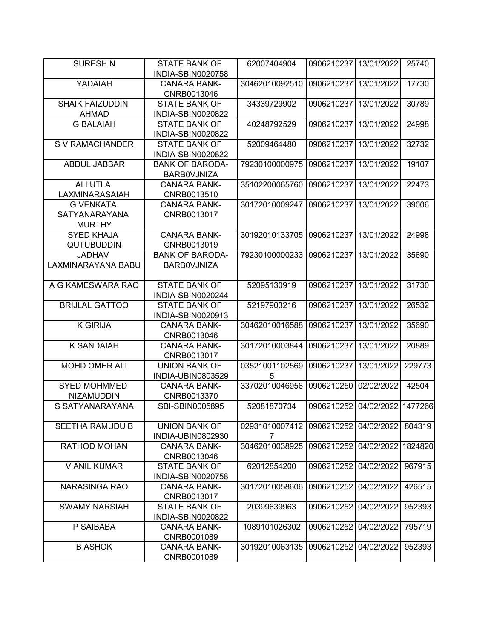| <b>SURESH N</b>                                           | <b>STATE BANK OF</b>                         | 62007404904         | 0906210237            | 13/01/2022 | 25740   |
|-----------------------------------------------------------|----------------------------------------------|---------------------|-----------------------|------------|---------|
|                                                           | INDIA-SBIN0020758                            |                     |                       |            |         |
| YADAIAH                                                   | <b>CANARA BANK-</b><br>CNRB0013046           | 30462010092510      | 0906210237            | 13/01/2022 | 17730   |
| <b>SHAIK FAIZUDDIN</b><br><b>AHMAD</b>                    | <b>STATE BANK OF</b><br>INDIA-SBIN0020822    | 34339729902         | 0906210237            | 13/01/2022 | 30789   |
| <b>G BALAIAH</b>                                          | <b>STATE BANK OF</b><br>INDIA-SBIN0020822    | 40248792529         | 0906210237            | 13/01/2022 | 24998   |
| S V RAMACHANDER                                           | <b>STATE BANK OF</b><br>INDIA-SBIN0020822    | 52009464480         | 0906210237            | 13/01/2022 | 32732   |
| ABDUL JABBAR                                              | <b>BANK OF BARODA-</b><br><b>BARBOVJNIZA</b> | 79230100000975      | 0906210237            | 13/01/2022 | 19107   |
| <b>ALLUTLA</b><br>LAXMINARASAIAH                          | <b>CANARA BANK-</b><br>CNRB0013510           | 35102200065760      | 0906210237            | 13/01/2022 | 22473   |
| <b>G VENKATA</b><br><b>SATYANARAYANA</b><br><b>MURTHY</b> | <b>CANARA BANK-</b><br>CNRB0013017           | 30172010009247      | 0906210237            | 13/01/2022 | 39006   |
| <b>SYED KHAJA</b><br><b>QUTUBUDDIN</b>                    | <b>CANARA BANK-</b><br>CNRB0013019           | 30192010133705      | 0906210237            | 13/01/2022 | 24998   |
| <b>JADHAV</b><br>LAXMINARAYANA BABU                       | <b>BANK OF BARODA-</b><br><b>BARBOVJNIZA</b> | 79230100000233      | 0906210237            | 13/01/2022 | 35690   |
| A G KAMESWARA RAO                                         | <b>STATE BANK OF</b><br>INDIA-SBIN0020244    | 52095130919         | 0906210237            | 13/01/2022 | 31730   |
| <b>BRIJLAL GATTOO</b>                                     | <b>STATE BANK OF</b><br>INDIA-SBIN0020913    | 52197903216         | 0906210237            | 13/01/2022 | 26532   |
| <b>K GIRIJA</b>                                           | <b>CANARA BANK-</b><br>CNRB0013046           | 30462010016588      | 0906210237            | 13/01/2022 | 35690   |
| <b>K SANDAIAH</b>                                         | <b>CANARA BANK-</b><br>CNRB0013017           | 30172010003844      | 0906210237            | 13/01/2022 | 20889   |
| <b>MOHD OMER ALI</b>                                      | <b>UNION BANK OF</b><br>INDIA-UBIN0803529    | 03521001102569<br>5 | 0906210237            | 13/01/2022 | 229773  |
| <b>SYED MOHMMED</b><br><b>NIZAMUDDIN</b>                  | <b>CANARA BANK-</b><br>CNRB0013370           | 33702010046956      | 0906210250            | 02/02/2022 | 42504   |
| S SATYANARAYANA                                           | SBI-SBIN0005895                              | 52081870734         | 0906210252            | 04/02/2022 | 1477266 |
| SEETHA RAMUDU B                                           | <b>UNION BANK OF</b><br>INDIA-UBIN0802930    | 02931010007412<br>7 | 0906210252 04/02/2022 |            | 804319  |
| RATHOD MOHAN                                              | <b>CANARA BANK-</b><br>CNRB0013046           | 30462010038925      | 0906210252            | 04/02/2022 | 1824820 |
| V ANIL KUMAR                                              | <b>STATE BANK OF</b><br>INDIA-SBIN0020758    | 62012854200         | 0906210252            | 04/02/2022 | 967915  |
| <b>NARASINGA RAO</b>                                      | <b>CANARA BANK-</b><br>CNRB0013017           | 30172010058606      | 0906210252            | 04/02/2022 | 426515  |
| <b>SWAMY NARSIAH</b>                                      | <b>STATE BANK OF</b><br>INDIA-SBIN0020822    | 20399639963         | 0906210252            | 04/02/2022 | 952393  |
| P SAIBABA                                                 | <b>CANARA BANK-</b><br>CNRB0001089           | 1089101026302       | 0906210252            | 04/02/2022 | 795719  |
| <b>B ASHOK</b>                                            | <b>CANARA BANK-</b><br>CNRB0001089           | 30192010063135      | 0906210252            | 04/02/2022 | 952393  |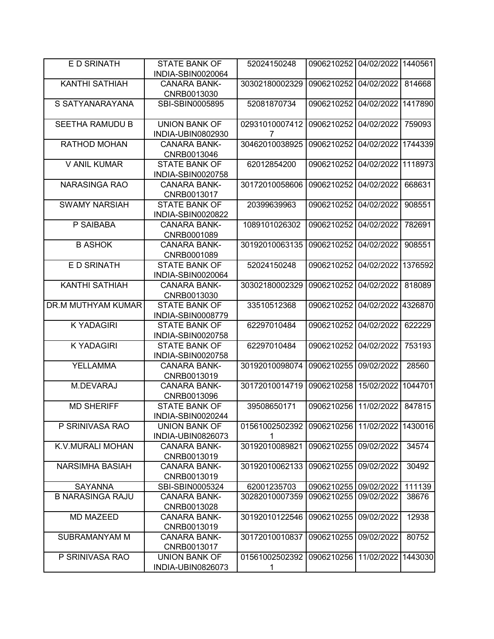| E D SRINATH             | <b>STATE BANK OF</b><br>INDIA-SBIN0020064 | 52024150248         | 0906210252            | 04/02/2022 | 1440561 |
|-------------------------|-------------------------------------------|---------------------|-----------------------|------------|---------|
|                         |                                           |                     |                       |            |         |
| <b>KANTHI SATHIAH</b>   | <b>CANARA BANK-</b><br>CNRB0013030        | 30302180002329      | 0906210252            | 04/02/2022 | 814668  |
| S SATYANARAYANA         | SBI-SBIN0005895                           | 52081870734         | 0906210252            | 04/02/2022 | 1417890 |
| <b>SEETHA RAMUDU B</b>  | <b>UNION BANK OF</b><br>INDIA-UBIN0802930 | 02931010007412<br>7 | 0906210252            | 04/02/2022 | 759093  |
| RATHOD MOHAN            | <b>CANARA BANK-</b><br>CNRB0013046        | 30462010038925      | 0906210252            | 04/02/2022 | 1744339 |
| <b>V ANIL KUMAR</b>     | <b>STATE BANK OF</b><br>INDIA-SBIN0020758 | 62012854200         | 0906210252            | 04/02/2022 | 1118973 |
| <b>NARASINGA RAO</b>    | <b>CANARA BANK-</b><br>CNRB0013017        | 30172010058606      | 0906210252            | 04/02/2022 | 668631  |
| <b>SWAMY NARSIAH</b>    | <b>STATE BANK OF</b><br>INDIA-SBIN0020822 | 20399639963         | 0906210252            | 04/02/2022 | 908551  |
| P SAIBABA               | <b>CANARA BANK-</b><br>CNRB0001089        | 1089101026302       | 0906210252            | 04/02/2022 | 782691  |
| <b>B ASHOK</b>          | <b>CANARA BANK-</b><br>CNRB0001089        | 30192010063135      | 0906210252            | 04/02/2022 | 908551  |
| E D SRINATH             | <b>STATE BANK OF</b><br>INDIA-SBIN0020064 | 52024150248         | 0906210252            | 04/02/2022 | 1376592 |
| <b>KANTHI SATHIAH</b>   | <b>CANARA BANK-</b><br>CNRB0013030        | 30302180002329      | 0906210252            | 04/02/2022 | 818089  |
| DR.M MUTHYAM KUMAR      | <b>STATE BANK OF</b><br>INDIA-SBIN0008779 | 33510512368         | 0906210252            | 04/02/2022 | 4326870 |
| <b>K YADAGIRI</b>       | <b>STATE BANK OF</b><br>INDIA-SBIN0020758 | 62297010484         | 0906210252            | 04/02/2022 | 622229  |
| <b>K YADAGIRI</b>       | <b>STATE BANK OF</b><br>INDIA-SBIN0020758 | 62297010484         | 0906210252            | 04/02/2022 | 753193  |
| YELLAMMA                | <b>CANARA BANK-</b><br>CNRB0013019        | 30192010098074      | 0906210255            | 09/02/2022 | 28560   |
| M.DEVARAJ               | <b>CANARA BANK-</b><br>CNRB0013096        | 30172010014719      | 0906210258            | 15/02/2022 | 1044701 |
| <b>MD SHERIFF</b>       | <b>STATE BANK OF</b><br>INDIA-SBIN0020244 | 39508650171         | 0906210256            | 11/02/2022 | 847815  |
| P SRINIVASA RAO         | <b>UNION BANK OF</b><br>INDIA-UBIN0826073 | 01561002502392      | 0906210256 11/02/2022 |            | 1430016 |
| K.V.MURALI MOHAN        | <b>CANARA BANK-</b><br>CNRB0013019        | 30192010089821      | 0906210255            | 09/02/2022 | 34574   |
| <b>NARSIMHA BASIAH</b>  | <b>CANARA BANK-</b><br>CNRB0013019        | 30192010062133      | 0906210255            | 09/02/2022 | 30492   |
| <b>SAYANNA</b>          | SBI-SBIN0005324                           | 62001235703         | 0906210255            | 09/02/2022 | 111139  |
| <b>B NARASINGA RAJU</b> | <b>CANARA BANK-</b><br>CNRB0013028        | 30282010007359      | 0906210255            | 09/02/2022 | 38676   |
| <b>MD MAZEED</b>        | <b>CANARA BANK-</b><br>CNRB0013019        | 30192010122546      | 0906210255            | 09/02/2022 | 12938   |
| SUBRAMANYAM M           | <b>CANARA BANK-</b><br>CNRB0013017        | 30172010010837      | 0906210255            | 09/02/2022 | 80752   |
| P SRINIVASA RAO         | <b>UNION BANK OF</b><br>INDIA-UBIN0826073 | 01561002502392<br>1 | 0906210256            | 11/02/2022 | 1443030 |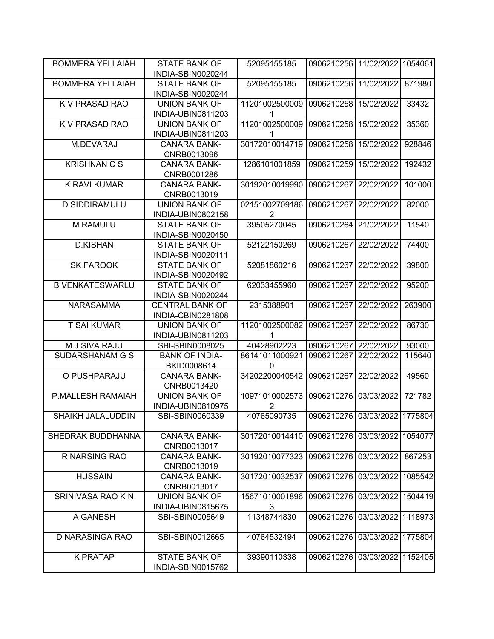| <b>BOMMERA YELLAIAH</b> | <b>STATE BANK OF</b>                             | 52095155185                      | 0906210256                    | 11/02/2022         | 1054061 |
|-------------------------|--------------------------------------------------|----------------------------------|-------------------------------|--------------------|---------|
|                         | INDIA-SBIN0020244                                |                                  |                               |                    |         |
| <b>BOMMERA YELLAIAH</b> | <b>STATE BANK OF</b><br>INDIA-SBIN0020244        | 52095155185                      | 0906210256                    | 11/02/2022         | 871980  |
| <b>K V PRASAD RAO</b>   | <b>UNION BANK OF</b><br>INDIA-UBIN0811203        | 11201002500009                   | 0906210258                    | 15/02/2022         | 33432   |
| K V PRASAD RAO          | <b>UNION BANK OF</b><br>INDIA-UBIN0811203        | 11201002500009<br>1              | 0906210258                    | 15/02/2022         | 35360   |
| M.DEVARAJ               | <b>CANARA BANK-</b><br>CNRB0013096               | 30172010014719                   | 0906210258                    | 15/02/2022         | 928846  |
| <b>KRISHNAN C S</b>     | <b>CANARA BANK-</b><br>CNRB0001286               | 1286101001859                    | 0906210259                    | 15/02/2022         | 192432  |
| <b>K.RAVI KUMAR</b>     | <b>CANARA BANK-</b><br>CNRB0013019               | 30192010019990                   | 0906210267                    | 22/02/2022         | 101000  |
| <b>D SIDDIRAMULU</b>    | <b>UNION BANK OF</b><br>INDIA-UBIN0802158        | 02151002709186<br>$\overline{2}$ | 0906210267                    | 22/02/2022         | 82000   |
| M RAMULU                | <b>STATE BANK OF</b><br>INDIA-SBIN0020450        | 39505270045                      | 0906210264                    | 21/02/2022         | 11540   |
| <b>D.KISHAN</b>         | <b>STATE BANK OF</b><br>INDIA-SBIN0020111        | 52122150269                      | 0906210267                    | 22/02/2022         | 74400   |
| <b>SK FAROOK</b>        | <b>STATE BANK OF</b><br>INDIA-SBIN0020492        | 52081860216                      | 0906210267                    | 22/02/2022         | 39800   |
| <b>B VENKATESWARLU</b>  | <b>STATE BANK OF</b><br>INDIA-SBIN0020244        | 62033455960                      | 0906210267                    | 22/02/2022         | 95200   |
| <b>NARASAMMA</b>        | <b>CENTRAL BANK OF</b><br>INDIA-CBIN0281808      | 2315388901                       | 0906210267                    | 22/02/2022         | 263900  |
| <b>T SAI KUMAR</b>      | <b>UNION BANK OF</b><br>INDIA-UBIN0811203        | 11201002500082<br>1              | 0906210267                    | 22/02/2022         | 86730   |
| M J SIVA RAJU           | SBI-SBIN0008025                                  | 40428902223                      | 0906210267                    | 22/02/2022         | 93000   |
| SUDARSHANAM G S         | <b>BANK OF INDIA-</b>                            | 86141011000921                   | 0906210267                    | 22/02/2022         | 115640  |
|                         | BKID0008614                                      | $\mathbf{0}$                     |                               |                    |         |
| O PUSHPARAJU            | <b>CANARA BANK-</b><br>CNRB0013420               | 34202200040542                   | 0906210267                    | 22/02/2022         | 49560   |
| P.MALLESH RAMAIAH       | <b>UNION BANK OF</b>                             | 10971010002573                   | 0906210276                    | 03/03/2022         | 721782  |
|                         | INDIA-UBIN0810975                                | $\overline{2}$                   |                               |                    |         |
| SHAIKH JALALUDDIN       | SBI-SBIN0060339                                  | 40765090735                      | 0906210276 03/03/2022 1775804 |                    |         |
| SHEDRAK BUDDHANNA       | <b>CANARA BANK-</b><br>CNRB0013017               | 30172010014410                   | 0906210276                    | 03/03/2022         | 1054077 |
| R NARSING RAO           | <b>CANARA BANK-</b><br>CNRB0013019               | 30192010077323                   | 0906210276                    | 03/03/2022         | 867253  |
| <b>HUSSAIN</b>          | <b>CANARA BANK-</b><br>CNRB0013017               | 30172010032537                   | 0906210276                    | 03/03/2022         | 1085542 |
| SRINIVASA RAO K N       | <b>UNION BANK OF</b><br><b>INDIA-UBIN0815675</b> | 15671010001896<br>3              | 0906210276                    | 03/03/2022         | 1504419 |
| A GANESH                | SBI-SBIN0005649                                  | 11348744830                      | 0906210276                    | 03/03/2022         | 1118973 |
| D NARASINGA RAO         | SBI-SBIN0012665                                  | 40764532494                      | 0906210276                    | 03/03/2022         | 1775804 |
| <b>K PRATAP</b>         | <b>STATE BANK OF</b><br>INDIA-SBIN0015762        | 39390110338                      | 0906210276                    | 03/03/2022 1152405 |         |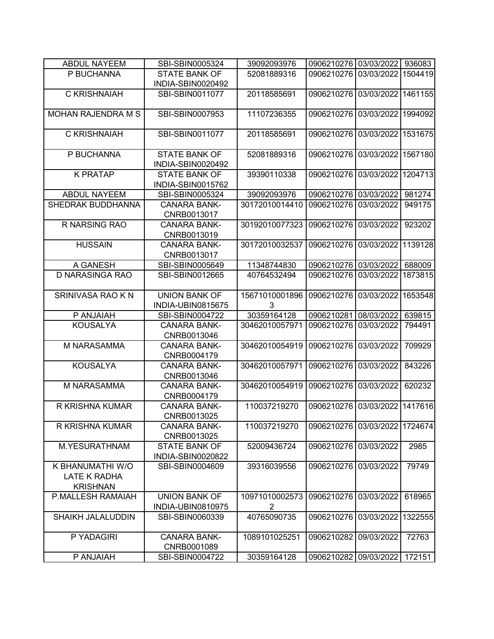| <b>ABDUL NAYEEM</b>       | SBI-SBIN0005324                    | 39092093976    | 0906210276 03/03/2022 |            | 936083  |
|---------------------------|------------------------------------|----------------|-----------------------|------------|---------|
| P BUCHANNA                | <b>STATE BANK OF</b>               | 52081889316    | 0906210276            | 03/03/2022 | 1504419 |
|                           | INDIA-SBIN0020492                  |                |                       |            |         |
| C KRISHNAIAH              | SBI-SBIN0011077                    | 20118585691    | 0906210276            | 03/03/2022 | 1461155 |
|                           |                                    |                |                       |            |         |
| <b>MOHAN RAJENDRA M S</b> | SBI-SBIN0007953                    | 11107236355    | 0906210276            | 03/03/2022 | 1994092 |
| C KRISHNAIAH              | SBI-SBIN0011077                    | 20118585691    | 0906210276            | 03/03/2022 | 1531675 |
|                           |                                    |                |                       |            |         |
| P BUCHANNA                | <b>STATE BANK OF</b>               | 52081889316    | 0906210276            | 03/03/2022 | 1567180 |
|                           | INDIA-SBIN0020492                  |                |                       |            |         |
| <b>K PRATAP</b>           | <b>STATE BANK OF</b>               | 39390110338    | 0906210276            | 03/03/2022 | 1204713 |
|                           | INDIA-SBIN0015762                  |                |                       |            |         |
| <b>ABDUL NAYEEM</b>       | SBI-SBIN0005324                    | 39092093976    | 0906210276            | 03/03/2022 | 981274  |
| SHEDRAK BUDDHANNA         | <b>CANARA BANK-</b>                | 30172010014410 | 0906210276            | 03/03/2022 | 949175  |
|                           | CNRB0013017                        |                |                       |            |         |
| R NARSING RAO             | <b>CANARA BANK-</b>                | 30192010077323 | 0906210276            | 03/03/2022 | 923202  |
|                           | CNRB0013019                        |                |                       |            |         |
| <b>HUSSAIN</b>            | <b>CANARA BANK-</b>                | 30172010032537 | 0906210276            | 03/03/2022 | 1139128 |
|                           | CNRB0013017                        |                |                       |            |         |
| A GANESH                  | SBI-SBIN0005649                    | 11348744830    | 0906210276            | 03/03/2022 | 688009  |
| D NARASINGA RAO           | SBI-SBIN0012665                    | 40764532494    | 0906210276            | 03/03/2022 | 1873815 |
|                           |                                    |                |                       |            |         |
| SRINIVASA RAO K N         | <b>UNION BANK OF</b>               | 15671010001896 | 0906210276            | 03/03/2022 | 1653548 |
|                           | INDIA-UBIN0815675                  | 3              |                       |            |         |
| P ANJAIAH                 | SBI-SBIN0004722                    | 30359164128    | 0906210281            | 08/03/2022 | 639815  |
| <b>KOUSALYA</b>           | <b>CANARA BANK-</b>                | 30462010057971 | 0906210276            | 03/03/2022 | 794491  |
|                           | CNRB0013046                        |                |                       |            |         |
| M NARASAMMA               | <b>CANARA BANK-</b><br>CNRB0004179 | 30462010054919 | 0906210276            | 03/03/2022 | 709929  |
| <b>KOUSALYA</b>           | <b>CANARA BANK-</b>                | 30462010057971 | 0906210276            | 03/03/2022 | 843226  |
|                           | CNRB0013046                        |                |                       |            |         |
| M NARASAMMA               | <b>CANARA BANK-</b>                | 30462010054919 | 0906210276            | 03/03/2022 | 620232  |
|                           | CNRB0004179                        |                |                       |            |         |
| R KRISHNA KUMAR           | <b>CANARA BANK-</b>                | 110037219270   | 0906210276            | 03/03/2022 | 1417616 |
|                           | CNRB0013025                        |                |                       |            |         |
| R KRISHNA KUMAR           | <b>CANARA BANK-</b>                | 110037219270   | 0906210276            | 03/03/2022 | 1724674 |
|                           | CNRB0013025                        |                |                       |            |         |
| M.YESURATHNAM             | <b>STATE BANK OF</b>               | 52009436724    | 0906210276            | 03/03/2022 | 2985    |
|                           | INDIA-SBIN0020822                  |                |                       |            |         |
| K BHANUMATHI W/O          | SBI-SBIN0004609                    | 39316039556    | 0906210276            | 03/03/2022 | 79749   |
| LATE K RADHA              |                                    |                |                       |            |         |
| <b>KRISHNAN</b>           |                                    |                |                       |            |         |
| P.MALLESH RAMAIAH         | <b>UNION BANK OF</b>               | 10971010002573 | 0906210276            | 03/03/2022 | 618965  |
|                           | INDIA-UBIN0810975                  | 2              |                       |            |         |
| <b>SHAIKH JALALUDDIN</b>  | SBI-SBIN0060339                    | 40765090735    | 0906210276            | 03/03/2022 | 1322555 |
|                           |                                    |                |                       |            |         |
| P YADAGIRI                | <b>CANARA BANK-</b>                | 1089101025251  | 0906210282            | 09/03/2022 | 72763   |
|                           | CNRB0001089                        |                |                       |            |         |
| P ANJAIAH                 | SBI-SBIN0004722                    | 30359164128    | 0906210282            | 09/03/2022 | 172151  |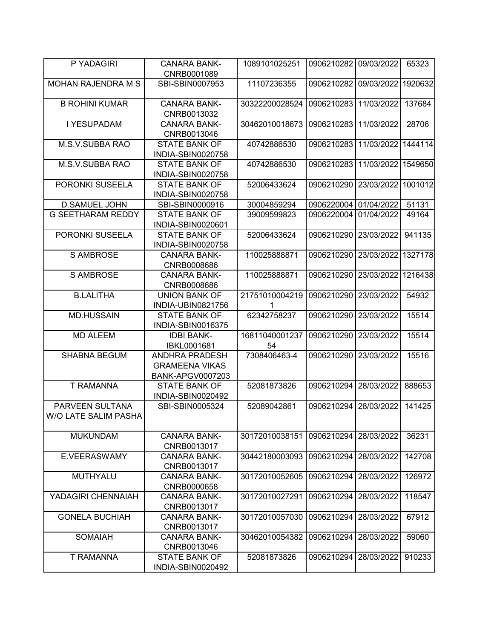| P YADAGIRI                              | <b>CANARA BANK-</b><br>CNRB0001089                                 | 1089101025251        | 0906210282 09/03/2022 |            | 65323   |
|-----------------------------------------|--------------------------------------------------------------------|----------------------|-----------------------|------------|---------|
| <b>MOHAN RAJENDRA M S</b>               | SBI-SBIN0007953                                                    | 11107236355          | 0906210282            | 09/03/2022 | 1920632 |
| <b>B ROHINI KUMAR</b>                   | <b>CANARA BANK-</b><br>CNRB0013032                                 | 30322200028524       | 0906210283            | 11/03/2022 | 137684  |
| I YESUPADAM                             | <b>CANARA BANK-</b><br>CNRB0013046                                 | 30462010018673       | 0906210283            | 11/03/2022 | 28706   |
| M.S.V.SUBBA RAO                         | <b>STATE BANK OF</b><br>INDIA-SBIN0020758                          | 40742886530          | 0906210283            | 11/03/2022 | 1444114 |
| M.S.V.SUBBA RAO                         | <b>STATE BANK OF</b><br>INDIA-SBIN0020758                          | 40742886530          | 0906210283            | 11/03/2022 | 1549650 |
| PORONKI SUSEELA                         | <b>STATE BANK OF</b><br>INDIA-SBIN0020758                          | 52006433624          | 0906210290            | 23/03/2022 | 1001012 |
| <b>D.SAMUEL JOHN</b>                    | SBI-SBIN0000916                                                    | 30004859294          | 0906220004            | 01/04/2022 | 51131   |
| <b>G SEETHARAM REDDY</b>                | <b>STATE BANK OF</b><br>INDIA-SBIN0020601                          | 39009599823          | 0906220004            | 01/04/2022 | 49164   |
| PORONKI SUSEELA                         | <b>STATE BANK OF</b><br>INDIA-SBIN0020758                          | 52006433624          | 0906210290            | 23/03/2022 | 941135  |
| S AMBROSE                               | <b>CANARA BANK-</b><br>CNRB0008686                                 | 110025888871         | 0906210290            | 23/03/2022 | 1327178 |
| <b>S AMBROSE</b>                        | <b>CANARA BANK-</b><br>CNRB0008686                                 | 110025888871         | 0906210290            | 23/03/2022 | 1216438 |
| <b>B.LALITHA</b>                        | <b>UNION BANK OF</b><br>INDIA-UBIN0821756                          | 21751010004219       | 0906210290            | 23/03/2022 | 54932   |
| <b>MD.HUSSAIN</b>                       | <b>STATE BANK OF</b><br>INDIA-SBIN0016375                          | 62342758237          | 0906210290            | 23/03/2022 | 15514   |
| <b>MD ALEEM</b>                         | <b>IDBI BANK-</b><br>IBKL0001681                                   | 16811040001237<br>54 | 0906210290            | 23/03/2022 | 15514   |
| <b>SHABNA BEGUM</b>                     | <b>ANDHRA PRADESH</b><br><b>GRAMEENA VIKAS</b><br>BANK-APGV0007203 | 7308406463-4         | 0906210290            | 23/03/2022 | 15516   |
| <b>T RAMANNA</b>                        | <b>STATE BANK OF</b><br>INDIA-SBIN0020492                          | 52081873826          | 0906210294            | 28/03/2022 | 888653  |
| PARVEEN SULTANA<br>W/O LATE SALIM PASHA | SBI-SBIN0005324                                                    | 52089042861          | 0906210294            | 28/03/2022 | 141425  |
| <b>MUKUNDAM</b>                         | <b>CANARA BANK-</b><br>CNRB0013017                                 | 30172010038151       | 0906210294            | 28/03/2022 | 36231   |
| E.VEERASWAMY                            | <b>CANARA BANK-</b><br>CNRB0013017                                 | 30442180003093       | 0906210294            | 28/03/2022 | 142708  |
| <b>MUTHYALU</b>                         | <b>CANARA BANK-</b><br>CNRB0000658                                 | 30172010052605       | 0906210294            | 28/03/2022 | 126972  |
| YADAGIRI CHENNAIAH                      | <b>CANARA BANK-</b><br>CNRB0013017                                 | 30172010027291       | 0906210294            | 28/03/2022 | 118547  |
| <b>GONELA BUCHIAH</b>                   | <b>CANARA BANK-</b><br>CNRB0013017                                 | 30172010057030       | 0906210294            | 28/03/2022 | 67912   |
| <b>SOMAIAH</b>                          | <b>CANARA BANK-</b><br>CNRB0013046                                 | 30462010054382       | 0906210294            | 28/03/2022 | 59060   |
| T RAMANNA                               | <b>STATE BANK OF</b><br>INDIA-SBIN0020492                          | 52081873826          | 0906210294            | 28/03/2022 | 910233  |